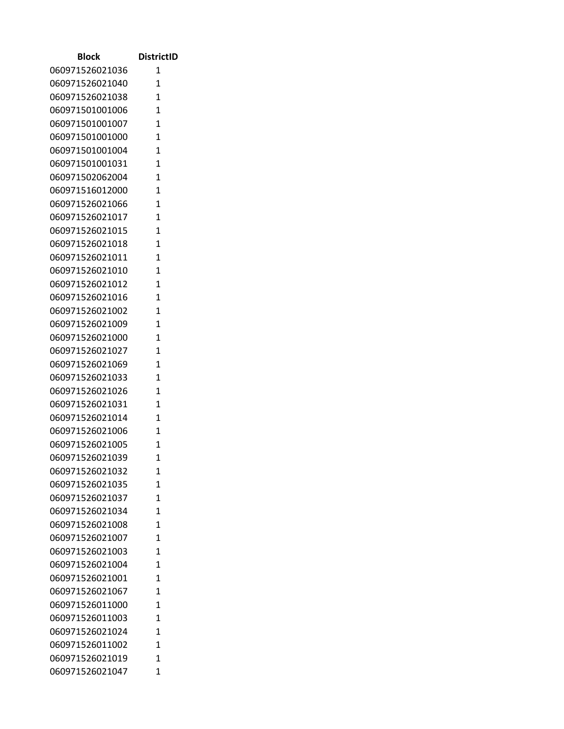| <b>Block</b>    | <b>DistrictID</b> |
|-----------------|-------------------|
| 060971526021036 | 1                 |
| 060971526021040 | $\mathbf{1}$      |
| 060971526021038 | $\mathbf{1}$      |
| 060971501001006 | $\mathbf{1}$      |
| 060971501001007 | $\mathbf{1}$      |
| 060971501001000 | 1                 |
| 060971501001004 | $\mathbf{1}$      |
| 060971501001031 | $\mathbf{1}$      |
| 060971502062004 | 1                 |
| 060971516012000 | $\mathbf{1}$      |
| 060971526021066 | $\mathbf{1}$      |
| 060971526021017 | $\mathbf{1}$      |
| 060971526021015 | 1                 |
| 060971526021018 | $\overline{1}$    |
| 060971526021011 | $\mathbf{1}$      |
| 060971526021010 | $\mathbf{1}$      |
| 060971526021012 | $\mathbf{1}$      |
| 060971526021016 | 1                 |
| 060971526021002 | $\overline{1}$    |
| 060971526021009 | $\mathbf{1}$      |
| 060971526021000 | $\mathbf{1}$      |
| 060971526021027 | $\mathbf{1}$      |
| 060971526021069 | $\mathbf{1}$      |
| 060971526021033 | $\mathbf{1}$      |
| 060971526021026 | 1                 |
| 060971526021031 | $\mathbf{1}$      |
| 060971526021014 | $\mathbf{1}$      |
| 060971526021006 | 1                 |
| 060971526021005 | 1                 |
| 060971526021039 | 1                 |
| 060971526021032 | 1                 |
| 060971526021035 | $\mathbf{1}$      |
| 060971526021037 | $\overline{1}$    |
| 060971526021034 | $\mathbf{1}$      |
| 060971526021008 | 1                 |
| 060971526021007 | 1                 |
| 060971526021003 | 1                 |
| 060971526021004 | $\overline{1}$    |
| 060971526021001 | $\mathbf{1}$      |
| 060971526021067 | $\overline{1}$    |
| 060971526011000 | $\mathbf{1}$      |
| 060971526011003 | $\mathbf{1}$      |
| 060971526021024 | $\mathbf{1}$      |
| 060971526011002 | 1                 |
| 060971526021019 | 1                 |
| 060971526021047 | 1                 |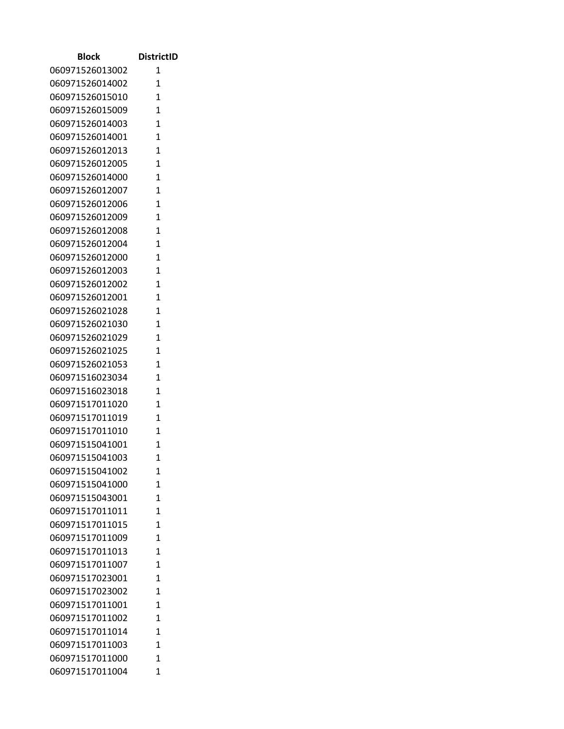| <b>Block</b>    | <b>DistrictID</b> |
|-----------------|-------------------|
| 060971526013002 | 1                 |
| 060971526014002 | $\mathbf{1}$      |
| 060971526015010 | $\mathbf{1}$      |
| 060971526015009 | $\mathbf{1}$      |
| 060971526014003 | $\mathbf{1}$      |
| 060971526014001 | 1                 |
| 060971526012013 | $\mathbf{1}$      |
| 060971526012005 | $\mathbf{1}$      |
| 060971526014000 | 1                 |
| 060971526012007 | $\mathbf{1}$      |
| 060971526012006 | 1                 |
| 060971526012009 | $\mathbf{1}$      |
| 060971526012008 | 1                 |
| 060971526012004 | $\overline{1}$    |
| 060971526012000 | $\mathbf{1}$      |
| 060971526012003 | 1                 |
| 060971526012002 | $\mathbf{1}$      |
| 060971526012001 | 1                 |
| 060971526021028 | $\overline{1}$    |
| 060971526021030 | $\mathbf{1}$      |
| 060971526021029 | $\mathbf{1}$      |
| 060971526021025 | $\mathbf{1}$      |
| 060971526021053 | $\mathbf{1}$      |
| 060971516023034 | $\mathbf{1}$      |
| 060971516023018 | 1                 |
| 060971517011020 | $\mathbf{1}$      |
| 060971517011019 | $\mathbf{1}$      |
| 060971517011010 | 1                 |
| 060971515041001 | 1                 |
| 060971515041003 | 1                 |
| 060971515041002 | 1                 |
| 060971515041000 | $\mathbf{1}$      |
| 060971515043001 | $\overline{1}$    |
| 060971517011011 | $\mathbf{1}$      |
| 060971517011015 | 1                 |
| 060971517011009 | 1                 |
| 060971517011013 | 1                 |
| 060971517011007 | $\overline{1}$    |
| 060971517023001 | $\mathbf{1}$      |
| 060971517023002 | $\overline{1}$    |
| 060971517011001 | $\mathbf{1}$      |
| 060971517011002 | $\mathbf{1}$      |
| 060971517011014 | $\mathbf{1}$      |
| 060971517011003 | 1                 |
| 060971517011000 | 1                 |
| 060971517011004 | 1                 |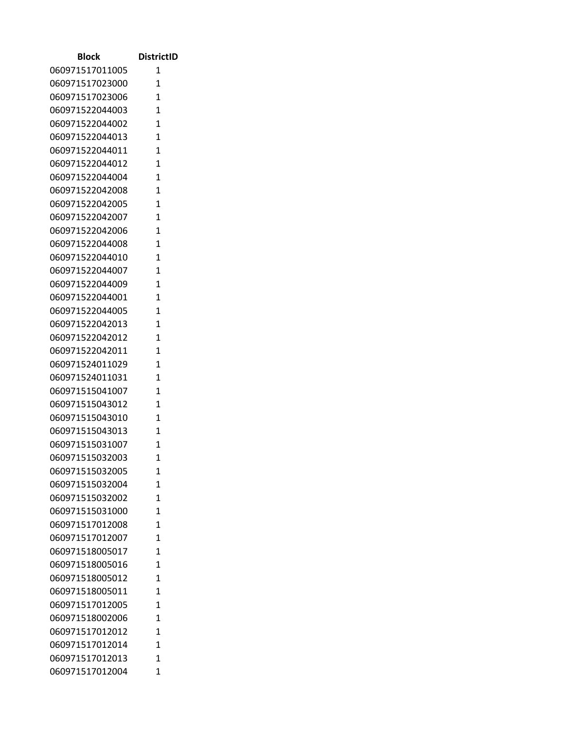| Block                              | <b>DistrictID</b> |
|------------------------------------|-------------------|
| 060971517011005                    | 1                 |
| 060971517023000                    | 1                 |
| 060971517023006                    | $\mathbf{1}$      |
| 060971522044003                    | 1                 |
| 060971522044002                    | 1                 |
| 060971522044013                    | $\mathbf{1}$      |
| 060971522044011                    | $\mathbf{1}$      |
| 060971522044012                    | $\mathbf{1}$      |
| 060971522044004                    | $\mathbf{1}$      |
| 060971522042008                    | $\mathbf{1}$      |
| 060971522042005                    | $\mathbf{1}$      |
| 060971522042007                    | 1                 |
| 060971522042006                    | $\mathbf{1}$      |
| 060971522044008                    | 1                 |
| 060971522044010                    | $\mathbf{1}$      |
| 060971522044007                    | 1                 |
| 060971522044009                    | 1                 |
| 060971522044001                    | $\mathbf{1}$      |
| 060971522044005                    | 1                 |
| 060971522042013                    | $\mathbf{1}$      |
| 060971522042012                    | $\mathbf{1}$      |
| 060971522042011                    | $\mathbf{1}$      |
| 060971524011029                    | 1                 |
| 060971524011031                    | 1                 |
| 060971515041007                    | $\mathbf{1}$      |
| 060971515043012                    | 1                 |
| 060971515043010                    | $\mathbf{1}$      |
| 060971515043013                    | 1                 |
| 060971515031007                    | 1                 |
| 060971515032003                    | 1                 |
| 060971515032005                    | 1                 |
| 060971515032004                    | 1                 |
| 060971515032002                    | 1                 |
| 060971515031000                    | 1                 |
| 060971517012008                    | 1                 |
| 060971517012007                    | 1                 |
| 060971518005017                    | $\mathbf{1}$      |
| 060971518005016                    | 1                 |
| 060971518005012                    | 1                 |
| 060971518005011                    | 1                 |
| 060971517012005                    | 1<br>1            |
| 060971518002006                    |                   |
| 060971517012012<br>060971517012014 | 1                 |
|                                    | 1                 |
| 060971517012013                    | 1                 |
| 060971517012004                    | 1                 |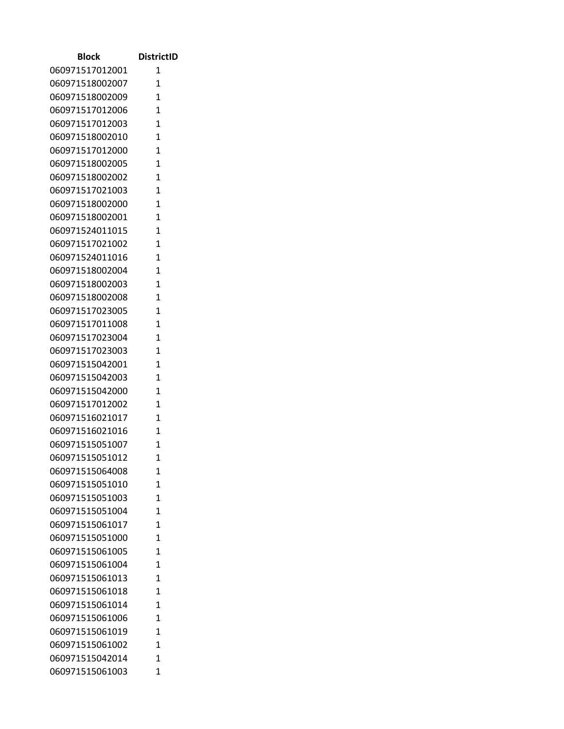| <b>Block</b>                       | <b>DistrictID</b> |
|------------------------------------|-------------------|
| 060971517012001                    | 1                 |
| 060971518002007                    | $\mathbf{1}$      |
| 060971518002009                    | 1                 |
| 060971517012006                    | 1                 |
| 060971517012003                    | 1                 |
| 060971518002010                    | $\overline{1}$    |
| 060971517012000                    | $\mathbf{1}$      |
| 060971518002005                    | $\overline{1}$    |
| 060971518002002                    | $\overline{1}$    |
| 060971517021003                    | $\mathbf{1}$      |
| 060971518002000                    | $\overline{1}$    |
| 060971518002001                    | $\mathbf{1}$      |
| 060971524011015                    | $\overline{1}$    |
| 060971517021002                    | $\mathbf{1}$      |
| 060971524011016                    | $\overline{1}$    |
| 060971518002004                    | $\overline{1}$    |
| 060971518002003                    | $\mathbf{1}$      |
| 060971518002008                    | $\mathbf{1}$      |
| 060971517023005                    | 1                 |
| 060971517011008                    | $\mathbf{1}$      |
| 060971517023004                    | $\mathbf{1}$      |
| 060971517023003                    | $\overline{1}$    |
| 060971515042001                    | $\mathbf{1}$      |
| 060971515042003                    | 1                 |
| 060971515042000                    | 1                 |
| 060971517012002                    | 1                 |
| 060971516021017                    | $\mathbf{1}$      |
| 060971516021016                    | $\mathbf{1}$      |
| 060971515051007                    | $\mathbf{1}$      |
| 060971515051012<br>060971515064008 | 1                 |
| 060971515051010                    | 1<br>$\mathbf{1}$ |
| 060971515051003                    | 1                 |
| 060971515051004                    | $\overline{1}$    |
| 060971515061017                    | 1                 |
| 060971515051000                    | $\mathbf{1}$      |
| 060971515061005                    | $\mathbf{1}$      |
| 060971515061004                    | $\mathbf{1}$      |
| 060971515061013                    | $\overline{1}$    |
| 060971515061018                    | $\mathbf{1}$      |
| 060971515061014                    | $\mathbf{1}$      |
| 060971515061006                    | 1                 |
| 060971515061019                    | 1                 |
| 060971515061002                    | $\mathbf{1}$      |
| 060971515042014                    | 1                 |
| 060971515061003                    | 1                 |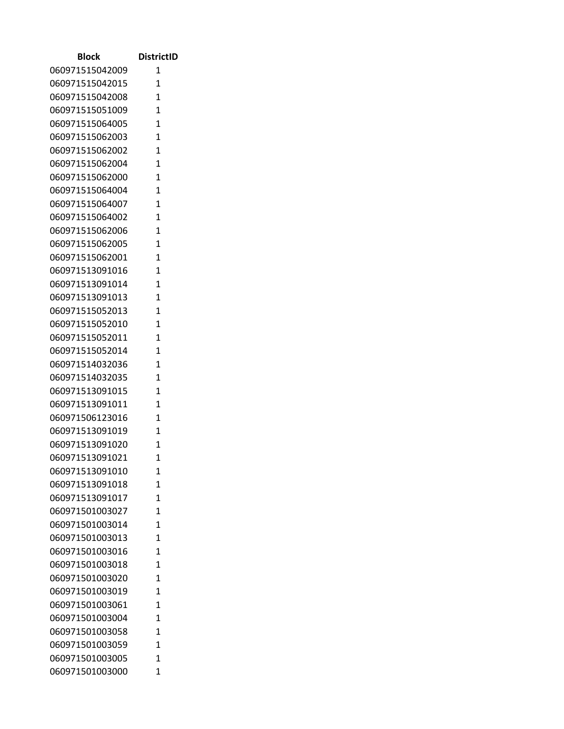| <b>Block</b>                       | <b>DistrictID</b> |
|------------------------------------|-------------------|
| 060971515042009                    | 1                 |
| 060971515042015                    | $\mathbf{1}$      |
| 060971515042008                    | 1                 |
| 060971515051009                    | 1                 |
| 060971515064005                    | $\mathbf{1}$      |
| 060971515062003                    | $\overline{1}$    |
| 060971515062002                    | $\mathbf{1}$      |
| 060971515062004                    | $\overline{1}$    |
| 060971515062000                    | $\overline{1}$    |
| 060971515064004                    | $\overline{1}$    |
| 060971515064007                    | $\overline{1}$    |
| 060971515064002                    | $\mathbf{1}$      |
| 060971515062006                    | $\overline{1}$    |
| 060971515062005                    | $\mathbf{1}$      |
| 060971515062001                    | $\overline{1}$    |
| 060971513091016                    | $\overline{1}$    |
| 060971513091014                    | $\mathbf{1}$      |
| 060971513091013                    | $\mathbf{1}$      |
| 060971515052013                    | 1                 |
| 060971515052010                    | $\mathbf{1}$      |
| 060971515052011                    | $\mathbf{1}$      |
| 060971515052014                    | $\overline{1}$    |
| 060971514032036                    | $\mathbf{1}$      |
| 060971514032035                    | 1                 |
| 060971513091015                    | 1                 |
| 060971513091011                    | 1<br>$\mathbf{1}$ |
| 060971506123016<br>060971513091019 | $\mathbf{1}$      |
| 060971513091020                    | $\mathbf{1}$      |
| 060971513091021                    | 1                 |
| 060971513091010                    | 1                 |
| 060971513091018                    | $\mathbf{1}$      |
| 060971513091017                    | 1                 |
| 060971501003027                    | $\overline{1}$    |
| 060971501003014                    | 1                 |
| 060971501003013                    | $\mathbf{1}$      |
| 060971501003016                    | $\mathbf{1}$      |
| 060971501003018                    | $\mathbf{1}$      |
| 060971501003020                    | $\overline{1}$    |
| 060971501003019                    | $\mathbf{1}$      |
| 060971501003061                    | $\mathbf{1}$      |
| 060971501003004                    | 1                 |
| 060971501003058                    | 1                 |
| 060971501003059                    | $\mathbf{1}$      |
| 060971501003005                    | 1                 |
| 060971501003000                    | 1                 |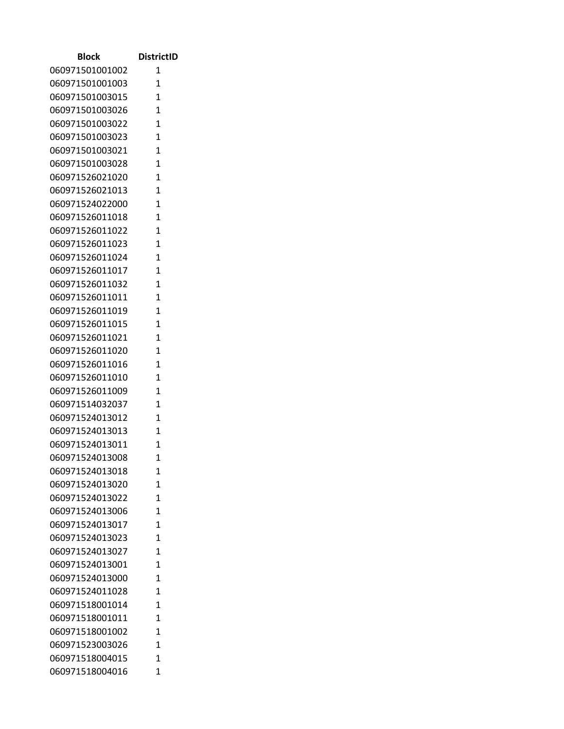| <b>Block</b>                       | <b>DistrictID</b> |
|------------------------------------|-------------------|
| 060971501001002                    | 1                 |
| 060971501001003                    | 1                 |
| 060971501003015                    | $\mathbf{1}$      |
| 060971501003026                    | $\mathbf{1}$      |
| 060971501003022                    | $\mathbf{1}$      |
| 060971501003023                    | $\mathbf{1}$      |
| 060971501003021                    | 1                 |
| 060971501003028                    | $\mathbf{1}$      |
| 060971526021020                    | 1                 |
| 060971526021013                    | 1                 |
| 060971524022000                    | $\mathbf{1}$      |
| 060971526011018                    | $\mathbf{1}$      |
| 060971526011022                    | $\mathbf{1}$      |
| 060971526011023                    | 1                 |
| 060971526011024                    | $\mathbf{1}$      |
| 060971526011017                    | $\mathbf{1}$      |
| 060971526011032                    | 1                 |
| 060971526011011                    | 1                 |
| 060971526011019                    | 1                 |
| 060971526011015                    | $\mathbf{1}$      |
| 060971526011021                    | $\mathbf{1}$      |
| 060971526011020                    | 1                 |
| 060971526011016                    | $\mathbf{1}$      |
| 060971526011010                    | 1                 |
| 060971526011009                    | 1                 |
| 060971514032037                    | 1                 |
| 060971524013012                    | $\mathbf{1}$      |
| 060971524013013                    | 1                 |
| 060971524013011                    | $\overline{1}$    |
| 060971524013008<br>060971524013018 | 1                 |
| 060971524013020                    | 1<br>1            |
| 060971524013022                    | 1                 |
| 060971524013006                    | 1                 |
| 060971524013017                    | 1                 |
| 060971524013023                    | 1                 |
| 060971524013027                    | 1                 |
| 060971524013001                    | 1                 |
| 060971524013000                    | 1                 |
| 060971524011028                    | 1                 |
| 060971518001014                    | 1                 |
| 060971518001011                    | 1                 |
| 060971518001002                    | 1                 |
| 060971523003026                    | 1                 |
| 060971518004015                    | 1                 |
| 060971518004016                    | 1                 |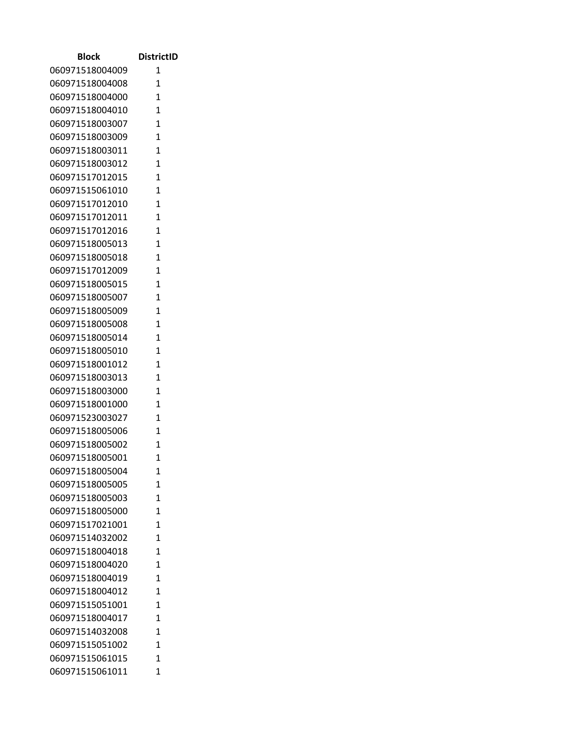| Block           | <b>DistrictID</b> |
|-----------------|-------------------|
| 060971518004009 | 1                 |
| 060971518004008 | 1                 |
| 060971518004000 | $\mathbf{1}$      |
| 060971518004010 | 1                 |
| 060971518003007 | $\overline{1}$    |
| 060971518003009 | 1                 |
| 060971518003011 | 1                 |
| 060971518003012 | $\mathbf{1}$      |
| 060971517012015 | $\mathbf{1}$      |
| 060971515061010 | 1                 |
| 060971517012010 | 1                 |
| 060971517012011 | $\mathbf{1}$      |
| 060971517012016 | $\mathbf{1}$      |
| 060971518005013 | 1                 |
| 060971518005018 | $\mathbf{1}$      |
| 060971517012009 | $\mathbf{1}$      |
| 060971518005015 | $\overline{1}$    |
| 060971518005007 | $\mathbf{1}$      |
| 060971518005009 | $\mathbf{1}$      |
| 060971518005008 | $\mathbf{1}$      |
| 060971518005014 | 1                 |
| 060971518005010 | $\overline{1}$    |
| 060971518001012 | 1                 |
| 060971518003013 | $\mathbf{1}$      |
| 060971518003000 | 1                 |
| 060971518001000 | 1                 |
| 060971523003027 | $\mathbf{1}$      |
| 060971518005006 | $\mathbf{1}$      |
| 060971518005002 | $\overline{1}$    |
| 060971518005001 | 1                 |
| 060971518005004 | 1                 |
| 060971518005005 | $\mathbf{1}$      |
| 060971518005003 | 1                 |
| 060971518005000 | $\mathbf{1}$      |
| 060971517021001 | 1                 |
| 060971514032002 | $\overline{1}$    |
| 060971518004018 | 1                 |
| 060971518004020 | $\mathbf{1}$      |
| 060971518004019 | $\mathbf{1}$      |
| 060971518004012 | 1                 |
| 060971515051001 | $\mathbf{1}$      |
| 060971518004017 | $\overline{1}$    |
| 060971514032008 | $\mathbf{1}$      |
| 060971515051002 | 1                 |
| 060971515061015 | 1                 |
| 060971515061011 | $\mathbf{1}$      |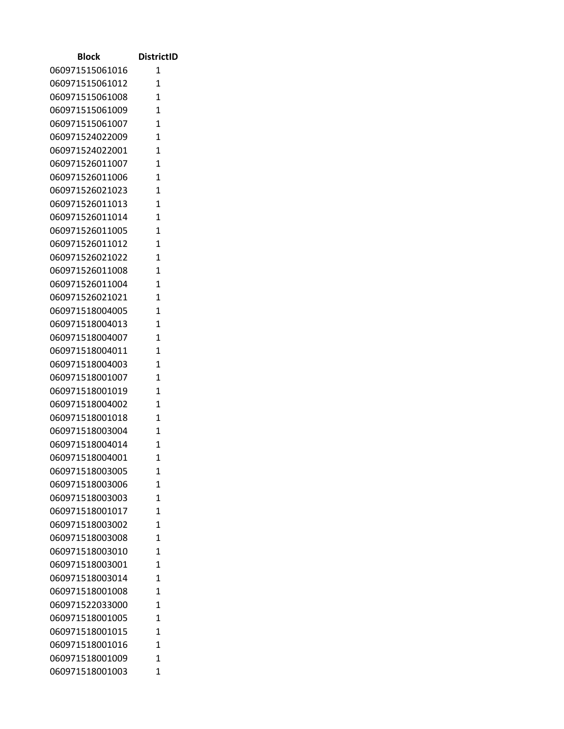| <b>Block</b>    | <b>DistrictID</b> |
|-----------------|-------------------|
| 060971515061016 | 1                 |
| 060971515061012 | 1                 |
| 060971515061008 | $\mathbf{1}$      |
| 060971515061009 | $\mathbf{1}$      |
| 060971515061007 | $\mathbf{1}$      |
| 060971524022009 | $\mathbf{1}$      |
| 060971524022001 | 1                 |
| 060971526011007 | $\mathbf{1}$      |
| 060971526011006 | 1                 |
| 060971526021023 | $\mathbf{1}$      |
| 060971526011013 | $\mathbf{1}$      |
| 060971526011014 | $\mathbf{1}$      |
| 060971526011005 | $\mathbf{1}$      |
| 060971526011012 | 1                 |
| 060971526021022 | $\mathbf{1}$      |
| 060971526011008 | $\mathbf{1}$      |
| 060971526011004 | 1                 |
| 060971526021021 | 1                 |
| 060971518004005 | 1                 |
| 060971518004013 | $\mathbf{1}$      |
| 060971518004007 | $\mathbf{1}$      |
| 060971518004011 | 1                 |
| 060971518004003 | $\mathbf{1}$      |
| 060971518001007 | 1                 |
| 060971518001019 | $\mathbf{1}$      |
| 060971518004002 | 1                 |
| 060971518001018 | $\mathbf{1}$      |
| 060971518003004 | 1                 |
| 060971518004014 | $\mathbf{1}$      |
| 060971518004001 | 1                 |
| 060971518003005 | 1                 |
| 060971518003006 | 1                 |
| 060971518003003 | 1                 |
| 060971518001017 | 1                 |
| 060971518003002 | 1                 |
| 060971518003008 | 1                 |
| 060971518003010 | 1                 |
| 060971518003001 | 1                 |
| 060971518003014 | 1                 |
| 060971518001008 | 1                 |
| 060971522033000 | 1                 |
| 060971518001005 | 1                 |
| 060971518001015 | 1                 |
| 060971518001016 | 1                 |
| 060971518001009 | 1                 |
| 060971518001003 | 1                 |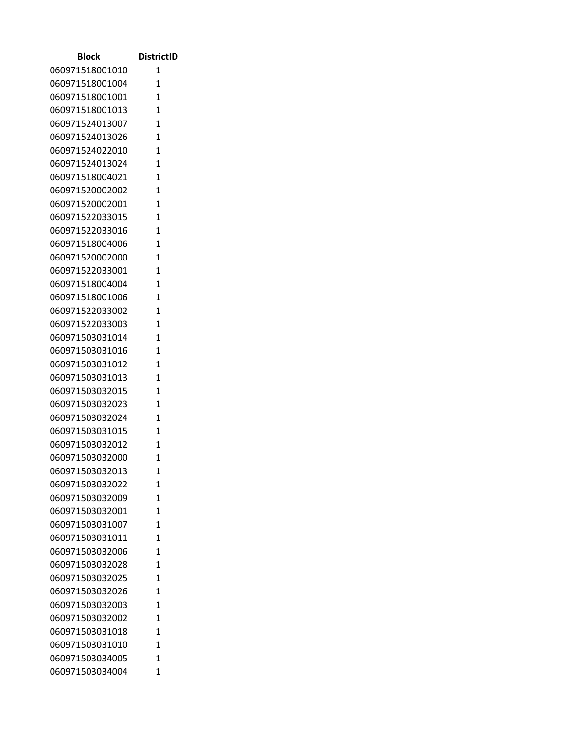| <b>Block</b>    | <b>DistrictID</b> |
|-----------------|-------------------|
| 060971518001010 | 1                 |
| 060971518001004 | 1                 |
| 060971518001001 | $\mathbf{1}$      |
| 060971518001013 | $\mathbf{1}$      |
| 060971524013007 | $\mathbf{1}$      |
| 060971524013026 | 1                 |
| 060971524022010 | $\mathbf{1}$      |
| 060971524013024 | $\mathbf{1}$      |
| 060971518004021 | 1                 |
| 060971520002002 | $\mathbf{1}$      |
| 060971520002001 | $\mathbf{1}$      |
| 060971522033015 | $\mathbf{1}$      |
| 060971522033016 | 1                 |
| 060971518004006 | $\overline{1}$    |
| 060971520002000 | $\mathbf{1}$      |
| 060971522033001 | $\mathbf{1}$      |
| 060971518004004 | $\mathbf{1}$      |
| 060971518001006 | 1                 |
| 060971522033002 | $\overline{1}$    |
| 060971522033003 | $\mathbf{1}$      |
| 060971503031014 | $\mathbf{1}$      |
| 060971503031016 | $\mathbf{1}$      |
| 060971503031012 | $\mathbf{1}$      |
| 060971503031013 | $\mathbf{1}$      |
| 060971503032015 | 1                 |
| 060971503032023 | $\mathbf{1}$      |
| 060971503032024 | $\mathbf{1}$      |
| 060971503031015 | 1                 |
| 060971503032012 | 1                 |
| 060971503032000 | 1                 |
| 060971503032013 | 1                 |
| 060971503032022 | $\mathbf{1}$      |
| 060971503032009 | $\overline{1}$    |
| 060971503032001 | $\mathbf{1}$      |
| 060971503031007 | 1                 |
| 060971503031011 | 1                 |
| 060971503032006 | 1                 |
| 060971503032028 | $\overline{1}$    |
| 060971503032025 | $\mathbf{1}$      |
| 060971503032026 | $\overline{1}$    |
| 060971503032003 | $\mathbf{1}$      |
| 060971503032002 | $\mathbf{1}$      |
| 060971503031018 | $\mathbf{1}$      |
| 060971503031010 | 1                 |
| 060971503034005 | 1                 |
| 060971503034004 | 1                 |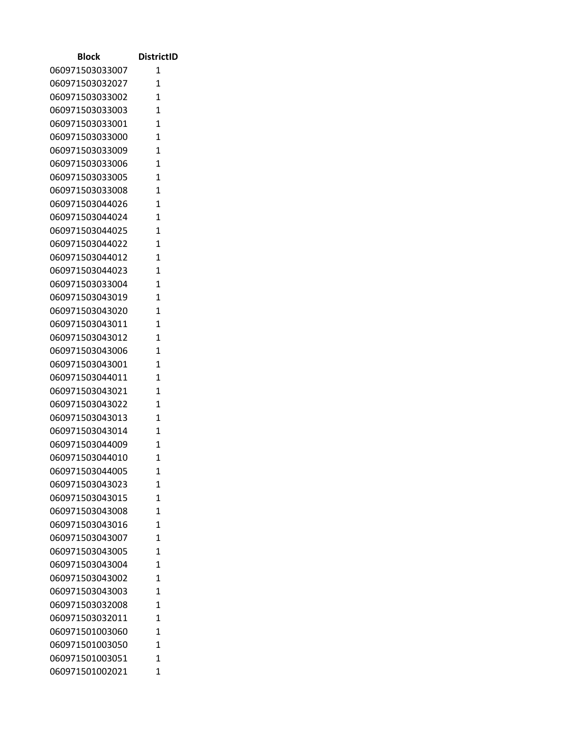| <b>Block</b>                       | <b>DistrictID</b> |
|------------------------------------|-------------------|
| 060971503033007                    | 1                 |
| 060971503032027                    | 1                 |
| 060971503033002                    | $\mathbf{1}$      |
| 060971503033003                    | 1                 |
| 060971503033001                    | 1                 |
| 060971503033000                    | 1                 |
| 060971503033009                    | 1                 |
| 060971503033006                    | $\mathbf{1}$      |
| 060971503033005                    | $\mathbf{1}$      |
| 060971503033008                    | 1                 |
| 060971503044026                    | 1                 |
| 060971503044024                    | $\mathbf{1}$      |
| 060971503044025                    | $\mathbf{1}$      |
| 060971503044022                    | 1                 |
| 060971503044012                    | $\mathbf{1}$      |
| 060971503044023                    | $\mathbf{1}$      |
| 060971503033004                    | 1                 |
| 060971503043019                    | $\mathbf{1}$      |
| 060971503043020                    | $\mathbf{1}$      |
| 060971503043011                    | $\mathbf{1}$      |
| 060971503043012                    | 1                 |
| 060971503043006                    | $\overline{1}$    |
| 060971503043001                    | 1                 |
| 060971503044011                    | $\mathbf{1}$      |
| 060971503043021                    | 1                 |
| 060971503043022                    | 1                 |
| 060971503043013                    | $\mathbf{1}$      |
| 060971503043014                    | 1                 |
| 060971503044009                    | $\overline{1}$    |
| 060971503044010                    | 1                 |
| 060971503044005<br>060971503043023 | 1<br>$\mathbf{1}$ |
|                                    | 1                 |
| 060971503043015<br>060971503043008 | $\mathbf{1}$      |
| 060971503043016                    | 1                 |
| 060971503043007                    | $\overline{1}$    |
| 060971503043005                    | 1                 |
| 060971503043004                    | 1                 |
| 060971503043002                    | $\mathbf{1}$      |
| 060971503043003                    | 1                 |
| 060971503032008                    | $\mathbf{1}$      |
| 060971503032011                    | $\overline{1}$    |
| 060971501003060                    | $\mathbf{1}$      |
| 060971501003050                    | 1                 |
| 060971501003051                    | 1                 |
| 060971501002021                    | $\mathbf{1}$      |
|                                    |                   |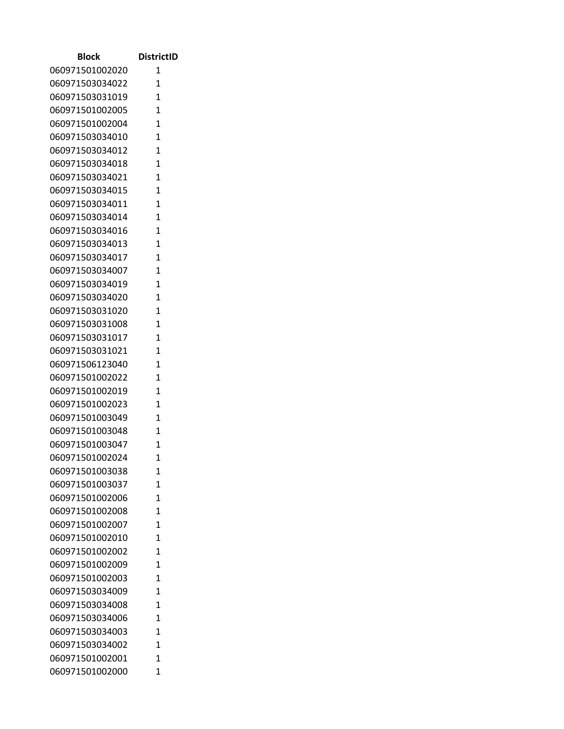| <b>Block</b>    | <b>DistrictID</b> |
|-----------------|-------------------|
| 060971501002020 | 1                 |
| 060971503034022 | 1                 |
| 060971503031019 | $\mathbf{1}$      |
| 060971501002005 | $\mathbf{1}$      |
| 060971501002004 | $\mathbf{1}$      |
| 060971503034010 | $\mathbf{1}$      |
| 060971503034012 | 1                 |
| 060971503034018 | $\overline{1}$    |
| 060971503034021 | 1                 |
| 060971503034015 | 1                 |
| 060971503034011 | $\mathbf{1}$      |
| 060971503034014 | $\mathbf{1}$      |
| 060971503034016 | $\mathbf{1}$      |
| 060971503034013 | 1                 |
| 060971503034017 | $\mathbf{1}$      |
| 060971503034007 | $\mathbf{1}$      |
| 060971503034019 | 1                 |
| 060971503034020 | 1                 |
| 060971503031020 | 1                 |
| 060971503031008 | $\mathbf{1}$      |
| 060971503031017 | $\mathbf{1}$      |
| 060971503031021 | 1                 |
| 060971506123040 | $\mathbf{1}$      |
| 060971501002022 | 1                 |
| 060971501002019 | 1                 |
| 060971501002023 | 1                 |
| 060971501003049 | $\mathbf{1}$      |
| 060971501003048 | 1                 |
| 060971501003047 | $\mathbf{1}$      |
| 060971501002024 | 1                 |
| 060971501003038 | 1                 |
| 060971501003037 | 1                 |
| 060971501002006 | 1                 |
| 060971501002008 | 1                 |
| 060971501002007 | 1                 |
| 060971501002010 | 1                 |
| 060971501002002 | 1                 |
| 060971501002009 | 1                 |
| 060971501002003 | 1                 |
| 060971503034009 | 1                 |
| 060971503034008 | 1                 |
| 060971503034006 | 1                 |
| 060971503034003 | 1                 |
| 060971503034002 | 1                 |
| 060971501002001 | 1                 |
| 060971501002000 | 1                 |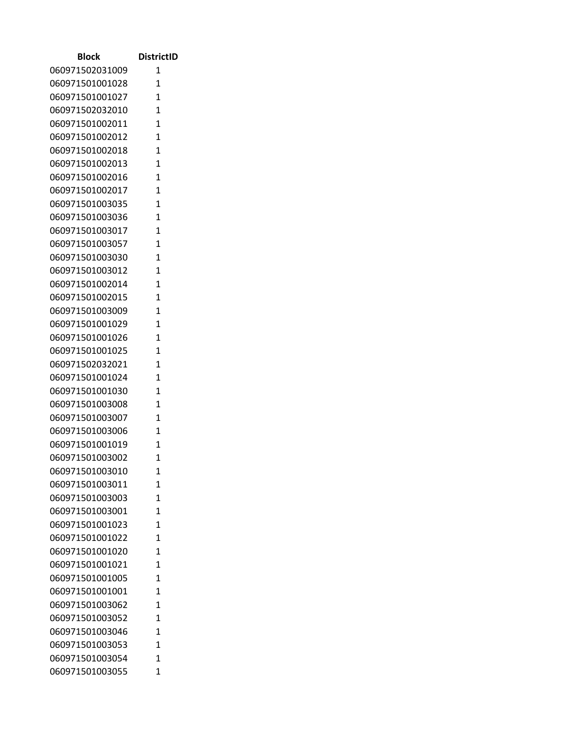| <b>Block</b>    | <b>DistrictID</b> |
|-----------------|-------------------|
| 060971502031009 | 1                 |
| 060971501001028 | 1                 |
| 060971501001027 | $\mathbf{1}$      |
| 060971502032010 | $\mathbf{1}$      |
| 060971501002011 | $\mathbf{1}$      |
| 060971501002012 | $\mathbf{1}$      |
| 060971501002018 | 1                 |
| 060971501002013 | $\mathbf{1}$      |
| 060971501002016 | 1                 |
| 060971501002017 | 1                 |
| 060971501003035 | $\mathbf{1}$      |
| 060971501003036 | $\mathbf{1}$      |
| 060971501003017 | 1                 |
| 060971501003057 | 1                 |
| 060971501003030 | $\mathbf{1}$      |
| 060971501003012 | $\mathbf{1}$      |
| 060971501002014 | 1                 |
| 060971501002015 | 1                 |
| 060971501003009 | 1                 |
| 060971501001029 | $\mathbf{1}$      |
| 060971501001026 | $\mathbf{1}$      |
| 060971501001025 | $\overline{1}$    |
| 060971502032021 | $\mathbf{1}$      |
| 060971501001024 | $\mathbf{1}$      |
| 060971501001030 | 1                 |
| 060971501003008 | 1                 |
| 060971501003007 | $\mathbf{1}$      |
| 060971501003006 | 1                 |
| 060971501001019 | 1                 |
| 060971501003002 | 1                 |
| 060971501003010 | 1                 |
| 060971501003011 | 1                 |
| 060971501003003 | 1                 |
| 060971501003001 | 1                 |
| 060971501001023 | 1                 |
| 060971501001022 | 1                 |
| 060971501001020 | 1                 |
| 060971501001021 | 1                 |
| 060971501001005 | 1                 |
| 060971501001001 | 1                 |
| 060971501003062 | 1                 |
| 060971501003052 | 1                 |
| 060971501003046 | 1                 |
| 060971501003053 | 1                 |
| 060971501003054 | 1                 |
| 060971501003055 | 1                 |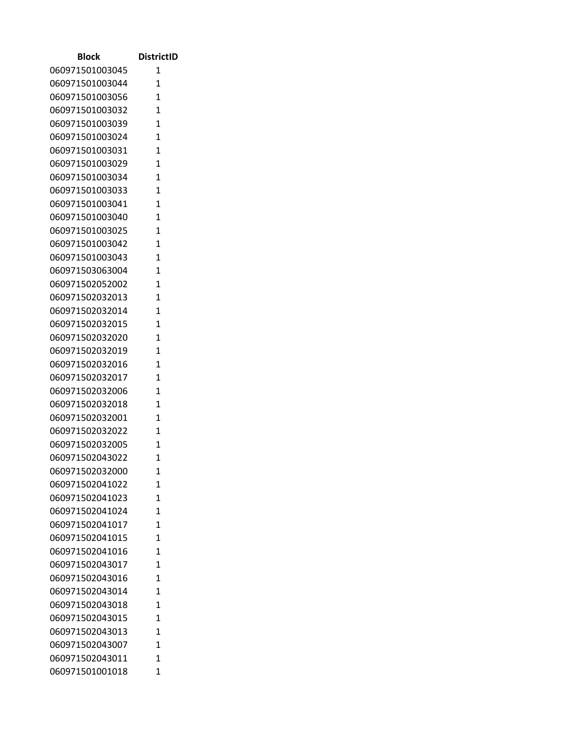| <b>Block</b>    | <b>DistrictID</b> |
|-----------------|-------------------|
| 060971501003045 | 1                 |
| 060971501003044 | 1                 |
| 060971501003056 | $\mathbf{1}$      |
| 060971501003032 | $\mathbf{1}$      |
| 060971501003039 | $\mathbf{1}$      |
| 060971501003024 | $\mathbf{1}$      |
| 060971501003031 | 1                 |
| 060971501003029 | $\overline{1}$    |
| 060971501003034 | 1                 |
| 060971501003033 | 1                 |
| 060971501003041 | 1                 |
| 060971501003040 | $\mathbf{1}$      |
| 060971501003025 | $\mathbf{1}$      |
| 060971501003042 | 1                 |
| 060971501003043 | $\mathbf{1}$      |
| 060971503063004 | $\mathbf{1}$      |
| 060971502052002 | 1                 |
| 060971502032013 | 1                 |
| 060971502032014 | 1                 |
| 060971502032015 | $\mathbf{1}$      |
| 060971502032020 | $\mathbf{1}$      |
| 060971502032019 | 1                 |
| 060971502032016 | $\mathbf{1}$      |
| 060971502032017 | $\mathbf{1}$      |
| 060971502032006 | 1                 |
| 060971502032018 | 1                 |
| 060971502032001 | $\mathbf{1}$      |
| 060971502032022 | 1                 |
| 060971502032005 | $\overline{1}$    |
| 060971502043022 | 1                 |
| 060971502032000 | 1                 |
| 060971502041022 | 1                 |
| 060971502041023 | 1                 |
| 060971502041024 | 1                 |
| 060971502041017 | 1                 |
| 060971502041015 | 1                 |
| 060971502041016 | 1                 |
| 060971502043017 | 1                 |
| 060971502043016 | $\mathbf{1}$      |
| 060971502043014 | 1                 |
| 060971502043018 | 1                 |
| 060971502043015 | 1                 |
| 060971502043013 | 1                 |
| 060971502043007 | 1                 |
| 060971502043011 | 1                 |
| 060971501001018 | 1                 |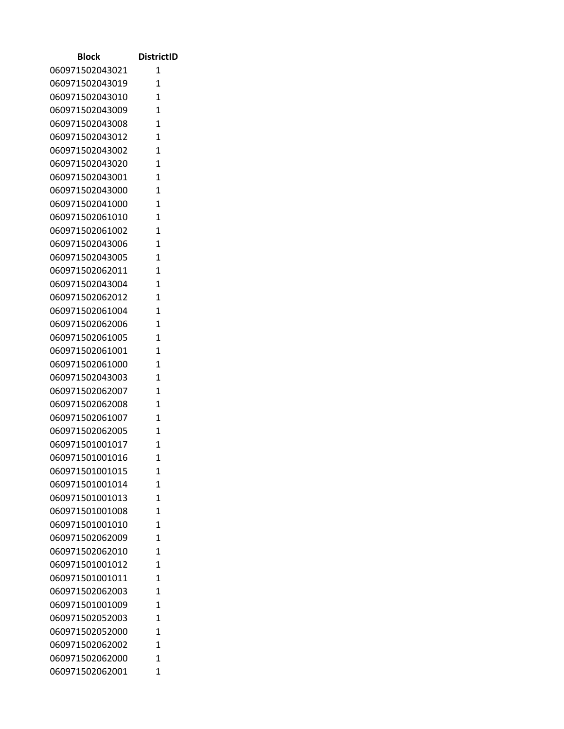| <b>Block</b>    | <b>DistrictID</b> |
|-----------------|-------------------|
| 060971502043021 | 1                 |
| 060971502043019 | $\mathbf{1}$      |
| 060971502043010 | $\mathbf{1}$      |
| 060971502043009 | $\mathbf{1}$      |
| 060971502043008 | $\mathbf{1}$      |
| 060971502043012 | 1                 |
| 060971502043002 | $\mathbf{1}$      |
| 060971502043020 | $\mathbf{1}$      |
| 060971502043001 | 1                 |
| 060971502043000 | $\mathbf{1}$      |
| 060971502041000 | $\mathbf{1}$      |
| 060971502061010 | $\mathbf{1}$      |
| 060971502061002 | 1                 |
| 060971502043006 | $\overline{1}$    |
| 060971502043005 | $\mathbf{1}$      |
| 060971502062011 | $\mathbf{1}$      |
| 060971502043004 | $\mathbf{1}$      |
| 060971502062012 | 1                 |
| 060971502061004 | $\mathbf{1}$      |
| 060971502062006 | $\mathbf{1}$      |
| 060971502061005 | $\mathbf{1}$      |
| 060971502061001 | $\mathbf{1}$      |
| 060971502061000 | $\mathbf{1}$      |
| 060971502043003 | $\mathbf{1}$      |
| 060971502062007 | 1                 |
| 060971502062008 | $\mathbf{1}$      |
| 060971502061007 | $\mathbf{1}$      |
| 060971502062005 | 1                 |
| 060971501001017 | 1                 |
| 060971501001016 | 1                 |
| 060971501001015 | $\mathbf 1$       |
| 060971501001014 | $\mathbf{1}$      |
| 060971501001013 | $\overline{1}$    |
| 060971501001008 | $\mathbf{1}$      |
| 060971501001010 | 1                 |
| 060971502062009 | 1                 |
| 060971502062010 | 1                 |
| 060971501001012 | $\overline{1}$    |
| 060971501001011 | $\mathbf{1}$      |
| 060971502062003 | $\overline{1}$    |
| 060971501001009 | $\mathbf{1}$      |
| 060971502052003 | $\mathbf{1}$      |
| 060971502052000 | $\mathbf{1}$      |
| 060971502062002 | 1                 |
| 060971502062000 | 1                 |
| 060971502062001 | 1                 |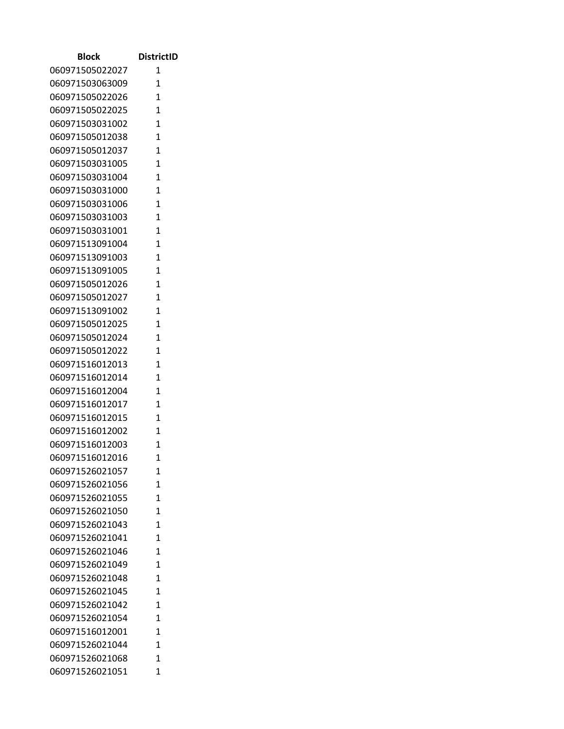| Block                              | <b>DistrictID</b> |
|------------------------------------|-------------------|
| 060971505022027                    | 1                 |
| 060971503063009                    | $\mathbf{1}$      |
| 060971505022026                    | $\overline{1}$    |
| 060971505022025                    | $\mathbf{1}$      |
| 060971503031002                    | 1                 |
| 060971505012038                    | $\overline{1}$    |
| 060971505012037                    | $\mathbf{1}$      |
| 060971503031005                    | $\overline{1}$    |
| 060971503031004                    | $\overline{1}$    |
| 060971503031000                    | $\mathbf{1}$      |
| 060971503031006                    | $\overline{1}$    |
| 060971503031003                    | $\mathbf{1}$      |
| 060971503031001                    | $\overline{1}$    |
| 060971513091004                    | $\mathbf{1}$      |
| 060971513091003                    | $\overline{1}$    |
| 060971513091005                    | $\overline{1}$    |
| 060971505012026                    | $\mathbf{1}$      |
| 060971505012027                    | $\mathbf{1}$      |
| 060971513091002                    | 1                 |
| 060971505012025                    | $\mathbf{1}$      |
| 060971505012024                    | $\mathbf{1}$      |
| 060971505012022                    | $\mathbf{1}$      |
| 060971516012013                    | $\mathbf{1}$      |
| 060971516012014                    | 1                 |
| 060971516012004                    | 1                 |
| 060971516012017                    | 1                 |
| 060971516012015                    | $\mathbf{1}$      |
| 060971516012002                    | $\mathbf{1}$      |
| 060971516012003                    | $\mathbf{1}$      |
| 060971516012016<br>060971526021057 | 1                 |
| 060971526021056                    | 1<br>1            |
| 060971526021055                    | 1                 |
| 060971526021050                    | $\overline{1}$    |
| 060971526021043                    | $\overline{1}$    |
| 060971526021041                    | $\mathbf{1}$      |
| 060971526021046                    | $\mathbf{1}$      |
| 060971526021049                    | $\mathbf{1}$      |
| 060971526021048                    | $\overline{1}$    |
| 060971526021045                    | $\mathbf{1}$      |
| 060971526021042                    | $\mathbf{1}$      |
| 060971526021054                    | 1                 |
| 060971516012001                    | 1                 |
| 060971526021044                    | $\mathbf{1}$      |
| 060971526021068                    | 1                 |
| 060971526021051                    | 1                 |
|                                    |                   |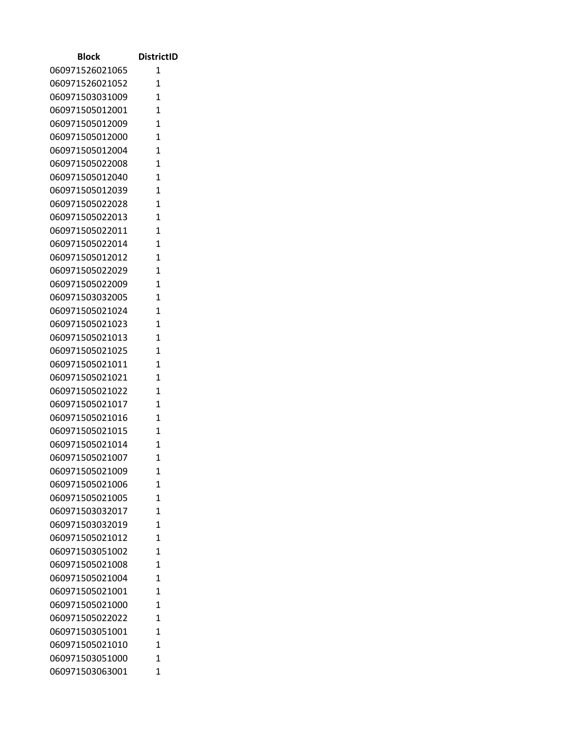| 060971526021065<br>1<br>060971526021052<br>1<br>060971503031009<br>$\mathbf{1}$<br>1<br>060971505012001<br>1<br>060971505012009<br>1<br>060971505012000<br>060971505012004<br>1<br>060971505022008<br>$\mathbf{1}$<br>060971505012040<br>$\mathbf{1}$<br>1<br>060971505012039<br>1<br>060971505022028<br>060971505022013<br>$\mathbf{1}$<br>060971505022011<br>$\mathbf{1}$<br>060971505022014<br>1<br>060971505012012<br>$\mathbf{1}$<br>060971505022029<br>$\mathbf{1}$<br>1<br>060971505022009<br>1<br>060971503032005<br>060971505021024<br>$\mathbf{1}$<br>1<br>060971505021023<br>060971505021013<br>1<br>$\overline{1}$<br>060971505021025<br>1<br>060971505021011<br>$\overline{1}$<br>060971505021021<br>1<br>060971505021022<br>060971505021017<br>1<br>060971505021016<br>$\mathbf{1}$<br>060971505021015<br>$\mathbf{1}$<br>$\overline{1}$<br>060971505021014<br>060971505021007<br>1<br>060971505021009<br>1<br>060971505021006<br>$\mathbf{1}$<br>060971505021005<br>1<br>060971503032017<br>$\mathbf{1}$<br>060971503032019<br>1<br>$\overline{1}$<br>060971505021012<br>1<br>060971503051002<br>060971505021008<br>1<br>060971505021004<br>$\mathbf{1}$<br>060971505021001<br>1<br>060971505021000<br>$\mathbf{1}$<br>$\overline{1}$<br>060971505022022<br>060971503051001<br>$\mathbf{1}$<br>060971505021010<br>1<br>060971503051000<br>1<br>060971503063001<br>$\mathbf{1}$ | <b>Block</b> | <b>DistrictID</b> |
|-----------------------------------------------------------------------------------------------------------------------------------------------------------------------------------------------------------------------------------------------------------------------------------------------------------------------------------------------------------------------------------------------------------------------------------------------------------------------------------------------------------------------------------------------------------------------------------------------------------------------------------------------------------------------------------------------------------------------------------------------------------------------------------------------------------------------------------------------------------------------------------------------------------------------------------------------------------------------------------------------------------------------------------------------------------------------------------------------------------------------------------------------------------------------------------------------------------------------------------------------------------------------------------------------------------------------------------------------------------------------------------------------|--------------|-------------------|
|                                                                                                                                                                                                                                                                                                                                                                                                                                                                                                                                                                                                                                                                                                                                                                                                                                                                                                                                                                                                                                                                                                                                                                                                                                                                                                                                                                                               |              |                   |
|                                                                                                                                                                                                                                                                                                                                                                                                                                                                                                                                                                                                                                                                                                                                                                                                                                                                                                                                                                                                                                                                                                                                                                                                                                                                                                                                                                                               |              |                   |
|                                                                                                                                                                                                                                                                                                                                                                                                                                                                                                                                                                                                                                                                                                                                                                                                                                                                                                                                                                                                                                                                                                                                                                                                                                                                                                                                                                                               |              |                   |
|                                                                                                                                                                                                                                                                                                                                                                                                                                                                                                                                                                                                                                                                                                                                                                                                                                                                                                                                                                                                                                                                                                                                                                                                                                                                                                                                                                                               |              |                   |
|                                                                                                                                                                                                                                                                                                                                                                                                                                                                                                                                                                                                                                                                                                                                                                                                                                                                                                                                                                                                                                                                                                                                                                                                                                                                                                                                                                                               |              |                   |
|                                                                                                                                                                                                                                                                                                                                                                                                                                                                                                                                                                                                                                                                                                                                                                                                                                                                                                                                                                                                                                                                                                                                                                                                                                                                                                                                                                                               |              |                   |
|                                                                                                                                                                                                                                                                                                                                                                                                                                                                                                                                                                                                                                                                                                                                                                                                                                                                                                                                                                                                                                                                                                                                                                                                                                                                                                                                                                                               |              |                   |
|                                                                                                                                                                                                                                                                                                                                                                                                                                                                                                                                                                                                                                                                                                                                                                                                                                                                                                                                                                                                                                                                                                                                                                                                                                                                                                                                                                                               |              |                   |
|                                                                                                                                                                                                                                                                                                                                                                                                                                                                                                                                                                                                                                                                                                                                                                                                                                                                                                                                                                                                                                                                                                                                                                                                                                                                                                                                                                                               |              |                   |
|                                                                                                                                                                                                                                                                                                                                                                                                                                                                                                                                                                                                                                                                                                                                                                                                                                                                                                                                                                                                                                                                                                                                                                                                                                                                                                                                                                                               |              |                   |
|                                                                                                                                                                                                                                                                                                                                                                                                                                                                                                                                                                                                                                                                                                                                                                                                                                                                                                                                                                                                                                                                                                                                                                                                                                                                                                                                                                                               |              |                   |
|                                                                                                                                                                                                                                                                                                                                                                                                                                                                                                                                                                                                                                                                                                                                                                                                                                                                                                                                                                                                                                                                                                                                                                                                                                                                                                                                                                                               |              |                   |
|                                                                                                                                                                                                                                                                                                                                                                                                                                                                                                                                                                                                                                                                                                                                                                                                                                                                                                                                                                                                                                                                                                                                                                                                                                                                                                                                                                                               |              |                   |
|                                                                                                                                                                                                                                                                                                                                                                                                                                                                                                                                                                                                                                                                                                                                                                                                                                                                                                                                                                                                                                                                                                                                                                                                                                                                                                                                                                                               |              |                   |
|                                                                                                                                                                                                                                                                                                                                                                                                                                                                                                                                                                                                                                                                                                                                                                                                                                                                                                                                                                                                                                                                                                                                                                                                                                                                                                                                                                                               |              |                   |
|                                                                                                                                                                                                                                                                                                                                                                                                                                                                                                                                                                                                                                                                                                                                                                                                                                                                                                                                                                                                                                                                                                                                                                                                                                                                                                                                                                                               |              |                   |
|                                                                                                                                                                                                                                                                                                                                                                                                                                                                                                                                                                                                                                                                                                                                                                                                                                                                                                                                                                                                                                                                                                                                                                                                                                                                                                                                                                                               |              |                   |
|                                                                                                                                                                                                                                                                                                                                                                                                                                                                                                                                                                                                                                                                                                                                                                                                                                                                                                                                                                                                                                                                                                                                                                                                                                                                                                                                                                                               |              |                   |
|                                                                                                                                                                                                                                                                                                                                                                                                                                                                                                                                                                                                                                                                                                                                                                                                                                                                                                                                                                                                                                                                                                                                                                                                                                                                                                                                                                                               |              |                   |
|                                                                                                                                                                                                                                                                                                                                                                                                                                                                                                                                                                                                                                                                                                                                                                                                                                                                                                                                                                                                                                                                                                                                                                                                                                                                                                                                                                                               |              |                   |
|                                                                                                                                                                                                                                                                                                                                                                                                                                                                                                                                                                                                                                                                                                                                                                                                                                                                                                                                                                                                                                                                                                                                                                                                                                                                                                                                                                                               |              |                   |
|                                                                                                                                                                                                                                                                                                                                                                                                                                                                                                                                                                                                                                                                                                                                                                                                                                                                                                                                                                                                                                                                                                                                                                                                                                                                                                                                                                                               |              |                   |
|                                                                                                                                                                                                                                                                                                                                                                                                                                                                                                                                                                                                                                                                                                                                                                                                                                                                                                                                                                                                                                                                                                                                                                                                                                                                                                                                                                                               |              |                   |
|                                                                                                                                                                                                                                                                                                                                                                                                                                                                                                                                                                                                                                                                                                                                                                                                                                                                                                                                                                                                                                                                                                                                                                                                                                                                                                                                                                                               |              |                   |
|                                                                                                                                                                                                                                                                                                                                                                                                                                                                                                                                                                                                                                                                                                                                                                                                                                                                                                                                                                                                                                                                                                                                                                                                                                                                                                                                                                                               |              |                   |
|                                                                                                                                                                                                                                                                                                                                                                                                                                                                                                                                                                                                                                                                                                                                                                                                                                                                                                                                                                                                                                                                                                                                                                                                                                                                                                                                                                                               |              |                   |
|                                                                                                                                                                                                                                                                                                                                                                                                                                                                                                                                                                                                                                                                                                                                                                                                                                                                                                                                                                                                                                                                                                                                                                                                                                                                                                                                                                                               |              |                   |
|                                                                                                                                                                                                                                                                                                                                                                                                                                                                                                                                                                                                                                                                                                                                                                                                                                                                                                                                                                                                                                                                                                                                                                                                                                                                                                                                                                                               |              |                   |
|                                                                                                                                                                                                                                                                                                                                                                                                                                                                                                                                                                                                                                                                                                                                                                                                                                                                                                                                                                                                                                                                                                                                                                                                                                                                                                                                                                                               |              |                   |
|                                                                                                                                                                                                                                                                                                                                                                                                                                                                                                                                                                                                                                                                                                                                                                                                                                                                                                                                                                                                                                                                                                                                                                                                                                                                                                                                                                                               |              |                   |
|                                                                                                                                                                                                                                                                                                                                                                                                                                                                                                                                                                                                                                                                                                                                                                                                                                                                                                                                                                                                                                                                                                                                                                                                                                                                                                                                                                                               |              |                   |
|                                                                                                                                                                                                                                                                                                                                                                                                                                                                                                                                                                                                                                                                                                                                                                                                                                                                                                                                                                                                                                                                                                                                                                                                                                                                                                                                                                                               |              |                   |
|                                                                                                                                                                                                                                                                                                                                                                                                                                                                                                                                                                                                                                                                                                                                                                                                                                                                                                                                                                                                                                                                                                                                                                                                                                                                                                                                                                                               |              |                   |
|                                                                                                                                                                                                                                                                                                                                                                                                                                                                                                                                                                                                                                                                                                                                                                                                                                                                                                                                                                                                                                                                                                                                                                                                                                                                                                                                                                                               |              |                   |
|                                                                                                                                                                                                                                                                                                                                                                                                                                                                                                                                                                                                                                                                                                                                                                                                                                                                                                                                                                                                                                                                                                                                                                                                                                                                                                                                                                                               |              |                   |
|                                                                                                                                                                                                                                                                                                                                                                                                                                                                                                                                                                                                                                                                                                                                                                                                                                                                                                                                                                                                                                                                                                                                                                                                                                                                                                                                                                                               |              |                   |
|                                                                                                                                                                                                                                                                                                                                                                                                                                                                                                                                                                                                                                                                                                                                                                                                                                                                                                                                                                                                                                                                                                                                                                                                                                                                                                                                                                                               |              |                   |
|                                                                                                                                                                                                                                                                                                                                                                                                                                                                                                                                                                                                                                                                                                                                                                                                                                                                                                                                                                                                                                                                                                                                                                                                                                                                                                                                                                                               |              |                   |
|                                                                                                                                                                                                                                                                                                                                                                                                                                                                                                                                                                                                                                                                                                                                                                                                                                                                                                                                                                                                                                                                                                                                                                                                                                                                                                                                                                                               |              |                   |
|                                                                                                                                                                                                                                                                                                                                                                                                                                                                                                                                                                                                                                                                                                                                                                                                                                                                                                                                                                                                                                                                                                                                                                                                                                                                                                                                                                                               |              |                   |
|                                                                                                                                                                                                                                                                                                                                                                                                                                                                                                                                                                                                                                                                                                                                                                                                                                                                                                                                                                                                                                                                                                                                                                                                                                                                                                                                                                                               |              |                   |
|                                                                                                                                                                                                                                                                                                                                                                                                                                                                                                                                                                                                                                                                                                                                                                                                                                                                                                                                                                                                                                                                                                                                                                                                                                                                                                                                                                                               |              |                   |
|                                                                                                                                                                                                                                                                                                                                                                                                                                                                                                                                                                                                                                                                                                                                                                                                                                                                                                                                                                                                                                                                                                                                                                                                                                                                                                                                                                                               |              |                   |
|                                                                                                                                                                                                                                                                                                                                                                                                                                                                                                                                                                                                                                                                                                                                                                                                                                                                                                                                                                                                                                                                                                                                                                                                                                                                                                                                                                                               |              |                   |
|                                                                                                                                                                                                                                                                                                                                                                                                                                                                                                                                                                                                                                                                                                                                                                                                                                                                                                                                                                                                                                                                                                                                                                                                                                                                                                                                                                                               |              |                   |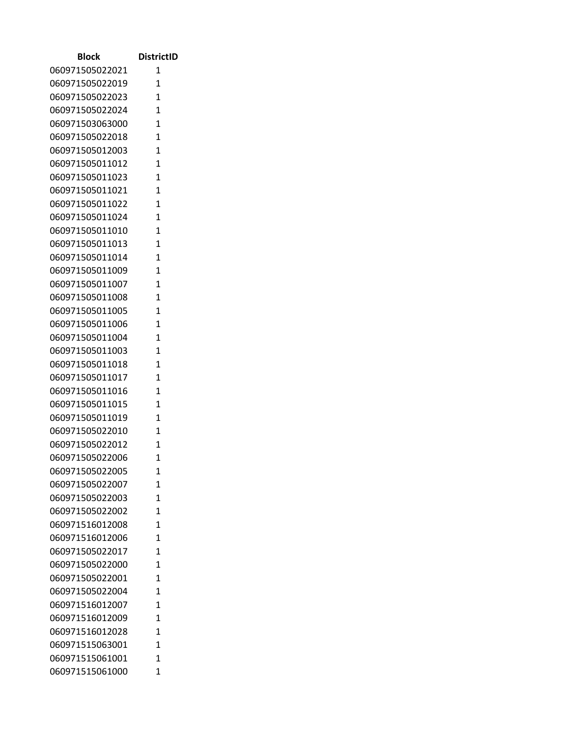| Block                              | <b>DistrictID</b>   |
|------------------------------------|---------------------|
| 060971505022021                    | 1                   |
| 060971505022019                    | 1                   |
| 060971505022023                    | $\mathbf{1}$        |
| 060971505022024                    | 1                   |
| 060971503063000                    | 1                   |
| 060971505022018                    | 1                   |
| 060971505012003                    | 1                   |
| 060971505011012                    | $\mathbf{1}$        |
| 060971505011023                    | $\mathbf{1}$        |
| 060971505011021                    | 1                   |
| 060971505011022                    | 1                   |
| 060971505011024                    | $\mathbf{1}$        |
| 060971505011010                    | $\mathbf{1}$        |
| 060971505011013                    | 1                   |
| 060971505011014                    | $\mathbf{1}$        |
| 060971505011009                    | $\mathbf{1}$        |
| 060971505011007                    | 1                   |
| 060971505011008                    | 1                   |
| 060971505011005                    | 1                   |
| 060971505011006                    | $\mathbf{1}$        |
| 060971505011004                    | 1                   |
| 060971505011003                    | $\overline{1}$      |
| 060971505011018                    | 1                   |
| 060971505011017                    | $\mathbf{1}$        |
| 060971505011016                    | 1                   |
| 060971505011015                    | 1                   |
| 060971505011019                    | $\mathbf{1}$        |
| 060971505022010                    | $\mathbf{1}$        |
| 060971505022012<br>060971505022006 | $\overline{1}$<br>1 |
| 060971505022005                    |                     |
| 060971505022007                    | 1<br>$\mathbf{1}$   |
| 060971505022003                    | 1                   |
| 060971505022002                    | 1                   |
| 060971516012008                    | 1                   |
| 060971516012006                    | $\overline{1}$      |
| 060971505022017                    | 1                   |
| 060971505022000                    | $\mathbf{1}$        |
| 060971505022001                    | $\mathbf{1}$        |
| 060971505022004                    | 1                   |
| 060971516012007                    | $\mathbf{1}$        |
| 060971516012009                    | $\overline{1}$      |
| 060971516012028                    | $\mathbf{1}$        |
| 060971515063001                    | 1                   |
| 060971515061001                    | 1                   |
| 060971515061000                    | $\mathbf{1}$        |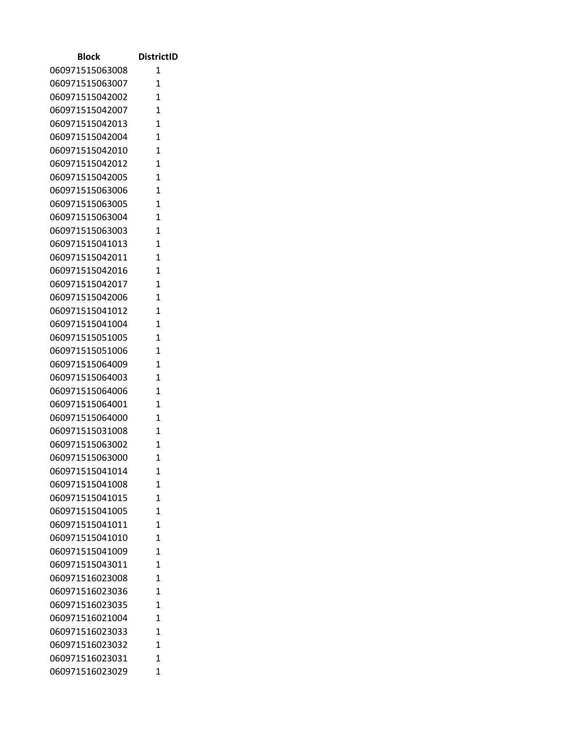| Block                              | <b>DistrictID</b>            |
|------------------------------------|------------------------------|
| 060971515063008                    | 1                            |
| 060971515063007                    | 1                            |
| 060971515042002                    | $\mathbf{1}$                 |
| 060971515042007                    | $\overline{1}$               |
| 060971515042013                    | $\mathbf{1}$                 |
| 060971515042004                    | 1                            |
| 060971515042010                    | 1                            |
| 060971515042012                    | $\mathbf{1}$                 |
| 060971515042005                    | 1                            |
| 060971515063006                    | $\overline{1}$               |
| 060971515063005                    | $\overline{1}$               |
| 060971515063004                    | $\mathbf{1}$                 |
| 060971515063003                    | $\mathbf{1}$                 |
| 060971515041013                    | 1                            |
| 060971515042011                    | $\mathbf{1}$                 |
| 060971515042016                    | $\mathbf{1}$                 |
| 060971515042017                    | $\overline{1}$               |
| 060971515042006                    | $\mathbf{1}$                 |
| 060971515041012                    | 1                            |
| 060971515041004                    | $\mathbf{1}$                 |
| 060971515051005                    | 1                            |
| 060971515051006                    | $\overline{1}$               |
| 060971515064009                    | $\overline{1}$               |
| 060971515064003                    | $\mathbf{1}$                 |
| 060971515064006                    | $\overline{1}$               |
| 060971515064001                    | 1                            |
| 060971515064000                    | $\mathbf{1}$                 |
| 060971515031008                    | 1                            |
| 060971515063002                    | $\overline{1}$               |
| 060971515063000                    | 1                            |
| 060971515041014                    | 1                            |
| 060971515041008<br>060971515041015 | $\mathbf{1}$<br>$\mathbf{1}$ |
| 060971515041005                    | 1                            |
| 060971515041011                    | 1                            |
| 060971515041010                    | $\overline{1}$               |
| 060971515041009                    | 1                            |
| 060971515043011                    | 1                            |
| 060971516023008                    | $\mathbf{1}$                 |
| 060971516023036                    | 1                            |
| 060971516023035                    | $\mathbf{1}$                 |
| 060971516021004                    | $\overline{1}$               |
| 060971516023033                    | 1                            |
| 060971516023032                    | $\mathbf{1}$                 |
| 060971516023031                    | 1                            |
| 060971516023029                    | $\mathbf{1}$                 |
|                                    |                              |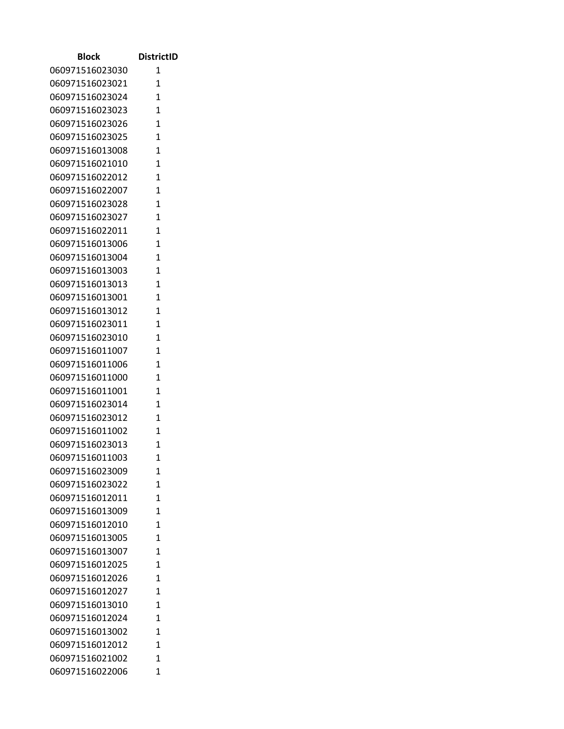| Block                              | <b>DistrictID</b> |
|------------------------------------|-------------------|
| 060971516023030                    | 1                 |
| 060971516023021                    | 1                 |
| 060971516023024                    | $\mathbf{1}$      |
| 060971516023023                    | $\mathbf{1}$      |
| 060971516023026                    | $\mathbf{1}$      |
| 060971516023025                    | 1                 |
| 060971516013008                    | 1                 |
| 060971516021010                    | $\mathbf{1}$      |
| 060971516022012                    | 1                 |
| 060971516022007                    | $\mathbf{1}$      |
| 060971516023028                    | $\mathbf{1}$      |
| 060971516023027                    | 1                 |
| 060971516022011                    | 1                 |
| 060971516013006                    | 1                 |
| 060971516013004                    | $\mathbf{1}$      |
| 060971516013003                    | $\mathbf{1}$      |
| 060971516013013                    | $\overline{1}$    |
| 060971516013001                    | 1                 |
| 060971516013012                    | 1                 |
| 060971516023011                    | $\mathbf{1}$      |
| 060971516023010                    | 1                 |
| 060971516011007                    | $\mathbf{1}$      |
| 060971516011006                    | $\mathbf{1}$      |
| 060971516011000                    | 1                 |
| 060971516011001                    | $\mathbf{1}$      |
| 060971516023014<br>060971516023012 | 1<br>$\mathbf{1}$ |
| 060971516011002                    | 1                 |
| 060971516023013                    | 1                 |
| 060971516011003                    | 1                 |
| 060971516023009                    | 1                 |
| 060971516023022                    | 1                 |
| 060971516012011                    | 1                 |
| 060971516013009                    | 1                 |
| 060971516012010                    | 1                 |
| 060971516013005                    | 1                 |
| 060971516013007                    | 1                 |
| 060971516012025                    | 1                 |
| 060971516012026                    | 1                 |
| 060971516012027                    | 1                 |
| 060971516013010                    | 1                 |
| 060971516012024                    | 1                 |
| 060971516013002                    | 1                 |
| 060971516012012                    | 1                 |
| 060971516021002                    | 1                 |
| 060971516022006                    | 1                 |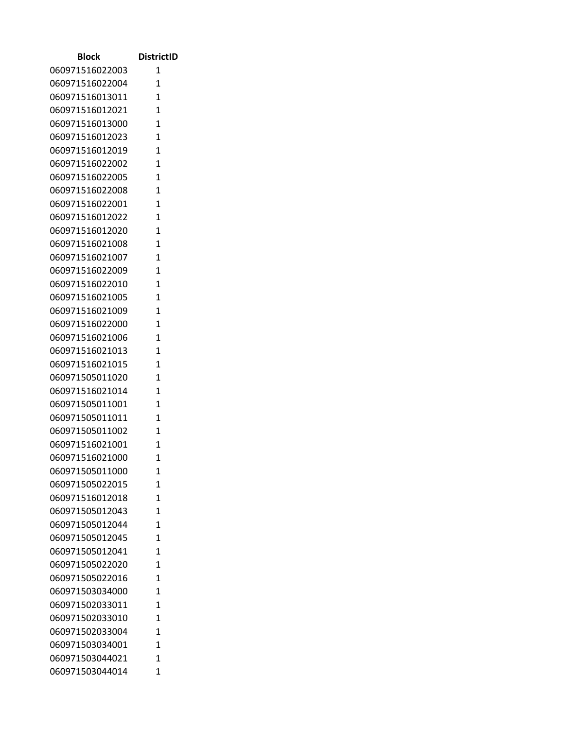| Block                              | <b>DistrictID</b>            |
|------------------------------------|------------------------------|
| 060971516022003                    | 1                            |
| 060971516022004                    | $\mathbf{1}$                 |
| 060971516013011                    | $\overline{1}$               |
| 060971516012021                    | $\mathbf{1}$                 |
| 060971516013000                    | 1                            |
| 060971516012023                    | $\overline{1}$               |
| 060971516012019                    | $\mathbf{1}$                 |
| 060971516022002                    | $\overline{1}$               |
| 060971516022005                    | $\overline{1}$               |
| 060971516022008                    | $\mathbf{1}$                 |
| 060971516022001                    | $\overline{1}$               |
| 060971516012022                    | 1                            |
| 060971516012020                    | $\mathbf{1}$                 |
| 060971516021008                    | $\mathbf{1}$                 |
| 060971516021007                    | $\overline{1}$               |
| 060971516022009                    | $\overline{1}$               |
| 060971516022010                    | $\mathbf{1}$                 |
| 060971516021005                    | $\mathbf{1}$                 |
| 060971516021009                    | 1                            |
| 060971516022000                    | $\mathbf{1}$                 |
| 060971516021006<br>060971516021013 | $\mathbf{1}$<br>$\mathbf{1}$ |
| 060971516021015                    | $\mathbf{1}$                 |
| 060971505011020                    | 1                            |
| 060971516021014                    | 1                            |
| 060971505011001                    | 1                            |
| 060971505011011                    | $\mathbf{1}$                 |
| 060971505011002                    | $\mathbf{1}$                 |
| 060971516021001                    | $\mathbf{1}$                 |
| 060971516021000                    | 1                            |
| 060971505011000                    | 1                            |
| 060971505022015                    | 1                            |
| 060971516012018                    | 1                            |
| 060971505012043                    | $\overline{1}$               |
| 060971505012044                    | $\overline{1}$               |
| 060971505012045                    | $\mathbf{1}$                 |
| 060971505012041                    | $\mathbf{1}$                 |
| 060971505022020                    | $\mathbf{1}$                 |
| 060971505022016                    | $\overline{1}$               |
| 060971503034000                    | $\overline{1}$               |
| 060971502033011                    | $\mathbf{1}$                 |
| 060971502033010                    | 1                            |
| 060971502033004                    | 1                            |
| 060971503034001                    | $\mathbf{1}$                 |
| 060971503044021                    | 1                            |
| 060971503044014                    | 1                            |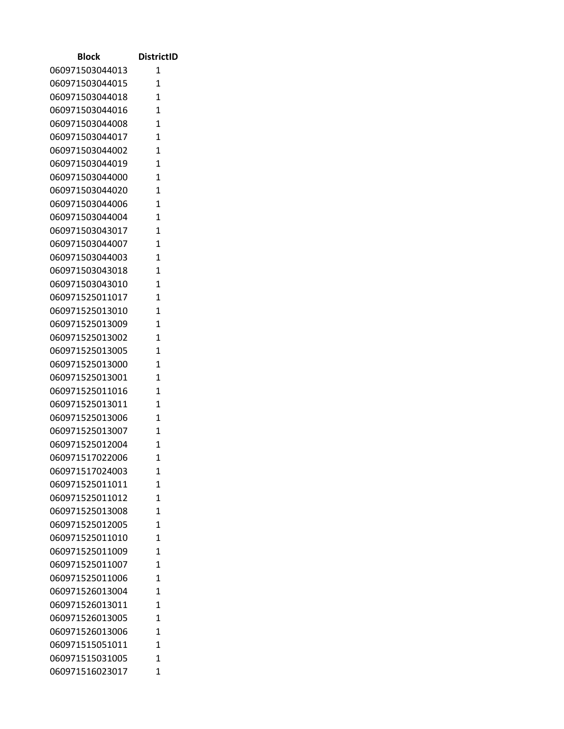| <b>Block</b>    | <b>DistrictID</b> |
|-----------------|-------------------|
| 060971503044013 | 1                 |
| 060971503044015 | 1                 |
| 060971503044018 | $\mathbf{1}$      |
| 060971503044016 | $\mathbf{1}$      |
| 060971503044008 | $\mathbf{1}$      |
| 060971503044017 | 1                 |
| 060971503044002 | 1                 |
| 060971503044019 | $\mathbf{1}$      |
| 060971503044000 | 1                 |
| 060971503044020 | $\mathbf{1}$      |
| 060971503044006 | $\mathbf{1}$      |
| 060971503044004 | $\mathbf{1}$      |
| 060971503043017 | $\mathbf{1}$      |
| 060971503044007 | 1                 |
| 060971503044003 | $\mathbf{1}$      |
| 060971503043018 | $\mathbf{1}$      |
| 060971503043010 | 1                 |
| 060971525011017 | 1                 |
| 060971525013010 | 1                 |
| 060971525013009 | $\mathbf{1}$      |
| 060971525013002 | 1                 |
| 060971525013005 | 1                 |
| 060971525013000 | $\mathbf{1}$      |
| 060971525013001 | 1                 |
| 060971525011016 | $\mathbf{1}$      |
| 060971525013011 | 1                 |
| 060971525013006 | $\mathbf{1}$      |
| 060971525013007 | 1                 |
| 060971525012004 | $\mathbf{1}$      |
| 060971517022006 | 1                 |
| 060971517024003 | 1                 |
| 060971525011011 | 1                 |
| 060971525011012 | 1                 |
| 060971525013008 | 1                 |
| 060971525012005 | 1                 |
| 060971525011010 | 1                 |
| 060971525011009 | 1                 |
| 060971525011007 | 1                 |
| 060971525011006 | $\mathbf{1}$      |
| 060971526013004 | 1                 |
| 060971526013011 | 1                 |
| 060971526013005 | 1                 |
| 060971526013006 | 1                 |
| 060971515051011 | 1                 |
| 060971515031005 | 1                 |
| 060971516023017 | 1                 |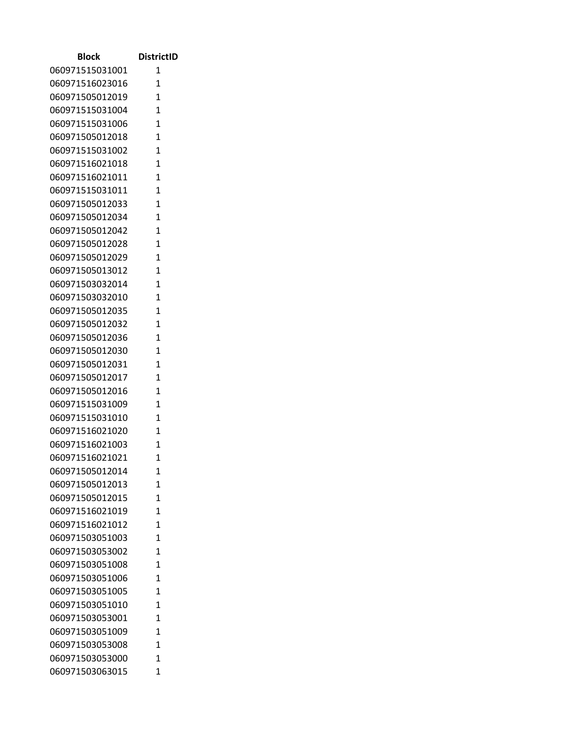| <b>Block</b>    | <b>DistrictID</b> |
|-----------------|-------------------|
| 060971515031001 | 1                 |
| 060971516023016 | $\mathbf{1}$      |
| 060971505012019 | $\mathbf{1}$      |
| 060971515031004 | $\mathbf{1}$      |
| 060971515031006 | $\mathbf{1}$      |
| 060971505012018 | 1                 |
| 060971515031002 | $\mathbf{1}$      |
| 060971516021018 | $\mathbf{1}$      |
| 060971516021011 | 1                 |
| 060971515031011 | $\mathbf{1}$      |
| 060971505012033 | $\mathbf{1}$      |
| 060971505012034 | $\mathbf{1}$      |
| 060971505012042 | 1                 |
| 060971505012028 | $\overline{1}$    |
| 060971505012029 | $\mathbf{1}$      |
| 060971505013012 | 1                 |
| 060971503032014 | $\mathbf{1}$      |
| 060971503032010 | 1                 |
| 060971505012035 | $\overline{1}$    |
| 060971505012032 | $\mathbf{1}$      |
| 060971505012036 | $\mathbf{1}$      |
| 060971505012030 | $\mathbf{1}$      |
| 060971505012031 | $\mathbf{1}$      |
| 060971505012017 | $\mathbf{1}$      |
| 060971505012016 | 1                 |
| 060971515031009 | $\mathbf{1}$      |
| 060971515031010 | $\mathbf{1}$      |
| 060971516021020 | 1                 |
| 060971516021003 | 1                 |
| 060971516021021 | 1                 |
| 060971505012014 | 1                 |
| 060971505012013 | $\mathbf{1}$      |
| 060971505012015 | $\overline{1}$    |
| 060971516021019 | $\mathbf{1}$      |
| 060971516021012 | 1                 |
| 060971503051003 | 1                 |
| 060971503053002 | 1                 |
| 060971503051008 | $\overline{1}$    |
| 060971503051006 | $\mathbf{1}$      |
| 060971503051005 | $\overline{1}$    |
| 060971503051010 | $\mathbf{1}$      |
| 060971503053001 | $\mathbf{1}$      |
| 060971503051009 | $\mathbf{1}$      |
| 060971503053008 | 1                 |
| 060971503053000 | 1                 |
| 060971503063015 | 1                 |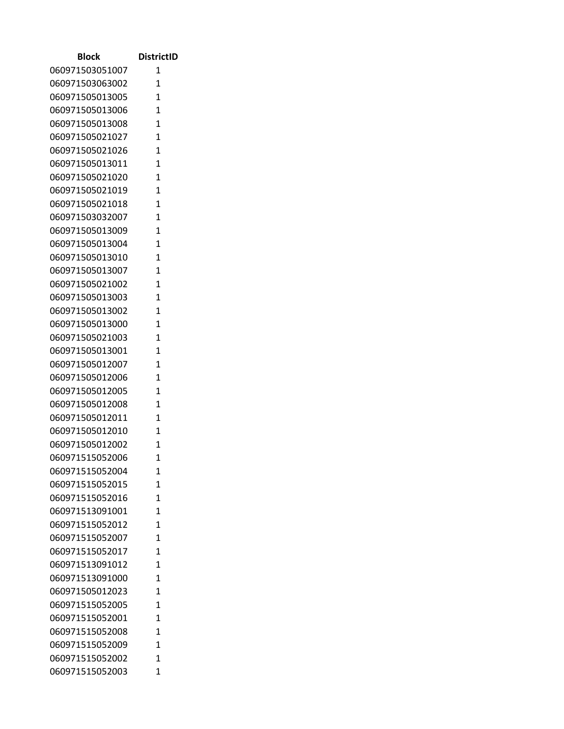| <b>Block</b>                       | <b>DistrictID</b> |
|------------------------------------|-------------------|
| 060971503051007                    | 1                 |
| 060971503063002                    | 1                 |
| 060971505013005                    | $\overline{1}$    |
| 060971505013006                    | 1                 |
| 060971505013008                    | 1                 |
| 060971505021027                    | $\overline{1}$    |
| 060971505021026                    | $\mathbf{1}$      |
| 060971505013011                    | $\overline{1}$    |
| 060971505021020                    | $\overline{1}$    |
| 060971505021019                    | $\overline{1}$    |
| 060971505021018                    | $\overline{1}$    |
| 060971503032007                    | $\mathbf{1}$      |
| 060971505013009                    | $\overline{1}$    |
| 060971505013004                    | $\mathbf{1}$      |
| 060971505013010                    | $\overline{1}$    |
| 060971505013007                    | $\overline{1}$    |
| 060971505021002                    | $\mathbf{1}$      |
| 060971505013003                    | $\mathbf{1}$      |
| 060971505013002                    | 1                 |
| 060971505013000                    | $\mathbf{1}$      |
| 060971505021003                    | $\mathbf{1}$      |
| 060971505013001                    | $\overline{1}$    |
| 060971505012007                    | $\mathbf{1}$      |
| 060971505012006<br>060971505012005 | 1<br>1            |
| 060971505012008                    | 1                 |
| 060971505012011                    | $\mathbf{1}$      |
| 060971505012010                    | $\mathbf{1}$      |
| 060971505012002                    | $\mathbf{1}$      |
| 060971515052006                    | 1                 |
| 060971515052004                    | 1                 |
| 060971515052015                    | 1                 |
| 060971515052016                    | 1                 |
| 060971513091001                    | $\overline{1}$    |
| 060971515052012                    | 1                 |
| 060971515052007                    | $\mathbf{1}$      |
| 060971515052017                    | $\overline{1}$    |
| 060971513091012                    | $\mathbf{1}$      |
| 060971513091000                    | $\overline{1}$    |
| 060971505012023                    | $\overline{1}$    |
| 060971515052005                    | $\mathbf{1}$      |
| 060971515052001                    | $\mathbf{1}$      |
| 060971515052008                    | 1                 |
| 060971515052009                    | $\mathbf{1}$      |
| 060971515052002                    | 1                 |
| 060971515052003                    | 1                 |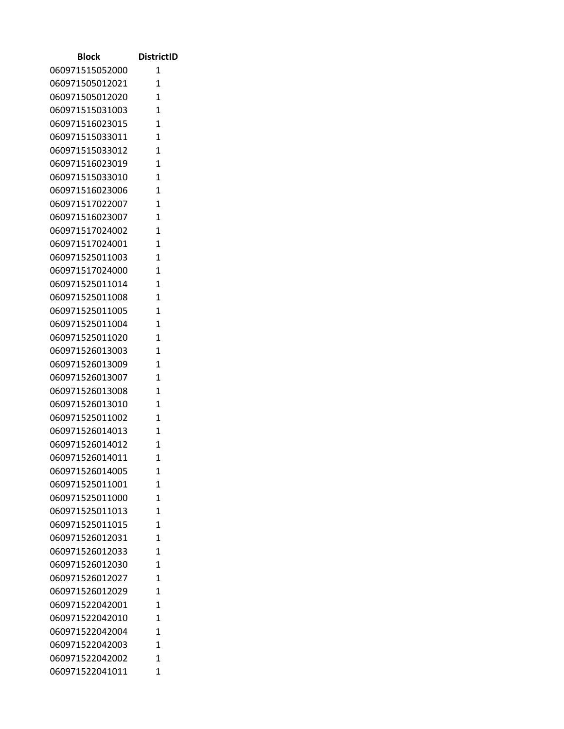| Block                              | <b>DistrictID</b> |
|------------------------------------|-------------------|
| 060971515052000                    | 1                 |
| 060971505012021                    | $\mathbf{1}$      |
| 060971505012020                    | $\overline{1}$    |
| 060971515031003                    | $\mathbf{1}$      |
| 060971516023015                    | 1                 |
| 060971515033011                    | $\overline{1}$    |
| 060971515033012                    | $\mathbf{1}$      |
| 060971516023019                    | $\mathbf{1}$      |
| 060971515033010                    | $\overline{1}$    |
| 060971516023006                    | $\mathbf{1}$      |
| 060971517022007                    | $\overline{1}$    |
| 060971516023007                    | $\mathbf{1}$      |
| 060971517024002                    | $\mathbf{1}$      |
| 060971517024001                    | $\mathbf{1}$      |
| 060971525011003                    | $\overline{1}$    |
| 060971517024000                    | $\overline{1}$    |
| 060971525011014                    | $\mathbf{1}$      |
| 060971525011008                    | $\mathbf{1}$      |
| 060971525011005                    | 1                 |
| 060971525011004                    | $\mathbf{1}$      |
| 060971525011020                    | $\mathbf{1}$      |
| 060971526013003                    | $\mathbf{1}$      |
| 060971526013009                    | $\mathbf{1}$      |
| 060971526013007                    | 1                 |
| 060971526013008<br>060971526013010 | 1<br>1            |
| 060971525011002                    | $\mathbf{1}$      |
| 060971526014013                    | $\mathbf{1}$      |
| 060971526014012                    | $\mathbf{1}$      |
| 060971526014011                    | 1                 |
| 060971526014005                    | 1                 |
| 060971525011001                    | 1                 |
| 060971525011000                    | $\mathbf{1}$      |
| 060971525011013                    | $\overline{1}$    |
| 060971525011015                    | $\overline{1}$    |
| 060971526012031                    | $\mathbf{1}$      |
| 060971526012033                    | $\mathbf{1}$      |
| 060971526012030                    | $\mathbf{1}$      |
| 060971526012027                    | $\overline{1}$    |
| 060971526012029                    | $\mathbf{1}$      |
| 060971522042001                    | $\mathbf{1}$      |
| 060971522042010                    | 1                 |
| 060971522042004                    | 1                 |
| 060971522042003                    | $\mathbf{1}$      |
| 060971522042002                    | 1                 |
| 060971522041011                    | 1                 |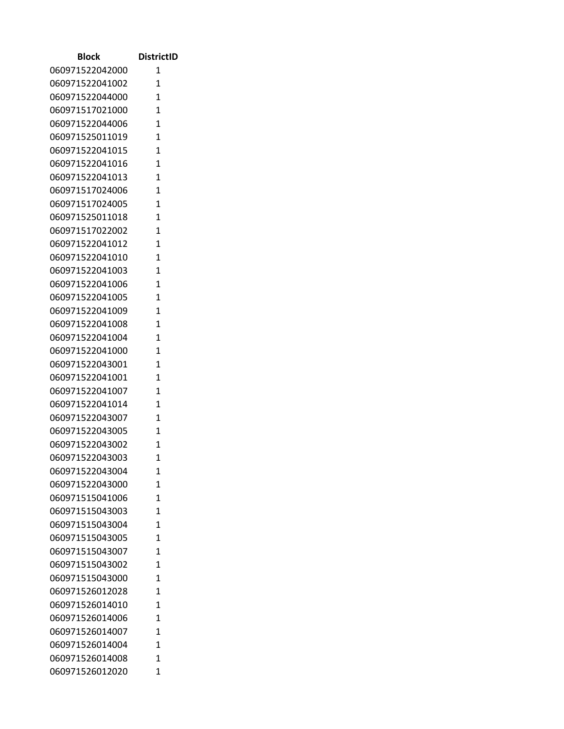| Block           | <b>DistrictID</b> |
|-----------------|-------------------|
| 060971522042000 | 1                 |
| 060971522041002 | 1                 |
| 060971522044000 | $\mathbf{1}$      |
| 060971517021000 | 1                 |
| 060971522044006 | 1                 |
| 060971525011019 | 1                 |
| 060971522041015 | 1                 |
| 060971522041016 | $\mathbf{1}$      |
| 060971522041013 | $\mathbf{1}$      |
| 060971517024006 | 1                 |
| 060971517024005 | 1                 |
| 060971525011018 | $\mathbf{1}$      |
| 060971517022002 | $\mathbf{1}$      |
| 060971522041012 | 1                 |
| 060971522041010 | $\mathbf{1}$      |
| 060971522041003 | $\mathbf{1}$      |
| 060971522041006 | 1                 |
| 060971522041005 | $\mathbf{1}$      |
| 060971522041009 | 1                 |
| 060971522041008 | $\mathbf{1}$      |
| 060971522041004 | 1                 |
| 060971522041000 | $\overline{1}$    |
| 060971522043001 | 1                 |
| 060971522041001 | 1                 |
| 060971522041007 | 1                 |
| 060971522041014 | 1                 |
| 060971522043007 | 1                 |
| 060971522043005 | 1                 |
| 060971522043002 | $\overline{1}$    |
| 060971522043003 | 1                 |
| 060971522043004 | 1                 |
| 060971522043000 | $\mathbf{1}$      |
| 060971515041006 | $\mathbf{1}$      |
| 060971515043003 | $\mathbf{1}$      |
| 060971515043004 | 1                 |
| 060971515043005 | $\overline{1}$    |
| 060971515043007 | 1                 |
| 060971515043002 | 1                 |
| 060971515043000 | $\mathbf{1}$      |
| 060971526012028 | 1                 |
| 060971526014010 | $\mathbf{1}$      |
| 060971526014006 | $\overline{1}$    |
| 060971526014007 | $\mathbf{1}$      |
| 060971526014004 | 1                 |
| 060971526014008 | 1                 |
| 060971526012020 | $\mathbf{1}$      |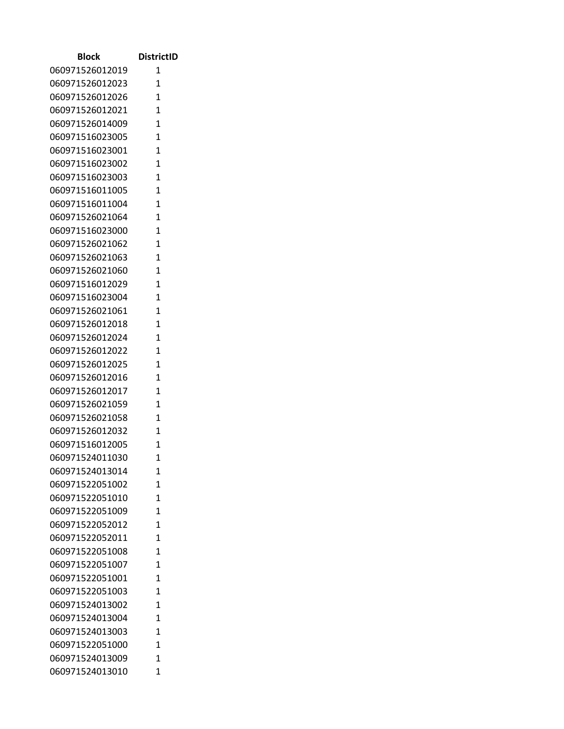| <b>Block</b>    | <b>DistrictID</b> |
|-----------------|-------------------|
| 060971526012019 | 1                 |
| 060971526012023 | 1                 |
| 060971526012026 | $\mathbf{1}$      |
| 060971526012021 | $\mathbf{1}$      |
| 060971526014009 | $\mathbf{1}$      |
| 060971516023005 | 1                 |
| 060971516023001 | $\mathbf{1}$      |
| 060971516023002 | $\mathbf{1}$      |
| 060971516023003 | 1                 |
| 060971516011005 | $\mathbf{1}$      |
| 060971516011004 | 1                 |
| 060971526021064 | $\mathbf{1}$      |
| 060971516023000 | 1                 |
| 060971526021062 | $\overline{1}$    |
| 060971526021063 | $\mathbf{1}$      |
| 060971526021060 | 1                 |
| 060971516012029 | $\mathbf{1}$      |
| 060971516023004 | 1                 |
| 060971526021061 | $\overline{1}$    |
| 060971526012018 | $\mathbf{1}$      |
| 060971526012024 | $\mathbf{1}$      |
| 060971526012022 | $\mathbf{1}$      |
| 060971526012025 | $\mathbf{1}$      |
| 060971526012016 | $\mathbf{1}$      |
| 060971526012017 | 1                 |
| 060971526021059 | 1                 |
| 060971526021058 | $\mathbf{1}$      |
| 060971526012032 | 1                 |
| 060971516012005 | 1                 |
| 060971524011030 | 1                 |
| 060971524013014 | 1                 |
| 060971522051002 | $\mathbf{1}$      |
| 060971522051010 | $\overline{1}$    |
| 060971522051009 | $\mathbf{1}$      |
| 060971522052012 | 1                 |
| 060971522052011 | 1                 |
| 060971522051008 | 1                 |
| 060971522051007 | $\overline{1}$    |
| 060971522051001 | $\mathbf{1}$      |
| 060971522051003 | $\overline{1}$    |
| 060971524013002 | $\mathbf{1}$      |
| 060971524013004 | $\mathbf{1}$      |
| 060971524013003 | $\mathbf{1}$      |
| 060971522051000 | 1                 |
| 060971524013009 | 1                 |
| 060971524013010 | 1                 |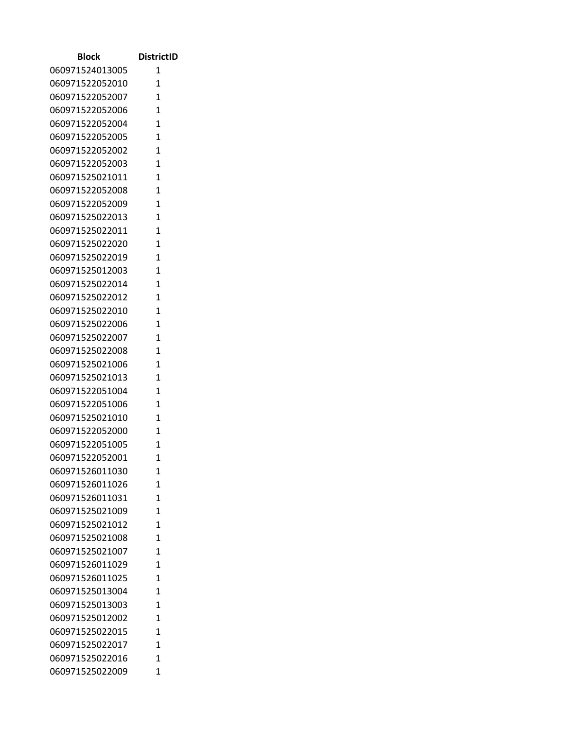| Block                              | <b>DistrictID</b>   |
|------------------------------------|---------------------|
| 060971524013005                    | 1                   |
| 060971522052010                    | 1                   |
| 060971522052007                    | $\mathbf{1}$        |
| 060971522052006                    | 1                   |
| 060971522052004                    | $\overline{1}$      |
| 060971522052005                    | 1                   |
| 060971522052002                    | 1                   |
| 060971522052003                    | $\mathbf{1}$        |
| 060971525021011                    | $\mathbf{1}$        |
| 060971522052008                    | 1                   |
| 060971522052009                    | 1                   |
| 060971525022013                    | $\mathbf{1}$        |
| 060971525022011                    | $\mathbf{1}$        |
| 060971525022020                    | 1                   |
| 060971525022019                    | $\mathbf{1}$        |
| 060971525012003                    | $\mathbf{1}$        |
| 060971525022014                    | $\overline{1}$      |
| 060971525022012                    | 1                   |
| 060971525022010                    | $\mathbf{1}$        |
| 060971525022006                    | $\mathbf{1}$        |
| 060971525022007                    | 1                   |
| 060971525022008                    | $\overline{1}$      |
| 060971525021006                    | 1                   |
| 060971525021013                    | $\overline{1}$<br>1 |
| 060971522051004<br>060971522051006 | 1                   |
| 060971525021010                    | 1                   |
| 060971522052000                    | $\mathbf{1}$        |
| 060971522051005                    | $\overline{1}$      |
| 060971522052001                    | 1                   |
| 060971526011030                    | 1                   |
| 060971526011026                    | $\mathbf{1}$        |
| 060971526011031                    | 1                   |
| 060971525021009                    | $\mathbf{1}$        |
| 060971525021012                    | 1                   |
| 060971525021008                    | $\overline{1}$      |
| 060971525021007                    | 1                   |
| 060971526011029                    | $\mathbf{1}$        |
| 060971526011025                    | $\mathbf{1}$        |
| 060971525013004                    | 1                   |
| 060971525013003                    | $\mathbf{1}$        |
| 060971525012002                    | $\overline{1}$      |
| 060971525022015                    | $\mathbf{1}$        |
| 060971525022017                    | 1                   |
| 060971525022016                    | 1                   |
| 060971525022009                    | $\mathbf{1}$        |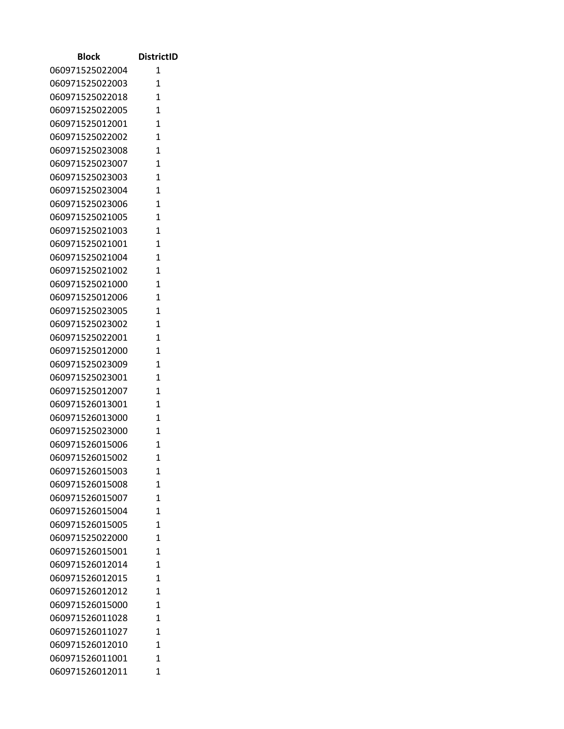| Block                              | <b>DistrictID</b> |
|------------------------------------|-------------------|
| 060971525022004                    | 1                 |
| 060971525022003                    | 1                 |
| 060971525022018                    | $\mathbf{1}$      |
| 060971525022005                    | $\overline{1}$    |
| 060971525012001                    | $\mathbf{1}$      |
| 060971525022002                    | $\overline{1}$    |
| 060971525023008                    | 1                 |
| 060971525023007                    | $\mathbf{1}$      |
| 060971525023003                    | $\mathbf{1}$      |
| 060971525023004                    | $\overline{1}$    |
| 060971525023006                    | $\overline{1}$    |
| 060971525021005                    | $\mathbf{1}$      |
| 060971525021003                    | $\mathbf{1}$      |
| 060971525021001                    | $\mathbf{1}$      |
| 060971525021004                    | $\mathbf{1}$      |
| 060971525021002                    | $\mathbf{1}$      |
| 060971525021000                    | $\overline{1}$    |
| 060971525012006                    | $\mathbf{1}$      |
| 060971525023005                    | 1                 |
| 060971525023002                    | $\mathbf{1}$      |
| 060971525022001                    | 1                 |
| 060971525012000                    | $\overline{1}$    |
| 060971525023009                    | $\overline{1}$    |
| 060971525023001                    | $\mathbf{1}$      |
| 060971525012007                    | $\overline{1}$    |
| 060971526013001                    | $\mathbf{1}$      |
| 060971526013000                    | $\mathbf{1}$      |
| 060971525023000                    | 1                 |
| 060971526015006                    | $\overline{1}$    |
| 060971526015002                    | 1                 |
| 060971526015003<br>060971526015008 | 1<br>$\mathbf{1}$ |
| 060971526015007                    | $\mathbf{1}$      |
| 060971526015004                    | 1                 |
| 060971526015005                    | 1                 |
| 060971525022000                    | $\mathbf{1}$      |
| 060971526015001                    | 1                 |
| 060971526012014                    | 1                 |
| 060971526012015                    | $\mathbf{1}$      |
| 060971526012012                    | 1                 |
| 060971526015000                    | $\mathbf{1}$      |
| 060971526011028                    | $\overline{1}$    |
| 060971526011027                    | 1                 |
| 060971526012010                    | $\mathbf{1}$      |
| 060971526011001                    | 1                 |
| 060971526012011                    | $\mathbf{1}$      |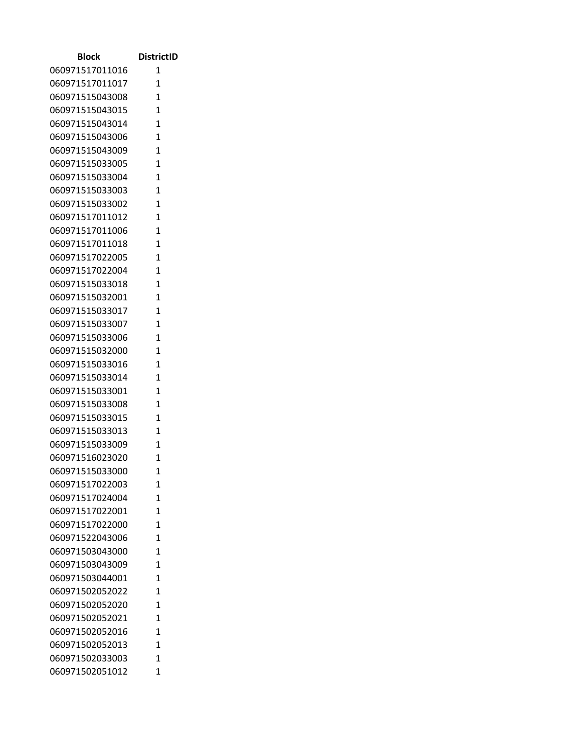| <b>Block</b>    | <b>DistrictID</b> |
|-----------------|-------------------|
| 060971517011016 | 1                 |
| 060971517011017 | $\mathbf{1}$      |
| 060971515043008 | $\mathbf{1}$      |
| 060971515043015 | $\mathbf{1}$      |
| 060971515043014 | $\mathbf{1}$      |
| 060971515043006 | 1                 |
| 060971515043009 | $\mathbf{1}$      |
| 060971515033005 | $\mathbf{1}$      |
| 060971515033004 | 1                 |
| 060971515033003 | $\mathbf{1}$      |
| 060971515033002 | 1                 |
| 060971517011012 | $\mathbf{1}$      |
| 060971517011006 | 1                 |
| 060971517011018 | $\overline{1}$    |
| 060971517022005 | $\mathbf{1}$      |
| 060971517022004 | 1                 |
| 060971515033018 | $\mathbf{1}$      |
| 060971515032001 | 1                 |
| 060971515033017 | $\mathbf{1}$      |
| 060971515033007 | $\mathbf{1}$      |
| 060971515033006 | $\mathbf{1}$      |
| 060971515032000 | $\mathbf{1}$      |
| 060971515033016 | $\mathbf{1}$      |
| 060971515033014 | $\mathbf{1}$      |
| 060971515033001 | 1                 |
| 060971515033008 | $\mathbf{1}$      |
| 060971515033015 | $\mathbf{1}$      |
| 060971515033013 | 1                 |
| 060971515033009 | 1                 |
| 060971516023020 | 1                 |
| 060971515033000 | 1                 |
| 060971517022003 | $\mathbf{1}$      |
| 060971517024004 | $\overline{1}$    |
| 060971517022001 | $\mathbf{1}$      |
| 060971517022000 | 1                 |
| 060971522043006 | 1                 |
| 060971503043000 | 1                 |
| 060971503043009 | $\overline{1}$    |
| 060971503044001 | $\mathbf{1}$      |
| 060971502052022 | $\overline{1}$    |
| 060971502052020 | $\mathbf{1}$      |
| 060971502052021 | $\mathbf{1}$      |
| 060971502052016 | $\mathbf{1}$      |
| 060971502052013 | 1                 |
| 060971502033003 | 1                 |
| 060971502051012 | 1                 |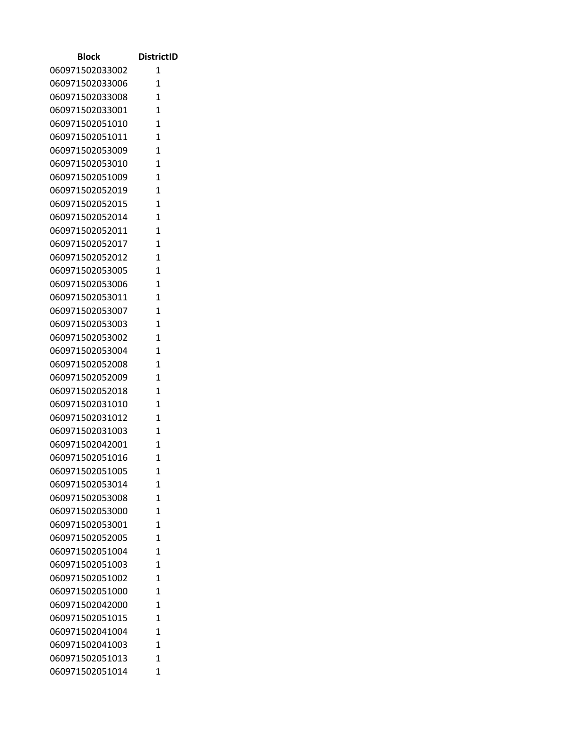| Block                              | <b>DistrictID</b> |
|------------------------------------|-------------------|
| 060971502033002                    | 1                 |
| 060971502033006                    | 1                 |
| 060971502033008                    | $\mathbf{1}$      |
| 060971502033001                    | 1                 |
| 060971502051010                    | 1                 |
| 060971502051011                    | 1                 |
| 060971502053009                    | 1                 |
| 060971502053010                    | $\mathbf{1}$      |
| 060971502051009                    | $\mathbf{1}$      |
| 060971502052019                    | 1                 |
| 060971502052015                    | 1                 |
| 060971502052014                    | $\mathbf{1}$      |
| 060971502052011                    | $\mathbf{1}$      |
| 060971502052017                    | 1                 |
| 060971502052012                    | $\mathbf{1}$      |
| 060971502053005                    | $\mathbf{1}$      |
| 060971502053006                    | 1                 |
| 060971502053011                    | 1                 |
| 060971502053007                    | $\mathbf{1}$      |
| 060971502053003                    | $\mathbf{1}$      |
| 060971502053002                    | 1                 |
| 060971502053004                    | $\overline{1}$    |
| 060971502052008                    | 1                 |
| 060971502052009                    | $\mathbf{1}$      |
| 060971502052018                    | 1                 |
| 060971502031010                    | 1                 |
| 060971502031012                    | $\mathbf{1}$      |
| 060971502031003                    | $\mathbf{1}$      |
| 060971502042001                    | $\overline{1}$    |
| 060971502051016                    | 1                 |
| 060971502051005                    | 1                 |
| 060971502053014                    | $\mathbf{1}$<br>1 |
| 060971502053008<br>060971502053000 | $\mathbf{1}$      |
| 060971502053001                    | 1                 |
| 060971502052005                    | $\overline{1}$    |
| 060971502051004                    | 1                 |
| 060971502051003                    | $\mathbf{1}$      |
| 060971502051002                    | $\mathbf{1}$      |
| 060971502051000                    | 1                 |
| 060971502042000                    | $\mathbf{1}$      |
| 060971502051015                    | $\overline{1}$    |
| 060971502041004                    | $\mathbf{1}$      |
| 060971502041003                    | 1                 |
| 060971502051013                    | 1                 |
| 060971502051014                    | $\mathbf{1}$      |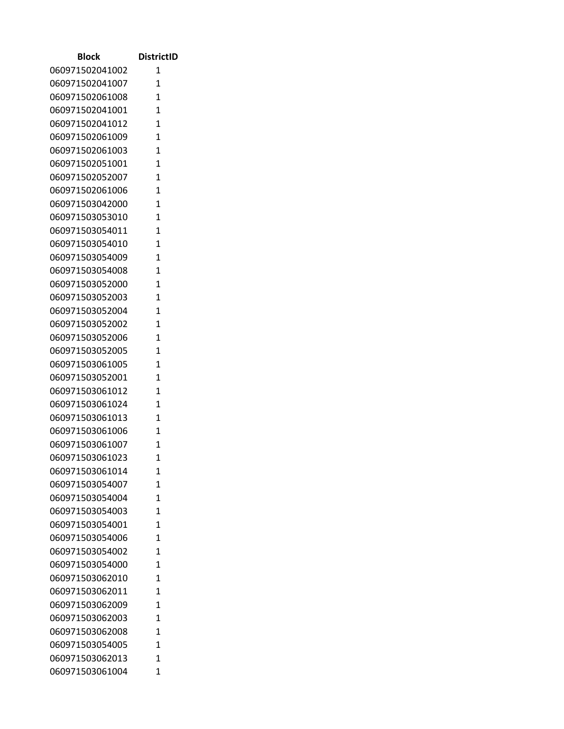| <b>Block</b>    | <b>DistrictID</b> |
|-----------------|-------------------|
| 060971502041002 | 1                 |
| 060971502041007 | $\mathbf{1}$      |
| 060971502061008 | $\mathbf{1}$      |
| 060971502041001 | $\mathbf{1}$      |
| 060971502041012 | $\mathbf{1}$      |
| 060971502061009 | 1                 |
| 060971502061003 | $\mathbf{1}$      |
| 060971502051001 | $\mathbf{1}$      |
| 060971502052007 | 1                 |
| 060971502061006 | $\mathbf{1}$      |
| 060971503042000 | $\mathbf{1}$      |
| 060971503053010 | $\mathbf{1}$      |
| 060971503054011 | 1                 |
| 060971503054010 | $\overline{1}$    |
| 060971503054009 | $\mathbf{1}$      |
| 060971503054008 | $\mathbf{1}$      |
| 060971503052000 | $\mathbf{1}$      |
| 060971503052003 | 1                 |
| 060971503052004 | $\overline{1}$    |
| 060971503052002 | $\mathbf{1}$      |
| 060971503052006 | 1                 |
| 060971503052005 | $\mathbf{1}$      |
| 060971503061005 | $\mathbf{1}$      |
| 060971503052001 | $\mathbf{1}$      |
| 060971503061012 | 1                 |
| 060971503061024 | $\mathbf{1}$      |
| 060971503061013 | $\mathbf{1}$      |
| 060971503061006 | 1                 |
| 060971503061007 | 1                 |
| 060971503061023 | 1                 |
| 060971503061014 | 1                 |
| 060971503054007 | $\mathbf{1}$      |
| 060971503054004 | $\overline{1}$    |
| 060971503054003 | $\mathbf{1}$      |
| 060971503054001 | 1                 |
| 060971503054006 | 1                 |
| 060971503054002 | 1                 |
| 060971503054000 | $\overline{1}$    |
| 060971503062010 | $\mathbf{1}$      |
| 060971503062011 | $\overline{1}$    |
| 060971503062009 | $\mathbf{1}$      |
| 060971503062003 | $\mathbf{1}$      |
| 060971503062008 | $\mathbf{1}$      |
| 060971503054005 | 1                 |
| 060971503062013 | 1                 |
| 060971503061004 | 1                 |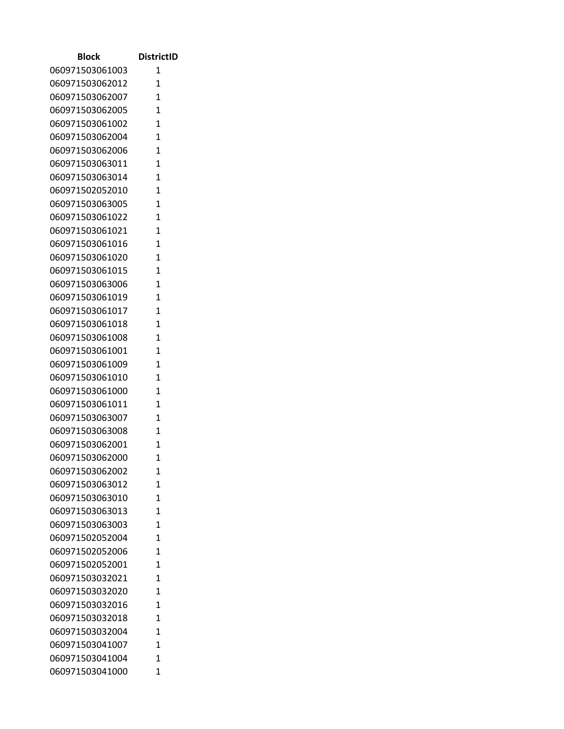| Block                              | <b>DistrictID</b>              |
|------------------------------------|--------------------------------|
| 060971503061003                    | 1                              |
| 060971503062012                    | 1                              |
| 060971503062007                    | $\overline{1}$                 |
| 060971503062005                    | 1                              |
| 060971503061002                    | 1                              |
| 060971503062004                    | $\overline{1}$                 |
| 060971503062006                    | $\mathbf{1}$                   |
| 060971503063011                    | $\overline{1}$                 |
| 060971503063014                    | $\overline{1}$                 |
| 060971502052010                    | $\overline{1}$                 |
| 060971503063005                    | $\overline{1}$                 |
| 060971503061022                    | $\mathbf{1}$                   |
| 060971503061021                    | $\overline{1}$                 |
| 060971503061016                    | $\mathbf{1}$                   |
| 060971503061020                    | $\overline{1}$                 |
| 060971503061015                    | $\overline{1}$                 |
| 060971503063006                    | $\mathbf{1}$                   |
| 060971503061019                    | $\mathbf{1}$                   |
| 060971503061017                    | 1                              |
| 060971503061018                    | $\mathbf{1}$                   |
| 060971503061008                    | $\mathbf{1}$                   |
| 060971503061001                    | $\overline{1}$<br>$\mathbf{1}$ |
| 060971503061009<br>060971503061010 | 1                              |
| 060971503061000                    | 1                              |
| 060971503061011                    | $\mathbf{1}$                   |
| 060971503063007                    | $\mathbf{1}$                   |
| 060971503063008                    | $\mathbf{1}$                   |
| 060971503062001                    | $\mathbf{1}$                   |
| 060971503062000                    | 1                              |
| 060971503062002                    | 1                              |
| 060971503063012                    | $\mathbf{1}$                   |
| 060971503063010                    | 1                              |
| 060971503063013                    | $\overline{1}$                 |
| 060971503063003                    | 1                              |
| 060971502052004                    | $\mathbf{1}$                   |
| 060971502052006                    | $\mathbf{1}$                   |
| 060971502052001                    | $\mathbf{1}$                   |
| 060971503032021                    | $\overline{1}$                 |
| 060971503032020                    | $\mathbf{1}$                   |
| 060971503032016                    | $\mathbf{1}$                   |
| 060971503032018                    | $\mathbf{1}$                   |
| 060971503032004                    | 1                              |
| 060971503041007                    | $\mathbf{1}$                   |
| 060971503041004                    | 1                              |
| 060971503041000                    | 1                              |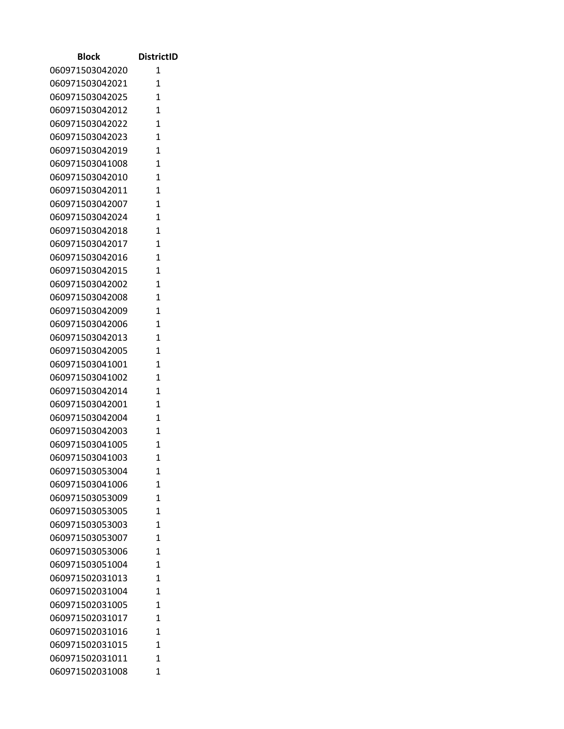| <b>Block</b>    | <b>DistrictID</b> |
|-----------------|-------------------|
| 060971503042020 | 1                 |
| 060971503042021 | 1                 |
| 060971503042025 | $\mathbf{1}$      |
| 060971503042012 | $\mathbf{1}$      |
| 060971503042022 | $\mathbf{1}$      |
| 060971503042023 | 1                 |
| 060971503042019 | 1                 |
| 060971503041008 | $\mathbf{1}$      |
| 060971503042010 | 1                 |
| 060971503042011 | $\mathbf{1}$      |
| 060971503042007 | $\mathbf{1}$      |
| 060971503042024 | $\mathbf{1}$      |
| 060971503042018 | $\mathbf{1}$      |
| 060971503042017 | 1                 |
| 060971503042016 | $\mathbf{1}$      |
| 060971503042015 | $\mathbf{1}$      |
| 060971503042002 | 1                 |
| 060971503042008 | 1                 |
| 060971503042009 | 1                 |
| 060971503042006 | $\mathbf{1}$      |
| 060971503042013 | $\mathbf{1}$      |
| 060971503042005 | 1                 |
| 060971503041001 | $\mathbf{1}$      |
| 060971503041002 | 1                 |
| 060971503042014 | $\mathbf{1}$      |
| 060971503042001 | 1                 |
| 060971503042004 | $\mathbf{1}$      |
| 060971503042003 | 1                 |
| 060971503041005 | $\mathbf{1}$      |
| 060971503041003 | 1                 |
| 060971503053004 | 1                 |
| 060971503041006 | 1                 |
| 060971503053009 | 1                 |
| 060971503053005 | 1                 |
| 060971503053003 | 1                 |
| 060971503053007 | 1                 |
| 060971503053006 | 1                 |
| 060971503051004 | 1                 |
| 060971502031013 | 1                 |
| 060971502031004 | 1                 |
| 060971502031005 | 1                 |
| 060971502031017 | 1                 |
| 060971502031016 | 1                 |
| 060971502031015 | 1                 |
| 060971502031011 | 1                 |
| 060971502031008 | 1                 |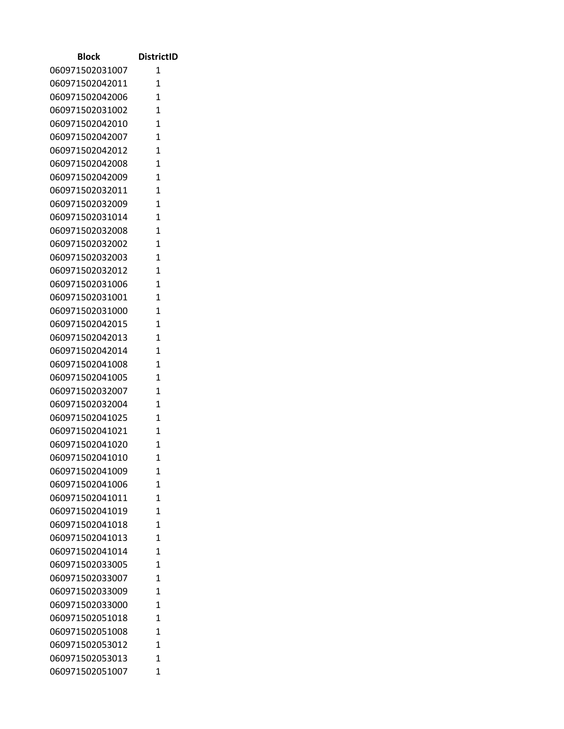| <b>Block</b>                       | <b>DistrictID</b> |
|------------------------------------|-------------------|
| 060971502031007                    | 1                 |
| 060971502042011                    | 1                 |
| 060971502042006                    | $\mathbf{1}$      |
| 060971502031002                    | 1                 |
| 060971502042010                    | 1                 |
| 060971502042007                    | 1                 |
| 060971502042012                    | 1                 |
| 060971502042008                    | $\mathbf{1}$      |
| 060971502042009                    | $\mathbf{1}$      |
| 060971502032011                    | 1                 |
| 060971502032009                    | 1                 |
| 060971502031014                    | $\mathbf{1}$      |
| 060971502032008                    | $\mathbf{1}$      |
| 060971502032002                    | 1                 |
| 060971502032003                    | $\mathbf{1}$      |
| 060971502032012                    | $\mathbf{1}$      |
| 060971502031006                    | 1                 |
| 060971502031001                    | $\mathbf{1}$      |
| 060971502031000                    | $\mathbf{1}$      |
| 060971502042015                    | $\mathbf{1}$      |
| 060971502042013                    | 1                 |
| 060971502042014                    | $\overline{1}$    |
| 060971502041008                    | 1                 |
| 060971502041005                    | $\mathbf{1}$      |
| 060971502032007                    | 1                 |
| 060971502032004                    | 1                 |
| 060971502041025                    | $\mathbf{1}$      |
| 060971502041021                    | $\mathbf{1}$      |
| 060971502041020                    | $\overline{1}$    |
| 060971502041010                    | 1                 |
| 060971502041009                    | 1                 |
| 060971502041006<br>060971502041011 | $\mathbf{1}$<br>1 |
| 060971502041019                    | $\mathbf{1}$      |
|                                    | 1                 |
| 060971502041018<br>060971502041013 | $\overline{1}$    |
| 060971502041014                    | 1                 |
| 060971502033005                    | $\mathbf{1}$      |
| 060971502033007                    | $\mathbf{1}$      |
| 060971502033009                    | 1                 |
| 060971502033000                    | $\mathbf{1}$      |
| 060971502051018                    | $\overline{1}$    |
| 060971502051008                    | $\mathbf{1}$      |
| 060971502053012                    | 1                 |
| 060971502053013                    | 1                 |
| 060971502051007                    | $\mathbf{1}$      |
|                                    |                   |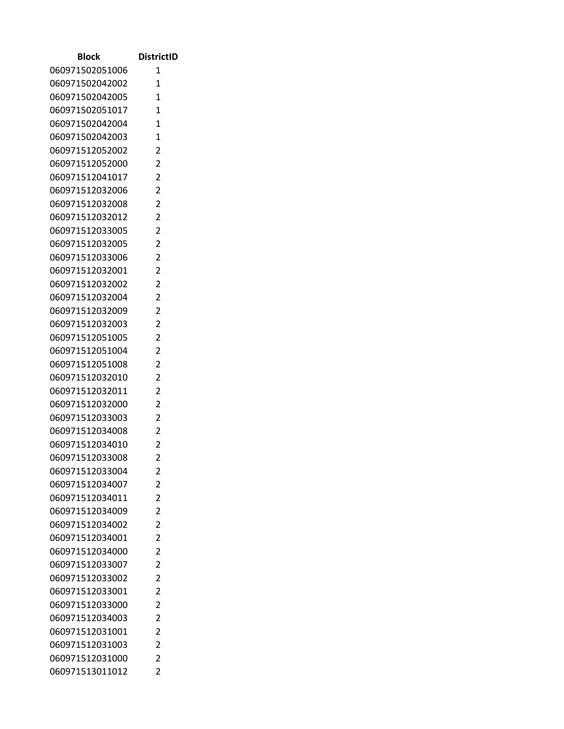| <b>Block</b>                       | <b>DistrictID</b>                |
|------------------------------------|----------------------------------|
| 060971502051006                    | 1                                |
| 060971502042002                    | $\mathbf{1}$                     |
| 060971502042005                    | $\overline{1}$                   |
| 060971502051017                    | 1                                |
| 060971502042004                    | $\mathbf{1}$                     |
| 060971502042003                    | $\overline{1}$                   |
| 060971512052002                    | 2                                |
| 060971512052000                    | $\overline{2}$                   |
| 060971512041017                    | 2                                |
| 060971512032006                    | $\overline{2}$                   |
| 060971512032008                    | $\overline{2}$                   |
| 060971512032012                    | $\overline{c}$                   |
| 060971512033005                    | $\overline{2}$                   |
| 060971512032005                    | 2                                |
| 060971512033006                    | $\overline{2}$                   |
| 060971512032001                    | $\overline{2}$                   |
| 060971512032002                    | $\overline{2}$                   |
| 060971512032004                    | 2                                |
| 060971512032009                    | 2                                |
| 060971512032003                    | $\overline{2}$                   |
| 060971512051005                    | $\overline{2}$                   |
| 060971512051004                    | $\overline{2}$                   |
| 060971512051008                    | $\overline{2}$                   |
| 060971512032010                    | $\overline{2}$<br>$\overline{2}$ |
| 060971512032011<br>060971512032000 | 2                                |
| 060971512033003                    | $\overline{2}$                   |
| 060971512034008                    | 2                                |
| 060971512034010                    | $\overline{c}$                   |
| 060971512033008                    | $\overline{2}$                   |
| 060971512033004                    | 2                                |
| 060971512034007                    | $\overline{2}$                   |
| 060971512034011                    | $\overline{2}$                   |
| 060971512034009                    | $\overline{2}$                   |
| 060971512034002                    | $\overline{2}$                   |
| 060971512034001                    | $\overline{2}$                   |
| 060971512034000                    | $\overline{2}$                   |
| 060971512033007                    | $\overline{c}$                   |
| 060971512033002                    | $\overline{2}$                   |
| 060971512033001                    | $\overline{2}$                   |
| 060971512033000                    | $\overline{2}$                   |
| 060971512034003                    | $\overline{2}$                   |
| 060971512031001                    | $\overline{c}$                   |
| 060971512031003                    | $\overline{2}$                   |
| 060971512031000                    | $\overline{2}$                   |
| 060971513011012                    | $\overline{2}$                   |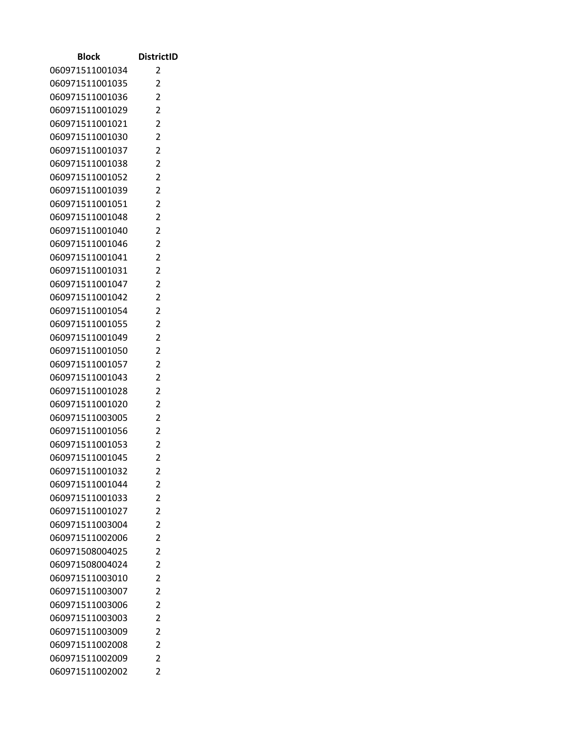| Block           | <b>DistrictID</b> |
|-----------------|-------------------|
| 060971511001034 | 2                 |
| 060971511001035 | 2                 |
| 060971511001036 | $\overline{2}$    |
| 060971511001029 | $\overline{2}$    |
| 060971511001021 | $\overline{2}$    |
| 060971511001030 | $\overline{2}$    |
| 060971511001037 | $\overline{c}$    |
| 060971511001038 | $\overline{2}$    |
| 060971511001052 | 2                 |
| 060971511001039 | $\overline{2}$    |
| 060971511001051 | $\overline{2}$    |
| 060971511001048 | $\overline{2}$    |
| 060971511001040 | $\overline{2}$    |
| 060971511001046 | 2                 |
| 060971511001041 | $\overline{2}$    |
| 060971511001031 | $\overline{2}$    |
| 060971511001047 | $\overline{2}$    |
| 060971511001042 | $\overline{2}$    |
| 060971511001054 | $\overline{2}$    |
| 060971511001055 | $\overline{2}$    |
| 060971511001049 | $\overline{c}$    |
| 060971511001050 | $\overline{2}$    |
| 060971511001057 | 2                 |
| 060971511001043 | $\overline{2}$    |
| 060971511001028 | $\overline{2}$    |
| 060971511001020 | $\overline{c}$    |
| 060971511003005 | $\overline{2}$    |
| 060971511001056 | 2                 |
| 060971511001053 | $\overline{2}$    |
| 060971511001045 | 2                 |
| 060971511001032 | 2                 |
| 060971511001044 | 2                 |
| 060971511001033 | 2                 |
| 060971511001027 | $\overline{2}$    |
| 060971511003004 | $\overline{2}$    |
| 060971511002006 | $\overline{2}$    |
| 060971508004025 | $\overline{2}$    |
| 060971508004024 | $\overline{2}$    |
| 060971511003010 | $\overline{2}$    |
| 060971511003007 | 2                 |
| 060971511003006 | $\overline{2}$    |
| 060971511003003 | $\overline{2}$    |
| 060971511003009 | $\overline{2}$    |
| 060971511002008 | 2                 |
| 060971511002009 | 2                 |
| 060971511002002 | $\overline{2}$    |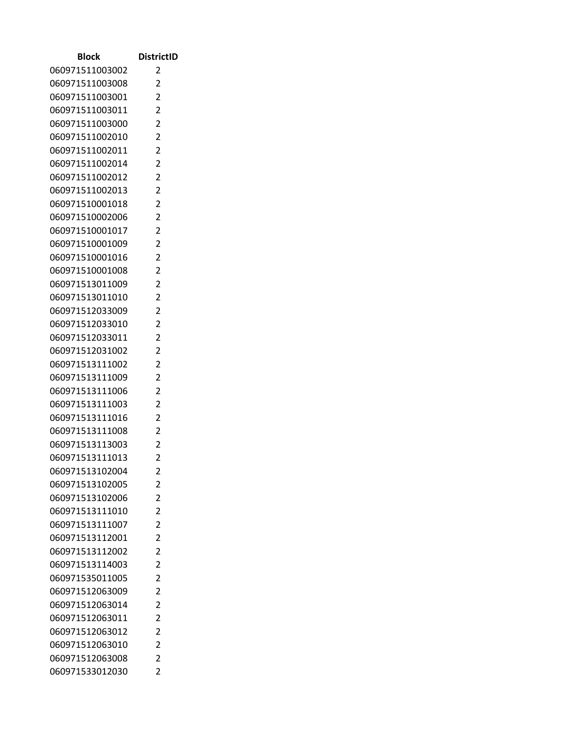| <b>Block</b>    | <b>DistrictID</b>                |
|-----------------|----------------------------------|
| 060971511003002 | 2                                |
| 060971511003008 | 2                                |
| 060971511003001 | $\overline{2}$                   |
| 060971511003011 | $\overline{2}$                   |
| 060971511003000 | $\overline{2}$                   |
| 060971511002010 | $\overline{2}$                   |
| 060971511002011 | 2                                |
| 060971511002014 | $\overline{2}$                   |
| 060971511002012 | $\overline{2}$                   |
| 060971511002013 | $\overline{2}$                   |
| 060971510001018 | $\overline{2}$                   |
| 060971510002006 | $\overline{c}$                   |
| 060971510001017 | $\overline{2}$                   |
| 060971510001009 | 2                                |
| 060971510001016 | $\overline{2}$                   |
| 060971510001008 | $\overline{2}$                   |
| 060971513011009 | $\overline{2}$                   |
| 060971513011010 | 2                                |
| 060971512033009 | 2                                |
| 060971512033010 | $\overline{2}$                   |
| 060971512033011 | $\overline{2}$                   |
| 060971512031002 | $\overline{2}$                   |
| 060971513111002 | $\overline{2}$                   |
| 060971513111009 | $\overline{2}$                   |
| 060971513111006 | $\overline{2}$                   |
| 060971513111003 | 2                                |
| 060971513111016 | $\overline{2}$                   |
| 060971513111008 | 2                                |
| 060971513113003 | $\overline{c}$                   |
| 060971513111013 | $\overline{2}$                   |
| 060971513102004 | 2                                |
| 060971513102005 | $\overline{2}$                   |
| 060971513102006 | $\overline{2}$                   |
| 060971513111010 | $\overline{2}$                   |
| 060971513111007 | $\overline{2}$                   |
| 060971513112001 | $\overline{2}$                   |
| 060971513112002 | $\overline{2}$                   |
| 060971513114003 | $\overline{c}$                   |
| 060971535011005 | $\overline{2}$                   |
| 060971512063009 | $\overline{2}$                   |
| 060971512063014 | $\overline{2}$<br>$\overline{2}$ |
| 060971512063011 |                                  |
| 060971512063012 | $\overline{c}$<br>$\overline{2}$ |
| 060971512063010 |                                  |
| 060971512063008 | 2<br>$\overline{2}$              |
| 060971533012030 |                                  |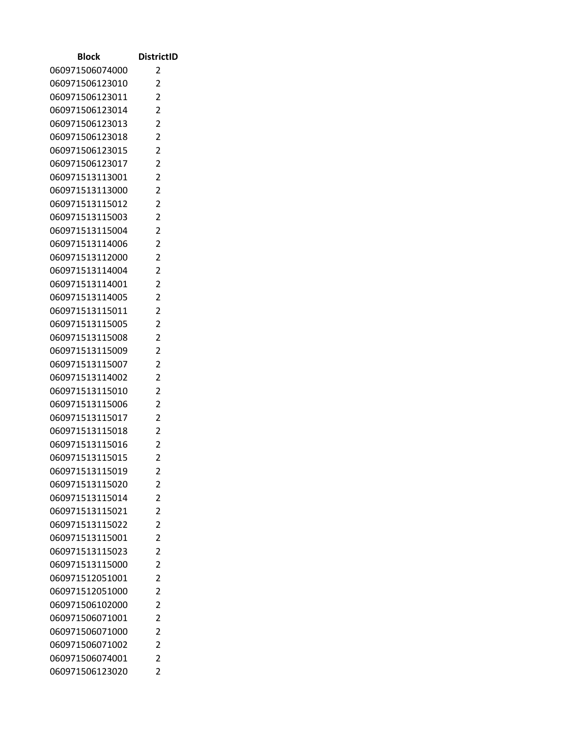| <b>Block</b>                       | <b>DistrictID</b>   |
|------------------------------------|---------------------|
| 060971506074000                    | 2                   |
| 060971506123010                    | 2                   |
| 060971506123011                    | $\overline{2}$      |
| 060971506123014                    | 2                   |
| 060971506123013                    | $\overline{2}$      |
| 060971506123018                    | $\overline{2}$      |
| 060971506123015                    | 2                   |
| 060971506123017                    | $\overline{2}$      |
| 060971513113001                    | 2                   |
| 060971513113000                    | $\overline{2}$      |
| 060971513115012                    | $\overline{2}$      |
| 060971513115003                    | 2                   |
| 060971513115004                    | $\overline{2}$      |
| 060971513114006                    | 2                   |
| 060971513112000                    | $\overline{2}$      |
| 060971513114004                    | $\overline{2}$      |
| 060971513114001                    | $\overline{2}$      |
| 060971513114005                    | $\overline{2}$      |
| 060971513115011                    | 2                   |
| 060971513115005                    | $\overline{2}$      |
| 060971513115008                    | 2                   |
| 060971513115009                    | $\overline{2}$      |
| 060971513115007                    | $\overline{2}$      |
| 060971513114002<br>060971513115010 | 2<br>$\overline{2}$ |
| 060971513115006                    | 2                   |
| 060971513115017                    | $\overline{2}$      |
| 060971513115018                    | 2                   |
| 060971513115016                    | $\overline{c}$      |
| 060971513115015                    | $\overline{2}$      |
| 060971513115019                    | 2                   |
| 060971513115020                    | $\overline{2}$      |
| 060971513115014                    | $\overline{2}$      |
| 060971513115021                    | $\overline{2}$      |
| 060971513115022                    | $\overline{2}$      |
| 060971513115001                    | $\overline{2}$      |
| 060971513115023                    | 2                   |
| 060971513115000                    | 2                   |
| 060971512051001                    | $\overline{2}$      |
| 060971512051000                    | $\overline{2}$      |
| 060971506102000                    | $\overline{2}$      |
| 060971506071001                    | $\overline{2}$      |
| 060971506071000                    | $\overline{c}$      |
| 060971506071002                    | $\overline{2}$      |
| 060971506074001                    | $\overline{2}$      |
| 060971506123020                    | $\overline{2}$      |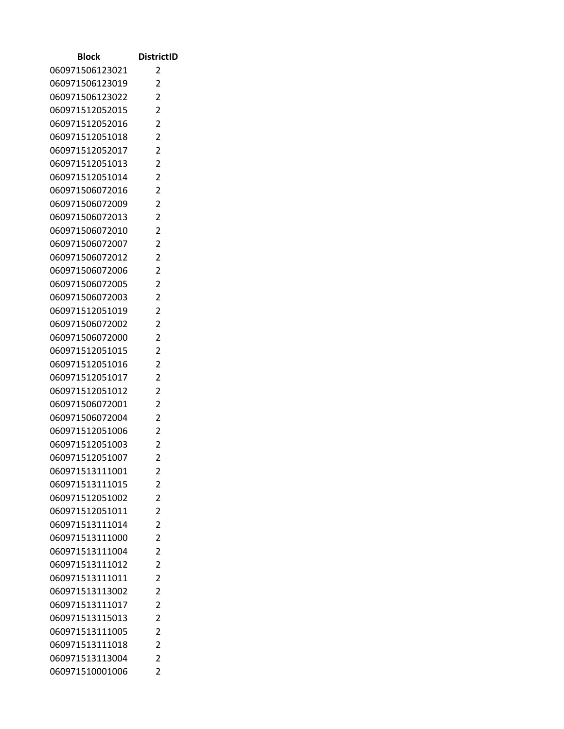| Block                              | <b>DistrictID</b>   |
|------------------------------------|---------------------|
| 060971506123021                    | 2                   |
| 060971506123019                    | 2                   |
| 060971506123022                    | $\overline{2}$      |
| 060971512052015                    | 2                   |
| 060971512052016                    | $\overline{2}$      |
| 060971512051018                    | $\overline{2}$      |
| 060971512052017                    | $\overline{c}$      |
| 060971512051013                    | $\overline{2}$      |
| 060971512051014                    | 2                   |
| 060971506072016                    | $\overline{2}$      |
| 060971506072009                    | $\overline{2}$      |
| 060971506072013                    | $\overline{2}$      |
| 060971506072010                    | 2                   |
| 060971506072007                    | 2                   |
| 060971506072012                    | $\overline{2}$      |
| 060971506072006                    | 2                   |
| 060971506072005                    | $\overline{2}$      |
| 060971506072003                    | 2                   |
| 060971512051019                    | 2                   |
| 060971506072002                    | $\overline{2}$      |
| 060971506072000                    | 2                   |
| 060971512051015                    | $\overline{2}$      |
| 060971512051016<br>060971512051017 | 2<br>$\overline{2}$ |
| 060971512051012                    | $\overline{2}$      |
| 060971506072001                    | $\overline{c}$      |
| 060971506072004                    | $\overline{2}$      |
| 060971512051006                    | 2                   |
| 060971512051003                    | $\overline{2}$      |
| 060971512051007                    | 2                   |
| 060971513111001                    | 2                   |
| 060971513111015                    | 2                   |
| 060971512051002                    | 2                   |
| 060971512051011                    | $\overline{2}$      |
| 060971513111014                    | $\overline{2}$      |
| 060971513111000                    | $\overline{2}$      |
| 060971513111004                    | 2                   |
| 060971513111012                    | $\overline{2}$      |
| 060971513111011                    | $\overline{2}$      |
| 060971513113002                    | 2                   |
| 060971513111017                    | $\overline{2}$      |
| 060971513115013                    | $\overline{2}$      |
| 060971513111005                    | $\overline{2}$      |
| 060971513111018                    | 2                   |
| 060971513113004                    | 2                   |
| 060971510001006                    | 2                   |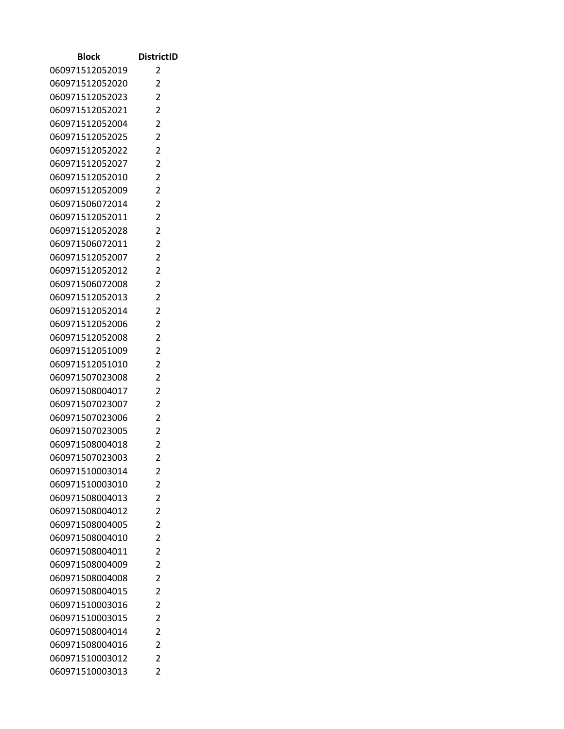| Block                              | <b>DistrictID</b>   |
|------------------------------------|---------------------|
| 060971512052019                    | 2                   |
| 060971512052020                    | 2                   |
| 060971512052023                    | $\overline{2}$      |
| 060971512052021                    | 2                   |
| 060971512052004                    | $\overline{2}$      |
| 060971512052025                    | $\overline{2}$      |
| 060971512052022                    | $\overline{c}$      |
| 060971512052027                    | $\overline{2}$      |
| 060971512052010                    | 2                   |
| 060971512052009                    | $\overline{2}$      |
| 060971506072014                    | $\overline{2}$      |
| 060971512052011                    | $\overline{2}$      |
| 060971512052028                    | 2                   |
| 060971506072011                    | 2                   |
| 060971512052007                    | $\overline{2}$      |
| 060971512052012                    | 2                   |
| 060971506072008                    | $\overline{2}$      |
| 060971512052013                    | 2                   |
| 060971512052014                    | $\overline{2}$      |
| 060971512052006                    | $\overline{2}$      |
| 060971512052008                    | 2                   |
| 060971512051009                    | $\overline{2}$      |
| 060971512051010                    | 2                   |
| 060971507023008                    | $\overline{2}$      |
| 060971508004017                    | $\overline{2}$      |
| 060971507023007                    | 2                   |
| 060971507023006                    | $\overline{2}$      |
| 060971507023005                    | 2<br>$\overline{2}$ |
| 060971508004018<br>060971507023003 | 2                   |
| 060971510003014                    |                     |
| 060971510003010                    | 2<br>2              |
| 060971508004013                    | 2                   |
| 060971508004012                    | $\overline{2}$      |
| 060971508004005                    | $\overline{2}$      |
| 060971508004010                    | $\overline{2}$      |
| 060971508004011                    | 2                   |
| 060971508004009                    | $\overline{2}$      |
| 060971508004008                    | $\overline{2}$      |
| 060971508004015                    | 2                   |
| 060971510003016                    | $\overline{2}$      |
| 060971510003015                    | $\overline{2}$      |
| 060971508004014                    | $\overline{2}$      |
| 060971508004016                    | 2                   |
| 060971510003012                    | 2                   |
| 060971510003013                    | 2                   |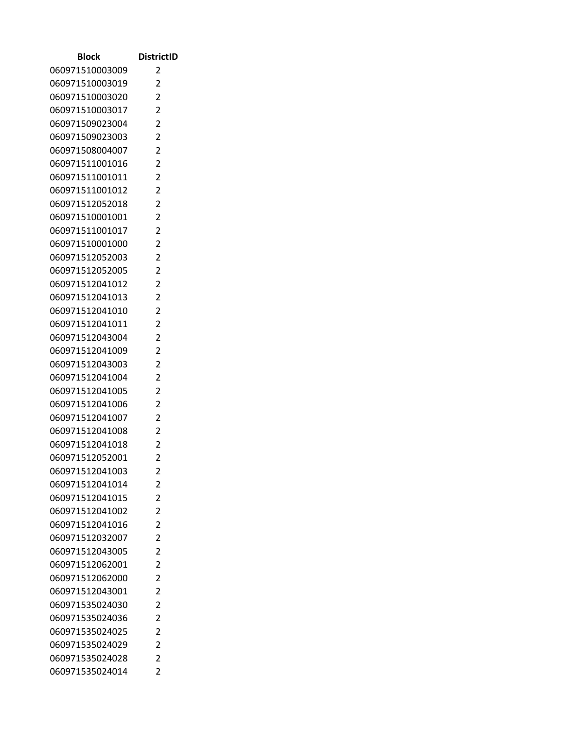| <b>Block</b>                       | <b>DistrictID</b>                |
|------------------------------------|----------------------------------|
| 060971510003009                    | 2                                |
| 060971510003019                    | 2                                |
| 060971510003020                    | $\overline{2}$                   |
| 060971510003017                    | $\overline{2}$                   |
| 060971509023004                    | $\overline{2}$                   |
| 060971509023003                    | $\overline{2}$                   |
| 060971508004007                    | 2                                |
| 060971511001016                    | $\overline{2}$                   |
| 060971511001011                    | 2                                |
| 060971511001012                    | $\overline{2}$                   |
| 060971512052018                    | $\overline{2}$                   |
| 060971510001001                    | $\overline{c}$                   |
| 060971511001017                    | $\overline{2}$                   |
| 060971510001000                    | 2                                |
| 060971512052003                    | $\overline{2}$                   |
| 060971512052005                    | $\overline{2}$                   |
| 060971512041012                    | $\overline{2}$                   |
| 060971512041013                    | 2                                |
| 060971512041010                    | 2                                |
| 060971512041011                    | $\overline{2}$                   |
| 060971512043004                    | $\overline{2}$                   |
| 060971512041009                    | $\overline{2}$                   |
| 060971512043003                    | $\overline{2}$                   |
| 060971512041004<br>060971512041005 | $\overline{2}$<br>$\overline{2}$ |
| 060971512041006                    | 2                                |
| 060971512041007                    | $\overline{2}$                   |
| 060971512041008                    | 2                                |
| 060971512041018                    | $\overline{c}$                   |
| 060971512052001                    | $\overline{2}$                   |
| 060971512041003                    | 2                                |
| 060971512041014                    | $\overline{2}$                   |
| 060971512041015                    | $\overline{2}$                   |
| 060971512041002                    | $\overline{2}$                   |
| 060971512041016                    | $\overline{2}$                   |
| 060971512032007                    | $\overline{2}$                   |
| 060971512043005                    | $\overline{2}$                   |
| 060971512062001                    | $\overline{c}$                   |
| 060971512062000                    | $\overline{2}$                   |
| 060971512043001                    | $\overline{2}$                   |
| 060971535024030                    | $\overline{2}$                   |
| 060971535024036                    | $\overline{2}$                   |
| 060971535024025                    | $\overline{c}$                   |
| 060971535024029                    | $\overline{2}$                   |
| 060971535024028                    | $\overline{2}$                   |
| 060971535024014                    | $\overline{2}$                   |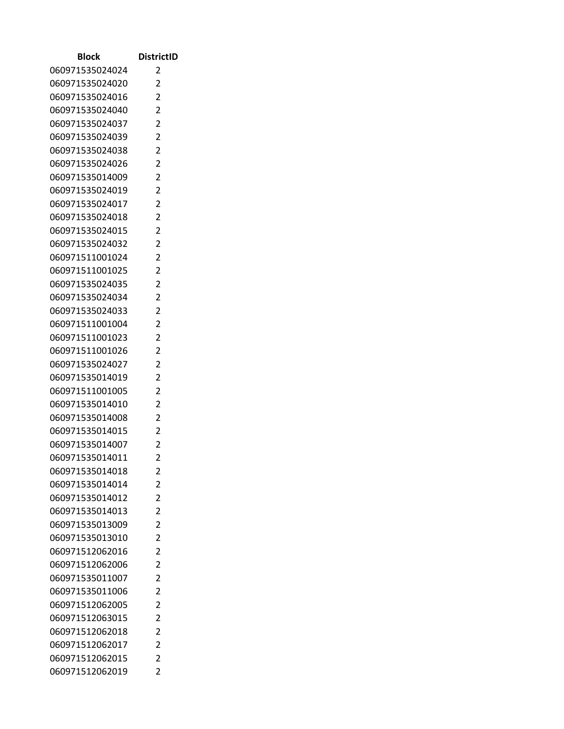| Block                              | <b>DistrictID</b>   |
|------------------------------------|---------------------|
| 060971535024024                    | 2                   |
| 060971535024020                    | 2                   |
| 060971535024016                    | $\overline{2}$      |
| 060971535024040                    | 2                   |
| 060971535024037                    | 2                   |
| 060971535024039                    | $\overline{2}$      |
| 060971535024038                    | 2                   |
| 060971535024026                    | $\overline{2}$      |
| 060971535014009                    | 2                   |
| 060971535024019                    | $\overline{2}$      |
| 060971535024017                    | $\overline{2}$      |
| 060971535024018                    | 2                   |
| 060971535024015                    | $\overline{2}$      |
| 060971535024032                    | 2                   |
| 060971511001024                    | $\overline{2}$      |
| 060971511001025                    | $\overline{2}$      |
| 060971535024035                    | $\overline{2}$      |
| 060971535024034                    | $\overline{2}$      |
| 060971535024033                    | 2                   |
| 060971511001004                    | $\overline{2}$      |
| 060971511001023                    | 2                   |
| 060971511001026                    | 2                   |
| 060971535024027                    | 2                   |
| 060971535014019                    | 2<br>$\overline{2}$ |
| 060971511001005<br>060971535014010 | 2                   |
| 060971535014008                    | $\overline{2}$      |
| 060971535014015                    | 2                   |
| 060971535014007                    | $\overline{c}$      |
| 060971535014011                    | 2                   |
| 060971535014018                    | 2                   |
| 060971535014014                    | $\overline{2}$      |
| 060971535014012                    | $\overline{2}$      |
| 060971535014013                    | $\overline{2}$      |
| 060971535013009                    | $\overline{2}$      |
| 060971535013010                    | $\overline{2}$      |
| 060971512062016                    | 2                   |
| 060971512062006                    | 2                   |
| 060971535011007                    | $\overline{2}$      |
| 060971535011006                    | $\overline{2}$      |
| 060971512062005                    | $\overline{2}$      |
| 060971512063015                    | $\overline{2}$      |
| 060971512062018                    | $\overline{c}$      |
| 060971512062017                    | $\overline{2}$      |
| 060971512062015                    | $\overline{2}$      |
| 060971512062019                    | $\overline{2}$      |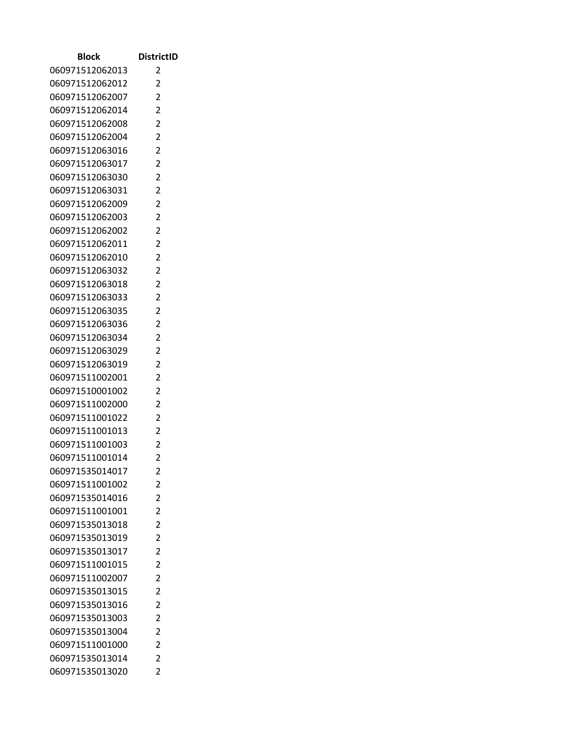| Block                              | <b>DistrictID</b>                |
|------------------------------------|----------------------------------|
| 060971512062013                    | 2                                |
| 060971512062012                    | 2                                |
| 060971512062007                    | $\overline{2}$                   |
| 060971512062014                    | 2                                |
| 060971512062008                    | $\overline{2}$                   |
| 060971512062004                    | $\overline{2}$                   |
| 060971512063016                    | 2                                |
| 060971512063017                    | $\overline{2}$                   |
| 060971512063030                    | $\overline{2}$                   |
| 060971512063031                    | $\overline{2}$                   |
| 060971512062009                    | $\overline{2}$                   |
| 060971512062003                    | $\overline{c}$                   |
| 060971512062002                    | $\overline{2}$                   |
| 060971512062011                    | 2                                |
| 060971512062010                    | $\overline{2}$                   |
| 060971512063032                    | $\overline{2}$                   |
| 060971512063018                    | $\overline{2}$                   |
| 060971512063033                    | 2                                |
| 060971512063035                    | 2                                |
| 060971512063036                    | $\overline{2}$                   |
| 060971512063034                    | $\overline{2}$                   |
| 060971512063029                    | $\overline{2}$<br>$\overline{2}$ |
| 060971512063019<br>060971511002001 | $\overline{2}$                   |
| 060971510001002                    | $\overline{2}$                   |
| 060971511002000                    | 2                                |
| 060971511001022                    | $\overline{2}$                   |
| 060971511001013                    | 2                                |
| 060971511001003                    | $\overline{c}$                   |
| 060971511001014                    | $\overline{2}$                   |
| 060971535014017                    | 2                                |
| 060971511001002                    | $\overline{2}$                   |
| 060971535014016                    | $\overline{2}$                   |
| 060971511001001                    | $\overline{2}$                   |
| 060971535013018                    | $\overline{2}$                   |
| 060971535013019                    | $\overline{2}$                   |
| 060971535013017                    | $\overline{2}$                   |
| 060971511001015                    | $\overline{c}$                   |
| 060971511002007                    | $\overline{2}$                   |
| 060971535013015                    | $\overline{2}$                   |
| 060971535013016                    | $\overline{2}$                   |
| 060971535013003                    | $\overline{2}$                   |
| 060971535013004                    | $\overline{c}$                   |
| 060971511001000                    | $\overline{2}$                   |
| 060971535013014                    | $\overline{2}$                   |
| 060971535013020                    | $\overline{2}$                   |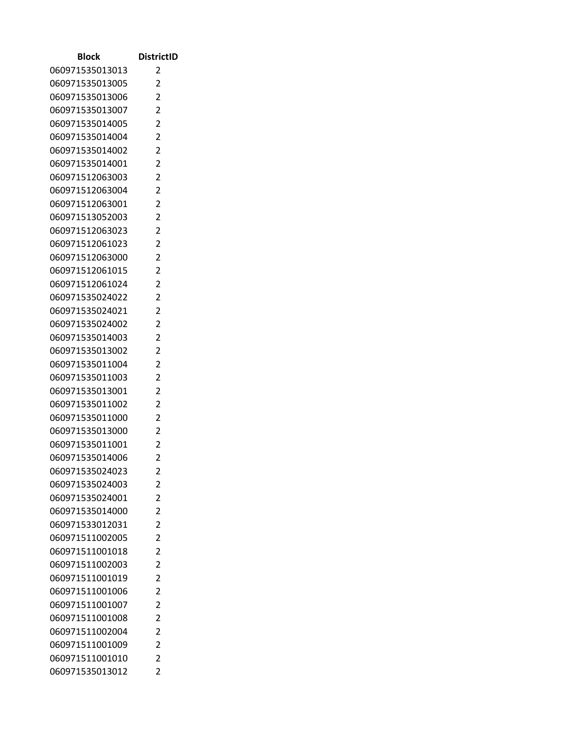| Block           | <b>DistrictID</b> |
|-----------------|-------------------|
| 060971535013013 | 2                 |
| 060971535013005 | 2                 |
| 060971535013006 | $\overline{2}$    |
| 060971535013007 | 2                 |
| 060971535014005 | $\overline{2}$    |
| 060971535014004 | $\overline{2}$    |
| 060971535014002 | 2                 |
| 060971535014001 | $\overline{2}$    |
| 060971512063003 | 2                 |
| 060971512063004 | $\overline{2}$    |
| 060971512063001 | $\overline{2}$    |
| 060971513052003 | $\overline{c}$    |
| 060971512063023 | $\overline{2}$    |
| 060971512061023 | 2                 |
| 060971512063000 | $\overline{2}$    |
| 060971512061015 | $\overline{2}$    |
| 060971512061024 | $\overline{2}$    |
| 060971535024022 | 2                 |
| 060971535024021 | 2                 |
| 060971535024002 | $\overline{2}$    |
| 060971535014003 | $\overline{2}$    |
| 060971535013002 | $\overline{2}$    |
| 060971535011004 | $\overline{2}$    |
| 060971535011003 | $\overline{2}$    |
| 060971535013001 | $\overline{2}$    |
| 060971535011002 | 2                 |
| 060971535011000 | $\overline{2}$    |
| 060971535013000 | 2                 |
| 060971535011001 | $\overline{c}$    |
| 060971535014006 | $\overline{2}$    |
| 060971535024023 | 2                 |
| 060971535024003 | $\overline{2}$    |
| 060971535024001 | $\overline{2}$    |
| 060971535014000 | $\overline{2}$    |
| 060971533012031 | $\overline{2}$    |
| 060971511002005 | $\overline{2}$    |
| 060971511001018 | $\overline{2}$    |
| 060971511002003 | $\overline{c}$    |
| 060971511001019 | $\overline{2}$    |
| 060971511001006 | $\overline{2}$    |
| 060971511001007 | $\overline{2}$    |
| 060971511001008 | $\overline{2}$    |
| 060971511002004 | $\overline{c}$    |
| 060971511001009 | $\overline{2}$    |
| 060971511001010 | $\overline{2}$    |
| 060971535013012 | $\overline{2}$    |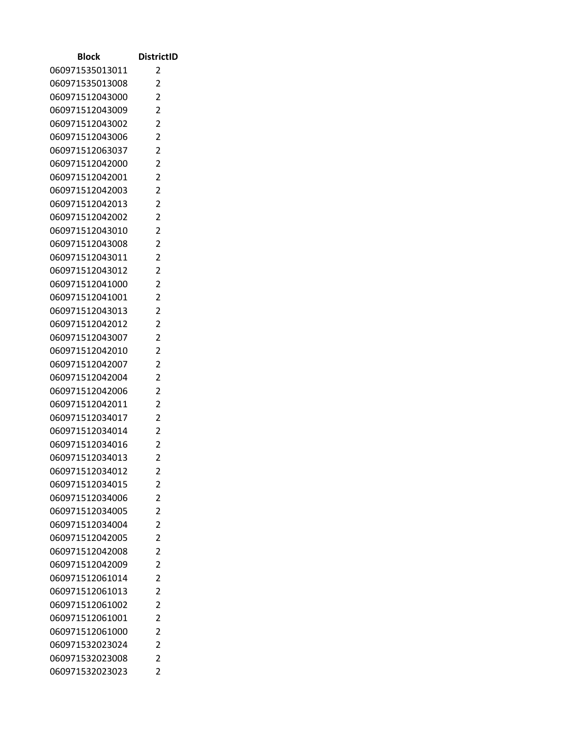| Block                              | <b>DistrictID</b>   |
|------------------------------------|---------------------|
| 060971535013011                    | 2                   |
| 060971535013008                    | 2                   |
| 060971512043000                    | 2                   |
| 060971512043009                    | 2                   |
| 060971512043002                    | $\overline{2}$      |
| 060971512043006                    | $\overline{2}$      |
| 060971512063037                    | 2                   |
| 060971512042000                    | $\overline{2}$      |
| 060971512042001                    | 2                   |
| 060971512042003                    | $\overline{2}$      |
| 060971512042013                    | $\overline{2}$      |
| 060971512042002                    | 2                   |
| 060971512043010                    | $\overline{2}$      |
| 060971512043008                    | 2                   |
| 060971512043011                    | $\overline{2}$      |
| 060971512043012                    | $\overline{2}$      |
| 060971512041000                    | $\overline{2}$      |
| 060971512041001                    | $\overline{2}$      |
| 060971512043013                    | 2                   |
| 060971512042012                    | $\overline{2}$      |
| 060971512043007                    | 2                   |
| 060971512042010                    | 2                   |
| 060971512042007                    | 2                   |
| 060971512042004                    | 2                   |
| 060971512042006                    | $\overline{2}$      |
| 060971512042011                    | 2                   |
| 060971512034017                    | $\overline{2}$      |
| 060971512034014                    | 2                   |
| 060971512034016                    | $\overline{c}$      |
| 060971512034013                    | $\overline{2}$      |
| 060971512034012                    | 2<br>$\overline{2}$ |
| 060971512034015                    | $\overline{2}$      |
| 060971512034006<br>060971512034005 | $\overline{2}$      |
| 060971512034004                    | $\overline{2}$      |
| 060971512042005                    | $\overline{2}$      |
| 060971512042008                    | $\overline{2}$      |
| 060971512042009                    | 2                   |
| 060971512061014                    | $\overline{2}$      |
| 060971512061013                    | $\overline{2}$      |
| 060971512061002                    | $\overline{2}$      |
| 060971512061001                    | $\overline{2}$      |
| 060971512061000                    | $\overline{c}$      |
| 060971532023024                    | $\overline{2}$      |
| 060971532023008                    | 2                   |
| 060971532023023                    | $\overline{2}$      |
|                                    |                     |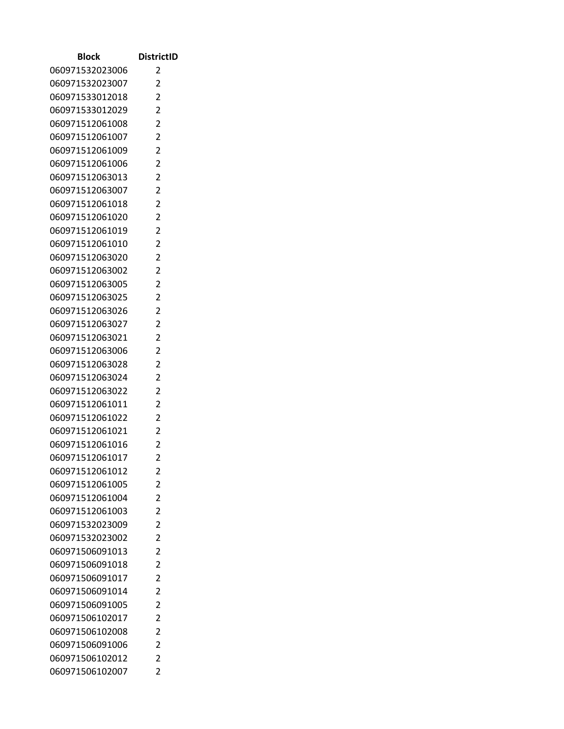| Block                              | <b>DistrictID</b>   |
|------------------------------------|---------------------|
| 060971532023006                    | 2                   |
| 060971532023007                    | $\overline{2}$      |
| 060971533012018                    | $\overline{2}$      |
| 060971533012029                    | 2                   |
| 060971512061008                    | 2                   |
| 060971512061007                    | $\overline{2}$      |
| 060971512061009                    | $\overline{2}$      |
| 060971512061006                    | $\overline{2}$      |
| 060971512063013                    | 2                   |
| 060971512063007                    | 2                   |
| 060971512061018                    | $\overline{2}$      |
| 060971512061020                    | 2                   |
| 060971512061019                    | $\overline{2}$      |
| 060971512061010                    | 2                   |
| 060971512063020                    | 2                   |
| 060971512063002                    | $\overline{2}$      |
| 060971512063005                    | 2                   |
| 060971512063025                    | 2                   |
| 060971512063026                    | 2                   |
| 060971512063027                    | $\overline{2}$      |
| 060971512063021                    | $\overline{2}$      |
| 060971512063006                    | 2                   |
| 060971512063028                    | $\overline{2}$      |
| 060971512063024                    | 2                   |
| 060971512063022                    | $\overline{2}$      |
| 060971512061011                    | 2                   |
| 060971512061022                    | $\overline{2}$      |
| 060971512061021                    | 2                   |
| 060971512061016<br>060971512061017 | 2<br>$\overline{2}$ |
| 060971512061012                    |                     |
| 060971512061005                    | 2<br>$\overline{2}$ |
| 060971512061004                    | $\overline{2}$      |
| 060971512061003                    | $\overline{2}$      |
| 060971532023009                    | 2                   |
| 060971532023002                    | 2                   |
| 060971506091013                    | $\overline{2}$      |
| 060971506091018                    | $\overline{2}$      |
| 060971506091017                    | $\overline{2}$      |
| 060971506091014                    | 2                   |
| 060971506091005                    | $\overline{2}$      |
| 060971506102017                    | $\overline{2}$      |
| 060971506102008                    | 2                   |
| 060971506091006                    | $\overline{2}$      |
| 060971506102012                    | $\overline{2}$      |
| 060971506102007                    | $\overline{2}$      |
|                                    |                     |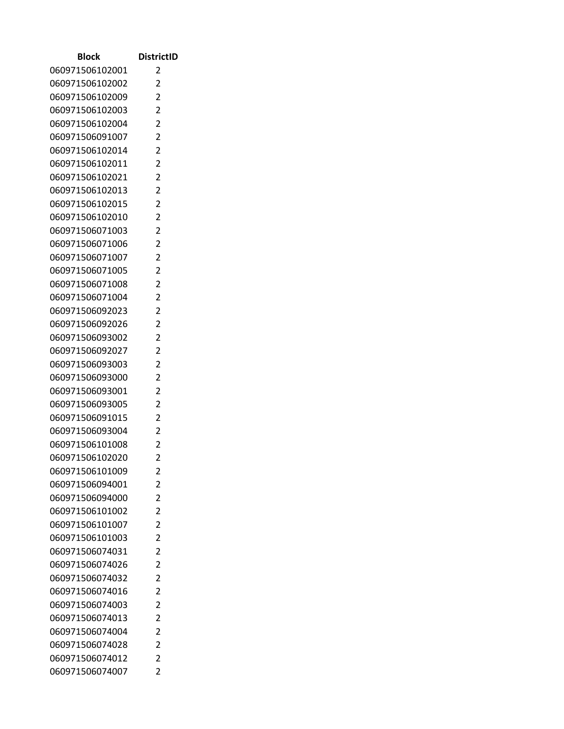| Block                              | <b>DistrictID</b>                |
|------------------------------------|----------------------------------|
| 060971506102001                    | 2                                |
| 060971506102002                    | 2                                |
| 060971506102009                    | $\overline{2}$                   |
| 060971506102003                    | $\overline{2}$                   |
| 060971506102004                    | $\overline{2}$                   |
| 060971506091007                    | $\overline{2}$                   |
| 060971506102014                    | $\overline{c}$                   |
| 060971506102011                    | $\overline{2}$                   |
| 060971506102021                    | 2                                |
| 060971506102013                    | $\overline{2}$                   |
| 060971506102015                    | $\overline{2}$                   |
| 060971506102010                    | $\overline{2}$                   |
| 060971506071003                    | $\overline{2}$                   |
| 060971506071006                    | 2                                |
| 060971506071007                    | $\overline{2}$                   |
| 060971506071005                    | $\overline{2}$                   |
| 060971506071008                    | $\overline{2}$                   |
| 060971506071004                    | $\overline{2}$                   |
| 060971506092023                    | $\overline{2}$                   |
| 060971506092026                    | $\overline{2}$                   |
| 060971506093002                    | $\overline{c}$                   |
| 060971506092027                    | $\overline{2}$                   |
| 060971506093003                    | 2                                |
| 060971506093000                    | $\overline{2}$                   |
| 060971506093001                    | $\overline{2}$                   |
| 060971506093005<br>060971506091015 | $\overline{c}$<br>$\overline{2}$ |
| 060971506093004                    | 2                                |
| 060971506101008                    | $\overline{2}$                   |
| 060971506102020                    | 2                                |
| 060971506101009                    | 2                                |
| 060971506094001                    | 2                                |
| 060971506094000                    | 2                                |
| 060971506101002                    | $\overline{2}$                   |
| 060971506101007                    | $\overline{2}$                   |
| 060971506101003                    | $\overline{2}$                   |
| 060971506074031                    | 2                                |
| 060971506074026                    | $\overline{2}$                   |
| 060971506074032                    | $\overline{2}$                   |
| 060971506074016                    | 2                                |
| 060971506074003                    | $\overline{2}$                   |
| 060971506074013                    | $\overline{2}$                   |
| 060971506074004                    | $\overline{2}$                   |
| 060971506074028                    | 2                                |
| 060971506074012                    | 2                                |
| 060971506074007                    | 2                                |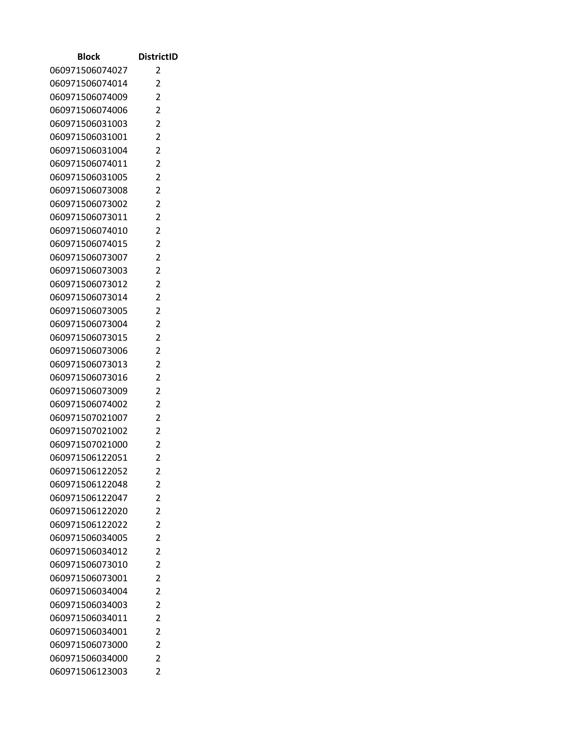| Block                              | <b>DistrictID</b> |
|------------------------------------|-------------------|
| 060971506074027                    | 2                 |
| 060971506074014                    | 2                 |
| 060971506074009                    | $\overline{2}$    |
| 060971506074006                    | 2                 |
| 060971506031003                    | $\overline{2}$    |
| 060971506031001                    | $\overline{2}$    |
| 060971506031004                    | $\overline{c}$    |
| 060971506074011                    | $\overline{2}$    |
| 060971506031005                    | 2                 |
| 060971506073008                    | $\overline{2}$    |
| 060971506073002                    | $\overline{2}$    |
| 060971506073011                    | $\overline{2}$    |
| 060971506074010                    | 2                 |
| 060971506074015                    | 2                 |
| 060971506073007                    | $\overline{2}$    |
| 060971506073003                    | 2                 |
| 060971506073012                    | $\overline{2}$    |
| 060971506073014                    | 2                 |
| 060971506073005                    | 2                 |
| 060971506073004                    | $\overline{2}$    |
| 060971506073015                    | 2                 |
| 060971506073006                    | $\overline{2}$    |
| 060971506073013                    | 2                 |
| 060971506073016                    | $\overline{2}$    |
| 060971506073009                    | $\overline{2}$    |
| 060971506074002                    | $\overline{2}$    |
| 060971507021007                    | $\overline{2}$    |
| 060971507021002                    | 2                 |
| 060971507021000                    | $\overline{2}$    |
| 060971506122051                    | 2                 |
| 060971506122052<br>060971506122048 | 2<br>2            |
| 060971506122047                    | 2                 |
| 060971506122020                    | $\overline{2}$    |
| 060971506122022                    | 2                 |
| 060971506034005                    | $\overline{2}$    |
| 060971506034012                    | 2                 |
| 060971506073010                    | $\overline{2}$    |
| 060971506073001                    | 2                 |
| 060971506034004                    | 2                 |
| 060971506034003                    | $\overline{2}$    |
| 060971506034011                    | $\overline{2}$    |
| 060971506034001                    | $\overline{2}$    |
| 060971506073000                    | 2                 |
| 060971506034000                    | 2                 |
| 060971506123003                    | 2                 |
|                                    |                   |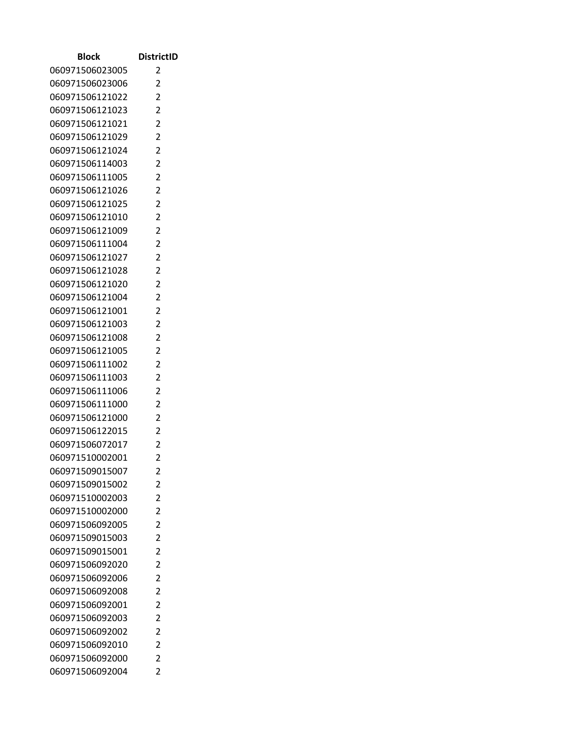| Block                              | <b>DistrictID</b>                |
|------------------------------------|----------------------------------|
| 060971506023005                    | 2                                |
| 060971506023006                    | 2                                |
| 060971506121022                    | $\overline{2}$                   |
| 060971506121023                    | 2                                |
| 060971506121021                    | $\overline{2}$                   |
| 060971506121029                    | $\overline{2}$                   |
| 060971506121024                    | $\overline{c}$                   |
| 060971506114003                    | $\overline{2}$                   |
| 060971506111005                    | 2                                |
| 060971506121026                    | $\overline{2}$                   |
| 060971506121025                    | $\overline{2}$                   |
| 060971506121010                    | $\overline{2}$                   |
| 060971506121009                    | 2                                |
| 060971506111004                    | 2                                |
| 060971506121027                    | $\overline{2}$                   |
| 060971506121028                    | 2                                |
| 060971506121020                    | $\overline{2}$                   |
| 060971506121004                    | 2                                |
| 060971506121001                    | 2                                |
| 060971506121003                    | $\overline{2}$                   |
| 060971506121008                    | 2                                |
| 060971506121005                    | $\overline{2}$                   |
| 060971506111002                    | 2                                |
| 060971506111003                    | $\overline{2}$<br>$\overline{2}$ |
| 060971506111006<br>060971506111000 | $\overline{c}$                   |
| 060971506121000                    | $\overline{2}$                   |
| 060971506122015                    | 2                                |
| 060971506072017                    | $\overline{2}$                   |
| 060971510002001                    | 2                                |
| 060971509015007                    | 2                                |
| 060971509015002                    | 2                                |
| 060971510002003                    | 2                                |
| 060971510002000                    | $\overline{2}$                   |
| 060971506092005                    | 2                                |
| 060971509015003                    | $\overline{2}$                   |
| 060971509015001                    | 2                                |
| 060971506092020                    | $\overline{2}$                   |
| 060971506092006                    | 2                                |
| 060971506092008                    | 2                                |
| 060971506092001                    | $\overline{2}$                   |
| 060971506092003                    | $\overline{2}$                   |
| 060971506092002                    | $\overline{2}$                   |
| 060971506092010                    | 2                                |
| 060971506092000                    | 2                                |
| 060971506092004                    | 2                                |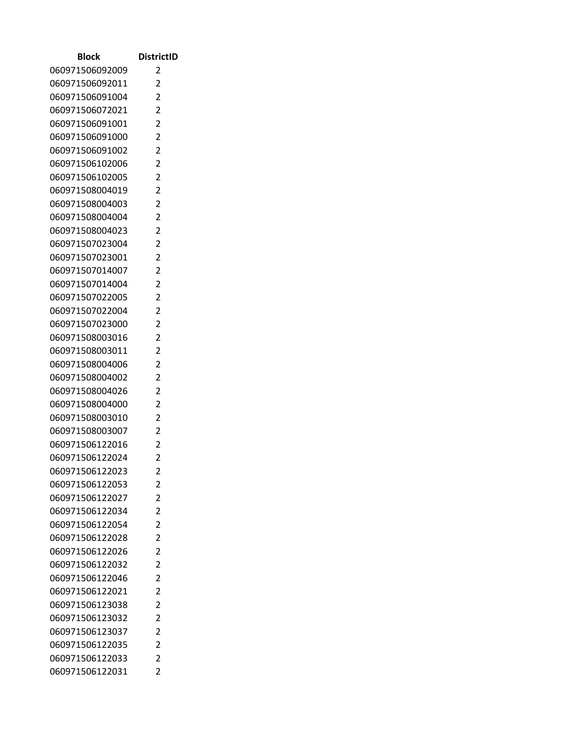| Block                              | <b>DistrictID</b>                |
|------------------------------------|----------------------------------|
| 060971506092009                    | 2                                |
| 060971506092011                    | 2                                |
| 060971506091004                    | $\overline{2}$                   |
| 060971506072021                    | 2                                |
| 060971506091001                    | $\overline{2}$                   |
| 060971506091000                    | $\overline{2}$                   |
| 060971506091002                    | 2                                |
| 060971506102006                    | $\overline{2}$                   |
| 060971506102005                    | 2                                |
| 060971508004019                    | $\overline{2}$                   |
| 060971508004003                    | $\overline{2}$                   |
| 060971508004004                    | $\overline{c}$                   |
| 060971508004023                    | $\overline{2}$                   |
| 060971507023004                    | 2                                |
| 060971507023001                    | $\overline{2}$                   |
| 060971507014007                    | $\overline{2}$                   |
| 060971507014004                    | $\overline{2}$                   |
| 060971507022005                    | 2                                |
| 060971507022004                    | 2                                |
| 060971507023000                    | $\overline{2}$                   |
| 060971508003016                    | $\overline{2}$                   |
| 060971508003011                    | $\overline{2}$                   |
| 060971508004006                    | 2                                |
| 060971508004002                    | $\overline{2}$<br>$\overline{2}$ |
| 060971508004026<br>060971508004000 | 2                                |
| 060971508003010                    | $\overline{2}$                   |
| 060971508003007                    | 2                                |
| 060971506122016                    | $\overline{c}$                   |
| 060971506122024                    | $\overline{2}$                   |
| 060971506122023                    | 2                                |
| 060971506122053                    | $\overline{2}$                   |
| 060971506122027                    | $\overline{2}$                   |
| 060971506122034                    | $\overline{2}$                   |
| 060971506122054                    | $\overline{2}$                   |
| 060971506122028                    | $\overline{2}$                   |
| 060971506122026                    | $\overline{2}$                   |
| 060971506122032                    | $\overline{c}$                   |
| 060971506122046                    | $\overline{2}$                   |
| 060971506122021                    | $\overline{2}$                   |
| 060971506123038                    | $\overline{2}$                   |
| 060971506123032                    | $\overline{2}$                   |
| 060971506123037                    | $\overline{c}$                   |
| 060971506122035                    | $\overline{2}$                   |
| 060971506122033                    | $\overline{2}$                   |
| 060971506122031                    | $\overline{2}$                   |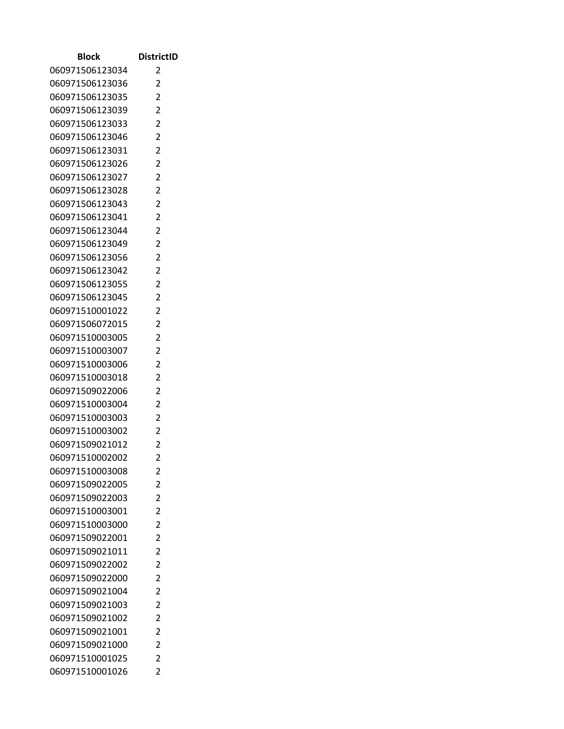| Block                              | <b>DistrictID</b>   |
|------------------------------------|---------------------|
| 060971506123034                    | 2                   |
| 060971506123036                    | 2                   |
| 060971506123035                    | 2                   |
| 060971506123039                    | 2                   |
| 060971506123033                    | 2                   |
| 060971506123046                    | $\overline{2}$      |
| 060971506123031                    | 2                   |
| 060971506123026                    | $\overline{2}$      |
| 060971506123027                    | 2                   |
| 060971506123028                    | $\overline{2}$      |
| 060971506123043                    | $\overline{2}$      |
| 060971506123041                    | 2                   |
| 060971506123044                    | $\overline{2}$      |
| 060971506123049                    | 2                   |
| 060971506123056                    | $\overline{2}$      |
| 060971506123042                    | $\overline{2}$      |
| 060971506123055                    | $\overline{2}$      |
| 060971506123045                    | $\overline{2}$      |
| 060971510001022                    | 2                   |
| 060971506072015                    | $\overline{2}$      |
| 060971510003005                    | 2                   |
| 060971510003007                    | 2                   |
| 060971510003006                    | 2                   |
| 060971510003018                    | 2                   |
| 060971509022006<br>060971510003004 | $\overline{2}$<br>2 |
| 060971510003003                    | $\overline{2}$      |
| 060971510003002                    | 2                   |
| 060971509021012                    | $\overline{c}$      |
| 060971510002002                    | $\overline{2}$      |
| 060971510003008                    | 2                   |
| 060971509022005                    | $\overline{2}$      |
| 060971509022003                    | $\overline{2}$      |
| 060971510003001                    | $\overline{2}$      |
| 060971510003000                    | $\overline{2}$      |
| 060971509022001                    | $\overline{2}$      |
| 060971509021011                    | $\overline{2}$      |
| 060971509022002                    | 2                   |
| 060971509022000                    | $\overline{2}$      |
| 060971509021004                    | $\overline{2}$      |
| 060971509021003                    | $\overline{2}$      |
| 060971509021002                    | $\overline{2}$      |
| 060971509021001                    | $\overline{2}$      |
| 060971509021000                    | $\overline{2}$      |
| 060971510001025                    | $\overline{2}$      |
| 060971510001026                    | $\overline{2}$      |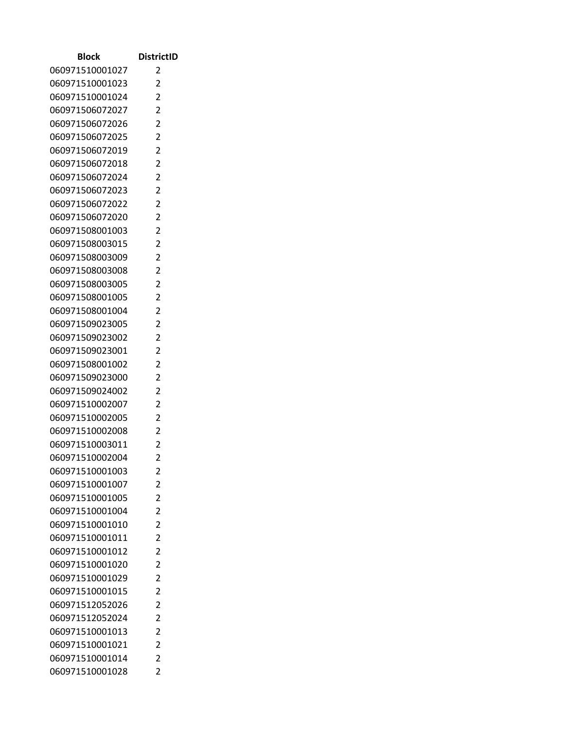| Block                              | <b>DistrictID</b> |
|------------------------------------|-------------------|
| 060971510001027                    | 2                 |
| 060971510001023                    | 2                 |
| 060971510001024                    | 2                 |
| 060971506072027                    | 2                 |
| 060971506072026                    | 2                 |
| 060971506072025                    | $\overline{2}$    |
| 060971506072019                    | 2                 |
| 060971506072018                    | $\overline{2}$    |
| 060971506072024                    | 2                 |
| 060971506072023                    | $\overline{2}$    |
| 060971506072022                    | $\overline{2}$    |
| 060971506072020                    | 2                 |
| 060971508001003                    | $\overline{2}$    |
| 060971508003015                    | 2                 |
| 060971508003009                    | $\overline{2}$    |
| 060971508003008                    | $\overline{2}$    |
| 060971508003005                    | $\overline{2}$    |
| 060971508001005                    | $\overline{2}$    |
| 060971508001004                    | 2                 |
| 060971509023005                    | $\overline{2}$    |
| 060971509023002                    | 2                 |
| 060971509023001                    | $\overline{2}$    |
| 060971508001002                    | 2                 |
| 060971509023000                    | 2<br>2            |
| 060971509024002<br>060971510002007 | 2                 |
| 060971510002005                    | $\overline{2}$    |
| 060971510002008                    | 2                 |
| 060971510003011                    | $\overline{c}$    |
| 060971510002004                    | $\overline{2}$    |
| 060971510001003                    | 2                 |
| 060971510001007                    | $\overline{2}$    |
| 060971510001005                    | $\overline{2}$    |
| 060971510001004                    | $\overline{2}$    |
| 060971510001010                    | $\overline{2}$    |
| 060971510001011                    | $\overline{2}$    |
| 060971510001012                    | $\overline{2}$    |
| 060971510001020                    | 2                 |
| 060971510001029                    | $\overline{2}$    |
| 060971510001015                    | $\overline{2}$    |
| 060971512052026                    | $\overline{2}$    |
| 060971512052024                    | $\overline{2}$    |
| 060971510001013                    | $\overline{2}$    |
| 060971510001021                    | $\overline{2}$    |
| 060971510001014                    | $\overline{2}$    |
| 060971510001028                    | $\overline{2}$    |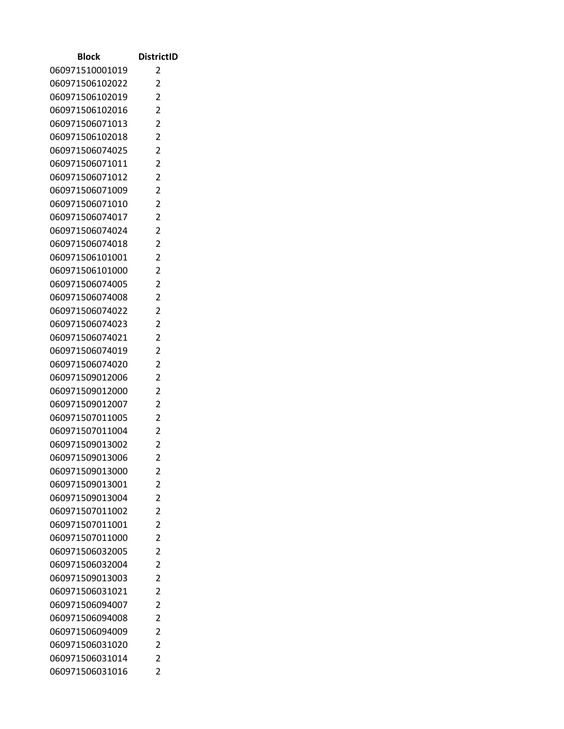| Block                              | <b>DistrictID</b>                |
|------------------------------------|----------------------------------|
| 060971510001019                    | 2                                |
| 060971506102022                    | 2                                |
| 060971506102019                    | $\overline{2}$                   |
| 060971506102016                    | $\overline{2}$                   |
| 060971506071013                    | $\overline{2}$                   |
| 060971506102018                    | $\overline{2}$                   |
| 060971506074025                    | $\overline{c}$                   |
| 060971506071011                    | $\overline{2}$                   |
| 060971506071012                    | 2                                |
| 060971506071009                    | $\overline{2}$                   |
| 060971506071010                    | $\overline{2}$                   |
| 060971506074017                    | $\overline{2}$                   |
| 060971506074024                    | $\overline{2}$                   |
| 060971506074018                    | 2                                |
| 060971506101001                    | $\overline{2}$                   |
| 060971506101000                    | $\overline{2}$                   |
| 060971506074005                    | $\overline{2}$                   |
| 060971506074008                    | $\overline{2}$                   |
| 060971506074022                    | 2                                |
| 060971506074023                    | $\overline{2}$                   |
| 060971506074021                    | $\overline{c}$                   |
| 060971506074019                    | $\overline{2}$<br>$\overline{2}$ |
| 060971506074020<br>060971509012006 | $\overline{2}$                   |
| 060971509012000                    | $\overline{2}$                   |
| 060971509012007                    | $\overline{c}$                   |
| 060971507011005                    | $\overline{2}$                   |
| 060971507011004                    | 2                                |
| 060971509013002                    | $\overline{2}$                   |
| 060971509013006                    | 2                                |
| 060971509013000                    | 2                                |
| 060971509013001                    | 2                                |
| 060971509013004                    | 2                                |
| 060971507011002                    | $\overline{2}$                   |
| 060971507011001                    | $\overline{2}$                   |
| 060971507011000                    | $\overline{2}$                   |
| 060971506032005                    | $\overline{2}$                   |
| 060971506032004                    | $\overline{2}$                   |
| 060971509013003                    | $\overline{2}$                   |
| 060971506031021                    | $\overline{2}$                   |
| 060971506094007                    | $\overline{2}$                   |
| 060971506094008                    | $\overline{2}$                   |
| 060971506094009                    | $\overline{2}$                   |
| 060971506031020                    | 2                                |
| 060971506031014                    | 2                                |
| 060971506031016                    | 2                                |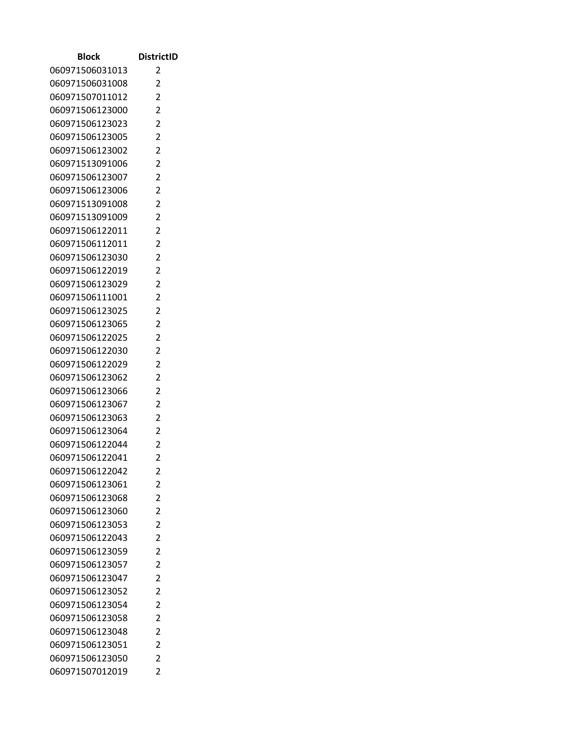| Block                              | <b>DistrictID</b>                |
|------------------------------------|----------------------------------|
| 060971506031013                    | 2                                |
| 060971506031008                    | 2                                |
| 060971507011012                    | $\overline{2}$                   |
| 060971506123000                    | $\overline{2}$                   |
| 060971506123023                    | $\overline{2}$                   |
| 060971506123005                    | $\overline{2}$                   |
| 060971506123002                    | $\overline{c}$                   |
| 060971513091006                    | $\overline{2}$                   |
| 060971506123007                    | 2                                |
| 060971506123006                    | $\overline{2}$                   |
| 060971513091008                    | $\overline{2}$                   |
| 060971513091009                    | $\overline{2}$                   |
| 060971506122011                    | $\overline{2}$                   |
| 060971506112011                    | 2                                |
| 060971506123030                    | $\overline{2}$                   |
| 060971506122019                    | $\overline{2}$                   |
| 060971506123029                    | $\overline{2}$                   |
| 060971506111001                    | $\overline{2}$                   |
| 060971506123025                    | $\overline{2}$                   |
| 060971506123065                    | $\overline{2}$                   |
| 060971506122025                    | $\overline{c}$                   |
| 060971506122030                    | $\overline{2}$                   |
| 060971506122029                    | 2                                |
| 060971506123062                    | $\overline{2}$<br>$\overline{2}$ |
| 060971506123066<br>060971506123067 | $\overline{c}$                   |
| 060971506123063                    | $\overline{2}$                   |
| 060971506123064                    | 2                                |
| 060971506122044                    | $\overline{2}$                   |
| 060971506122041                    | 2                                |
| 060971506122042                    | 2                                |
| 060971506123061                    | 2                                |
| 060971506123068                    | 2                                |
| 060971506123060                    | $\overline{2}$                   |
| 060971506123053                    | $\overline{2}$                   |
| 060971506122043                    | $\overline{2}$                   |
| 060971506123059                    | $\overline{2}$                   |
| 060971506123057                    | $\overline{2}$                   |
| 060971506123047                    | $\overline{2}$                   |
| 060971506123052                    | 2                                |
| 060971506123054                    | $\overline{2}$                   |
| 060971506123058                    | $\overline{2}$                   |
| 060971506123048                    | $\overline{2}$                   |
| 060971506123051                    | 2                                |
| 060971506123050                    | 2                                |
| 060971507012019                    | 2                                |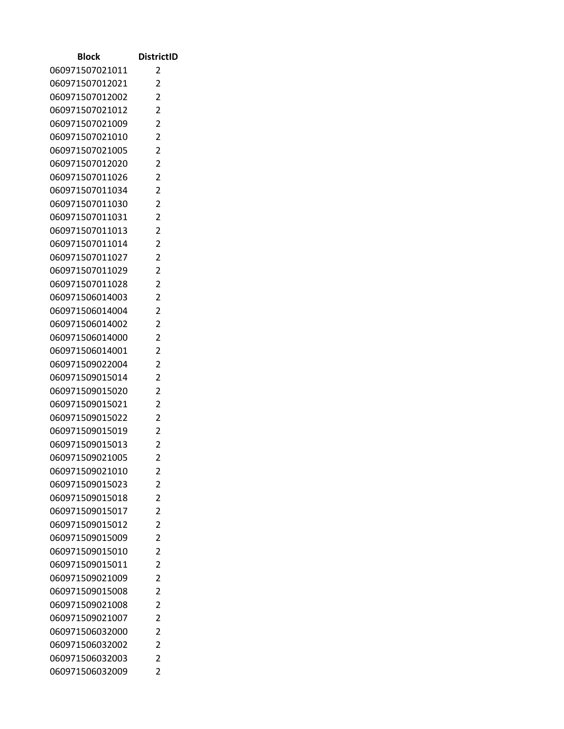| Block                              | <b>DistrictID</b>                |
|------------------------------------|----------------------------------|
| 060971507021011                    | 2                                |
| 060971507012021                    | 2                                |
| 060971507012002                    | $\overline{2}$                   |
| 060971507021012                    | $\overline{2}$                   |
| 060971507021009                    | $\overline{2}$                   |
| 060971507021010                    | $\overline{2}$                   |
| 060971507021005                    | $\overline{c}$                   |
| 060971507012020                    | $\overline{2}$                   |
| 060971507011026                    | 2                                |
| 060971507011034                    | $\overline{2}$                   |
| 060971507011030                    | $\overline{2}$                   |
| 060971507011031                    | $\overline{2}$                   |
| 060971507011013                    | $\overline{2}$                   |
| 060971507011014                    | 2                                |
| 060971507011027                    | $\overline{2}$                   |
| 060971507011029                    | $\overline{2}$                   |
| 060971507011028                    | $\overline{2}$                   |
| 060971506014003                    | $\overline{2}$                   |
| 060971506014004                    | $\overline{2}$                   |
| 060971506014002                    | $\overline{2}$                   |
| 060971506014000                    | $\overline{c}$                   |
| 060971506014001                    | $\overline{2}$                   |
| 060971509022004                    | 2                                |
| 060971509015014<br>060971509015020 | $\overline{2}$<br>$\overline{2}$ |
| 060971509015021                    | $\overline{c}$                   |
| 060971509015022                    | $\overline{2}$                   |
| 060971509015019                    | 2                                |
| 060971509015013                    | $\overline{2}$                   |
| 060971509021005                    | 2                                |
| 060971509021010                    | 2                                |
| 060971509015023                    | 2                                |
| 060971509015018                    | 2                                |
| 060971509015017                    | $\overline{2}$                   |
| 060971509015012                    | $\overline{2}$                   |
| 060971509015009                    | $\overline{2}$                   |
| 060971509015010                    | 2                                |
| 060971509015011                    | $\overline{2}$                   |
| 060971509021009                    | $\overline{2}$                   |
| 060971509015008                    | 2                                |
| 060971509021008                    | $\overline{2}$                   |
| 060971509021007                    | $\overline{2}$                   |
| 060971506032000                    | $\overline{2}$                   |
| 060971506032002                    | 2                                |
| 060971506032003                    | 2                                |
| 060971506032009                    | 2                                |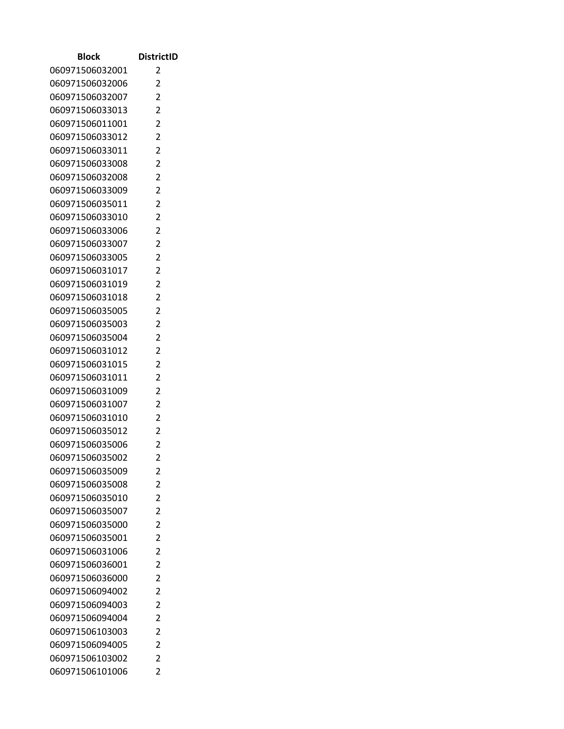| Block                              | <b>DistrictID</b> |
|------------------------------------|-------------------|
| 060971506032001                    | 2                 |
| 060971506032006                    | 2                 |
| 060971506032007                    | $\overline{2}$    |
| 060971506033013                    | 2                 |
| 060971506011001                    | $\overline{2}$    |
| 060971506033012                    | $\overline{2}$    |
| 060971506033011                    | $\overline{c}$    |
| 060971506033008                    | $\overline{2}$    |
| 060971506032008                    | 2                 |
| 060971506033009                    | $\overline{2}$    |
| 060971506035011                    | $\overline{2}$    |
| 060971506033010                    | $\overline{2}$    |
| 060971506033006                    | 2                 |
| 060971506033007                    | 2                 |
| 060971506033005                    | $\overline{2}$    |
| 060971506031017                    | 2                 |
| 060971506031019                    | $\overline{2}$    |
| 060971506031018                    | 2                 |
| 060971506035005                    | 2                 |
| 060971506035003                    | $\overline{2}$    |
| 060971506035004                    | 2                 |
| 060971506031012                    | $\overline{2}$    |
| 060971506031015                    | 2                 |
| 060971506031011                    | $\overline{2}$    |
| 060971506031009                    | $\overline{2}$    |
| 060971506031007                    | $\overline{2}$    |
| 060971506031010                    | $\overline{2}$    |
| 060971506035012                    | 2                 |
| 060971506035006                    | $\overline{2}$    |
| 060971506035002                    | 2                 |
| 060971506035009<br>060971506035008 | 2<br>2            |
| 060971506035010                    | 2                 |
| 060971506035007                    | $\overline{2}$    |
| 060971506035000                    | $\overline{2}$    |
| 060971506035001                    | $\overline{2}$    |
| 060971506031006                    | 2                 |
| 060971506036001                    | $\overline{2}$    |
| 060971506036000                    | $\overline{2}$    |
| 060971506094002                    | 2                 |
| 060971506094003                    | $\overline{2}$    |
| 060971506094004                    | $\overline{2}$    |
| 060971506103003                    | $\overline{2}$    |
| 060971506094005                    | 2                 |
| 060971506103002                    | 2                 |
| 060971506101006                    | 2                 |
|                                    |                   |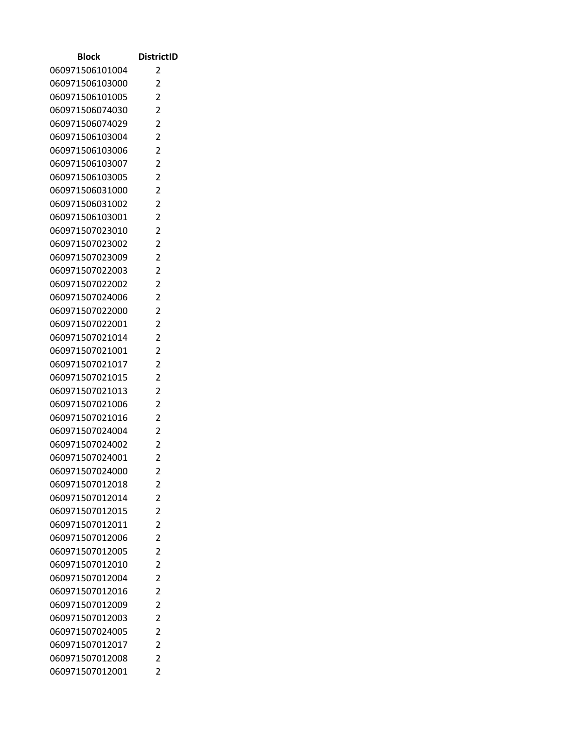| <b>Block</b>                       | <b>DistrictID</b>   |
|------------------------------------|---------------------|
| 060971506101004                    | 2                   |
| 060971506103000                    | 2                   |
| 060971506101005                    | $\overline{2}$      |
| 060971506074030                    | 2                   |
| 060971506074029                    | 2                   |
| 060971506103004                    | $\overline{2}$      |
| 060971506103006                    | 2                   |
| 060971506103007                    | $\overline{2}$      |
| 060971506103005                    | 2                   |
| 060971506031000                    | $\overline{2}$      |
| 060971506031002                    | $\overline{2}$      |
| 060971506103001                    | 2                   |
| 060971507023010                    | $\overline{2}$      |
| 060971507023002                    | 2                   |
| 060971507023009                    | $\overline{2}$      |
| 060971507022003                    | $\overline{2}$      |
| 060971507022002                    | $\overline{2}$      |
| 060971507024006                    | $\overline{2}$      |
| 060971507022000                    | 2                   |
| 060971507022001                    | $\overline{2}$      |
| 060971507021014                    | 2<br>$\overline{2}$ |
| 060971507021001<br>060971507021017 | 2                   |
| 060971507021015                    | 2                   |
| 060971507021013                    | 2                   |
| 060971507021006                    | 2                   |
| 060971507021016                    | $\overline{2}$      |
| 060971507024004                    | 2                   |
| 060971507024002                    | $\overline{c}$      |
| 060971507024001                    | $\overline{2}$      |
| 060971507024000                    | 2                   |
| 060971507012018                    | $\overline{2}$      |
| 060971507012014                    | $\overline{2}$      |
| 060971507012015                    | $\overline{2}$      |
| 060971507012011                    | $\overline{2}$      |
| 060971507012006                    | $\overline{2}$      |
| 060971507012005                    | $\overline{2}$      |
| 060971507012010                    | $\overline{c}$      |
| 060971507012004                    | $\overline{2}$      |
| 060971507012016                    | $\overline{2}$      |
| 060971507012009                    | $\overline{2}$      |
| 060971507012003                    | $\overline{2}$      |
| 060971507024005                    | $\overline{2}$      |
| 060971507012017                    | $\overline{2}$      |
| 060971507012008                    | $\overline{2}$      |
| 060971507012001                    | $\overline{2}$      |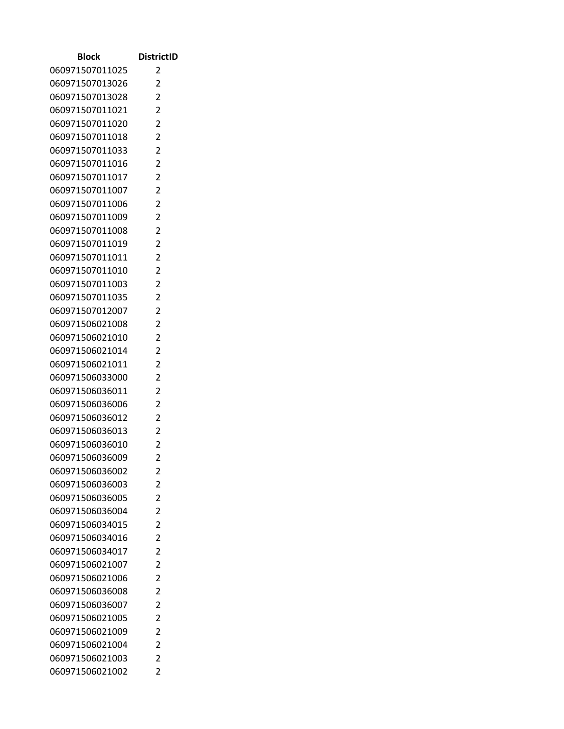| Block                              | <b>DistrictID</b>                |
|------------------------------------|----------------------------------|
| 060971507011025                    | 2                                |
| 060971507013026                    | 2                                |
| 060971507013028                    | $\overline{2}$                   |
| 060971507011021                    | 2                                |
| 060971507011020                    | $\overline{2}$                   |
| 060971507011018                    | $\overline{2}$                   |
| 060971507011033                    | $\overline{c}$                   |
| 060971507011016                    | $\overline{2}$                   |
| 060971507011017                    | 2                                |
| 060971507011007                    | $\overline{2}$                   |
| 060971507011006                    | $\overline{2}$                   |
| 060971507011009                    | $\overline{2}$                   |
| 060971507011008                    | 2                                |
| 060971507011019                    | 2                                |
| 060971507011011                    | $\overline{2}$                   |
| 060971507011010                    | $\overline{2}$                   |
| 060971507011003                    | $\overline{2}$                   |
| 060971507011035                    | 2                                |
| 060971507012007                    | 2                                |
| 060971506021008                    | $\overline{2}$                   |
| 060971506021010                    | 2                                |
| 060971506021014                    | $\overline{2}$                   |
| 060971506021011                    | 2                                |
| 060971506033000                    | $\overline{2}$<br>$\overline{2}$ |
| 060971506036011<br>060971506036006 | $\overline{c}$                   |
| 060971506036012                    | $\overline{2}$                   |
| 060971506036013                    | 2                                |
| 060971506036010                    | $\overline{2}$                   |
| 060971506036009                    | 2                                |
| 060971506036002                    | 2                                |
| 060971506036003                    | 2                                |
| 060971506036005                    | 2                                |
| 060971506036004                    | $\overline{2}$                   |
| 060971506034015                    | $\overline{2}$                   |
| 060971506034016                    | $\overline{2}$                   |
| 060971506034017                    | 2                                |
| 060971506021007                    | $\overline{2}$                   |
| 060971506021006                    | $\overline{2}$                   |
| 060971506036008                    | 2                                |
| 060971506036007                    | $\overline{2}$                   |
| 060971506021005                    | $\overline{2}$                   |
| 060971506021009                    | $\overline{2}$                   |
| 060971506021004                    | 2                                |
| 060971506021003                    | 2                                |
| 060971506021002                    | 2                                |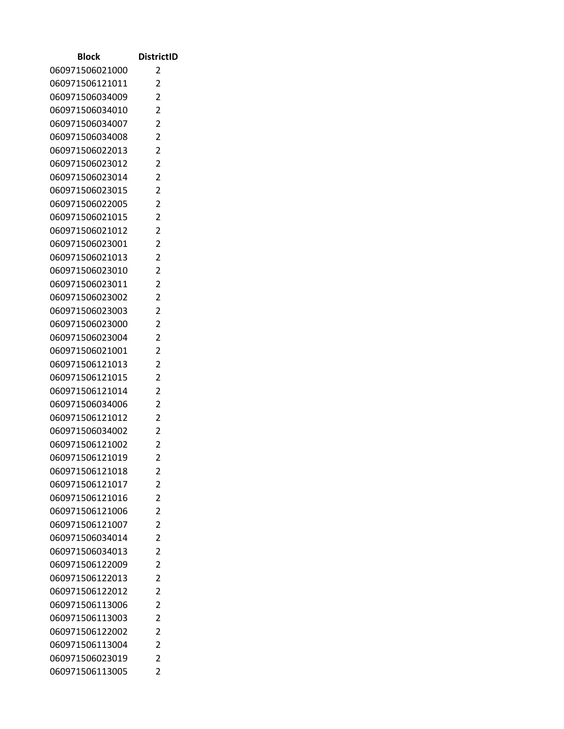| Block                              | <b>DistrictID</b>   |
|------------------------------------|---------------------|
| 060971506021000                    | 2                   |
| 060971506121011                    | 2                   |
| 060971506034009                    | $\overline{2}$      |
| 060971506034010                    | $\overline{2}$      |
| 060971506034007                    | $\overline{2}$      |
| 060971506034008                    | $\overline{2}$      |
| 060971506022013                    | $\overline{c}$      |
| 060971506023012                    | $\overline{2}$      |
| 060971506023014                    | 2                   |
| 060971506023015                    | $\overline{2}$      |
| 060971506022005                    | $\overline{2}$      |
| 060971506021015                    | $\overline{2}$      |
| 060971506021012                    | $\overline{2}$      |
| 060971506023001                    | 2                   |
| 060971506021013                    | $\overline{2}$      |
| 060971506023010                    | $\overline{2}$      |
| 060971506023011                    | $\overline{2}$      |
| 060971506023002                    | $\overline{2}$      |
| 060971506023003                    | $\overline{2}$      |
| 060971506023000                    | $\overline{2}$      |
| 060971506023004                    | 2                   |
| 060971506021001                    | $\overline{2}$      |
| 060971506121013<br>060971506121015 | 2<br>$\overline{2}$ |
| 060971506121014                    | $\overline{2}$      |
| 060971506034006                    | $\overline{c}$      |
| 060971506121012                    | $\overline{2}$      |
| 060971506034002                    | 2                   |
| 060971506121002                    | $\overline{2}$      |
| 060971506121019                    | 2                   |
| 060971506121018                    | 2                   |
| 060971506121017                    | 2                   |
| 060971506121016                    | 2                   |
| 060971506121006                    | $\overline{2}$      |
| 060971506121007                    | $\overline{2}$      |
| 060971506034014                    | $\overline{2}$      |
| 060971506034013                    | $\overline{2}$      |
| 060971506122009                    | $\overline{2}$      |
| 060971506122013                    | $\overline{2}$      |
| 060971506122012                    | 2                   |
| 060971506113006                    | $\overline{2}$      |
| 060971506113003                    | $\overline{2}$      |
| 060971506122002                    | $\overline{2}$      |
| 060971506113004                    | 2                   |
| 060971506023019                    | 2                   |
| 060971506113005                    | 2                   |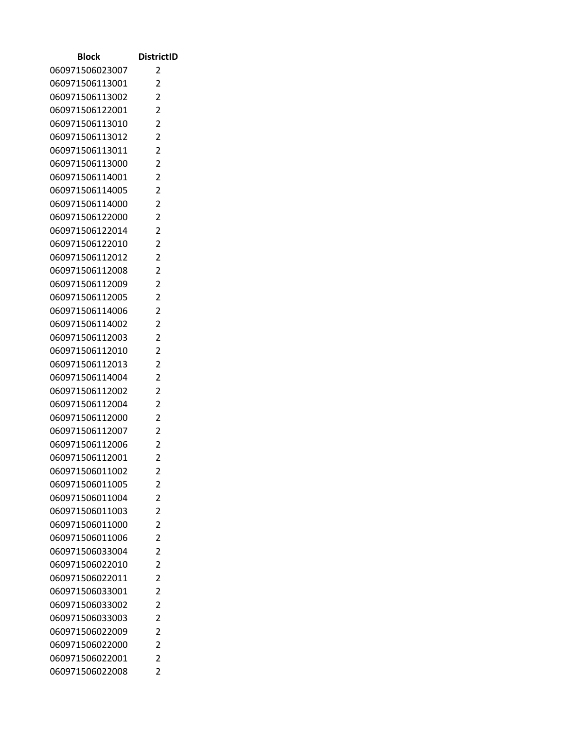| Block           | <b>DistrictID</b> |
|-----------------|-------------------|
| 060971506023007 | 2                 |
| 060971506113001 | 2                 |
| 060971506113002 | $\overline{2}$    |
| 060971506122001 | 2                 |
| 060971506113010 | $\overline{2}$    |
| 060971506113012 | $\overline{2}$    |
| 060971506113011 | $\overline{c}$    |
| 060971506113000 | $\overline{2}$    |
| 060971506114001 | 2                 |
| 060971506114005 | $\overline{2}$    |
| 060971506114000 | $\overline{2}$    |
| 060971506122000 | $\overline{2}$    |
| 060971506122014 | 2                 |
| 060971506122010 | 2                 |
| 060971506112012 | $\overline{2}$    |
| 060971506112008 | 2                 |
| 060971506112009 | $\overline{2}$    |
| 060971506112005 | 2                 |
| 060971506114006 | 2                 |
| 060971506114002 | $\overline{2}$    |
| 060971506112003 | 2                 |
| 060971506112010 | $\overline{2}$    |
| 060971506112013 | 2                 |
| 060971506114004 | $\overline{2}$    |
| 060971506112002 | $\overline{2}$    |
| 060971506112004 | $\overline{c}$    |
| 060971506112000 | $\overline{2}$    |
| 060971506112007 | 2                 |
| 060971506112006 | $\overline{2}$    |
| 060971506112001 | 2                 |
| 060971506011002 | 2                 |
| 060971506011005 | 2                 |
| 060971506011004 | 2                 |
| 060971506011003 | $\overline{2}$    |
| 060971506011000 | $\overline{2}$    |
| 060971506011006 | $\overline{2}$    |
| 060971506033004 | 2                 |
| 060971506022010 | $\overline{2}$    |
| 060971506022011 | $\overline{2}$    |
| 060971506033001 | 2                 |
| 060971506033002 | $\overline{2}$    |
| 060971506033003 | $\overline{2}$    |
| 060971506022009 | $\overline{2}$    |
| 060971506022000 | 2                 |
| 060971506022001 | 2                 |
| 060971506022008 | 2                 |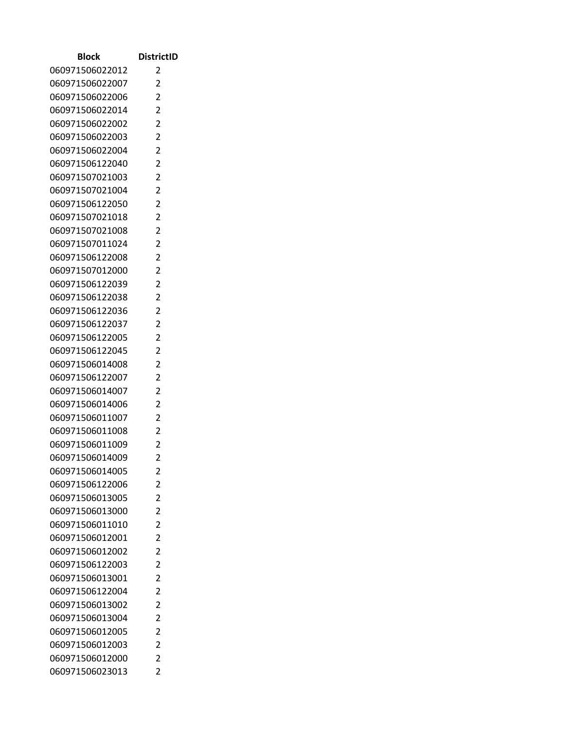| <b>Block</b>                       | <b>DistrictID</b>   |
|------------------------------------|---------------------|
| 060971506022012                    | 2                   |
| 060971506022007                    | 2                   |
| 060971506022006                    | $\overline{2}$      |
| 060971506022014                    | 2                   |
| 060971506022002                    | 2                   |
| 060971506022003                    | $\overline{2}$      |
| 060971506022004                    | 2                   |
| 060971506122040                    | $\overline{2}$      |
| 060971507021003                    | 2                   |
| 060971507021004                    | $\overline{2}$      |
| 060971506122050                    | $\overline{2}$      |
| 060971507021018                    | $\overline{c}$      |
| 060971507021008                    | $\overline{2}$      |
| 060971507011024                    | 2                   |
| 060971506122008                    | $\overline{2}$      |
| 060971507012000                    | $\overline{2}$      |
| 060971506122039                    | $\overline{2}$      |
| 060971506122038                    | 2                   |
| 060971506122036                    | 2                   |
| 060971506122037                    | $\overline{2}$      |
| 060971506122005                    | 2                   |
| 060971506122045                    | $\overline{2}$      |
| 060971506014008                    | 2                   |
| 060971506122007<br>060971506014007 | 2<br>$\overline{2}$ |
| 060971506014006                    | 2                   |
| 060971506011007                    | $\overline{2}$      |
| 060971506011008                    | 2                   |
| 060971506011009                    | $\overline{c}$      |
| 060971506014009                    | $\overline{2}$      |
| 060971506014005                    | 2                   |
| 060971506122006                    | $\overline{2}$      |
| 060971506013005                    | $\overline{2}$      |
| 060971506013000                    | $\overline{2}$      |
| 060971506011010                    | $\overline{2}$      |
| 060971506012001                    | $\overline{2}$      |
| 060971506012002                    | $\overline{2}$      |
| 060971506122003                    | $\overline{c}$      |
| 060971506013001                    | $\overline{2}$      |
| 060971506122004                    | $\overline{2}$      |
| 060971506013002                    | $\overline{2}$      |
| 060971506013004                    | $\overline{2}$      |
| 060971506012005                    | $\overline{c}$      |
| 060971506012003                    | $\overline{2}$      |
| 060971506012000                    | $\overline{2}$      |
| 060971506023013                    | $\overline{2}$      |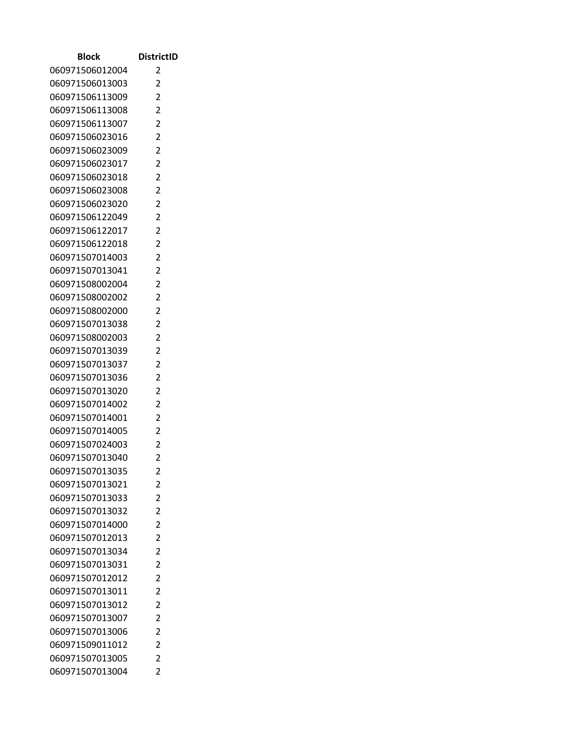| Block                              | <b>DistrictID</b>   |
|------------------------------------|---------------------|
| 060971506012004                    | 2                   |
| 060971506013003                    | 2                   |
| 060971506113009                    | 2                   |
| 060971506113008                    | 2                   |
| 060971506113007                    | 2                   |
| 060971506023016                    | $\overline{2}$      |
| 060971506023009                    | 2                   |
| 060971506023017                    | $\overline{2}$      |
| 060971506023018                    | 2                   |
| 060971506023008                    | $\overline{2}$      |
| 060971506023020                    | $\overline{2}$      |
| 060971506122049                    | 2                   |
| 060971506122017                    | $\overline{2}$      |
| 060971506122018                    | 2                   |
| 060971507014003                    | $\overline{2}$      |
| 060971507013041                    | $\overline{2}$      |
| 060971508002004                    | $\overline{2}$      |
| 060971508002002                    | $\overline{2}$      |
| 060971508002000                    | 2                   |
| 060971507013038                    | $\overline{2}$      |
| 060971508002003                    | 2                   |
| 060971507013039                    | 2                   |
| 060971507013037                    | 2                   |
| 060971507013036<br>060971507013020 | 2<br>$\overline{2}$ |
| 060971507014002                    | 2                   |
| 060971507014001                    | $\overline{2}$      |
| 060971507014005                    | 2                   |
| 060971507024003                    | $\overline{c}$      |
| 060971507013040                    | $\overline{2}$      |
| 060971507013035                    | 2                   |
| 060971507013021                    | $\overline{2}$      |
| 060971507013033                    | $\overline{2}$      |
| 060971507013032                    | $\overline{2}$      |
| 060971507014000                    | $\overline{2}$      |
| 060971507012013                    | $\overline{2}$      |
| 060971507013034                    | $\overline{2}$      |
| 060971507013031                    | $\overline{c}$      |
| 060971507012012                    | $\overline{2}$      |
| 060971507013011                    | $\overline{2}$      |
| 060971507013012                    | $\overline{2}$      |
| 060971507013007                    | $\overline{2}$      |
| 060971507013006                    | $\overline{2}$      |
| 060971509011012                    | $\overline{2}$      |
| 060971507013005                    | $\overline{2}$      |
| 060971507013004                    | $\overline{2}$      |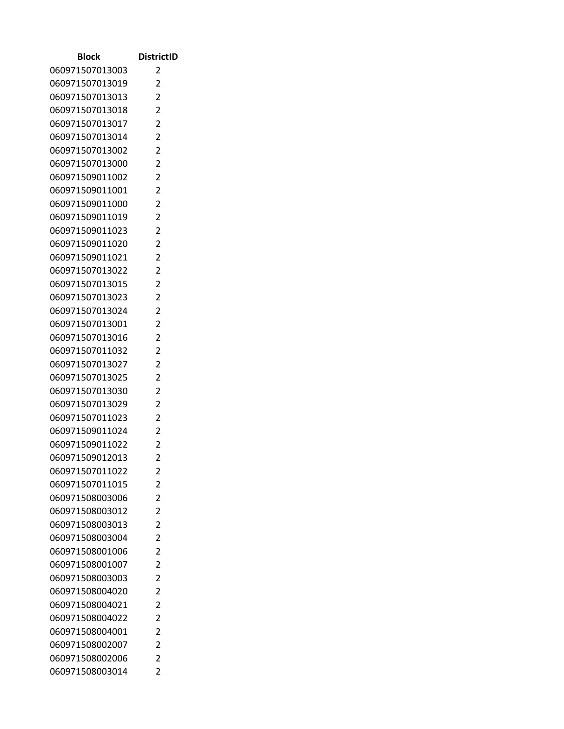| <b>Block</b>                       | <b>DistrictID</b>                |
|------------------------------------|----------------------------------|
| 060971507013003                    | 2                                |
| 060971507013019                    | 2                                |
| 060971507013013                    | $\overline{2}$                   |
| 060971507013018                    | 2                                |
| 060971507013017                    | 2                                |
| 060971507013014                    | $\overline{2}$                   |
| 060971507013002                    | 2                                |
| 060971507013000                    | $\overline{2}$                   |
| 060971509011002                    | 2                                |
| 060971509011001                    | $\overline{2}$                   |
| 060971509011000                    | $\overline{2}$                   |
| 060971509011019                    | $\overline{c}$                   |
| 060971509011023                    | $\overline{2}$                   |
| 060971509011020                    | 2                                |
| 060971509011021                    | $\overline{2}$                   |
| 060971507013022                    | $\overline{2}$                   |
| 060971507013015                    | $\overline{2}$                   |
| 060971507013023                    | 2                                |
| 060971507013024                    | 2                                |
| 060971507013001                    | $\overline{2}$                   |
| 060971507013016                    | $\overline{2}$                   |
| 060971507011032                    | $\overline{2}$                   |
| 060971507013027                    | 2                                |
| 060971507013025<br>060971507013030 | $\overline{2}$<br>$\overline{2}$ |
| 060971507013029                    | 2                                |
| 060971507011023                    | $\overline{2}$                   |
| 060971509011024                    | 2                                |
| 060971509011022                    | $\overline{c}$                   |
| 060971509012013                    | $\overline{2}$                   |
| 060971507011022                    | 2                                |
| 060971507011015                    | $\overline{2}$                   |
| 060971508003006                    | $\overline{2}$                   |
| 060971508003012                    | $\overline{2}$                   |
| 060971508003013                    | $\overline{2}$                   |
| 060971508003004                    | $\overline{2}$                   |
| 060971508001006                    | $\overline{2}$                   |
| 060971508001007                    | 2                                |
| 060971508003003                    | $\overline{2}$                   |
| 060971508004020                    | $\overline{2}$                   |
| 060971508004021                    | $\overline{2}$                   |
| 060971508004022                    | $\overline{2}$                   |
| 060971508004001                    | $\overline{c}$                   |
| 060971508002007                    | $\overline{2}$                   |
| 060971508002006                    | $\overline{2}$                   |
| 060971508003014                    | $\overline{2}$                   |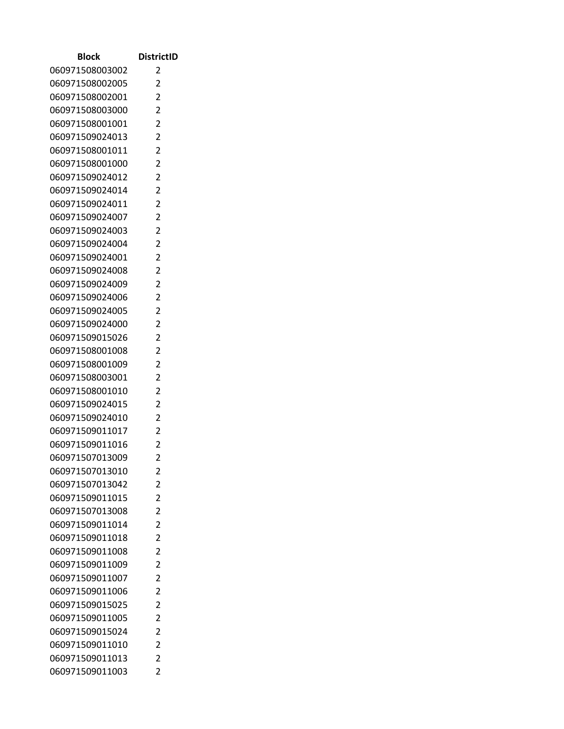| <b>Block</b>                       | <b>DistrictID</b>                |
|------------------------------------|----------------------------------|
| 060971508003002                    | 2                                |
| 060971508002005                    | 2                                |
| 060971508002001                    | $\overline{2}$                   |
| 060971508003000                    | 2                                |
| 060971508001001                    | $\overline{2}$                   |
| 060971509024013                    | $\overline{2}$                   |
| 060971508001011                    | 2                                |
| 060971508001000                    | $\overline{2}$                   |
| 060971509024012                    | 2                                |
| 060971509024014                    | $\overline{2}$                   |
| 060971509024011                    | $\overline{2}$                   |
| 060971509024007                    | 2                                |
| 060971509024003                    | $\overline{2}$                   |
| 060971509024004                    | 2                                |
| 060971509024001                    | $\overline{2}$                   |
| 060971509024008                    | $\overline{2}$                   |
| 060971509024009                    | $\overline{2}$                   |
| 060971509024006                    | $\overline{2}$                   |
| 060971509024005                    | 2                                |
| 060971509024000                    | $\overline{2}$                   |
| 060971509015026                    | $\overline{2}$                   |
| 060971508001008                    | $\overline{2}$                   |
| 060971508001009                    | $\overline{2}$                   |
| 060971508003001                    | $\overline{2}$                   |
| 060971508001010                    | $\overline{2}$                   |
| 060971509024015                    | 2                                |
| 060971509024010                    | $\overline{2}$                   |
| 060971509011017                    | 2                                |
| 060971509011016                    | $\overline{c}$<br>$\overline{2}$ |
| 060971507013009<br>060971507013010 |                                  |
| 060971507013042                    | 2<br>$\overline{2}$              |
| 060971509011015                    | $\overline{2}$                   |
| 060971507013008                    | $\overline{2}$                   |
| 060971509011014                    | $\overline{2}$                   |
| 060971509011018                    | $\overline{2}$                   |
| 060971509011008                    | $\overline{2}$                   |
| 060971509011009                    | $\overline{c}$                   |
| 060971509011007                    | $\overline{2}$                   |
| 060971509011006                    | $\overline{2}$                   |
| 060971509015025                    | $\overline{2}$                   |
| 060971509011005                    | $\overline{2}$                   |
| 060971509015024                    | $\overline{c}$                   |
| 060971509011010                    | $\overline{2}$                   |
| 060971509011013                    | $\overline{2}$                   |
| 060971509011003                    | $\overline{2}$                   |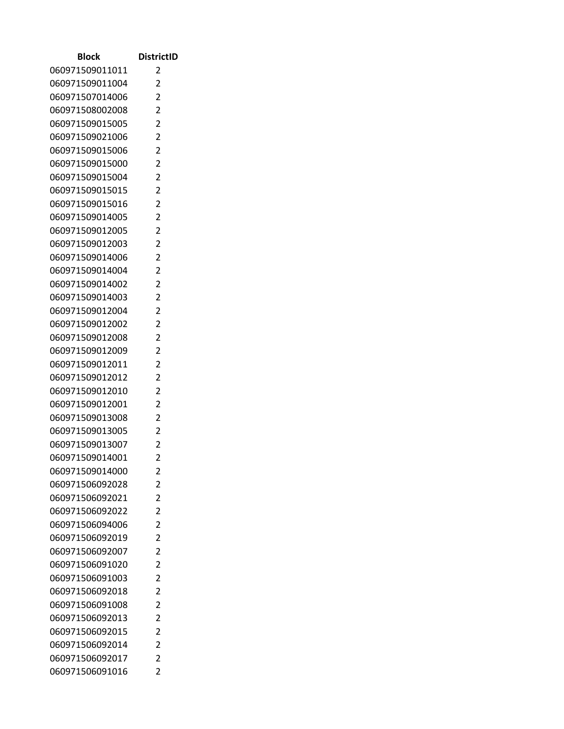| <b>Block</b>                       | <b>DistrictID</b>                |
|------------------------------------|----------------------------------|
| 060971509011011                    | 2                                |
| 060971509011004                    | 2                                |
| 060971507014006                    | $\overline{2}$                   |
| 060971508002008                    | 2                                |
| 060971509015005                    | $\overline{2}$                   |
| 060971509021006                    | $\overline{2}$                   |
| 060971509015006                    | 2                                |
| 060971509015000                    | $\overline{2}$                   |
| 060971509015004                    | 2                                |
| 060971509015015                    | $\overline{2}$                   |
| 060971509015016                    | $\overline{2}$                   |
| 060971509014005                    | 2                                |
| 060971509012005                    | $\overline{2}$                   |
| 060971509012003                    | 2                                |
| 060971509014006                    | $\overline{2}$                   |
| 060971509014004                    | $\overline{2}$                   |
| 060971509014002                    | $\overline{2}$                   |
| 060971509014003                    | $\overline{2}$                   |
| 060971509012004                    | 2                                |
| 060971509012002                    | $\overline{2}$                   |
| 060971509012008                    | $\overline{2}$                   |
| 060971509012009                    | $\overline{2}$                   |
| 060971509012011                    | $\overline{2}$                   |
| 060971509012012                    | $\overline{2}$                   |
| 060971509012010                    | $\overline{2}$                   |
| 060971509012001                    | 2                                |
| 060971509013008                    | $\overline{2}$                   |
| 060971509013005                    | 2                                |
| 060971509013007                    | $\overline{c}$                   |
| 060971509014001                    | $\overline{2}$                   |
| 060971509014000                    | 2                                |
| 060971506092028                    | $\overline{2}$                   |
| 060971506092021                    | $\overline{2}$                   |
| 060971506092022                    | $\overline{2}$                   |
| 060971506094006                    | $\overline{2}$<br>$\overline{2}$ |
| 060971506092019                    | $\overline{2}$                   |
| 060971506092007                    | $\overline{c}$                   |
| 060971506091020<br>060971506091003 | $\overline{2}$                   |
| 060971506092018                    | $\overline{2}$                   |
| 060971506091008                    | $\overline{2}$                   |
| 060971506092013                    | $\overline{2}$                   |
| 060971506092015                    | $\overline{c}$                   |
| 060971506092014                    | $\overline{2}$                   |
| 060971506092017                    | 2                                |
| 060971506091016                    | $\overline{2}$                   |
|                                    |                                  |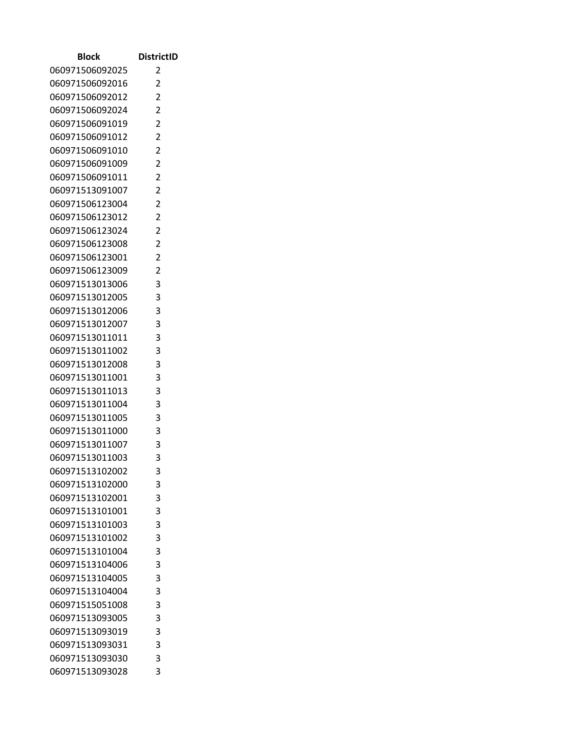| <b>Block</b>                       | <b>DistrictID</b> |
|------------------------------------|-------------------|
| 060971506092025                    | 2                 |
| 060971506092016                    | 2                 |
| 060971506092012                    | $\overline{2}$    |
| 060971506092024                    | 2                 |
| 060971506091019                    | $\overline{2}$    |
| 060971506091012                    | $\overline{2}$    |
| 060971506091010                    | 2                 |
| 060971506091009                    | $\overline{2}$    |
| 060971506091011                    | 2                 |
| 060971513091007                    | $\overline{2}$    |
| 060971506123004                    | $\overline{2}$    |
| 060971506123012                    | $\overline{c}$    |
| 060971506123024                    | $\overline{2}$    |
| 060971506123008                    | 2                 |
| 060971506123001                    | $\overline{2}$    |
| 060971506123009                    | $\overline{2}$    |
| 060971513013006                    | 3                 |
| 060971513012005                    | 3                 |
| 060971513012006                    | 3                 |
| 060971513012007                    | 3                 |
| 060971513011011                    | 3                 |
| 060971513011002                    | 3                 |
| 060971513012008                    | 3                 |
| 060971513011001<br>060971513011013 | 3<br>3            |
| 060971513011004                    | 3                 |
| 060971513011005                    | 3                 |
| 060971513011000                    | 3                 |
| 060971513011007                    | 3                 |
| 060971513011003                    | 3                 |
| 060971513102002                    | 3                 |
| 060971513102000                    | 3                 |
| 060971513102001                    | 3                 |
| 060971513101001                    | 3                 |
| 060971513101003                    | 3                 |
| 060971513101002                    | 3                 |
| 060971513101004                    | 3                 |
| 060971513104006                    | 3                 |
| 060971513104005                    | 3                 |
| 060971513104004                    | 3                 |
| 060971515051008                    | 3                 |
| 060971513093005                    | 3                 |
| 060971513093019                    | 3                 |
| 060971513093031                    | 3                 |
| 060971513093030                    | 3                 |
| 060971513093028                    | 3                 |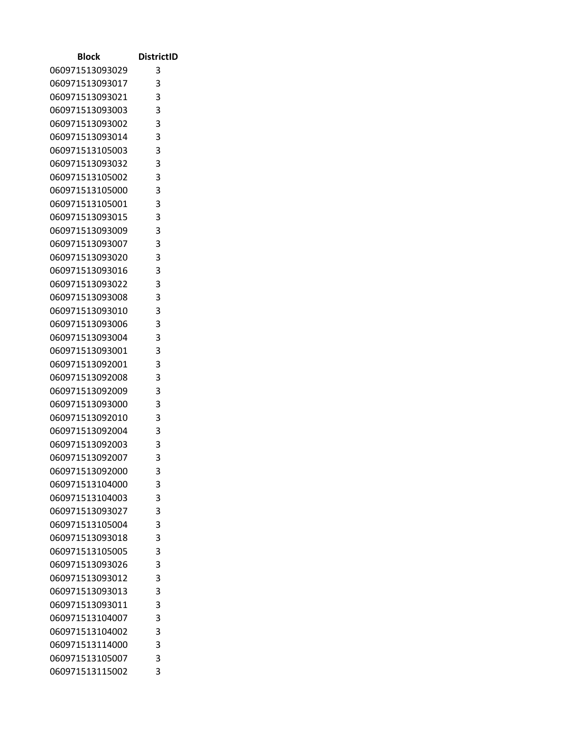| Block           | <b>DistrictID</b>          |
|-----------------|----------------------------|
| 060971513093029 | 3                          |
| 060971513093017 | 3                          |
| 060971513093021 | 3                          |
| 060971513093003 | 3                          |
| 060971513093002 | 3                          |
| 060971513093014 | 3                          |
| 060971513105003 | 3                          |
| 060971513093032 | 3                          |
| 060971513105002 | 3                          |
| 060971513105000 | $\overline{\phantom{a}}$ 3 |
| 060971513105001 | 3                          |
| 060971513093015 | 3                          |
| 060971513093009 | 3                          |
| 060971513093007 | 3                          |
| 060971513093020 | $\overline{\phantom{a}}$ 3 |
| 060971513093016 | 3                          |
| 060971513093022 | 3                          |
| 060971513093008 | 3                          |
| 060971513093010 | 3                          |
| 060971513093006 | 3                          |
| 060971513093004 | 3                          |
| 060971513093001 | 3                          |
| 060971513092001 | 3                          |
| 060971513092008 | 3                          |
| 060971513092009 | 3                          |
| 060971513093000 | 3                          |
| 060971513092010 | 3                          |
| 060971513092004 | 3                          |
| 060971513092003 | 3                          |
| 060971513092007 | 3                          |
| 060971513092000 | 3                          |
| 060971513104000 | 3                          |
| 060971513104003 | 3                          |
| 060971513093027 | 3                          |
| 060971513105004 | 3                          |
| 060971513093018 | 3                          |
| 060971513105005 | 3                          |
| 060971513093026 | 3                          |
| 060971513093012 | 3                          |
| 060971513093013 | 3                          |
| 060971513093011 | 3                          |
| 060971513104007 | 3                          |
| 060971513104002 | 3                          |
| 060971513114000 | 3                          |
| 060971513105007 | 3                          |
| 060971513115002 | 3                          |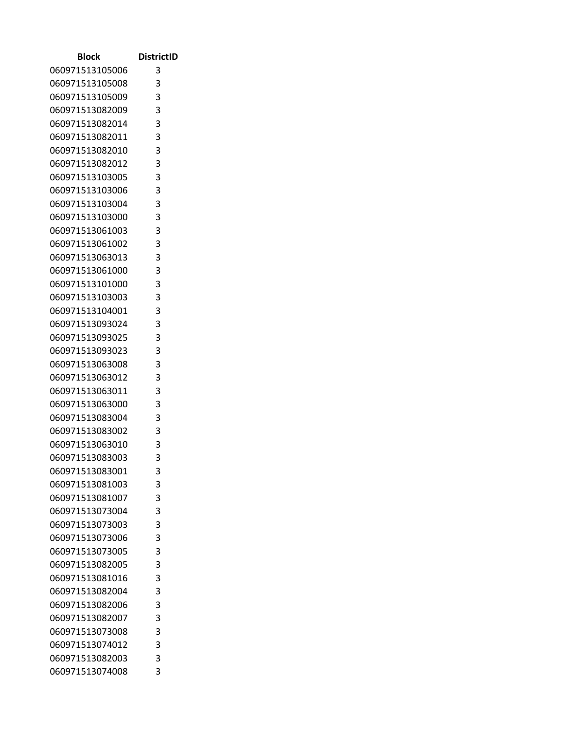| Block                              | <b>DistrictID</b>          |
|------------------------------------|----------------------------|
| 060971513105006                    | 3                          |
| 060971513105008                    | 3                          |
| 060971513105009                    | 3                          |
| 060971513082009                    | 3                          |
| 060971513082014                    | $\overline{\phantom{a}}$ 3 |
| 060971513082011                    | 3                          |
| 060971513082010                    | 3                          |
| 060971513082012                    | 3                          |
| 060971513103005                    | 3                          |
| 060971513103006                    | $\overline{\phantom{a}}$ 3 |
| 060971513103004                    | 3                          |
| 060971513103000                    | 3                          |
| 060971513061003                    | 3                          |
| 060971513061002                    | 3                          |
| 060971513063013                    | 3                          |
| 060971513061000                    | 3                          |
| 060971513101000                    | 3                          |
| 060971513103003                    | 3                          |
| 060971513104001                    | 3                          |
| 060971513093024                    | 3                          |
| 060971513093025                    | 3                          |
| 060971513093023                    | 3                          |
| 060971513063008                    | 3                          |
| 060971513063012                    | 3<br>3                     |
| 060971513063011<br>060971513063000 | 3                          |
| 060971513083004                    | 3                          |
| 060971513083002                    | 3                          |
| 060971513063010                    | 3                          |
| 060971513083003                    | 3                          |
| 060971513083001                    | 3                          |
| 060971513081003                    | 3                          |
| 060971513081007                    | 3                          |
| 060971513073004                    | 3                          |
| 060971513073003                    | 3                          |
| 060971513073006                    | 3                          |
| 060971513073005                    | 3                          |
| 060971513082005                    | 3                          |
| 060971513081016                    | 3                          |
| 060971513082004                    | 3                          |
| 060971513082006                    | 3                          |
| 060971513082007                    | 3                          |
| 060971513073008                    | 3                          |
| 060971513074012                    | 3                          |
| 060971513082003                    | 3                          |
| 060971513074008                    | 3                          |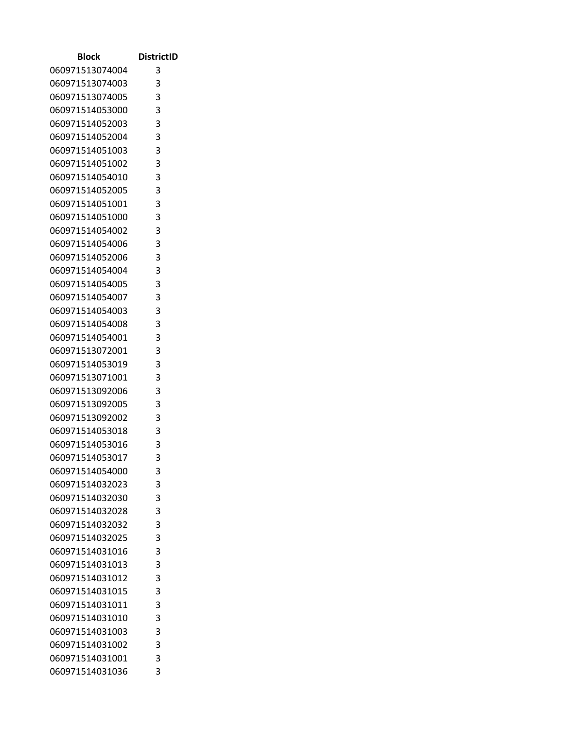| Block           | <b>DistrictID</b>          |
|-----------------|----------------------------|
| 060971513074004 | 3                          |
| 060971513074003 | 3                          |
| 060971513074005 | 3                          |
| 060971514053000 | 3                          |
| 060971514052003 | 3                          |
| 060971514052004 | 3                          |
| 060971514051003 | 3                          |
| 060971514051002 | 3                          |
| 060971514054010 | 3                          |
| 060971514052005 | $\overline{\phantom{a}}$ 3 |
| 060971514051001 | 3                          |
| 060971514051000 | 3                          |
| 060971514054002 | 3                          |
| 060971514054006 | 3                          |
| 060971514052006 | 3                          |
| 060971514054004 | 3                          |
| 060971514054005 | 3                          |
| 060971514054007 | 3                          |
| 060971514054003 | 3                          |
| 060971514054008 | 3                          |
| 060971514054001 | 3                          |
| 060971513072001 | 3                          |
| 060971514053019 | 3                          |
| 060971513071001 | 3                          |
| 060971513092006 | 3                          |
| 060971513092005 | 3                          |
| 060971513092002 | 3                          |
| 060971514053018 | 3                          |
| 060971514053016 | 3                          |
| 060971514053017 | 3                          |
| 060971514054000 | 3                          |
| 060971514032023 | 3                          |
| 060971514032030 | 3                          |
| 060971514032028 | 3                          |
| 060971514032032 | 3                          |
| 060971514032025 | 3                          |
| 060971514031016 | 3                          |
| 060971514031013 | 3                          |
| 060971514031012 | 3                          |
| 060971514031015 | 3                          |
| 060971514031011 | 3                          |
| 060971514031010 | 3                          |
| 060971514031003 | 3                          |
| 060971514031002 | 3                          |
| 060971514031001 | 3<br>3                     |
| 060971514031036 |                            |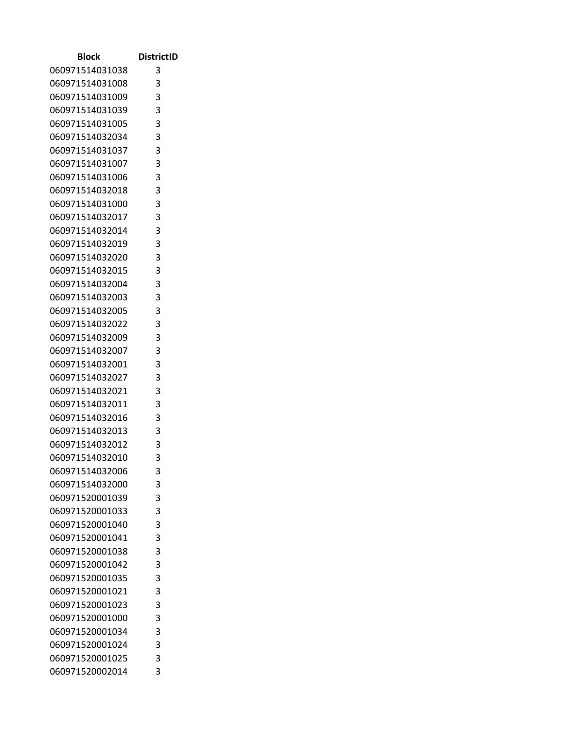| Block           | <b>DistrictID</b> |
|-----------------|-------------------|
| 060971514031038 | 3                 |
| 060971514031008 | 3                 |
| 060971514031009 | 3                 |
| 060971514031039 | 3                 |
| 060971514031005 | 3                 |
| 060971514032034 | 3                 |
| 060971514031037 | 3                 |
| 060971514031007 | 3                 |
| 060971514031006 | 3                 |
| 060971514032018 | 3                 |
| 060971514031000 | 3                 |
| 060971514032017 | 3                 |
| 060971514032014 | 3                 |
| 060971514032019 | 3                 |
| 060971514032020 | 3                 |
| 060971514032015 | 3                 |
| 060971514032004 | 3                 |
| 060971514032003 | 3                 |
| 060971514032005 | 3                 |
| 060971514032022 | 3                 |
| 060971514032009 | 3                 |
| 060971514032007 | 3                 |
| 060971514032001 | 3                 |
| 060971514032027 | 3                 |
| 060971514032021 | 3                 |
| 060971514032011 | 3                 |
| 060971514032016 | 3                 |
| 060971514032013 | 3                 |
| 060971514032012 | 3                 |
| 060971514032010 | 3                 |
| 060971514032006 | 3                 |
| 060971514032000 | 3                 |
| 060971520001039 | 3                 |
| 060971520001033 | 3                 |
| 060971520001040 | 3                 |
| 060971520001041 | 3                 |
| 060971520001038 | 3                 |
| 060971520001042 | 3                 |
| 060971520001035 | 3                 |
| 060971520001021 | 3                 |
| 060971520001023 | 3                 |
| 060971520001000 | 3                 |
| 060971520001034 | 3                 |
| 060971520001024 | 3                 |
| 060971520001025 | 3                 |
| 060971520002014 | 3                 |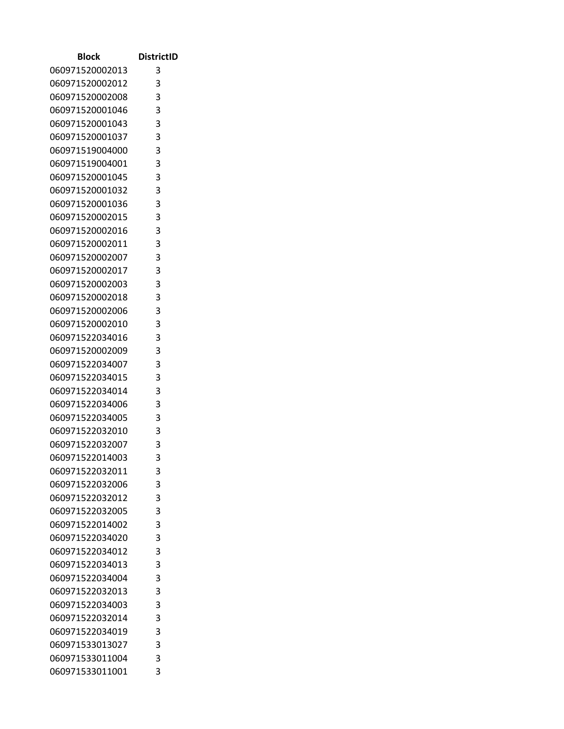| Block           | <b>DistrictID</b> |
|-----------------|-------------------|
| 060971520002013 | 3                 |
| 060971520002012 | 3                 |
| 060971520002008 | 3                 |
| 060971520001046 | 3                 |
| 060971520001043 | 3                 |
| 060971520001037 | 3                 |
| 060971519004000 | 3                 |
| 060971519004001 | 3                 |
| 060971520001045 | 3                 |
| 060971520001032 | 3                 |
| 060971520001036 | 3                 |
| 060971520002015 | 3                 |
| 060971520002016 | 3                 |
| 060971520002011 | 3                 |
| 060971520002007 | 3                 |
| 060971520002017 | 3                 |
| 060971520002003 | 3                 |
| 060971520002018 | 3                 |
| 060971520002006 | 3                 |
| 060971520002010 | 3                 |
| 060971522034016 | 3                 |
| 060971520002009 | 3                 |
| 060971522034007 | 3                 |
| 060971522034015 | 3                 |
| 060971522034014 | 3                 |
| 060971522034006 | 3                 |
| 060971522034005 | 3                 |
| 060971522032010 | 3                 |
| 060971522032007 | 3                 |
| 060971522014003 | 3                 |
| 060971522032011 | 3                 |
| 060971522032006 | 3                 |
| 060971522032012 | 3                 |
| 060971522032005 | 3                 |
| 060971522014002 | 3                 |
| 060971522034020 | 3                 |
| 060971522034012 | 3                 |
| 060971522034013 | 3                 |
| 060971522034004 | 3                 |
| 060971522032013 | 3                 |
| 060971522034003 | 3                 |
| 060971522032014 | 3                 |
| 060971522034019 | 3                 |
| 060971533013027 | 3                 |
| 060971533011004 | 3<br>3            |
| 060971533011001 |                   |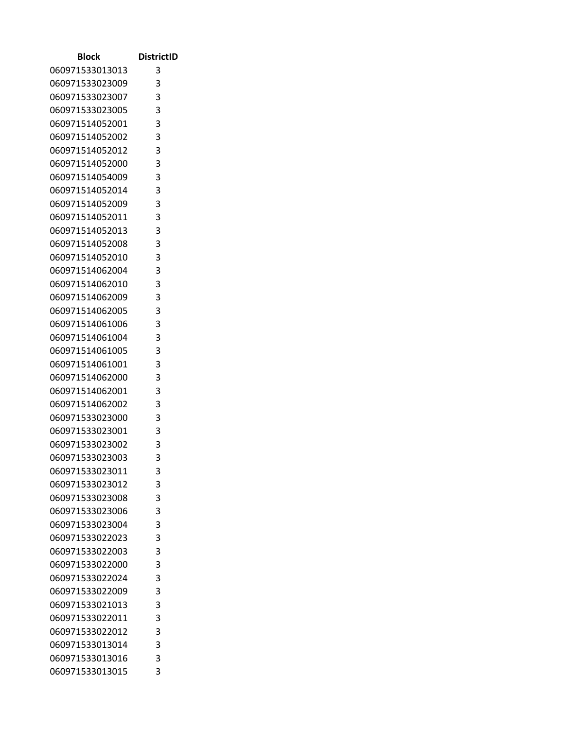| Block           | <b>DistrictID</b> |
|-----------------|-------------------|
| 060971533013013 | 3                 |
| 060971533023009 | 3                 |
| 060971533023007 | 3                 |
| 060971533023005 | 3                 |
| 060971514052001 | 3                 |
| 060971514052002 | 3                 |
| 060971514052012 | 3                 |
| 060971514052000 | 3                 |
| 060971514054009 | 3                 |
| 060971514052014 | 3                 |
| 060971514052009 | 3                 |
| 060971514052011 | 3                 |
| 060971514052013 | 3                 |
| 060971514052008 | 3                 |
| 060971514052010 | 3                 |
| 060971514062004 | 3                 |
| 060971514062010 | 3                 |
| 060971514062009 | 3                 |
| 060971514062005 | 3                 |
| 060971514061006 | 3                 |
| 060971514061004 | 3                 |
| 060971514061005 | 3                 |
| 060971514061001 | 3                 |
| 060971514062000 | 3                 |
| 060971514062001 | 3                 |
| 060971514062002 | 3                 |
| 060971533023000 | 3                 |
| 060971533023001 | 3                 |
| 060971533023002 | 3                 |
| 060971533023003 | 3                 |
| 060971533023011 | 3                 |
| 060971533023012 | 3                 |
| 060971533023008 | 3                 |
| 060971533023006 | 3                 |
| 060971533023004 | 3                 |
| 060971533022023 | 3                 |
| 060971533022003 | 3                 |
| 060971533022000 | 3                 |
| 060971533022024 | 3                 |
| 060971533022009 | 3                 |
| 060971533021013 | 3                 |
| 060971533022011 | 3                 |
| 060971533022012 | 3                 |
| 060971533013014 | 3                 |
| 060971533013016 | 3<br>3            |
| 060971533013015 |                   |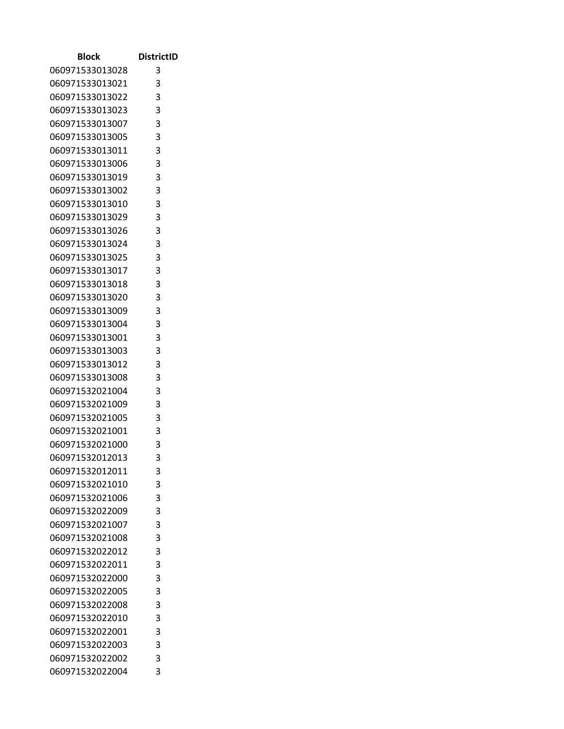| Block                              | <b>DistrictID</b>          |
|------------------------------------|----------------------------|
| 060971533013028                    | 3                          |
| 060971533013021                    | 3                          |
| 060971533013022                    | 3                          |
| 060971533013023                    | 3                          |
| 060971533013007                    | 3                          |
| 060971533013005                    | 3                          |
| 060971533013011                    | 3                          |
| 060971533013006                    | 3                          |
| 060971533013019                    | 3                          |
| 060971533013002                    | $\overline{\phantom{a}}$ 3 |
| 060971533013010                    | 3                          |
| 060971533013029                    | 3                          |
| 060971533013026                    | 3                          |
| 060971533013024                    | 3                          |
| 060971533013025                    | 3                          |
| 060971533013017                    | 3                          |
| 060971533013018                    | 3                          |
| 060971533013020                    | 3                          |
| 060971533013009                    | 3                          |
| 060971533013004                    | 3                          |
| 060971533013001                    | 3                          |
| 060971533013003                    | 3                          |
| 060971533013012                    | 3                          |
| 060971533013008                    | 3<br>3                     |
| 060971532021004<br>060971532021009 | 3                          |
| 060971532021005                    | 3                          |
| 060971532021001                    | 3                          |
| 060971532021000                    | 3                          |
| 060971532012013                    | 3                          |
| 060971532012011                    | 3                          |
| 060971532021010                    | 3                          |
| 060971532021006                    | 3                          |
| 060971532022009                    | 3                          |
| 060971532021007                    | 3                          |
| 060971532021008                    | 3                          |
| 060971532022012                    | 3                          |
| 060971532022011                    | 3                          |
| 060971532022000                    | 3                          |
| 060971532022005                    | 3                          |
| 060971532022008                    | 3                          |
| 060971532022010                    | 3                          |
| 060971532022001                    | 3                          |
| 060971532022003                    | 3                          |
| 060971532022002                    | 3                          |
| 060971532022004                    | 3                          |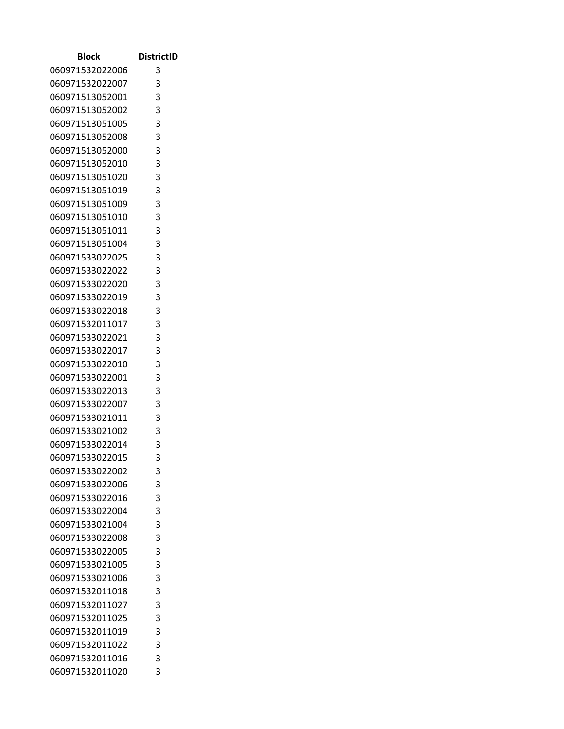| Block           | <b>DistrictID</b>          |
|-----------------|----------------------------|
| 060971532022006 | 3                          |
| 060971532022007 | 3                          |
| 060971513052001 | 3                          |
| 060971513052002 | 3                          |
| 060971513051005 | 3                          |
| 060971513052008 | 3                          |
| 060971513052000 | 3                          |
| 060971513052010 | 3                          |
| 060971513051020 | 3                          |
| 060971513051019 | $\overline{\phantom{a}}$ 3 |
| 060971513051009 | 3                          |
| 060971513051010 | 3                          |
| 060971513051011 | 3                          |
| 060971513051004 | 3                          |
| 060971533022025 | 3                          |
| 060971533022022 | 3                          |
| 060971533022020 | 3                          |
| 060971533022019 | 3                          |
| 060971533022018 | 3                          |
| 060971532011017 | 3                          |
| 060971533022021 | 3                          |
| 060971533022017 | 3                          |
| 060971533022010 | 3                          |
| 060971533022001 | 3                          |
| 060971533022013 | 3                          |
| 060971533022007 | 3                          |
| 060971533021011 | 3                          |
| 060971533021002 | 3                          |
| 060971533022014 | 3                          |
| 060971533022015 | 3                          |
| 060971533022002 | 3                          |
| 060971533022006 | 3                          |
| 060971533022016 | 3                          |
| 060971533022004 | 3                          |
| 060971533021004 | 3                          |
| 060971533022008 | 3                          |
| 060971533022005 | 3                          |
| 060971533021005 | 3                          |
| 060971533021006 | 3                          |
| 060971532011018 | 3                          |
| 060971532011027 | 3                          |
| 060971532011025 | 3                          |
| 060971532011019 | 3                          |
| 060971532011022 | 3                          |
| 060971532011016 | 3<br>3                     |
| 060971532011020 |                            |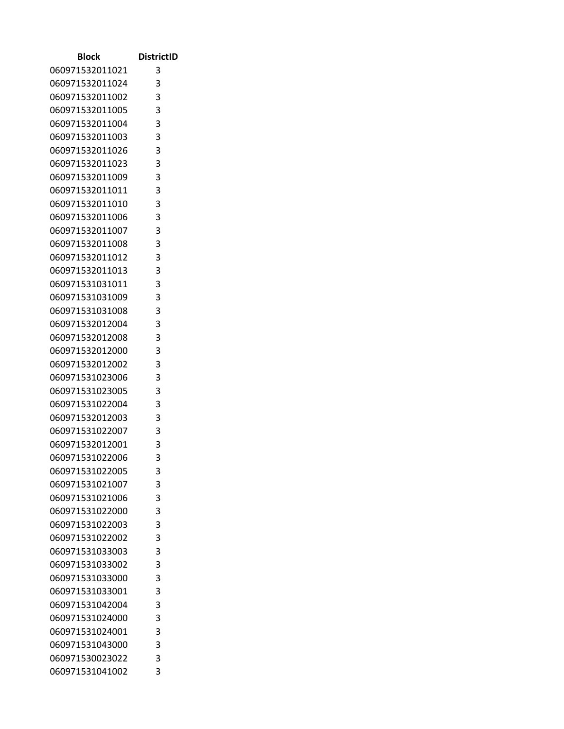| Block                              | <b>DistrictID</b> |
|------------------------------------|-------------------|
| 060971532011021                    | 3                 |
| 060971532011024                    | 3                 |
| 060971532011002                    | 3                 |
| 060971532011005                    | 3                 |
| 060971532011004                    | 3                 |
| 060971532011003                    | 3                 |
| 060971532011026                    | 3                 |
| 060971532011023                    | 3                 |
| 060971532011009                    | 3                 |
| 060971532011011                    | 3                 |
| 060971532011010                    | 3                 |
| 060971532011006                    | 3                 |
| 060971532011007                    | 3                 |
| 060971532011008                    | 3                 |
| 060971532011012                    | 3                 |
| 060971532011013                    | 3                 |
| 060971531031011                    | 3                 |
| 060971531031009                    | 3                 |
| 060971531031008                    | 3                 |
| 060971532012004                    | 3                 |
| 060971532012008                    | 3                 |
| 060971532012000                    | 3                 |
| 060971532012002                    | 3                 |
| 060971531023006                    | 3                 |
| 060971531023005                    | 3                 |
| 060971531022004                    | 3                 |
| 060971532012003                    | 3                 |
| 060971531022007<br>060971532012001 | 3<br>3            |
| 060971531022006                    | 3                 |
| 060971531022005                    | 3                 |
| 060971531021007                    | 3                 |
| 060971531021006                    | 3                 |
| 060971531022000                    | 3                 |
| 060971531022003                    | 3                 |
| 060971531022002                    | 3                 |
| 060971531033003                    | 3                 |
| 060971531033002                    | 3                 |
| 060971531033000                    | 3                 |
| 060971531033001                    | 3                 |
| 060971531042004                    | 3                 |
| 060971531024000                    | 3                 |
| 060971531024001                    | 3                 |
| 060971531043000                    | 3                 |
| 060971530023022                    | 3                 |
| 060971531041002                    | 3                 |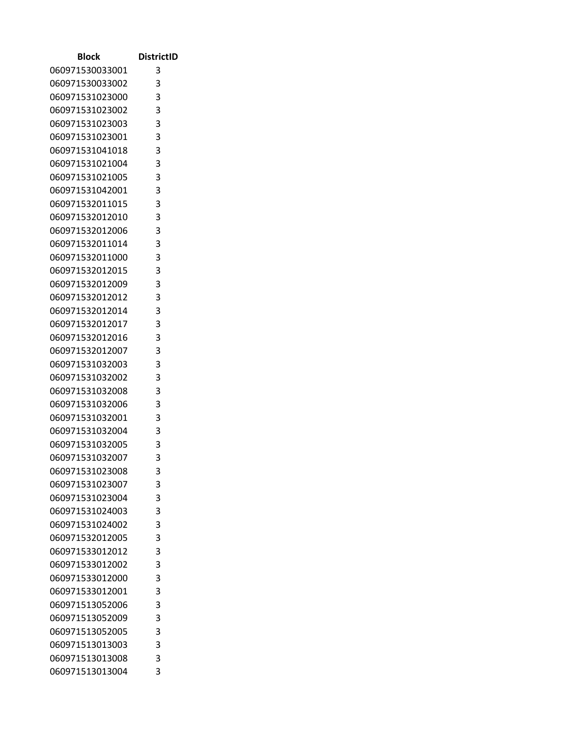| Block                              | <b>DistrictID</b>          |
|------------------------------------|----------------------------|
| 060971530033001                    | 3                          |
| 060971530033002                    | 3                          |
| 060971531023000                    | 3                          |
| 060971531023002                    | 3                          |
| 060971531023003                    | 3                          |
| 060971531023001                    | 3                          |
| 060971531041018                    | 3                          |
| 060971531021004                    | 3                          |
| 060971531021005                    | 3                          |
| 060971531042001                    | $\overline{\phantom{a}}$ 3 |
| 060971532011015                    | 3                          |
| 060971532012010                    | 3                          |
| 060971532012006                    | 3                          |
| 060971532011014                    | 3                          |
| 060971532011000                    | 3                          |
| 060971532012015                    | 3                          |
| 060971532012009                    | 3                          |
| 060971532012012                    | 3                          |
| 060971532012014                    | 3                          |
| 060971532012017                    | 3                          |
| 060971532012016                    | 3                          |
| 060971532012007                    | 3                          |
| 060971531032003                    | 3                          |
| 060971531032002                    | 3<br>3                     |
| 060971531032008<br>060971531032006 | 3                          |
| 060971531032001                    | 3                          |
| 060971531032004                    | 3                          |
| 060971531032005                    | 3                          |
| 060971531032007                    | 3                          |
| 060971531023008                    | 3                          |
| 060971531023007                    | 3                          |
| 060971531023004                    | 3                          |
| 060971531024003                    | 3                          |
| 060971531024002                    | 3                          |
| 060971532012005                    | 3                          |
| 060971533012012                    | 3                          |
| 060971533012002                    | 3                          |
| 060971533012000                    | 3                          |
| 060971533012001                    | 3                          |
| 060971513052006                    | 3                          |
| 060971513052009                    | 3                          |
| 060971513052005                    | 3                          |
| 060971513013003                    | 3                          |
| 060971513013008                    | 3                          |
| 060971513013004                    | 3                          |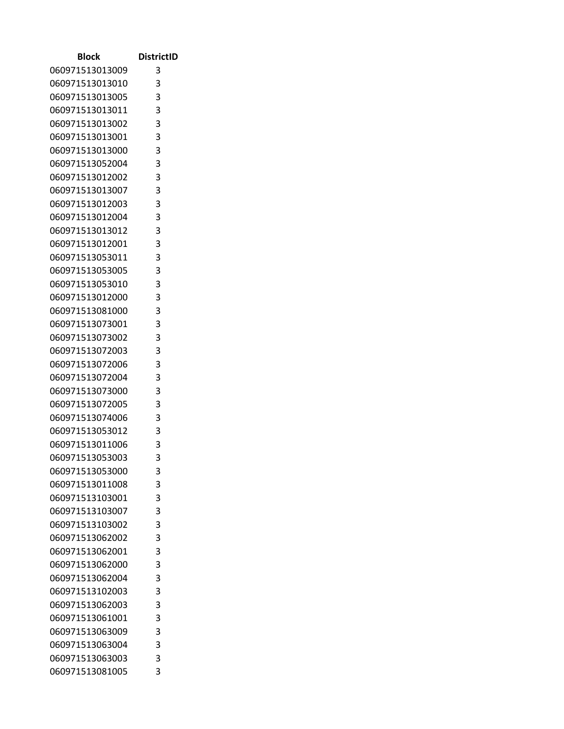| Block                              | <b>DistrictID</b>          |
|------------------------------------|----------------------------|
| 060971513013009                    | 3                          |
| 060971513013010                    | 3                          |
| 060971513013005                    | 3                          |
| 060971513013011                    | 3                          |
| 060971513013002                    | 3                          |
| 060971513013001                    | 3                          |
| 060971513013000                    | 3                          |
| 060971513052004                    | 3                          |
| 060971513012002                    | 3                          |
| 060971513013007                    | $\overline{\phantom{a}}$ 3 |
| 060971513012003                    | 3                          |
| 060971513012004                    | 3                          |
| 060971513013012                    | 3                          |
| 060971513012001                    | 3                          |
| 060971513053011                    | 3                          |
| 060971513053005                    | 3                          |
| 060971513053010                    | 3                          |
| 060971513012000                    | 3                          |
| 060971513081000                    | 3                          |
| 060971513073001                    | 3                          |
| 060971513073002                    | 3                          |
| 060971513072003                    | 3                          |
| 060971513072006                    | 3                          |
| 060971513072004                    | 3                          |
| 060971513073000                    | 3                          |
| 060971513072005                    | 3                          |
| 060971513074006                    | 3                          |
| 060971513053012                    | 3                          |
| 060971513011006                    | 3                          |
| 060971513053003                    | 3                          |
| 060971513053000                    | 3                          |
| 060971513011008                    | 3                          |
| 060971513103001                    | 3                          |
| 060971513103007                    | 3                          |
| 060971513103002                    | 3                          |
| 060971513062002                    | 3                          |
| 060971513062001                    | 3                          |
| 060971513062000                    | 3<br>3                     |
| 060971513062004                    | 3                          |
| 060971513102003                    | 3                          |
| 060971513062003                    | 3                          |
| 060971513061001<br>060971513063009 | 3                          |
| 060971513063004                    | 3                          |
| 060971513063003                    | 3                          |
| 060971513081005                    | 3                          |
|                                    |                            |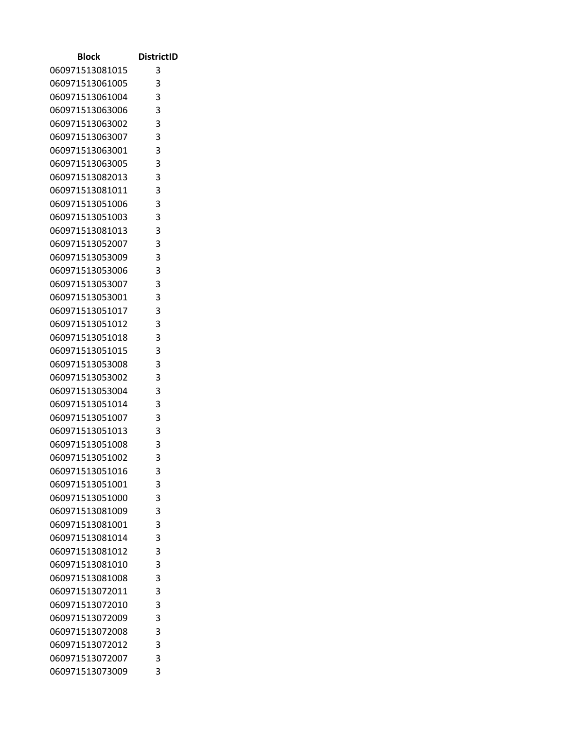| Block                              | <b>DistrictID</b>          |
|------------------------------------|----------------------------|
| 060971513081015                    | 3                          |
| 060971513061005                    | 3                          |
| 060971513061004                    | 3                          |
| 060971513063006                    | 3                          |
| 060971513063002                    | 3                          |
| 060971513063007                    | 3                          |
| 060971513063001                    | 3                          |
| 060971513063005                    | 3                          |
| 060971513082013                    | 3                          |
| 060971513081011                    | $\overline{\phantom{a}}$ 3 |
| 060971513051006                    | 3                          |
| 060971513051003                    | 3                          |
| 060971513081013                    | 3                          |
| 060971513052007                    | 3                          |
| 060971513053009                    | $\overline{\phantom{a}}$ 3 |
| 060971513053006                    | 3                          |
| 060971513053007                    | 3                          |
| 060971513053001                    | 3                          |
| 060971513051017                    | 3                          |
| 060971513051012                    | 3                          |
| 060971513051018                    | 3<br>3                     |
| 060971513051015<br>060971513053008 | 3                          |
| 060971513053002                    | 3                          |
| 060971513053004                    | 3                          |
| 060971513051014                    | 3                          |
| 060971513051007                    | 3                          |
| 060971513051013                    | 3                          |
| 060971513051008                    | 3                          |
| 060971513051002                    | 3                          |
| 060971513051016                    | 3                          |
| 060971513051001                    | 3                          |
| 060971513051000                    | 3                          |
| 060971513081009                    | 3                          |
| 060971513081001                    | 3                          |
| 060971513081014                    | 3                          |
| 060971513081012                    | 3                          |
| 060971513081010                    | 3                          |
| 060971513081008                    | 3                          |
| 060971513072011                    | 3                          |
| 060971513072010                    | 3                          |
| 060971513072009                    | 3                          |
| 060971513072008                    | 3                          |
| 060971513072012                    | 3                          |
| 060971513072007                    | 3                          |
| 060971513073009                    | 3                          |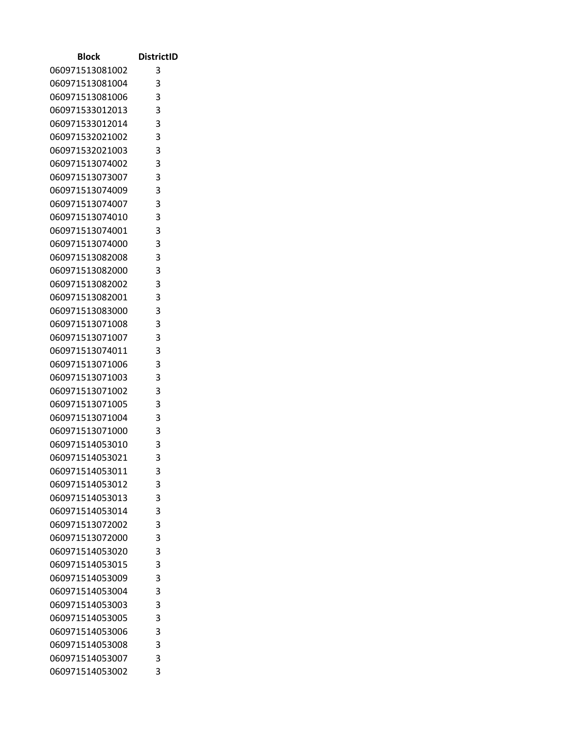| Block                              | <b>DistrictID</b>          |
|------------------------------------|----------------------------|
| 060971513081002                    | 3                          |
| 060971513081004                    | 3                          |
| 060971513081006                    | 3                          |
| 060971533012013                    | 3                          |
| 060971533012014                    | 3                          |
| 060971532021002                    | 3                          |
| 060971532021003                    | 3                          |
| 060971513074002                    | 3                          |
| 060971513073007                    | 3                          |
| 060971513074009                    | $\overline{\phantom{a}}$ 3 |
| 060971513074007                    | 3                          |
| 060971513074010                    | 3                          |
| 060971513074001                    | 3                          |
| 060971513074000                    | 3                          |
| 060971513082008                    | 3                          |
| 060971513082000                    | 3                          |
| 060971513082002                    | 3                          |
| 060971513082001                    | 3                          |
| 060971513083000                    | 3                          |
| 060971513071008                    | 3                          |
| 060971513071007                    | 3                          |
| 060971513074011                    | 3                          |
| 060971513071006                    | 3                          |
| 060971513071003                    | 3                          |
| 060971513071002                    | 3                          |
| 060971513071005                    | 3                          |
| 060971513071004                    | 3                          |
| 060971513071000<br>060971514053010 | 3<br>3                     |
| 060971514053021                    | 3                          |
| 060971514053011                    | 3                          |
| 060971514053012                    | 3                          |
| 060971514053013                    | 3                          |
| 060971514053014                    | 3                          |
| 060971513072002                    | 3                          |
| 060971513072000                    | 3                          |
| 060971514053020                    | 3                          |
| 060971514053015                    | 3                          |
| 060971514053009                    | 3                          |
| 060971514053004                    | 3                          |
| 060971514053003                    | 3                          |
| 060971514053005                    | 3                          |
| 060971514053006                    | 3                          |
| 060971514053008                    | 3                          |
| 060971514053007                    | 3                          |
| 060971514053002                    | 3                          |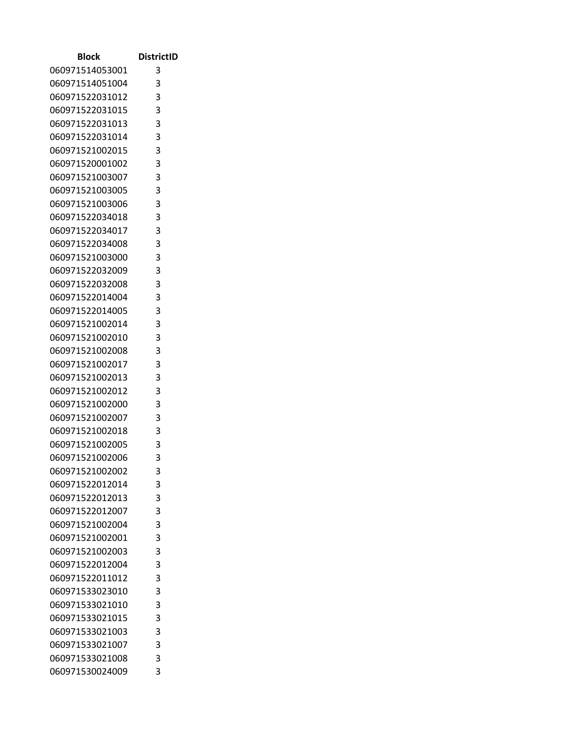| Block                              | <b>DistrictID</b> |
|------------------------------------|-------------------|
| 060971514053001                    | 3                 |
| 060971514051004                    | 3                 |
| 060971522031012                    | 3                 |
| 060971522031015                    | 3                 |
| 060971522031013                    | 3                 |
| 060971522031014                    | 3                 |
| 060971521002015                    | 3                 |
| 060971520001002                    | 3                 |
| 060971521003007                    | 3                 |
| 060971521003005                    | 3                 |
| 060971521003006                    | 3                 |
| 060971522034018                    | 3                 |
| 060971522034017                    | 3                 |
| 060971522034008                    | 3                 |
| 060971521003000                    | 3                 |
| 060971522032009                    | 3                 |
| 060971522032008                    | 3                 |
| 060971522014004                    | 3                 |
| 060971522014005                    | 3                 |
| 060971521002014                    | 3                 |
| 060971521002010                    | 3                 |
| 060971521002008                    | 3                 |
| 060971521002017                    | 3                 |
| 060971521002013                    | 3                 |
| 060971521002012                    | 3                 |
| 060971521002000                    | 3                 |
| 060971521002007                    | 3                 |
| 060971521002018                    | 3                 |
| 060971521002005                    | 3                 |
| 060971521002006                    | 3                 |
| 060971521002002                    | 3                 |
| 060971522012014                    | 3                 |
| 060971522012013                    | 3                 |
| 060971522012007                    | 3                 |
| 060971521002004                    | 3                 |
| 060971521002001                    | 3                 |
| 060971521002003<br>060971522012004 | 3                 |
| 060971522011012                    | 3<br>3            |
|                                    | 3                 |
| 060971533023010                    | 3                 |
| 060971533021010<br>060971533021015 | 3                 |
| 060971533021003                    | 3                 |
| 060971533021007                    | 3                 |
| 060971533021008                    | 3                 |
| 060971530024009                    | 3                 |
|                                    |                   |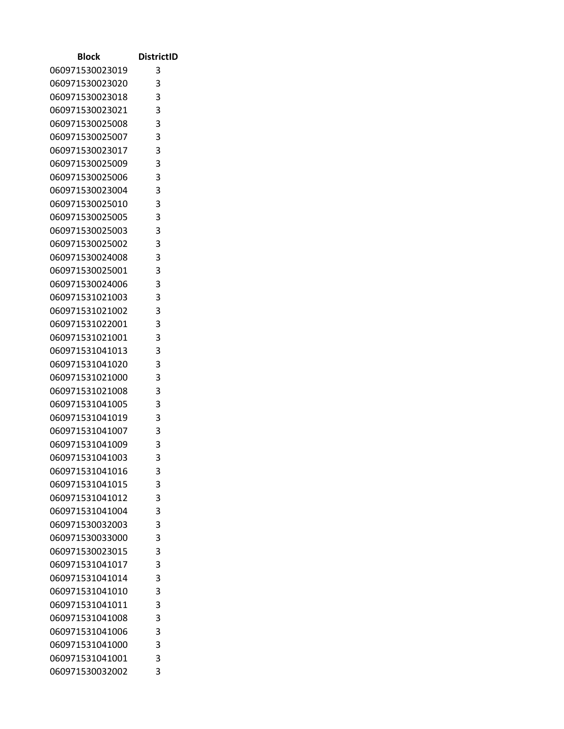| Block           | <b>DistrictID</b> |
|-----------------|-------------------|
| 060971530023019 | 3                 |
| 060971530023020 | 3                 |
| 060971530023018 | 3                 |
| 060971530023021 | 3                 |
| 060971530025008 | 3                 |
| 060971530025007 | 3                 |
| 060971530023017 | 3                 |
| 060971530025009 | 3                 |
| 060971530025006 | 3                 |
| 060971530023004 | $_{3}$            |
| 060971530025010 | 3                 |
| 060971530025005 | 3                 |
| 060971530025003 | 3                 |
| 060971530025002 | 3                 |
| 060971530024008 | 3                 |
| 060971530025001 | 3                 |
| 060971530024006 | 3                 |
| 060971531021003 | 3                 |
| 060971531021002 | 3                 |
| 060971531022001 | 3                 |
| 060971531021001 | 3                 |
| 060971531041013 | 3                 |
| 060971531041020 | 3                 |
| 060971531021000 | 3                 |
| 060971531021008 | 3                 |
| 060971531041005 | 3                 |
| 060971531041019 | 3                 |
| 060971531041007 | 3                 |
| 060971531041009 | 3                 |
| 060971531041003 | 3                 |
| 060971531041016 | 3                 |
| 060971531041015 | 3                 |
| 060971531041012 | 3                 |
| 060971531041004 | 3                 |
| 060971530032003 | 3                 |
| 060971530033000 | 3                 |
| 060971530023015 | 3                 |
| 060971531041017 | 3                 |
| 060971531041014 | 3                 |
| 060971531041010 | 3                 |
| 060971531041011 | 3                 |
| 060971531041008 | 3                 |
| 060971531041006 | 3                 |
| 060971531041000 | 3                 |
| 060971531041001 | 3<br>3            |
| 060971530032002 |                   |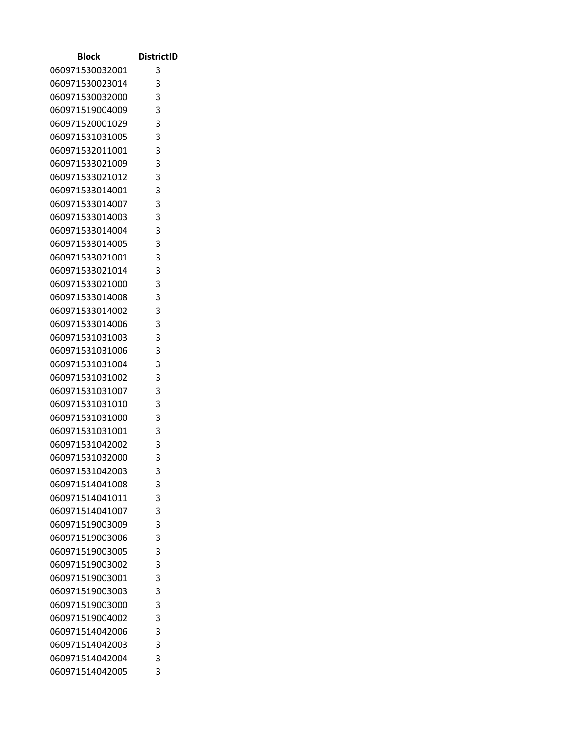| Block           | <b>DistrictID</b>          |
|-----------------|----------------------------|
| 060971530032001 | 3                          |
| 060971530023014 | 3                          |
| 060971530032000 | 3                          |
| 060971519004009 | 3                          |
| 060971520001029 | 3                          |
| 060971531031005 | 3                          |
| 060971532011001 | 3                          |
| 060971533021009 | 3                          |
| 060971533021012 | 3                          |
| 060971533014001 | $\overline{\phantom{a}}$ 3 |
| 060971533014007 | 3                          |
| 060971533014003 | 3                          |
| 060971533014004 | 3                          |
| 060971533014005 | 3                          |
| 060971533021001 | 3                          |
| 060971533021014 | 3                          |
| 060971533021000 | 3                          |
| 060971533014008 | 3                          |
| 060971533014002 | 3                          |
| 060971533014006 | 3                          |
| 060971531031003 | 3                          |
| 060971531031006 | 3                          |
| 060971531031004 | 3                          |
| 060971531031002 | 3                          |
| 060971531031007 | 3                          |
| 060971531031010 | 3                          |
| 060971531031000 | 3                          |
| 060971531031001 | 3                          |
| 060971531042002 | 3                          |
| 060971531032000 | 3                          |
| 060971531042003 | 3                          |
| 060971514041008 | 3                          |
| 060971514041011 | 3                          |
| 060971514041007 | 3                          |
| 060971519003009 | 3                          |
| 060971519003006 | 3                          |
| 060971519003005 | 3                          |
| 060971519003002 | 3                          |
| 060971519003001 | 3                          |
| 060971519003003 | 3                          |
| 060971519003000 | 3                          |
| 060971519004002 | 3                          |
| 060971514042006 | 3                          |
| 060971514042003 | 3                          |
| 060971514042004 | 3<br>3                     |
| 060971514042005 |                            |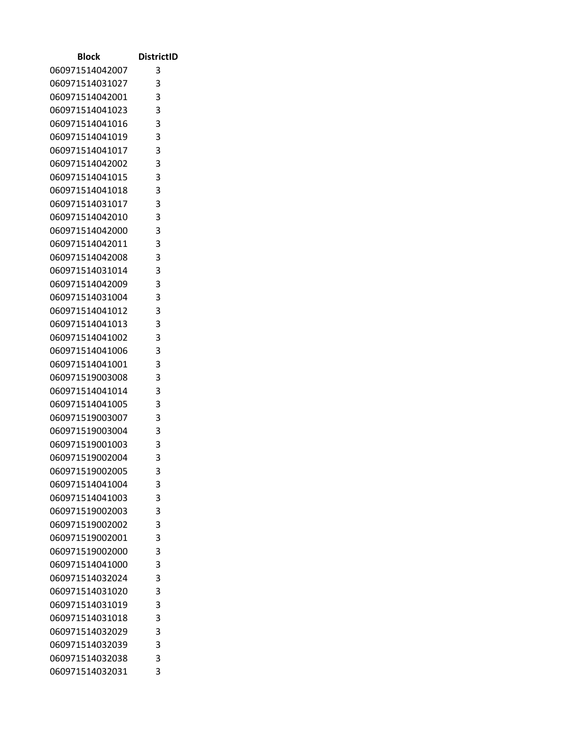| Block           | <b>DistrictID</b> |
|-----------------|-------------------|
| 060971514042007 | 3                 |
| 060971514031027 | 3                 |
| 060971514042001 | 3                 |
| 060971514041023 | 3                 |
| 060971514041016 | 3                 |
| 060971514041019 | 3                 |
| 060971514041017 | 3                 |
| 060971514042002 | 3                 |
| 060971514041015 | 3                 |
| 060971514041018 | 3                 |
| 060971514031017 | 3                 |
| 060971514042010 | 3                 |
| 060971514042000 | 3                 |
| 060971514042011 | 3                 |
| 060971514042008 | 3                 |
| 060971514031014 | 3                 |
| 060971514042009 | 3                 |
| 060971514031004 | 3                 |
| 060971514041012 | 3                 |
| 060971514041013 | 3                 |
| 060971514041002 | 3                 |
| 060971514041006 | 3                 |
| 060971514041001 | 3                 |
| 060971519003008 | 3                 |
| 060971514041014 | 3                 |
| 060971514041005 | 3                 |
| 060971519003007 | 3                 |
| 060971519003004 | 3                 |
| 060971519001003 | 3                 |
| 060971519002004 | 3                 |
| 060971519002005 | 3                 |
| 060971514041004 | 3                 |
| 060971514041003 | 3                 |
| 060971519002003 | 3                 |
| 060971519002002 | 3                 |
| 060971519002001 | 3                 |
| 060971519002000 | 3                 |
| 060971514041000 | 3                 |
| 060971514032024 | 3                 |
| 060971514031020 | 3                 |
| 060971514031019 | 3                 |
| 060971514031018 | 3                 |
| 060971514032029 | 3                 |
| 060971514032039 | 3<br>3            |
| 060971514032038 | 3                 |
| 060971514032031 |                   |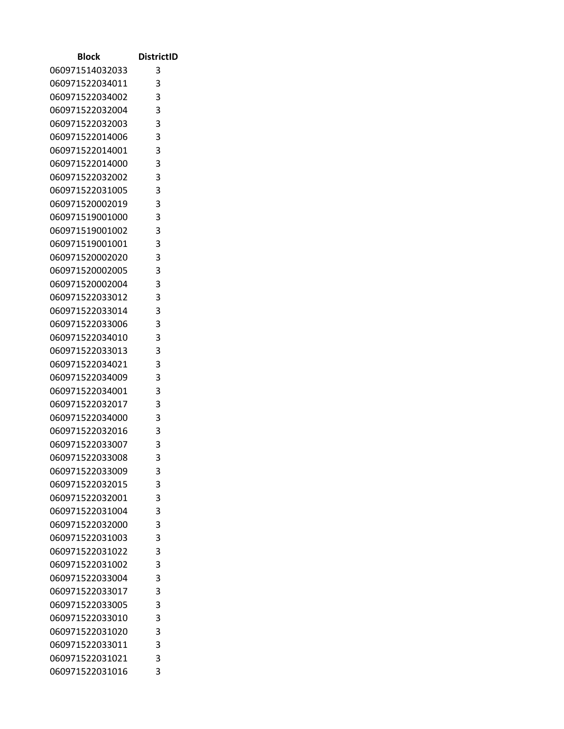| Block           | <b>DistrictID</b> |
|-----------------|-------------------|
| 060971514032033 | 3                 |
| 060971522034011 | 3                 |
| 060971522034002 | 3                 |
| 060971522032004 | 3                 |
| 060971522032003 | 3                 |
| 060971522014006 | 3                 |
| 060971522014001 | 3                 |
| 060971522014000 | 3                 |
| 060971522032002 | 3                 |
| 060971522031005 | 3                 |
| 060971520002019 | 3                 |
| 060971519001000 | 3                 |
| 060971519001002 | 3                 |
| 060971519001001 | 3                 |
| 060971520002020 | 3                 |
| 060971520002005 | 3                 |
| 060971520002004 | 3                 |
| 060971522033012 | 3                 |
| 060971522033014 | 3                 |
| 060971522033006 | 3                 |
| 060971522034010 | 3                 |
| 060971522033013 | 3                 |
| 060971522034021 | 3                 |
| 060971522034009 | 3                 |
| 060971522034001 | 3                 |
| 060971522032017 | 3                 |
| 060971522034000 | 3                 |
| 060971522032016 | 3                 |
| 060971522033007 | 3                 |
| 060971522033008 | 3                 |
| 060971522033009 | 3                 |
| 060971522032015 | 3                 |
| 060971522032001 | 3                 |
| 060971522031004 | 3                 |
| 060971522032000 | 3                 |
| 060971522031003 | 3                 |
| 060971522031022 | 3                 |
| 060971522031002 | 3                 |
| 060971522033004 | 3                 |
| 060971522033017 | 3                 |
| 060971522033005 | 3                 |
| 060971522033010 | 3                 |
| 060971522031020 | 3                 |
| 060971522033011 | 3                 |
| 060971522031021 | 3<br>3            |
| 060971522031016 |                   |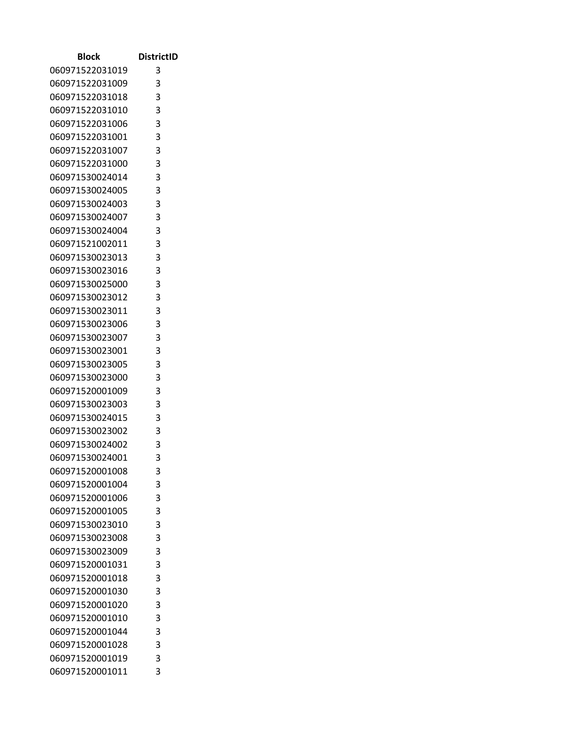| Block                              | <b>DistrictID</b> |
|------------------------------------|-------------------|
| 060971522031019                    | 3                 |
| 060971522031009                    | 3                 |
| 060971522031018                    | 3                 |
| 060971522031010                    | 3                 |
| 060971522031006                    | 3                 |
| 060971522031001                    | 3                 |
| 060971522031007                    | 3                 |
| 060971522031000                    | 3                 |
| 060971530024014                    | 3                 |
| 060971530024005                    | 3                 |
| 060971530024003                    | 3                 |
| 060971530024007                    | 3                 |
| 060971530024004                    | 3                 |
| 060971521002011                    | 3                 |
| 060971530023013                    | 3                 |
| 060971530023016                    | 3                 |
| 060971530025000                    | 3                 |
| 060971530023012                    | 3                 |
| 060971530023011                    | 3                 |
| 060971530023006                    | 3                 |
| 060971530023007                    | 3                 |
| 060971530023001                    | 3                 |
| 060971530023005                    | 3                 |
| 060971530023000                    | 3                 |
| 060971520001009                    | 3                 |
| 060971530023003                    | 3                 |
| 060971530024015                    | 3                 |
| 060971530023002<br>060971530024002 | 3<br>3            |
| 060971530024001                    | 3                 |
| 060971520001008                    | 3                 |
| 060971520001004                    | 3                 |
| 060971520001006                    | 3                 |
| 060971520001005                    | 3                 |
| 060971530023010                    | 3                 |
| 060971530023008                    | 3                 |
| 060971530023009                    | 3                 |
| 060971520001031                    | 3                 |
| 060971520001018                    | 3                 |
| 060971520001030                    | 3                 |
| 060971520001020                    | 3                 |
| 060971520001010                    | 3                 |
| 060971520001044                    | 3                 |
| 060971520001028                    | 3                 |
| 060971520001019                    | 3                 |
| 060971520001011                    | 3                 |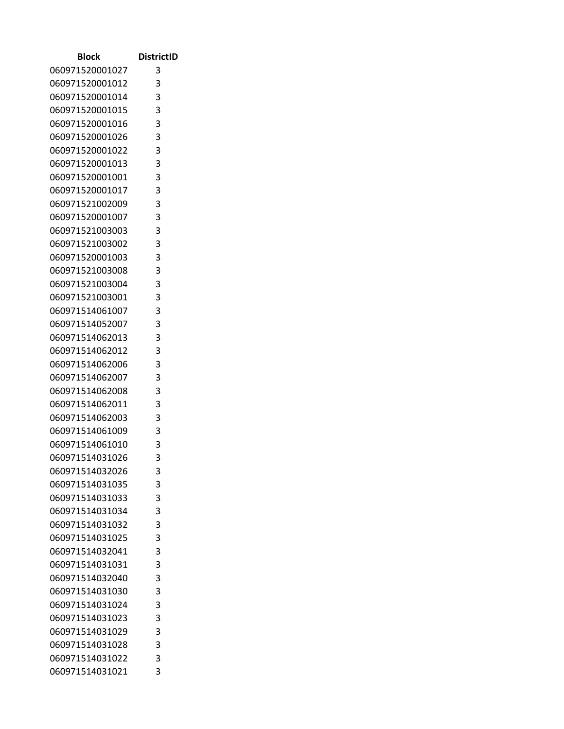| Block                              | <b>DistrictID</b> |
|------------------------------------|-------------------|
| 060971520001027                    | 3                 |
| 060971520001012                    | 3                 |
| 060971520001014                    | 3                 |
| 060971520001015                    | 3                 |
| 060971520001016                    | 3                 |
| 060971520001026                    | 3                 |
| 060971520001022                    | 3                 |
| 060971520001013                    | 3                 |
| 060971520001001                    | 3                 |
| 060971520001017                    | 3                 |
| 060971521002009                    | 3                 |
| 060971520001007                    | 3                 |
| 060971521003003                    | 3                 |
| 060971521003002                    | 3                 |
| 060971520001003                    | 3                 |
| 060971521003008                    | 3                 |
| 060971521003004                    | 3                 |
| 060971521003001                    | 3                 |
| 060971514061007                    | 3                 |
| 060971514052007                    | 3                 |
| 060971514062013                    | 3                 |
| 060971514062012                    | 3                 |
| 060971514062006                    | 3                 |
| 060971514062007                    | 3                 |
| 060971514062008                    | 3                 |
| 060971514062011<br>060971514062003 | 3<br>3            |
| 060971514061009                    | 3                 |
| 060971514061010                    | 3                 |
| 060971514031026                    | 3                 |
| 060971514032026                    | 3                 |
| 060971514031035                    | 3                 |
| 060971514031033                    | 3                 |
| 060971514031034                    | 3                 |
| 060971514031032                    | 3                 |
| 060971514031025                    | 3                 |
| 060971514032041                    | 3                 |
| 060971514031031                    | 3                 |
| 060971514032040                    | 3                 |
| 060971514031030                    | 3                 |
| 060971514031024                    | 3                 |
| 060971514031023                    | 3                 |
| 060971514031029                    | 3                 |
| 060971514031028                    | 3                 |
| 060971514031022                    | 3                 |
| 060971514031021                    | 3                 |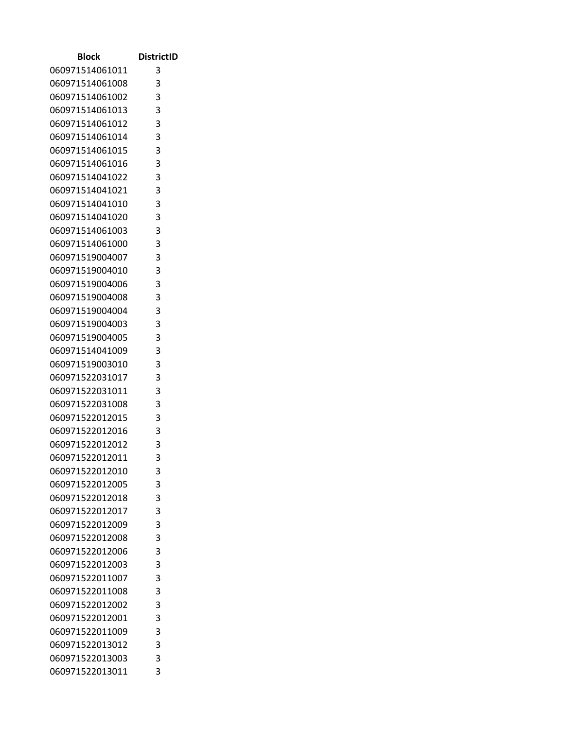| Block           | <b>DistrictID</b> |
|-----------------|-------------------|
| 060971514061011 | 3                 |
| 060971514061008 | 3                 |
| 060971514061002 | 3                 |
| 060971514061013 | 3                 |
| 060971514061012 | 3                 |
| 060971514061014 | 3                 |
| 060971514061015 | 3                 |
| 060971514061016 | 3                 |
| 060971514041022 | 3                 |
| 060971514041021 | 3                 |
| 060971514041010 | 3                 |
| 060971514041020 | 3                 |
| 060971514061003 | 3                 |
| 060971514061000 | 3                 |
| 060971519004007 | 3                 |
| 060971519004010 | 3                 |
| 060971519004006 | 3                 |
| 060971519004008 | 3                 |
| 060971519004004 | 3                 |
| 060971519004003 | 3                 |
| 060971519004005 | 3                 |
| 060971514041009 | 3                 |
| 060971519003010 | 3                 |
| 060971522031017 | 3                 |
| 060971522031011 | 3                 |
| 060971522031008 | 3                 |
| 060971522012015 | 3                 |
| 060971522012016 | 3                 |
| 060971522012012 | 3                 |
| 060971522012011 | 3                 |
| 060971522012010 | 3                 |
| 060971522012005 | 3                 |
| 060971522012018 | 3                 |
| 060971522012017 | 3                 |
| 060971522012009 | 3                 |
| 060971522012008 | 3                 |
| 060971522012006 | 3                 |
| 060971522012003 | 3                 |
| 060971522011007 | 3                 |
| 060971522011008 | 3                 |
| 060971522012002 | 3                 |
| 060971522012001 | 3                 |
| 060971522011009 | 3                 |
| 060971522013012 | 3                 |
| 060971522013003 | 3                 |
| 060971522013011 | 3                 |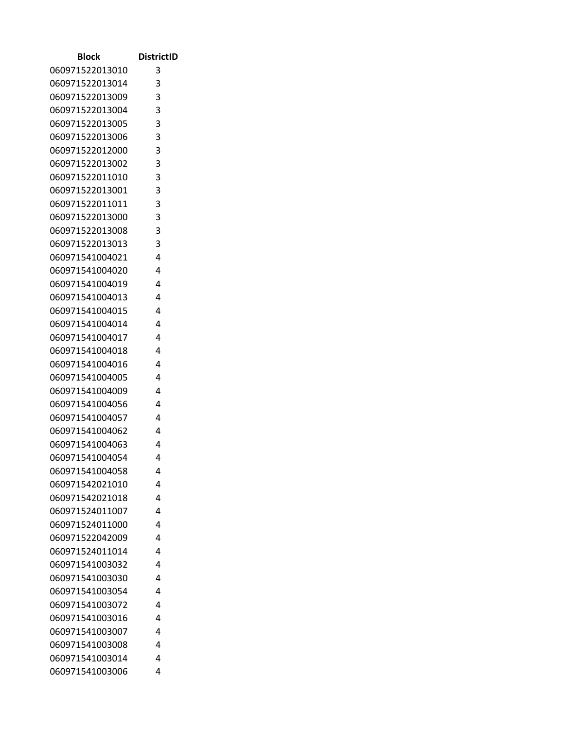| Block                              | <b>DistrictID</b> |
|------------------------------------|-------------------|
| 060971522013010                    | 3                 |
| 060971522013014                    | 3                 |
| 060971522013009                    | 3                 |
| 060971522013004                    | 3                 |
| 060971522013005                    | 3                 |
| 060971522013006                    | 3                 |
| 060971522012000                    | 3                 |
| 060971522013002                    | 3                 |
| 060971522011010                    | 3                 |
| 060971522013001                    | 3                 |
| 060971522011011                    | 3                 |
| 060971522013000                    | 3                 |
| 060971522013008                    | 3                 |
| 060971522013013                    | 3                 |
| 060971541004021                    | 4                 |
| 060971541004020                    | 4                 |
| 060971541004019                    | 4                 |
| 060971541004013                    | 4                 |
| 060971541004015                    | 4                 |
| 060971541004014                    | 4                 |
| 060971541004017                    | 4                 |
| 060971541004018                    | 4                 |
| 060971541004016                    | 4<br>4            |
| 060971541004005<br>060971541004009 | 4                 |
| 060971541004056                    | 4                 |
| 060971541004057                    | 4                 |
| 060971541004062                    | 4                 |
| 060971541004063                    | 4                 |
| 060971541004054                    | 4                 |
| 060971541004058                    | 4                 |
| 060971542021010                    | 4                 |
| 060971542021018                    | 4                 |
| 060971524011007                    | 4                 |
| 060971524011000                    | 4                 |
| 060971522042009                    | 4                 |
| 060971524011014                    | 4                 |
| 060971541003032                    | 4                 |
| 060971541003030                    | 4                 |
| 060971541003054                    | 4                 |
| 060971541003072                    | 4                 |
| 060971541003016                    | 4                 |
| 060971541003007                    | 4                 |
| 060971541003008                    | 4                 |
| 060971541003014                    | 4                 |
| 060971541003006                    | 4                 |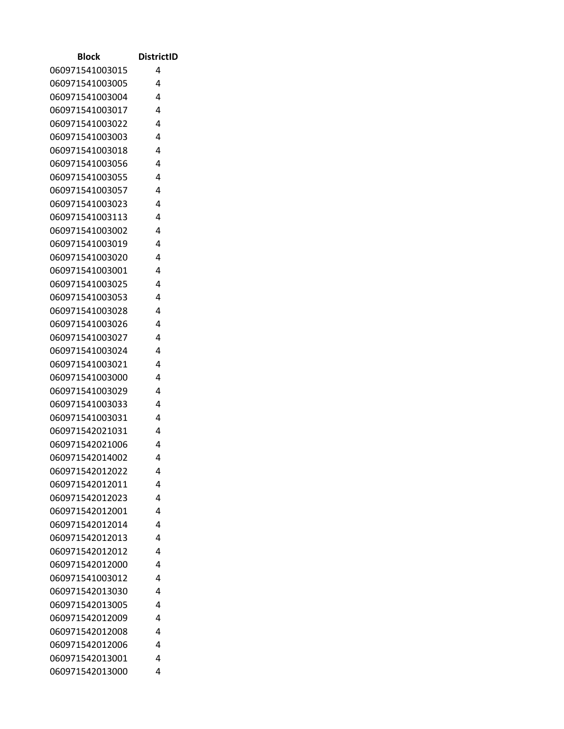| <b>Block</b>                       | <b>DistrictID</b> |
|------------------------------------|-------------------|
| 060971541003015                    | 4                 |
| 060971541003005                    | 4                 |
| 060971541003004                    | 4                 |
| 060971541003017                    | 4                 |
| 060971541003022                    | 4                 |
| 060971541003003                    | 4                 |
| 060971541003018                    | 4                 |
| 060971541003056                    | 4                 |
| 060971541003055                    | 4                 |
| 060971541003057                    | 4                 |
| 060971541003023                    | 4                 |
| 060971541003113                    | 4                 |
| 060971541003002                    | 4                 |
| 060971541003019                    | 4                 |
| 060971541003020                    | 4                 |
| 060971541003001                    | 4                 |
| 060971541003025                    | 4                 |
| 060971541003053                    | 4                 |
| 060971541003028                    | 4                 |
| 060971541003026                    | 4                 |
| 060971541003027                    | 4                 |
| 060971541003024                    | 4                 |
| 060971541003021                    | 4                 |
| 060971541003000                    | 4                 |
| 060971541003029                    | 4                 |
| 060971541003033                    | 4                 |
| 060971541003031                    | 4                 |
| 060971542021031                    | 4                 |
| 060971542021006                    | 4                 |
| 060971542014002                    | 4                 |
| 060971542012022                    | 4                 |
| 060971542012011                    | 4                 |
| 060971542012023                    | 4                 |
| 060971542012001                    | 4                 |
| 060971542012014                    | 4                 |
| 060971542012013                    | 4                 |
| 060971542012012                    | 4                 |
| 060971542012000<br>060971541003012 | 4<br>4            |
| 060971542013030                    | 4                 |
|                                    | 4                 |
| 060971542013005<br>060971542012009 | 4                 |
| 060971542012008                    | 4                 |
| 060971542012006                    | 4                 |
| 060971542013001                    | 4                 |
| 060971542013000                    | 4                 |
|                                    |                   |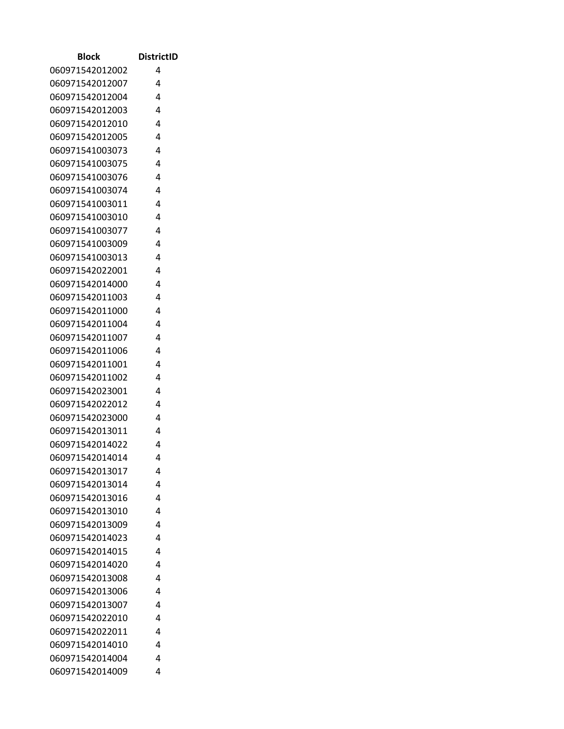| Block           | <b>DistrictID</b> |
|-----------------|-------------------|
| 060971542012002 | 4                 |
| 060971542012007 | 4                 |
| 060971542012004 | 4                 |
| 060971542012003 | 4                 |
| 060971542012010 | 4                 |
| 060971542012005 | 4                 |
| 060971541003073 | 4                 |
| 060971541003075 | 4                 |
| 060971541003076 | 4                 |
| 060971541003074 | 4                 |
| 060971541003011 | 4                 |
| 060971541003010 | 4                 |
| 060971541003077 | 4                 |
| 060971541003009 | 4                 |
| 060971541003013 | 4                 |
| 060971542022001 | 4                 |
| 060971542014000 | 4                 |
| 060971542011003 | 4                 |
| 060971542011000 | 4                 |
| 060971542011004 | 4                 |
| 060971542011007 | 4                 |
| 060971542011006 | 4                 |
| 060971542011001 | 4                 |
| 060971542011002 | 4                 |
| 060971542023001 | 4                 |
| 060971542022012 | 4                 |
| 060971542023000 | 4                 |
| 060971542013011 | 4                 |
| 060971542014022 | 4                 |
| 060971542014014 | 4                 |
| 060971542013017 | 4                 |
| 060971542013014 | 4                 |
| 060971542013016 | 4                 |
| 060971542013010 | 4                 |
| 060971542013009 | 4                 |
| 060971542014023 | 4                 |
| 060971542014015 | 4                 |
| 060971542014020 | 4                 |
| 060971542013008 | 4                 |
| 060971542013006 | 4                 |
| 060971542013007 | 4                 |
| 060971542022010 | 4                 |
| 060971542022011 | 4                 |
| 060971542014010 | 4                 |
| 060971542014004 | 4                 |
| 060971542014009 | 4                 |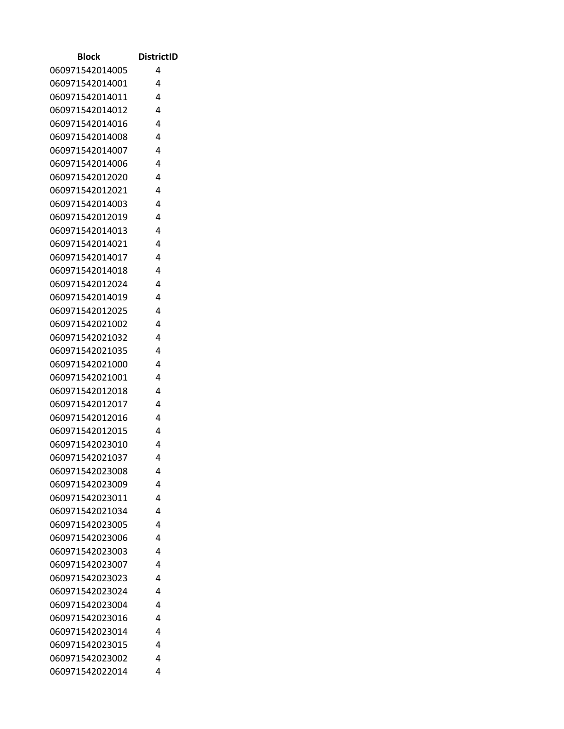| <b>Block</b>                       | <b>DistrictID</b> |
|------------------------------------|-------------------|
| 060971542014005                    | 4                 |
| 060971542014001                    | 4                 |
| 060971542014011                    | 4                 |
| 060971542014012                    | 4                 |
| 060971542014016                    | 4                 |
| 060971542014008                    | 4                 |
| 060971542014007                    | 4                 |
| 060971542014006                    | 4                 |
| 060971542012020                    | 4                 |
| 060971542012021                    | 4                 |
| 060971542014003                    | 4                 |
| 060971542012019                    | 4                 |
| 060971542014013                    | 4                 |
| 060971542014021                    | 4                 |
| 060971542014017                    | 4                 |
| 060971542014018                    | 4                 |
| 060971542012024                    | 4                 |
| 060971542014019                    | 4                 |
| 060971542012025                    | 4                 |
| 060971542021002                    | 4                 |
| 060971542021032                    | 4                 |
| 060971542021035                    | 4                 |
| 060971542021000                    | 4                 |
| 060971542021001                    | 4                 |
| 060971542012018                    | 4                 |
| 060971542012017                    | 4                 |
| 060971542012016                    | 4                 |
| 060971542012015                    | 4                 |
| 060971542023010                    | 4                 |
| 060971542021037<br>060971542023008 | 4                 |
|                                    | 4<br>4            |
| 060971542023009<br>060971542023011 | 4                 |
| 060971542021034                    | 4                 |
| 060971542023005                    | 4                 |
| 060971542023006                    | 4                 |
| 060971542023003                    | 4                 |
| 060971542023007                    | 4                 |
| 060971542023023                    | 4                 |
| 060971542023024                    | 4                 |
| 060971542023004                    | 4                 |
| 060971542023016                    | 4                 |
| 060971542023014                    | 4                 |
| 060971542023015                    | 4                 |
| 060971542023002                    | 4                 |
| 060971542022014                    | 4                 |
|                                    |                   |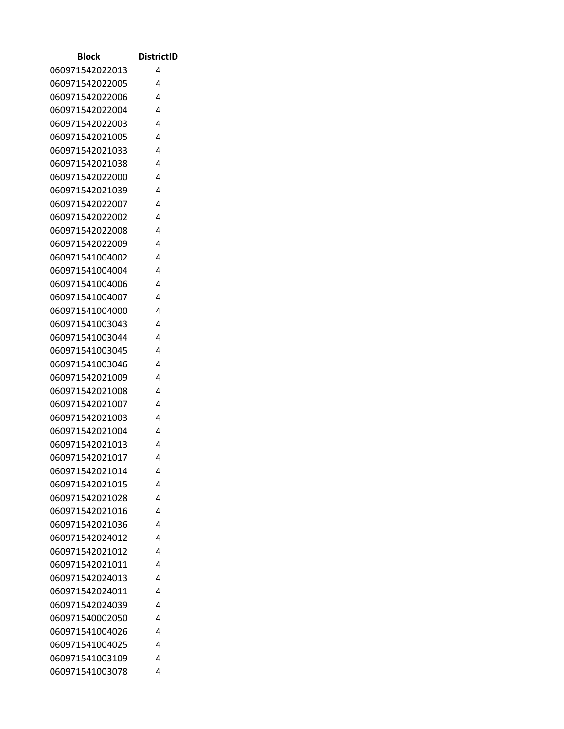| <b>Block</b>    | <b>DistrictID</b> |
|-----------------|-------------------|
| 060971542022013 | 4                 |
| 060971542022005 | 4                 |
| 060971542022006 | 4                 |
| 060971542022004 | 4                 |
| 060971542022003 | 4                 |
| 060971542021005 | 4                 |
| 060971542021033 | 4                 |
| 060971542021038 | 4                 |
| 060971542022000 | 4                 |
| 060971542021039 | 4                 |
| 060971542022007 | 4                 |
| 060971542022002 | 4                 |
| 060971542022008 | 4                 |
| 060971542022009 | 4                 |
| 060971541004002 | 4                 |
| 060971541004004 | 4                 |
| 060971541004006 | 4                 |
| 060971541004007 | 4                 |
| 060971541004000 | 4                 |
| 060971541003043 | 4                 |
| 060971541003044 | 4                 |
| 060971541003045 | 4                 |
| 060971541003046 | 4                 |
| 060971542021009 | 4                 |
| 060971542021008 | 4                 |
| 060971542021007 | 4                 |
| 060971542021003 | 4                 |
| 060971542021004 | 4                 |
| 060971542021013 | 4                 |
| 060971542021017 | 4                 |
| 060971542021014 | 4                 |
| 060971542021015 | 4                 |
| 060971542021028 | 4                 |
| 060971542021016 | 4                 |
| 060971542021036 | 4                 |
| 060971542024012 | 4                 |
| 060971542021012 | 4                 |
| 060971542021011 | 4                 |
| 060971542024013 | 4                 |
| 060971542024011 | 4                 |
| 060971542024039 | 4                 |
| 060971540002050 | 4                 |
| 060971541004026 | 4                 |
| 060971541004025 | 4                 |
| 060971541003109 | 4                 |
| 060971541003078 | 4                 |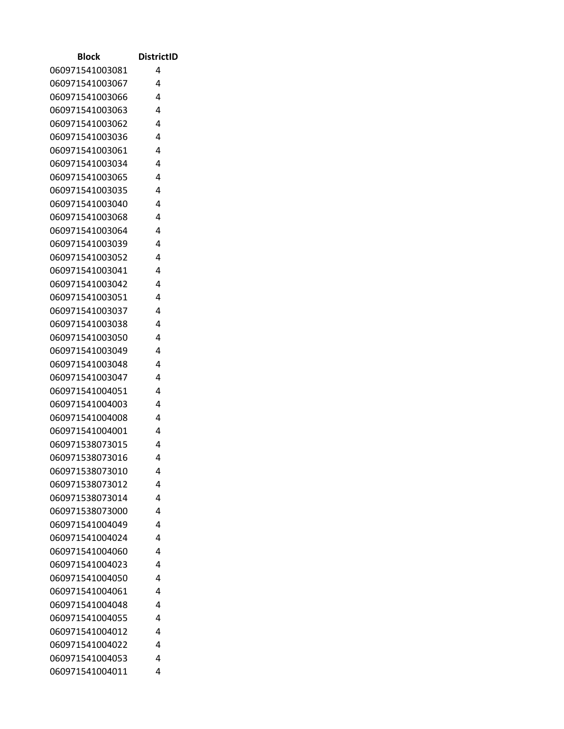| <b>Block</b>                       | <b>DistrictID</b> |
|------------------------------------|-------------------|
| 060971541003081                    | 4                 |
| 060971541003067                    | 4                 |
| 060971541003066                    | 4                 |
| 060971541003063                    | 4                 |
| 060971541003062                    | 4                 |
| 060971541003036                    | 4                 |
| 060971541003061                    | 4                 |
| 060971541003034                    | 4                 |
| 060971541003065                    | 4                 |
| 060971541003035                    | 4                 |
| 060971541003040                    | 4                 |
| 060971541003068                    | 4                 |
| 060971541003064                    | 4                 |
| 060971541003039                    | 4                 |
| 060971541003052                    | 4                 |
| 060971541003041                    | 4                 |
| 060971541003042                    | 4                 |
| 060971541003051                    | 4                 |
| 060971541003037                    | 4                 |
| 060971541003038                    | 4                 |
| 060971541003050                    | 4                 |
| 060971541003049                    | 4                 |
| 060971541003048                    | 4                 |
| 060971541003047                    | 4                 |
| 060971541004051                    | 4                 |
| 060971541004003                    | 4                 |
| 060971541004008                    | 4<br>4            |
| 060971541004001<br>060971538073015 | 4                 |
| 060971538073016                    | 4                 |
| 060971538073010                    | 4                 |
| 060971538073012                    | 4                 |
| 060971538073014                    | 4                 |
| 060971538073000                    | 4                 |
| 060971541004049                    | 4                 |
| 060971541004024                    | 4                 |
| 060971541004060                    | 4                 |
| 060971541004023                    | 4                 |
| 060971541004050                    | 4                 |
| 060971541004061                    | 4                 |
| 060971541004048                    | 4                 |
| 060971541004055                    | 4                 |
| 060971541004012                    | 4                 |
| 060971541004022                    | 4                 |
| 060971541004053                    | 4                 |
| 060971541004011                    | 4                 |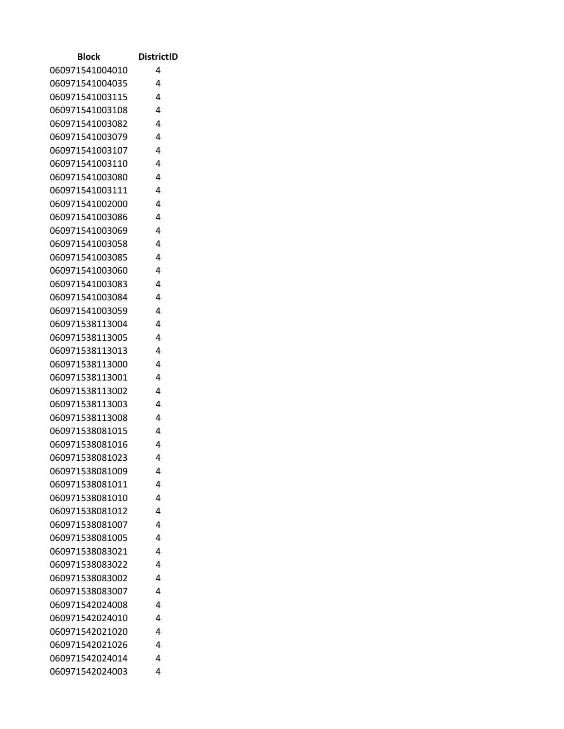| <b>Block</b>                       | <b>DistrictID</b> |
|------------------------------------|-------------------|
| 060971541004010                    | 4                 |
| 060971541004035                    | 4                 |
| 060971541003115                    | 4                 |
| 060971541003108                    | 4                 |
| 060971541003082                    | 4                 |
| 060971541003079                    | 4                 |
| 060971541003107                    | 4                 |
| 060971541003110                    | 4                 |
| 060971541003080                    | 4                 |
| 060971541003111                    | 4                 |
| 060971541002000                    | 4                 |
| 060971541003086                    | 4                 |
| 060971541003069                    | 4                 |
| 060971541003058                    | 4                 |
| 060971541003085                    | 4                 |
| 060971541003060                    | 4                 |
| 060971541003083                    | 4                 |
| 060971541003084                    | 4                 |
| 060971541003059                    | 4                 |
| 060971538113004                    | 4                 |
| 060971538113005                    | 4                 |
| 060971538113013                    | 4                 |
| 060971538113000                    | 4                 |
| 060971538113001                    | 4                 |
| 060971538113002                    | 4                 |
| 060971538113003                    | 4                 |
| 060971538113008                    | 4                 |
| 060971538081015                    | 4                 |
| 060971538081016                    | 4                 |
| 060971538081023                    | 4                 |
| 060971538081009                    | 4                 |
| 060971538081011                    | 4                 |
| 060971538081010                    | 4                 |
| 060971538081012                    | 4                 |
| 060971538081007                    | 4                 |
| 060971538081005                    | 4                 |
| 060971538083021                    | 4<br>4            |
| 060971538083022<br>060971538083002 | 4                 |
| 060971538083007                    | 4                 |
| 060971542024008                    | 4                 |
|                                    | 4                 |
| 060971542024010<br>060971542021020 | 4                 |
| 060971542021026                    | 4                 |
| 060971542024014                    | 4                 |
| 060971542024003                    | 4                 |
|                                    |                   |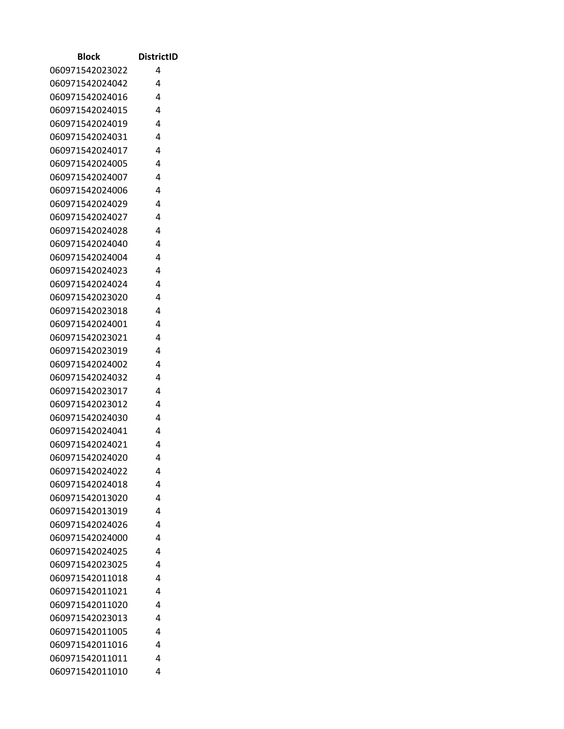| <b>Block</b>    | <b>DistrictID</b> |
|-----------------|-------------------|
| 060971542023022 | 4                 |
| 060971542024042 | 4                 |
| 060971542024016 | 4                 |
| 060971542024015 | 4                 |
| 060971542024019 | 4                 |
| 060971542024031 | 4                 |
| 060971542024017 | 4                 |
| 060971542024005 | 4                 |
| 060971542024007 | 4                 |
| 060971542024006 | 4                 |
| 060971542024029 | 4                 |
| 060971542024027 | 4                 |
| 060971542024028 | 4                 |
| 060971542024040 | 4                 |
| 060971542024004 | 4                 |
| 060971542024023 | 4                 |
| 060971542024024 | 4                 |
| 060971542023020 | 4                 |
| 060971542023018 | 4                 |
| 060971542024001 | 4                 |
| 060971542023021 | 4                 |
| 060971542023019 | 4                 |
| 060971542024002 | 4                 |
| 060971542024032 | 4                 |
| 060971542023017 | 4                 |
| 060971542023012 | 4                 |
| 060971542024030 | 4                 |
| 060971542024041 | 4                 |
| 060971542024021 | 4                 |
| 060971542024020 | 4                 |
| 060971542024022 | 4                 |
| 060971542024018 | 4                 |
| 060971542013020 | 4                 |
| 060971542013019 | 4                 |
| 060971542024026 | 4                 |
| 060971542024000 | 4                 |
| 060971542024025 | 4                 |
| 060971542023025 | 4                 |
| 060971542011018 | 4                 |
| 060971542011021 | 4                 |
| 060971542011020 | 4                 |
| 060971542023013 | 4                 |
| 060971542011005 | 4                 |
| 060971542011016 | 4                 |
| 060971542011011 | 4                 |
| 060971542011010 | 4                 |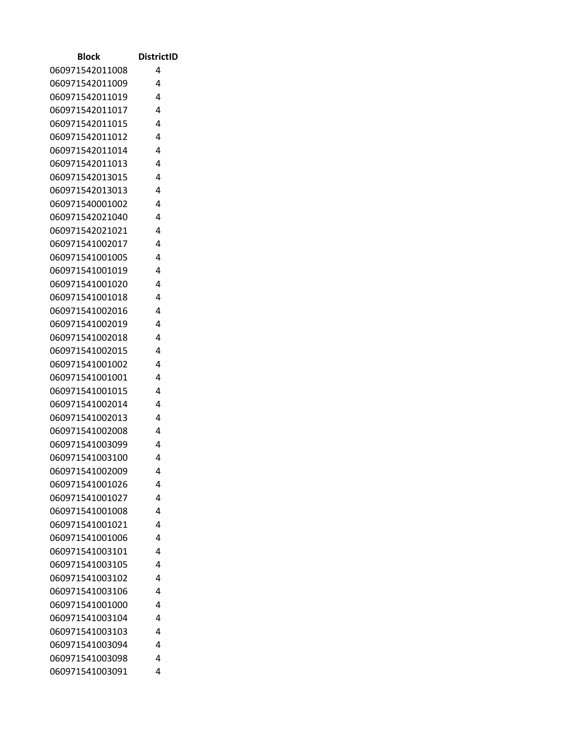| <b>Block</b>    | <b>DistrictID</b> |
|-----------------|-------------------|
| 060971542011008 | 4                 |
| 060971542011009 | 4                 |
| 060971542011019 | 4                 |
| 060971542011017 | 4                 |
| 060971542011015 | 4                 |
| 060971542011012 | 4                 |
| 060971542011014 | 4                 |
| 060971542011013 | 4                 |
| 060971542013015 | 4                 |
| 060971542013013 | 4                 |
| 060971540001002 | 4                 |
| 060971542021040 | 4                 |
| 060971542021021 | 4                 |
| 060971541002017 | 4                 |
| 060971541001005 | 4                 |
| 060971541001019 | 4                 |
| 060971541001020 | 4                 |
| 060971541001018 | 4                 |
| 060971541002016 | 4                 |
| 060971541002019 | 4                 |
| 060971541002018 | 4                 |
| 060971541002015 | 4                 |
| 060971541001002 | 4                 |
| 060971541001001 | 4                 |
| 060971541001015 | 4                 |
| 060971541002014 | 4                 |
| 060971541002013 | 4                 |
| 060971541002008 | 4                 |
| 060971541003099 | 4                 |
| 060971541003100 | 4                 |
| 060971541002009 | 4                 |
| 060971541001026 | 4                 |
| 060971541001027 | 4                 |
| 060971541001008 | 4                 |
| 060971541001021 | 4                 |
| 060971541001006 | 4                 |
| 060971541003101 | 4                 |
| 060971541003105 | 4                 |
| 060971541003102 | 4                 |
| 060971541003106 | 4                 |
| 060971541001000 | 4                 |
| 060971541003104 | 4                 |
| 060971541003103 | 4<br>4            |
| 060971541003094 | 4                 |
| 060971541003098 |                   |
| 060971541003091 | 4                 |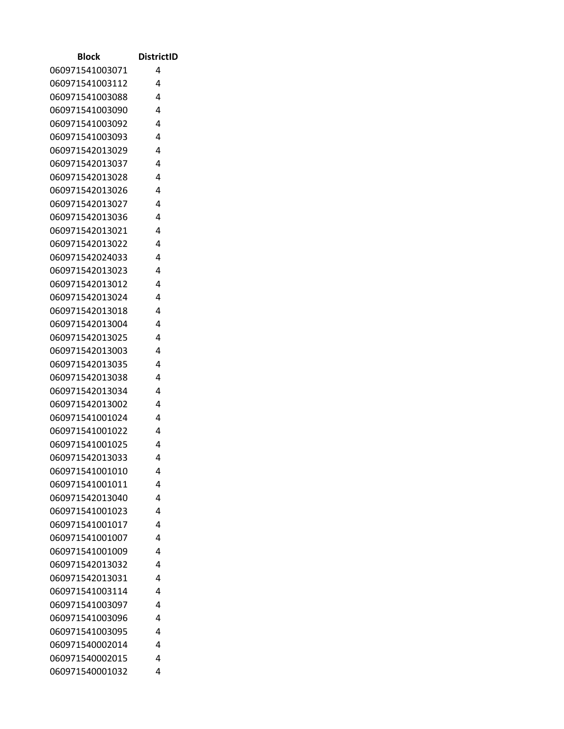| 060971541003071<br>4<br>060971541003112<br>4<br>060971541003088<br>4<br>060971541003090<br>4<br>4<br>060971541003092<br>4<br>060971541003093<br>060971542013029<br>4<br>060971542013037<br>4<br>060971542013028<br>4<br>4<br>060971542013026<br>060971542013027<br>4<br>4<br>060971542013036 |  |
|----------------------------------------------------------------------------------------------------------------------------------------------------------------------------------------------------------------------------------------------------------------------------------------------|--|
|                                                                                                                                                                                                                                                                                              |  |
|                                                                                                                                                                                                                                                                                              |  |
|                                                                                                                                                                                                                                                                                              |  |
|                                                                                                                                                                                                                                                                                              |  |
|                                                                                                                                                                                                                                                                                              |  |
|                                                                                                                                                                                                                                                                                              |  |
|                                                                                                                                                                                                                                                                                              |  |
|                                                                                                                                                                                                                                                                                              |  |
|                                                                                                                                                                                                                                                                                              |  |
|                                                                                                                                                                                                                                                                                              |  |
|                                                                                                                                                                                                                                                                                              |  |
|                                                                                                                                                                                                                                                                                              |  |
| 060971542013021<br>4                                                                                                                                                                                                                                                                         |  |
| 060971542013022<br>4                                                                                                                                                                                                                                                                         |  |
| 4<br>060971542024033                                                                                                                                                                                                                                                                         |  |
| 060971542013023<br>4                                                                                                                                                                                                                                                                         |  |
| 4<br>060971542013012                                                                                                                                                                                                                                                                         |  |
| 060971542013024<br>4                                                                                                                                                                                                                                                                         |  |
| 060971542013018<br>4                                                                                                                                                                                                                                                                         |  |
| 060971542013004<br>4                                                                                                                                                                                                                                                                         |  |
| 060971542013025<br>4                                                                                                                                                                                                                                                                         |  |
| 060971542013003<br>4                                                                                                                                                                                                                                                                         |  |
| 060971542013035<br>4                                                                                                                                                                                                                                                                         |  |
| 4<br>060971542013038                                                                                                                                                                                                                                                                         |  |
| 060971542013034<br>4                                                                                                                                                                                                                                                                         |  |
| 060971542013002<br>4                                                                                                                                                                                                                                                                         |  |
| 060971541001024<br>4                                                                                                                                                                                                                                                                         |  |
| 060971541001022<br>4                                                                                                                                                                                                                                                                         |  |
| 4<br>060971541001025                                                                                                                                                                                                                                                                         |  |
| 060971542013033<br>4                                                                                                                                                                                                                                                                         |  |
| 060971541001010<br>4                                                                                                                                                                                                                                                                         |  |
| 060971541001011<br>4                                                                                                                                                                                                                                                                         |  |
| 060971542013040<br>4<br>060971541001023<br>4                                                                                                                                                                                                                                                 |  |
| 4                                                                                                                                                                                                                                                                                            |  |
| 060971541001017<br>060971541001007<br>4                                                                                                                                                                                                                                                      |  |
| 060971541001009<br>4                                                                                                                                                                                                                                                                         |  |
| 060971542013032<br>4                                                                                                                                                                                                                                                                         |  |
| 060971542013031<br>4                                                                                                                                                                                                                                                                         |  |
| 060971541003114<br>4                                                                                                                                                                                                                                                                         |  |
| 060971541003097<br>4                                                                                                                                                                                                                                                                         |  |
| 060971541003096<br>4                                                                                                                                                                                                                                                                         |  |
| 060971541003095<br>4                                                                                                                                                                                                                                                                         |  |
| 060971540002014<br>4                                                                                                                                                                                                                                                                         |  |
| 060971540002015<br>4                                                                                                                                                                                                                                                                         |  |
| 060971540001032<br>4                                                                                                                                                                                                                                                                         |  |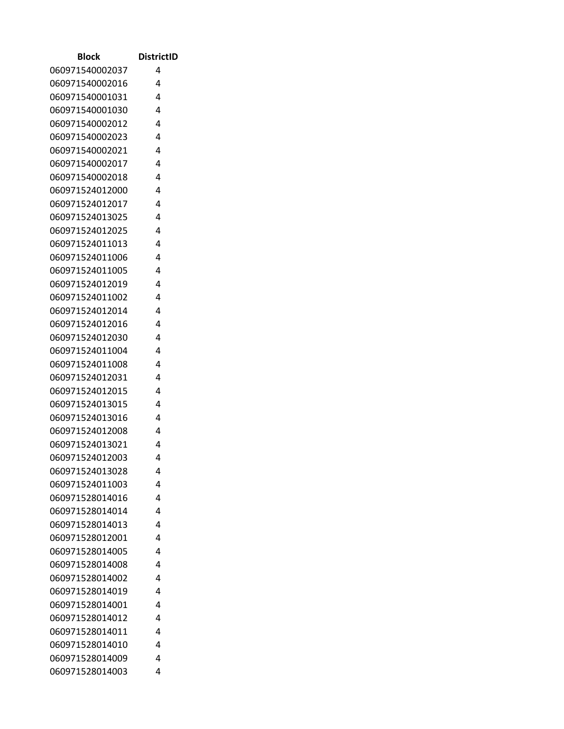| Block           | <b>DistrictID</b> |
|-----------------|-------------------|
| 060971540002037 | 4                 |
| 060971540002016 | 4                 |
| 060971540001031 | 4                 |
| 060971540001030 | 4                 |
| 060971540002012 | 4                 |
| 060971540002023 | 4                 |
| 060971540002021 | 4                 |
| 060971540002017 | 4                 |
| 060971540002018 | 4                 |
| 060971524012000 | 4                 |
| 060971524012017 | 4                 |
| 060971524013025 | 4                 |
| 060971524012025 | 4                 |
| 060971524011013 | 4                 |
| 060971524011006 | 4                 |
| 060971524011005 | 4                 |
| 060971524012019 | 4                 |
| 060971524011002 | 4                 |
| 060971524012014 | 4                 |
| 060971524012016 | 4                 |
| 060971524012030 | 4                 |
| 060971524011004 | 4                 |
| 060971524011008 | 4                 |
| 060971524012031 | 4                 |
| 060971524012015 | 4                 |
| 060971524013015 | 4                 |
| 060971524013016 | 4                 |
| 060971524012008 | 4                 |
| 060971524013021 | 4                 |
| 060971524012003 | 4                 |
| 060971524013028 | 4                 |
| 060971524011003 | 4                 |
| 060971528014016 | 4                 |
| 060971528014014 | 4                 |
| 060971528014013 | 4                 |
| 060971528012001 | 4                 |
| 060971528014005 | 4                 |
| 060971528014008 | 4                 |
| 060971528014002 | 4                 |
| 060971528014019 | 4                 |
| 060971528014001 | 4                 |
| 060971528014012 | 4                 |
| 060971528014011 | 4                 |
| 060971528014010 | 4                 |
| 060971528014009 | 4                 |
| 060971528014003 | 4                 |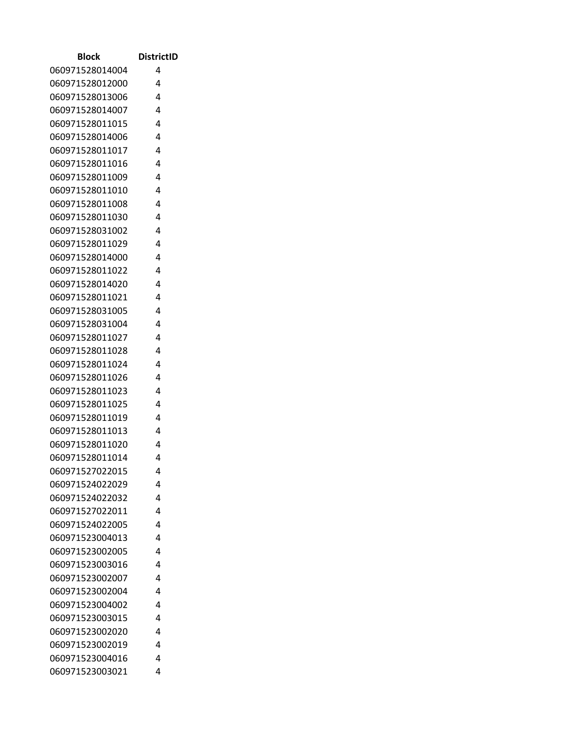| Block           | <b>DistrictID</b> |
|-----------------|-------------------|
| 060971528014004 | 4                 |
| 060971528012000 | 4                 |
| 060971528013006 | 4                 |
| 060971528014007 | 4                 |
| 060971528011015 | 4                 |
| 060971528014006 | 4                 |
| 060971528011017 | 4                 |
| 060971528011016 | 4                 |
| 060971528011009 | 4                 |
| 060971528011010 | 4                 |
| 060971528011008 | 4                 |
| 060971528011030 | 4                 |
| 060971528031002 | 4                 |
| 060971528011029 | 4                 |
| 060971528014000 | 4                 |
| 060971528011022 | 4                 |
| 060971528014020 | 4                 |
| 060971528011021 | 4                 |
| 060971528031005 | 4                 |
| 060971528031004 | 4                 |
| 060971528011027 | 4                 |
| 060971528011028 | 4                 |
| 060971528011024 | 4                 |
| 060971528011026 | 4                 |
| 060971528011023 | 4                 |
| 060971528011025 | 4                 |
| 060971528011019 | 4                 |
| 060971528011013 | 4                 |
| 060971528011020 | 4                 |
| 060971528011014 | 4                 |
| 060971527022015 | 4                 |
| 060971524022029 | 4                 |
| 060971524022032 | 4                 |
| 060971527022011 | 4                 |
| 060971524022005 | 4                 |
| 060971523004013 | 4                 |
| 060971523002005 | 4                 |
| 060971523003016 | 4                 |
| 060971523002007 | 4                 |
| 060971523002004 | 4                 |
| 060971523004002 | 4                 |
| 060971523003015 | 4                 |
| 060971523002020 | 4                 |
| 060971523002019 | 4                 |
| 060971523004016 | 4                 |
| 060971523003021 | 4                 |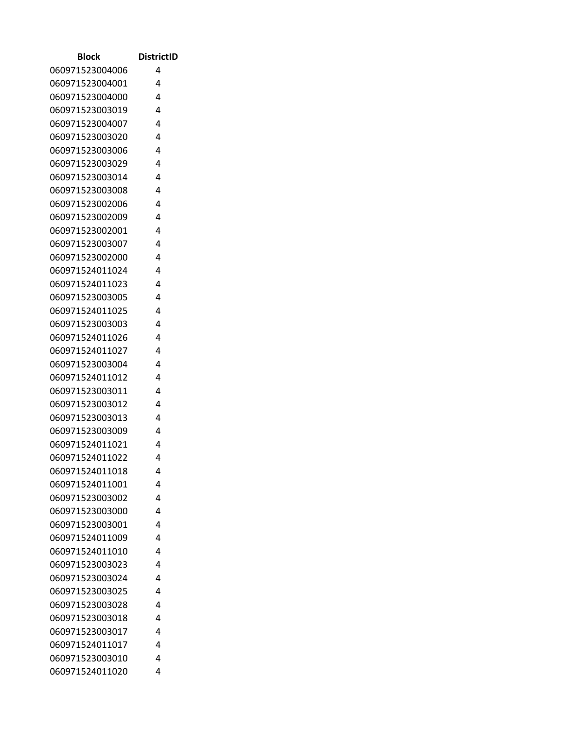| Block           | <b>DistrictID</b> |
|-----------------|-------------------|
| 060971523004006 | 4                 |
| 060971523004001 | 4                 |
| 060971523004000 | 4                 |
| 060971523003019 | 4                 |
| 060971523004007 | 4                 |
| 060971523003020 | 4                 |
| 060971523003006 | 4                 |
| 060971523003029 | 4                 |
| 060971523003014 | 4                 |
| 060971523003008 | 4                 |
| 060971523002006 | 4                 |
| 060971523002009 | 4                 |
| 060971523002001 | 4                 |
| 060971523003007 | 4                 |
| 060971523002000 | 4                 |
| 060971524011024 | 4                 |
| 060971524011023 | 4                 |
| 060971523003005 | 4                 |
| 060971524011025 | 4                 |
| 060971523003003 | 4                 |
| 060971524011026 | 4                 |
| 060971524011027 | 4                 |
| 060971523003004 | 4                 |
| 060971524011012 | 4                 |
| 060971523003011 | 4                 |
| 060971523003012 | 4                 |
| 060971523003013 | 4                 |
| 060971523003009 | 4                 |
| 060971524011021 | 4                 |
| 060971524011022 | 4                 |
| 060971524011018 | 4                 |
| 060971524011001 | 4                 |
| 060971523003002 | 4                 |
| 060971523003000 | 4                 |
| 060971523003001 | 4                 |
| 060971524011009 | 4                 |
| 060971524011010 | 4                 |
| 060971523003023 | 4                 |
| 060971523003024 | 4                 |
| 060971523003025 | 4                 |
| 060971523003028 | 4                 |
| 060971523003018 | 4                 |
| 060971523003017 | 4                 |
| 060971524011017 | 4                 |
| 060971523003010 | 4                 |
| 060971524011020 | 4                 |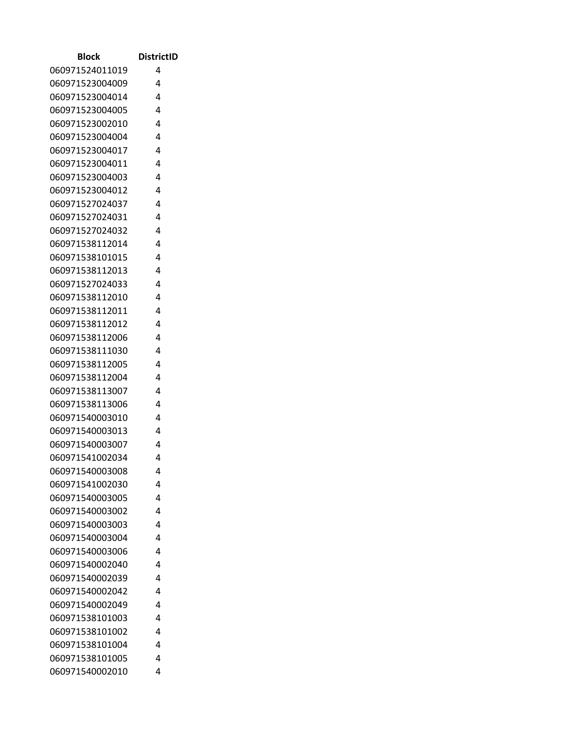| Block                              | <b>DistrictID</b> |
|------------------------------------|-------------------|
| 060971524011019                    | 4                 |
| 060971523004009                    | 4                 |
| 060971523004014                    | 4                 |
| 060971523004005                    | 4                 |
| 060971523002010                    | 4                 |
| 060971523004004                    | 4                 |
| 060971523004017                    | 4                 |
| 060971523004011                    | 4                 |
| 060971523004003                    | 4                 |
| 060971523004012                    | 4                 |
| 060971527024037                    | 4                 |
| 060971527024031                    | 4                 |
| 060971527024032                    | 4                 |
| 060971538112014                    | 4                 |
| 060971538101015                    | 4                 |
| 060971538112013                    | 4                 |
| 060971527024033                    | 4                 |
| 060971538112010                    | 4                 |
| 060971538112011                    | 4                 |
| 060971538112012                    | 4                 |
| 060971538112006                    | 4                 |
| 060971538111030                    | 4                 |
| 060971538112005                    | 4                 |
| 060971538112004                    | 4                 |
| 060971538113007                    | 4                 |
| 060971538113006                    | 4                 |
| 060971540003010                    | 4                 |
| 060971540003013                    | 4                 |
| 060971540003007                    | 4                 |
| 060971541002034                    | 4                 |
| 060971540003008                    | 4                 |
| 060971541002030                    | 4                 |
| 060971540003005                    | 4                 |
| 060971540003002                    | 4                 |
| 060971540003003                    | 4                 |
| 060971540003004                    | 4                 |
| 060971540003006                    | 4                 |
| 060971540002040                    | 4<br>4            |
| 060971540002039                    | 4                 |
| 060971540002042                    |                   |
| 060971540002049<br>060971538101003 | 4<br>4            |
| 060971538101002                    | 4                 |
| 060971538101004                    | 4                 |
| 060971538101005                    | 4                 |
| 060971540002010                    | 4                 |
|                                    |                   |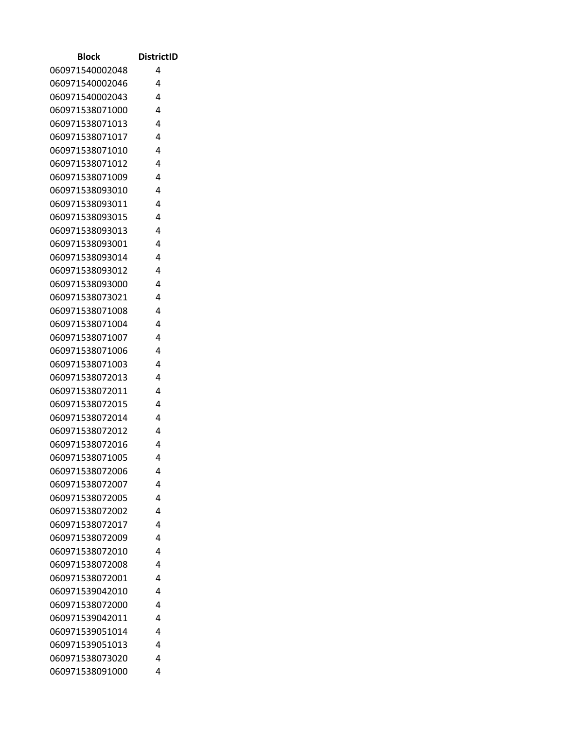| <b>Block</b>    | <b>DistrictID</b> |
|-----------------|-------------------|
| 060971540002048 | 4                 |
| 060971540002046 | 4                 |
| 060971540002043 | 4                 |
| 060971538071000 | 4                 |
| 060971538071013 | 4                 |
| 060971538071017 | 4                 |
| 060971538071010 | 4                 |
| 060971538071012 | 4                 |
| 060971538071009 | 4                 |
| 060971538093010 | 4                 |
| 060971538093011 | 4                 |
| 060971538093015 | 4                 |
| 060971538093013 | 4                 |
| 060971538093001 | 4                 |
| 060971538093014 | 4                 |
| 060971538093012 | 4                 |
| 060971538093000 | 4                 |
| 060971538073021 | 4                 |
| 060971538071008 | 4                 |
| 060971538071004 | 4                 |
| 060971538071007 | 4                 |
| 060971538071006 | 4                 |
| 060971538071003 | 4                 |
| 060971538072013 | 4                 |
| 060971538072011 | 4                 |
| 060971538072015 | 4                 |
| 060971538072014 | 4                 |
| 060971538072012 | 4                 |
| 060971538072016 | 4                 |
| 060971538071005 | 4                 |
| 060971538072006 | 4                 |
| 060971538072007 | 4                 |
| 060971538072005 | 4                 |
| 060971538072002 | 4                 |
| 060971538072017 | 4                 |
| 060971538072009 | 4                 |
| 060971538072010 | 4                 |
| 060971538072008 | 4                 |
| 060971538072001 | 4                 |
| 060971539042010 | 4                 |
| 060971538072000 | 4                 |
| 060971539042011 | 4                 |
| 060971539051014 | 4                 |
| 060971539051013 | 4                 |
| 060971538073020 | 4                 |
| 060971538091000 | 4                 |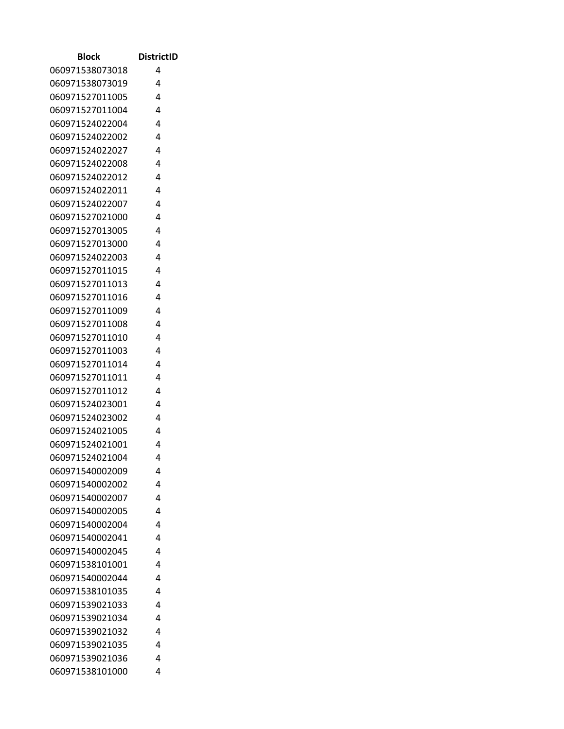| Block           | <b>DistrictID</b> |
|-----------------|-------------------|
| 060971538073018 | 4                 |
| 060971538073019 | 4                 |
| 060971527011005 | 4                 |
| 060971527011004 | 4                 |
| 060971524022004 | 4                 |
| 060971524022002 | 4                 |
| 060971524022027 | 4                 |
| 060971524022008 | 4                 |
| 060971524022012 | 4                 |
| 060971524022011 | 4                 |
| 060971524022007 | 4                 |
| 060971527021000 | 4                 |
| 060971527013005 | 4                 |
| 060971527013000 | 4                 |
| 060971524022003 | 4                 |
| 060971527011015 | 4                 |
| 060971527011013 | 4                 |
| 060971527011016 | 4                 |
| 060971527011009 | 4                 |
| 060971527011008 | 4                 |
| 060971527011010 | 4                 |
| 060971527011003 | 4                 |
| 060971527011014 | 4                 |
| 060971527011011 | 4                 |
| 060971527011012 | 4                 |
| 060971524023001 | 4                 |
| 060971524023002 | 4                 |
| 060971524021005 | 4                 |
| 060971524021001 | 4                 |
| 060971524021004 | 4                 |
| 060971540002009 | 4                 |
| 060971540002002 | 4                 |
| 060971540002007 | 4                 |
| 060971540002005 | 4                 |
| 060971540002004 | 4                 |
| 060971540002041 | 4                 |
| 060971540002045 | 4                 |
| 060971538101001 | 4                 |
| 060971540002044 | 4                 |
| 060971538101035 | 4                 |
| 060971539021033 | 4                 |
| 060971539021034 | 4                 |
| 060971539021032 | 4                 |
| 060971539021035 | 4                 |
| 060971539021036 | 4                 |
| 060971538101000 | 4                 |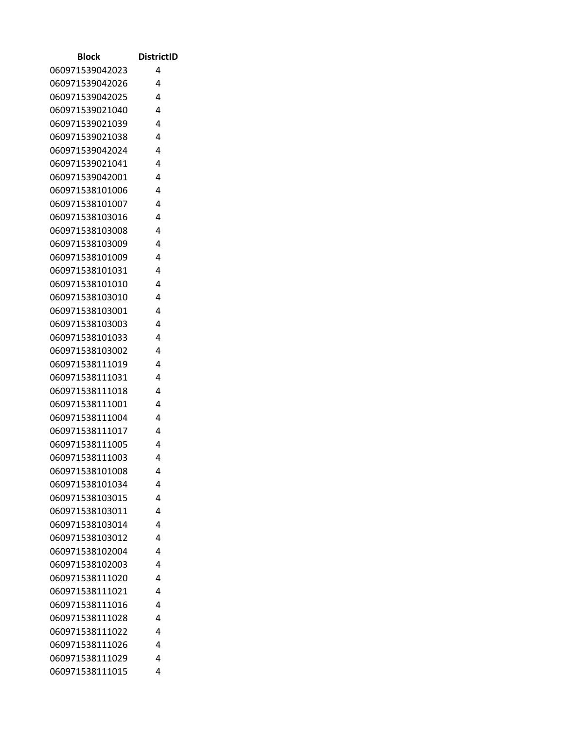| Block                              | <b>DistrictID</b> |
|------------------------------------|-------------------|
| 060971539042023                    | 4                 |
| 060971539042026                    | 4                 |
| 060971539042025                    | 4                 |
| 060971539021040                    | 4                 |
| 060971539021039                    | 4                 |
| 060971539021038                    | 4                 |
| 060971539042024                    | 4                 |
| 060971539021041                    | 4                 |
| 060971539042001                    | 4                 |
| 060971538101006                    | 4                 |
| 060971538101007                    | 4                 |
| 060971538103016                    | 4                 |
| 060971538103008                    | 4                 |
| 060971538103009                    | 4                 |
| 060971538101009                    | 4                 |
| 060971538101031                    | 4                 |
| 060971538101010                    | 4                 |
| 060971538103010                    | 4                 |
| 060971538103001                    | 4                 |
| 060971538103003                    | 4                 |
| 060971538101033                    | 4                 |
| 060971538103002                    | 4                 |
| 060971538111019                    | 4                 |
| 060971538111031                    | 4                 |
| 060971538111018                    | 4                 |
| 060971538111001                    | 4                 |
| 060971538111004                    | 4                 |
| 060971538111017                    | 4                 |
| 060971538111005                    | 4                 |
| 060971538111003                    | 4                 |
| 060971538101008                    | 4                 |
| 060971538101034                    | 4                 |
| 060971538103015                    | 4                 |
| 060971538103011                    | 4                 |
| 060971538103014                    | 4<br>4            |
| 060971538103012<br>060971538102004 | 4                 |
| 060971538102003                    | 4                 |
| 060971538111020                    | 4                 |
| 060971538111021                    | 4                 |
| 060971538111016                    | 4                 |
| 060971538111028                    | 4                 |
| 060971538111022                    | 4                 |
| 060971538111026                    | 4                 |
| 060971538111029                    | 4                 |
| 060971538111015                    | 4                 |
|                                    |                   |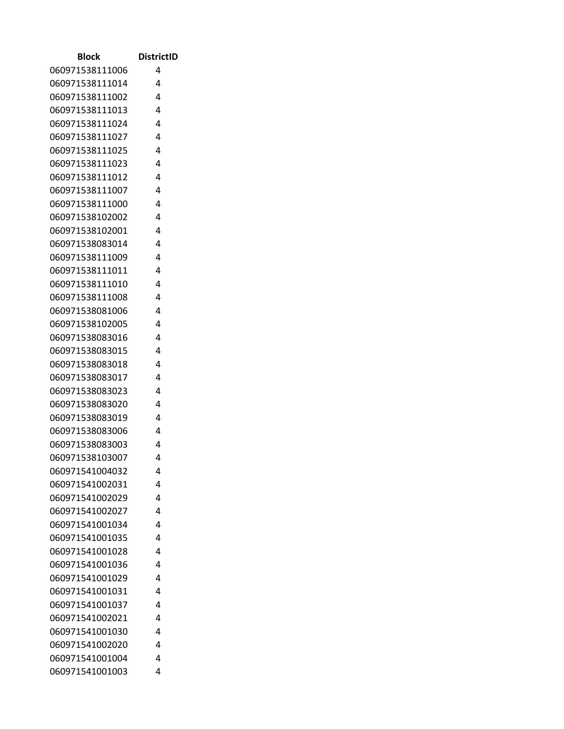| <b>Block</b>                       | <b>DistrictID</b> |
|------------------------------------|-------------------|
| 060971538111006                    | 4                 |
| 060971538111014                    | 4                 |
| 060971538111002                    | 4                 |
| 060971538111013                    | 4                 |
| 060971538111024                    | 4                 |
| 060971538111027                    | 4                 |
| 060971538111025                    | 4                 |
| 060971538111023                    | 4                 |
| 060971538111012                    | 4                 |
| 060971538111007                    | 4                 |
| 060971538111000                    | 4                 |
| 060971538102002                    | 4                 |
| 060971538102001                    | 4                 |
| 060971538083014                    | 4                 |
| 060971538111009                    | 4                 |
| 060971538111011                    | 4                 |
| 060971538111010                    | 4                 |
| 060971538111008                    | 4                 |
| 060971538081006                    | 4                 |
| 060971538102005                    | 4                 |
| 060971538083016                    | 4                 |
| 060971538083015                    | 4                 |
| 060971538083018                    | 4                 |
| 060971538083017                    | 4                 |
| 060971538083023                    | 4                 |
| 060971538083020                    | 4                 |
| 060971538083019                    | 4                 |
| 060971538083006                    | 4                 |
| 060971538083003                    | 4                 |
| 060971538103007<br>060971541004032 | 4                 |
|                                    | 4                 |
| 060971541002031                    | 4                 |
| 060971541002029                    | 4                 |
| 060971541002027                    | 4                 |
| 060971541001034<br>060971541001035 | 4<br>4            |
|                                    | 4                 |
| 060971541001028                    | 4                 |
| 060971541001036                    | 4                 |
| 060971541001029<br>060971541001031 | 4                 |
| 060971541001037                    | 4                 |
|                                    | 4                 |
| 060971541002021<br>060971541001030 | 4                 |
| 060971541002020                    | 4                 |
| 060971541001004                    | 4                 |
| 060971541001003                    | 4                 |
|                                    |                   |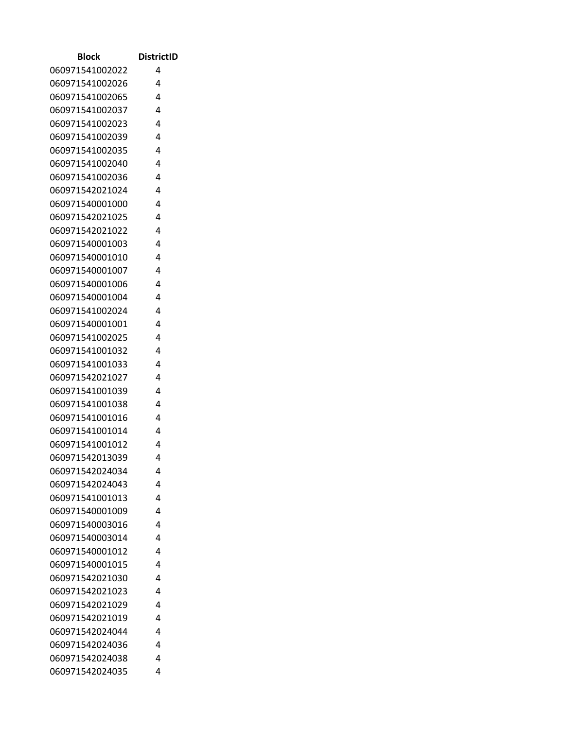| <b>Block</b>    | <b>DistrictID</b> |
|-----------------|-------------------|
| 060971541002022 | 4                 |
| 060971541002026 | 4                 |
| 060971541002065 | 4                 |
| 060971541002037 | 4                 |
| 060971541002023 | 4                 |
| 060971541002039 | 4                 |
| 060971541002035 | 4                 |
| 060971541002040 | 4                 |
| 060971541002036 | 4                 |
| 060971542021024 | 4                 |
| 060971540001000 | 4                 |
| 060971542021025 | 4                 |
| 060971542021022 | 4                 |
| 060971540001003 | 4                 |
| 060971540001010 | 4                 |
| 060971540001007 | 4                 |
| 060971540001006 | 4                 |
| 060971540001004 | 4                 |
| 060971541002024 | 4                 |
| 060971540001001 | 4                 |
| 060971541002025 | 4                 |
| 060971541001032 | 4                 |
| 060971541001033 | 4                 |
| 060971542021027 | 4                 |
| 060971541001039 | 4                 |
| 060971541001038 | 4                 |
| 060971541001016 | 4                 |
| 060971541001014 | 4                 |
| 060971541001012 | 4                 |
| 060971542013039 | 4                 |
| 060971542024034 | 4                 |
| 060971542024043 | 4                 |
| 060971541001013 | 4                 |
| 060971540001009 | 4                 |
| 060971540003016 | 4                 |
| 060971540003014 | 4                 |
| 060971540001012 | 4                 |
| 060971540001015 | 4                 |
| 060971542021030 | 4                 |
| 060971542021023 | 4                 |
| 060971542021029 | 4                 |
| 060971542021019 | 4                 |
| 060971542024044 | 4                 |
| 060971542024036 | 4                 |
| 060971542024038 | 4                 |
| 060971542024035 | 4                 |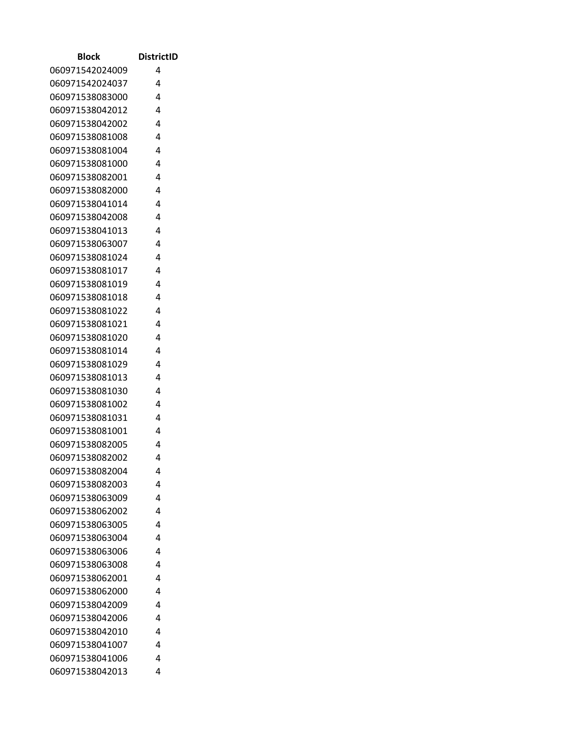| <b>Block</b>    | <b>DistrictID</b> |
|-----------------|-------------------|
| 060971542024009 | 4                 |
| 060971542024037 | 4                 |
| 060971538083000 | 4                 |
| 060971538042012 | 4                 |
| 060971538042002 | 4                 |
| 060971538081008 | 4                 |
| 060971538081004 | 4                 |
| 060971538081000 | 4                 |
| 060971538082001 | 4                 |
| 060971538082000 | 4                 |
| 060971538041014 | 4                 |
| 060971538042008 | 4                 |
| 060971538041013 | 4                 |
| 060971538063007 | 4                 |
| 060971538081024 | 4                 |
| 060971538081017 | 4                 |
| 060971538081019 | 4                 |
| 060971538081018 | 4                 |
| 060971538081022 | 4                 |
| 060971538081021 | 4                 |
| 060971538081020 | 4                 |
| 060971538081014 | 4                 |
| 060971538081029 | 4                 |
| 060971538081013 | 4                 |
| 060971538081030 | 4                 |
| 060971538081002 | 4                 |
| 060971538081031 | 4                 |
| 060971538081001 | 4                 |
| 060971538082005 | 4                 |
| 060971538082002 | 4                 |
| 060971538082004 | 4                 |
| 060971538082003 | 4                 |
| 060971538063009 | 4                 |
| 060971538062002 | 4                 |
| 060971538063005 | 4                 |
| 060971538063004 | 4                 |
| 060971538063006 | 4                 |
| 060971538063008 | 4                 |
| 060971538062001 | 4                 |
| 060971538062000 | 4                 |
| 060971538042009 | 4                 |
| 060971538042006 | 4                 |
| 060971538042010 | 4<br>4            |
| 060971538041007 | 4                 |
| 060971538041006 |                   |
| 060971538042013 | 4                 |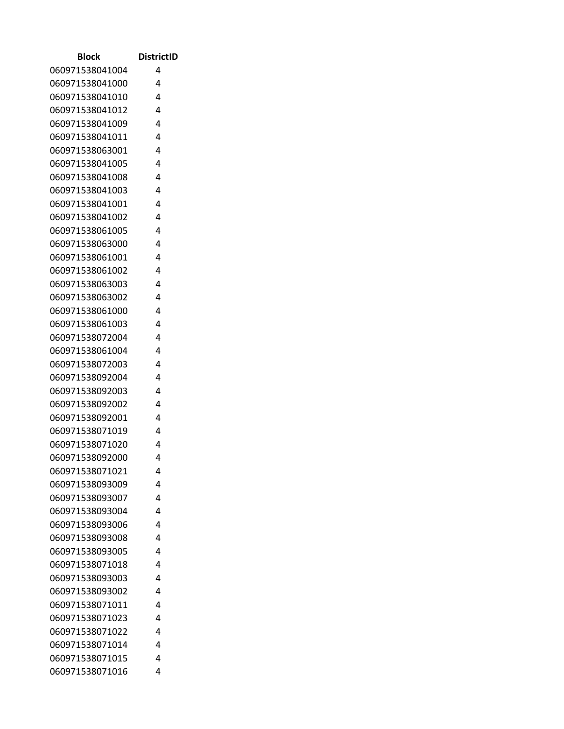| <b>Block</b>    | <b>DistrictID</b> |
|-----------------|-------------------|
| 060971538041004 | 4                 |
| 060971538041000 | 4                 |
| 060971538041010 | 4                 |
| 060971538041012 | 4                 |
| 060971538041009 | 4                 |
| 060971538041011 | 4                 |
| 060971538063001 | 4                 |
| 060971538041005 | 4                 |
| 060971538041008 | 4                 |
| 060971538041003 | 4                 |
| 060971538041001 | 4                 |
| 060971538041002 | 4                 |
| 060971538061005 | 4                 |
| 060971538063000 | 4                 |
| 060971538061001 | 4                 |
| 060971538061002 | 4                 |
| 060971538063003 | 4                 |
| 060971538063002 | 4                 |
| 060971538061000 | 4                 |
| 060971538061003 | 4                 |
| 060971538072004 | 4                 |
| 060971538061004 | 4                 |
| 060971538072003 | 4                 |
| 060971538092004 | 4                 |
| 060971538092003 | 4                 |
| 060971538092002 | 4                 |
| 060971538092001 | 4                 |
| 060971538071019 | 4                 |
| 060971538071020 | 4                 |
| 060971538092000 | 4                 |
| 060971538071021 | 4                 |
| 060971538093009 | 4                 |
| 060971538093007 | 4                 |
| 060971538093004 | 4                 |
| 060971538093006 | 4                 |
| 060971538093008 | 4                 |
| 060971538093005 | 4                 |
| 060971538071018 | 4                 |
| 060971538093003 | 4                 |
| 060971538093002 | 4                 |
| 060971538071011 | 4                 |
| 060971538071023 | 4                 |
| 060971538071022 | 4                 |
| 060971538071014 | 4                 |
| 060971538071015 | 4                 |
| 060971538071016 | 4                 |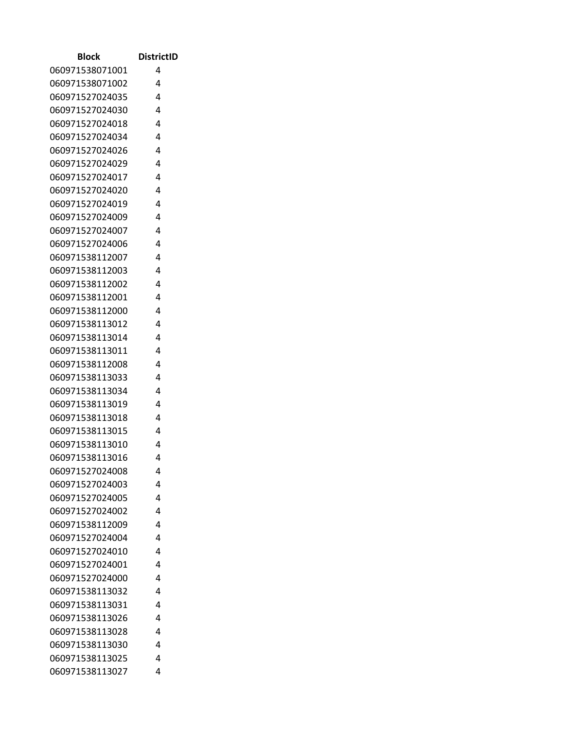| Block           | <b>DistrictID</b> |
|-----------------|-------------------|
| 060971538071001 | 4                 |
| 060971538071002 | 4                 |
| 060971527024035 | 4                 |
| 060971527024030 | 4                 |
| 060971527024018 | 4                 |
| 060971527024034 | 4                 |
| 060971527024026 | 4                 |
| 060971527024029 | 4                 |
| 060971527024017 | 4                 |
| 060971527024020 | 4                 |
| 060971527024019 | 4                 |
| 060971527024009 | 4                 |
| 060971527024007 | 4                 |
| 060971527024006 | 4                 |
| 060971538112007 | 4                 |
| 060971538112003 | 4                 |
| 060971538112002 | 4                 |
| 060971538112001 | 4                 |
| 060971538112000 | 4                 |
| 060971538113012 | 4                 |
| 060971538113014 | 4                 |
| 060971538113011 | 4                 |
| 060971538112008 | 4                 |
| 060971538113033 | 4                 |
| 060971538113034 | 4                 |
| 060971538113019 | 4                 |
| 060971538113018 | 4                 |
| 060971538113015 | 4                 |
| 060971538113010 | 4                 |
| 060971538113016 | 4                 |
| 060971527024008 | 4                 |
| 060971527024003 | 4                 |
| 060971527024005 | 4                 |
| 060971527024002 | 4                 |
| 060971538112009 | 4                 |
| 060971527024004 | 4                 |
| 060971527024010 | 4                 |
| 060971527024001 | 4                 |
| 060971527024000 | 4                 |
| 060971538113032 | 4                 |
| 060971538113031 | 4                 |
| 060971538113026 | 4                 |
| 060971538113028 | 4                 |
| 060971538113030 | 4                 |
| 060971538113025 | 4                 |
| 060971538113027 | 4                 |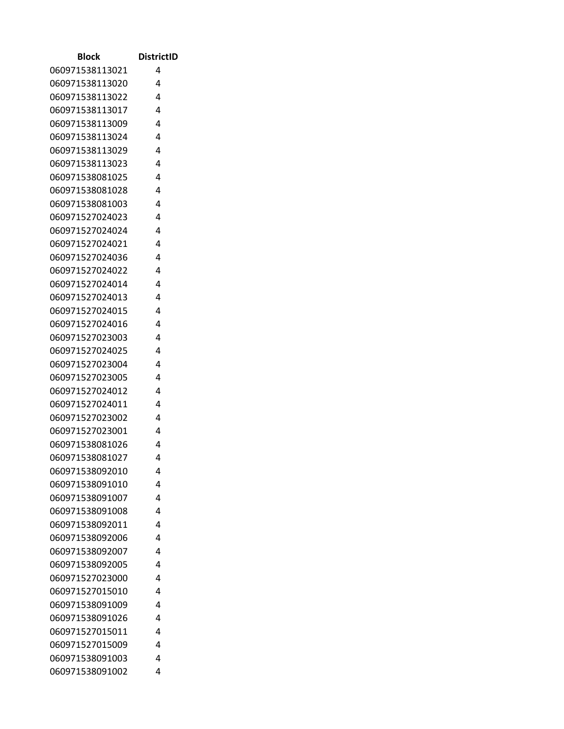| Block           | DistrictID |
|-----------------|------------|
| 060971538113021 | 4          |
| 060971538113020 | 4          |
| 060971538113022 | 4          |
| 060971538113017 | 4          |
| 060971538113009 | 4          |
| 060971538113024 | 4          |
| 060971538113029 | 4          |
| 060971538113023 | 4          |
| 060971538081025 | 4          |
| 060971538081028 | 4          |
| 060971538081003 | 4          |
| 060971527024023 | 4          |
| 060971527024024 | 4          |
| 060971527024021 | 4          |
| 060971527024036 | 4          |
| 060971527024022 | 4          |
| 060971527024014 | 4          |
| 060971527024013 | 4          |
| 060971527024015 | 4          |
| 060971527024016 | 4          |
| 060971527023003 | 4          |
| 060971527024025 | 4          |
| 060971527023004 | 4          |
| 060971527023005 | 4          |
| 060971527024012 | 4          |
| 060971527024011 | 4          |
| 060971527023002 | 4          |
| 060971527023001 | 4          |
| 060971538081026 | 4          |
| 060971538081027 | 4          |
| 060971538092010 | 4          |
| 060971538091010 | 4          |
| 060971538091007 | 4          |
| 060971538091008 | 4          |
| 060971538092011 | 4          |
| 060971538092006 | 4          |
| 060971538092007 | 4          |
| 060971538092005 | 4          |
| 060971527023000 | 4          |
| 060971527015010 | 4          |
| 060971538091009 | 4          |
| 060971538091026 | 4          |
| 060971527015011 | 4          |
| 060971527015009 | 4          |
| 060971538091003 | 4          |
| 060971538091002 | 4          |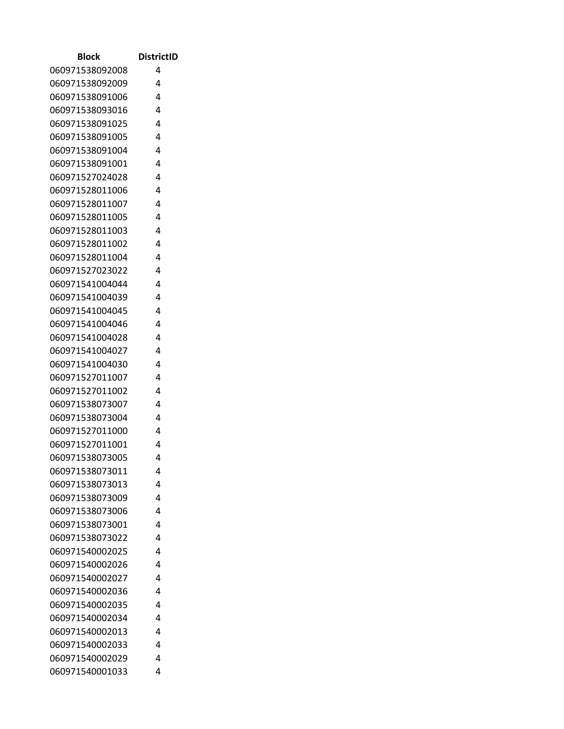| Block           | <b>DistrictID</b> |
|-----------------|-------------------|
| 060971538092008 | 4                 |
| 060971538092009 | 4                 |
| 060971538091006 | 4                 |
| 060971538093016 | 4                 |
| 060971538091025 | 4                 |
| 060971538091005 | 4                 |
| 060971538091004 | 4                 |
| 060971538091001 | 4                 |
| 060971527024028 | 4                 |
| 060971528011006 | 4                 |
| 060971528011007 | 4                 |
| 060971528011005 | 4                 |
| 060971528011003 | 4                 |
| 060971528011002 | 4                 |
| 060971528011004 | 4                 |
| 060971527023022 | 4                 |
| 060971541004044 | 4                 |
| 060971541004039 | 4                 |
| 060971541004045 | 4                 |
| 060971541004046 | 4                 |
| 060971541004028 | 4                 |
| 060971541004027 | 4                 |
| 060971541004030 | 4                 |
| 060971527011007 | 4                 |
| 060971527011002 | 4                 |
| 060971538073007 | 4                 |
| 060971538073004 | 4                 |
| 060971527011000 | 4                 |
| 060971527011001 | 4                 |
| 060971538073005 | 4                 |
| 060971538073011 | 4                 |
| 060971538073013 | 4                 |
| 060971538073009 | 4                 |
| 060971538073006 | 4                 |
| 060971538073001 | 4                 |
| 060971538073022 | 4                 |
| 060971540002025 | 4                 |
| 060971540002026 | 4                 |
| 060971540002027 | 4                 |
| 060971540002036 | 4                 |
| 060971540002035 | 4                 |
| 060971540002034 | 4                 |
| 060971540002013 | 4                 |
| 060971540002033 | 4                 |
| 060971540002029 | 4                 |
| 060971540001033 | 4                 |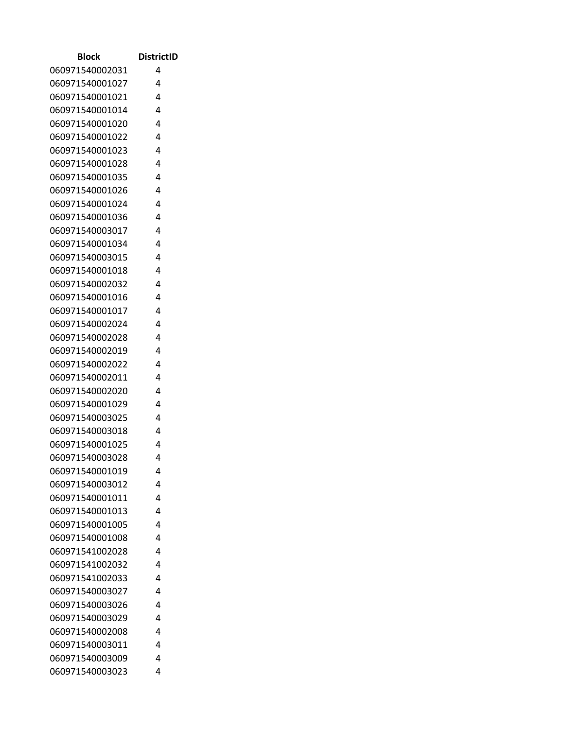| Block           | <b>DistrictID</b> |
|-----------------|-------------------|
| 060971540002031 | 4                 |
| 060971540001027 | 4                 |
| 060971540001021 | 4                 |
| 060971540001014 | 4                 |
| 060971540001020 | 4                 |
| 060971540001022 | 4                 |
| 060971540001023 | 4                 |
| 060971540001028 | 4                 |
| 060971540001035 | 4                 |
| 060971540001026 | 4                 |
| 060971540001024 | 4                 |
| 060971540001036 | 4                 |
| 060971540003017 | 4                 |
| 060971540001034 | 4                 |
| 060971540003015 | 4                 |
| 060971540001018 | 4                 |
| 060971540002032 | 4                 |
| 060971540001016 | 4                 |
| 060971540001017 | 4                 |
| 060971540002024 | 4                 |
| 060971540002028 | 4                 |
| 060971540002019 | 4                 |
| 060971540002022 | 4                 |
| 060971540002011 | 4                 |
| 060971540002020 | 4                 |
| 060971540001029 | 4                 |
| 060971540003025 | 4                 |
| 060971540003018 | 4                 |
| 060971540001025 | 4                 |
| 060971540003028 | 4                 |
| 060971540001019 | 4                 |
| 060971540003012 | 4                 |
| 060971540001011 | 4                 |
| 060971540001013 | 4                 |
| 060971540001005 | 4                 |
| 060971540001008 | 4                 |
| 060971541002028 | 4                 |
| 060971541002032 | 4                 |
| 060971541002033 | 4                 |
| 060971540003027 | 4                 |
| 060971540003026 | 4                 |
| 060971540003029 | 4                 |
| 060971540002008 | 4                 |
| 060971540003011 | 4                 |
| 060971540003009 | 4                 |
| 060971540003023 | 4                 |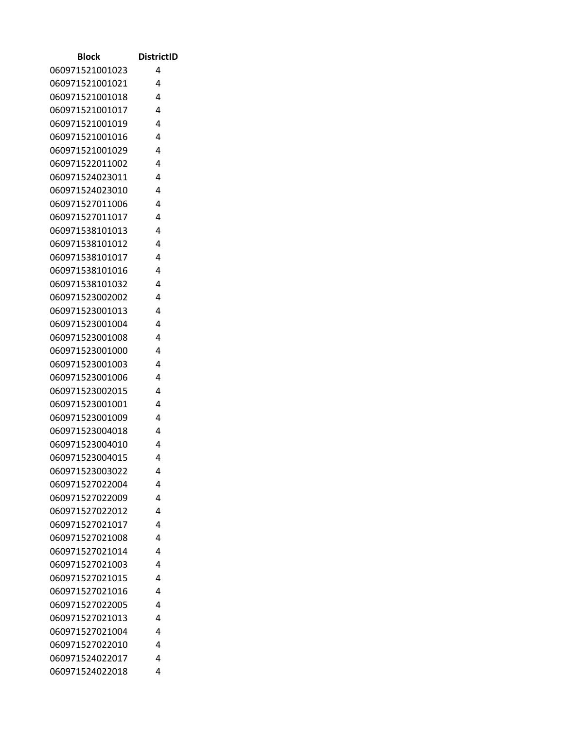| <b>Block</b>    | <b>DistrictID</b> |
|-----------------|-------------------|
| 060971521001023 | 4                 |
| 060971521001021 | 4                 |
| 060971521001018 | 4                 |
| 060971521001017 | 4                 |
| 060971521001019 | 4                 |
| 060971521001016 | 4                 |
| 060971521001029 | 4                 |
| 060971522011002 | 4                 |
| 060971524023011 | 4                 |
| 060971524023010 | 4                 |
| 060971527011006 | 4                 |
| 060971527011017 | 4                 |
| 060971538101013 | 4                 |
| 060971538101012 | 4                 |
| 060971538101017 | 4                 |
| 060971538101016 | 4                 |
| 060971538101032 | 4                 |
| 060971523002002 | 4                 |
| 060971523001013 | 4                 |
| 060971523001004 | 4                 |
| 060971523001008 | 4                 |
| 060971523001000 | 4                 |
| 060971523001003 | 4                 |
| 060971523001006 | 4                 |
| 060971523002015 | 4                 |
| 060971523001001 | 4                 |
| 060971523001009 | 4                 |
| 060971523004018 | 4                 |
| 060971523004010 | 4                 |
| 060971523004015 | 4                 |
| 060971523003022 | 4                 |
| 060971527022004 | 4                 |
| 060971527022009 | 4                 |
| 060971527022012 | 4                 |
| 060971527021017 | 4                 |
| 060971527021008 | 4                 |
| 060971527021014 | 4                 |
| 060971527021003 | 4                 |
| 060971527021015 | 4                 |
| 060971527021016 | 4                 |
| 060971527022005 | 4                 |
| 060971527021013 | 4                 |
| 060971527021004 | 4                 |
| 060971527022010 | 4                 |
| 060971524022017 | 4                 |
| 060971524022018 | 4                 |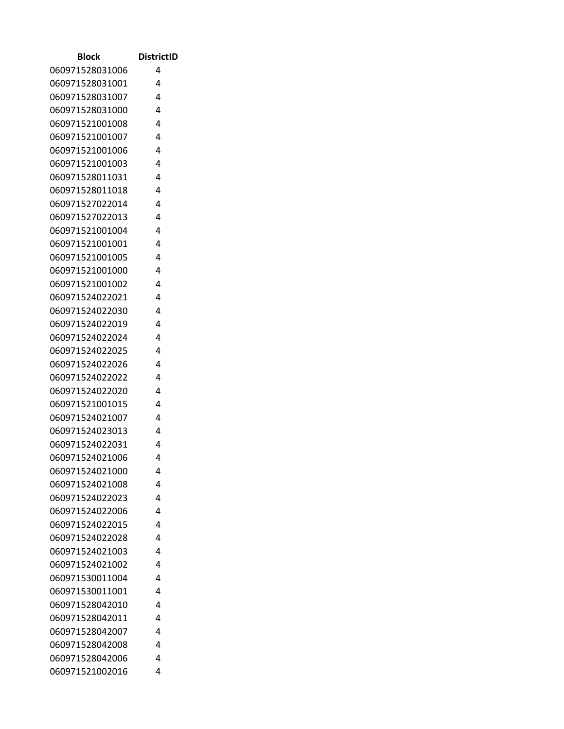| Block                              | <b>DistrictID</b> |
|------------------------------------|-------------------|
| 060971528031006                    | 4                 |
| 060971528031001                    | 4                 |
| 060971528031007                    | 4                 |
| 060971528031000                    | 4                 |
| 060971521001008                    | 4                 |
| 060971521001007                    | 4                 |
| 060971521001006                    | 4                 |
| 060971521001003                    | 4                 |
| 060971528011031                    | 4                 |
| 060971528011018                    | 4                 |
| 060971527022014                    | 4                 |
| 060971527022013                    | 4                 |
| 060971521001004                    | 4                 |
| 060971521001001                    | 4                 |
| 060971521001005                    | 4                 |
| 060971521001000                    | 4                 |
| 060971521001002                    | 4                 |
| 060971524022021                    | 4                 |
| 060971524022030                    | 4                 |
| 060971524022019                    | 4                 |
| 060971524022024                    | 4                 |
| 060971524022025                    | 4                 |
| 060971524022026                    | 4                 |
| 060971524022022                    | 4<br>4            |
| 060971524022020<br>060971521001015 | 4                 |
| 060971524021007                    | 4                 |
| 060971524023013                    | 4                 |
| 060971524022031                    | 4                 |
| 060971524021006                    | 4                 |
| 060971524021000                    | 4                 |
| 060971524021008                    | 4                 |
| 060971524022023                    | 4                 |
| 060971524022006                    | 4                 |
| 060971524022015                    | 4                 |
| 060971524022028                    | 4                 |
| 060971524021003                    | 4                 |
| 060971524021002                    | 4                 |
| 060971530011004                    | 4                 |
| 060971530011001                    | 4                 |
| 060971528042010                    | 4                 |
| 060971528042011                    | 4                 |
| 060971528042007                    | 4                 |
| 060971528042008                    | 4                 |
| 060971528042006                    | 4                 |
| 060971521002016                    | 4                 |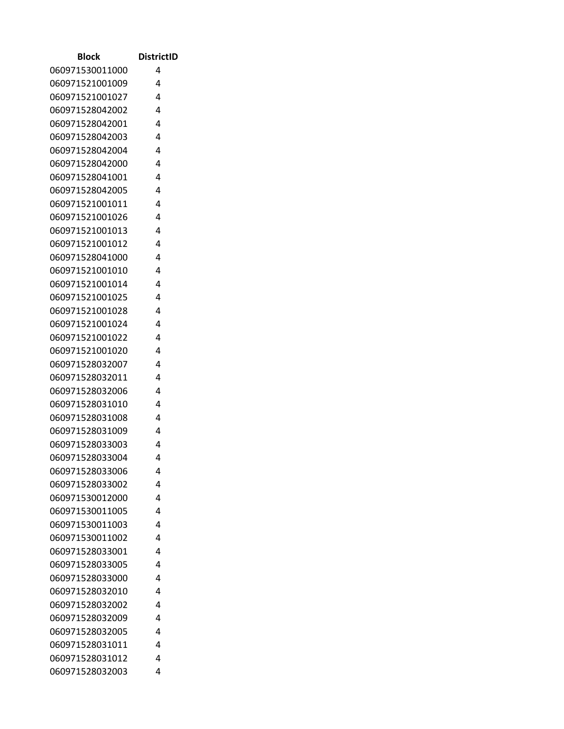| Block           | <b>DistrictID</b> |
|-----------------|-------------------|
| 060971530011000 | 4                 |
| 060971521001009 | 4                 |
| 060971521001027 | 4                 |
| 060971528042002 | 4                 |
| 060971528042001 | 4                 |
| 060971528042003 | 4                 |
| 060971528042004 | 4                 |
| 060971528042000 | 4                 |
| 060971528041001 | 4                 |
| 060971528042005 | 4                 |
| 060971521001011 | 4                 |
| 060971521001026 | 4                 |
| 060971521001013 | 4                 |
| 060971521001012 | 4                 |
| 060971528041000 | 4                 |
| 060971521001010 | 4                 |
| 060971521001014 | 4                 |
| 060971521001025 | 4                 |
| 060971521001028 | 4                 |
| 060971521001024 | 4                 |
| 060971521001022 | 4                 |
| 060971521001020 | 4                 |
| 060971528032007 | 4                 |
| 060971528032011 | 4                 |
| 060971528032006 | 4                 |
| 060971528031010 | 4                 |
| 060971528031008 | 4                 |
| 060971528031009 | 4                 |
| 060971528033003 | 4                 |
| 060971528033004 | 4                 |
| 060971528033006 | 4                 |
| 060971528033002 | 4                 |
| 060971530012000 | 4                 |
| 060971530011005 | 4                 |
| 060971530011003 | 4                 |
| 060971530011002 | 4                 |
| 060971528033001 | 4                 |
| 060971528033005 | 4                 |
| 060971528033000 | 4                 |
| 060971528032010 | 4                 |
| 060971528032002 | 4                 |
| 060971528032009 | 4                 |
| 060971528032005 | 4                 |
| 060971528031011 | 4                 |
| 060971528031012 | 4                 |
| 060971528032003 | 4                 |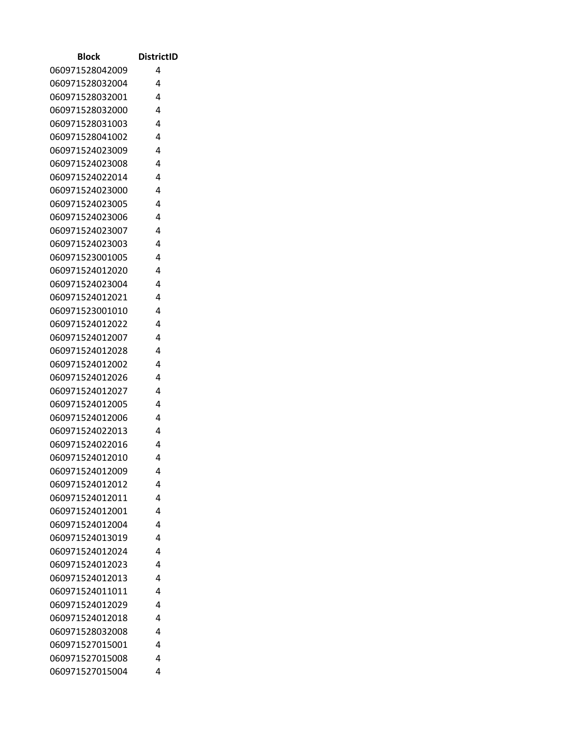| Block           | <b>DistrictID</b> |
|-----------------|-------------------|
| 060971528042009 | 4                 |
| 060971528032004 | 4                 |
| 060971528032001 | 4                 |
| 060971528032000 | 4                 |
| 060971528031003 | 4                 |
| 060971528041002 | 4                 |
| 060971524023009 | 4                 |
| 060971524023008 | 4                 |
| 060971524022014 | 4                 |
| 060971524023000 | 4                 |
| 060971524023005 | 4                 |
| 060971524023006 | 4                 |
| 060971524023007 | 4                 |
| 060971524023003 | 4                 |
| 060971523001005 | 4                 |
| 060971524012020 | 4                 |
| 060971524023004 | 4                 |
| 060971524012021 | 4                 |
| 060971523001010 | 4                 |
| 060971524012022 | 4                 |
| 060971524012007 | 4                 |
| 060971524012028 | 4                 |
| 060971524012002 | 4                 |
| 060971524012026 | 4                 |
| 060971524012027 | 4                 |
| 060971524012005 | 4                 |
| 060971524012006 | 4                 |
| 060971524022013 | 4                 |
| 060971524022016 | 4                 |
| 060971524012010 | 4                 |
| 060971524012009 | 4                 |
| 060971524012012 | 4                 |
| 060971524012011 | 4                 |
| 060971524012001 | 4                 |
| 060971524012004 | 4                 |
| 060971524013019 | 4                 |
| 060971524012024 | 4                 |
| 060971524012023 | 4                 |
| 060971524012013 | 4                 |
| 060971524011011 | 4                 |
| 060971524012029 | 4                 |
| 060971524012018 | 4                 |
| 060971528032008 | 4                 |
| 060971527015001 | 4                 |
| 060971527015008 | 4                 |
| 060971527015004 | 4                 |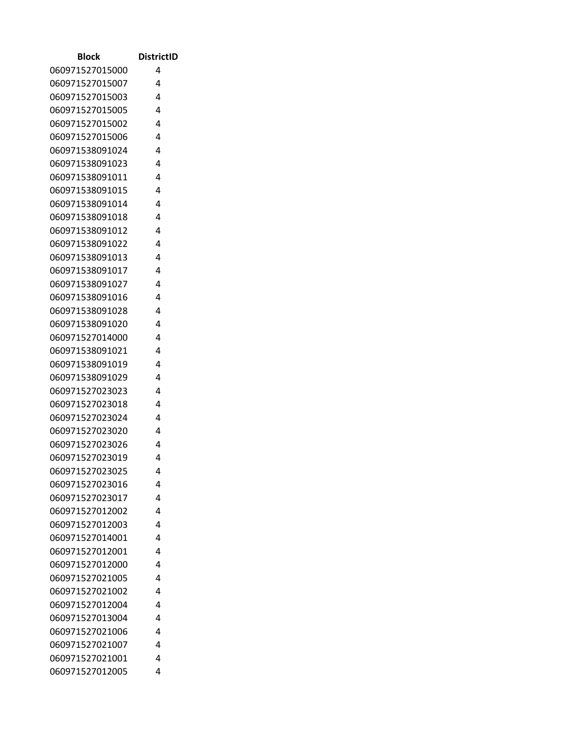| Block                              | <b>DistrictID</b> |
|------------------------------------|-------------------|
| 060971527015000                    | 4                 |
| 060971527015007                    | 4                 |
| 060971527015003                    | 4                 |
| 060971527015005                    | 4                 |
| 060971527015002                    | 4                 |
| 060971527015006                    | 4                 |
| 060971538091024                    | 4                 |
| 060971538091023                    | 4                 |
| 060971538091011                    | 4                 |
| 060971538091015                    | 4                 |
| 060971538091014                    | 4                 |
| 060971538091018                    | 4                 |
| 060971538091012                    | 4                 |
| 060971538091022                    | 4                 |
| 060971538091013                    | 4                 |
| 060971538091017                    | 4                 |
| 060971538091027                    | 4                 |
| 060971538091016                    | 4                 |
| 060971538091028                    | 4                 |
| 060971538091020                    | 4                 |
| 060971527014000                    | 4                 |
| 060971538091021                    | 4                 |
| 060971538091019                    | 4                 |
| 060971538091029                    | 4                 |
| 060971527023023                    | 4                 |
| 060971527023018                    | 4                 |
| 060971527023024                    | 4                 |
| 060971527023020                    | 4                 |
| 060971527023026                    | 4                 |
| 060971527023019                    | 4                 |
| 060971527023025                    | 4                 |
| 060971527023016                    | 4                 |
| 060971527023017                    | 4                 |
| 060971527012002                    | 4                 |
| 060971527012003                    | 4                 |
| 060971527014001                    | 4                 |
| 060971527012001                    | 4                 |
| 060971527012000                    | 4                 |
| 060971527021005                    | 4                 |
| 060971527021002                    | 4                 |
| 060971527012004<br>060971527013004 | 4<br>4            |
| 060971527021006                    | 4                 |
| 060971527021007                    | 4                 |
| 060971527021001                    | 4                 |
| 060971527012005                    | 4                 |
|                                    |                   |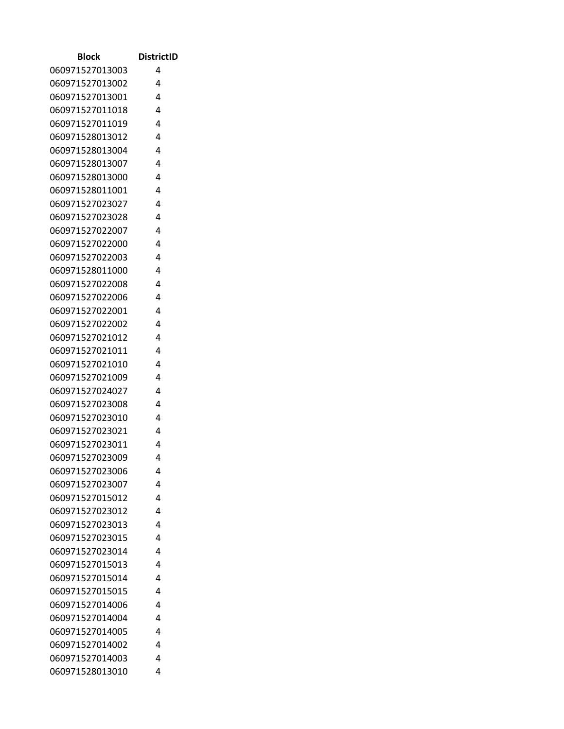| Block           | <b>DistrictID</b> |
|-----------------|-------------------|
| 060971527013003 | 4                 |
| 060971527013002 | 4                 |
| 060971527013001 | 4                 |
| 060971527011018 | 4                 |
| 060971527011019 | 4                 |
| 060971528013012 | 4                 |
| 060971528013004 | 4                 |
| 060971528013007 | 4                 |
| 060971528013000 | 4                 |
| 060971528011001 | 4                 |
| 060971527023027 | 4                 |
| 060971527023028 | 4                 |
| 060971527022007 | 4                 |
| 060971527022000 | 4                 |
| 060971527022003 | 4                 |
| 060971528011000 | 4                 |
| 060971527022008 | 4                 |
| 060971527022006 | 4                 |
| 060971527022001 | 4                 |
| 060971527022002 | 4                 |
| 060971527021012 | 4                 |
| 060971527021011 | 4                 |
| 060971527021010 | 4                 |
| 060971527021009 | 4                 |
| 060971527024027 | 4                 |
| 060971527023008 | 4                 |
| 060971527023010 | 4                 |
| 060971527023021 | 4                 |
| 060971527023011 | 4                 |
| 060971527023009 | 4                 |
| 060971527023006 | 4                 |
| 060971527023007 | 4                 |
| 060971527015012 | 4                 |
| 060971527023012 | 4                 |
| 060971527023013 | 4                 |
| 060971527023015 | 4                 |
| 060971527023014 | 4                 |
| 060971527015013 | 4                 |
| 060971527015014 | 4                 |
| 060971527015015 | 4                 |
| 060971527014006 | 4                 |
| 060971527014004 | 4                 |
| 060971527014005 | 4                 |
| 060971527014002 | 4                 |
| 060971527014003 | 4                 |
| 060971528013010 | 4                 |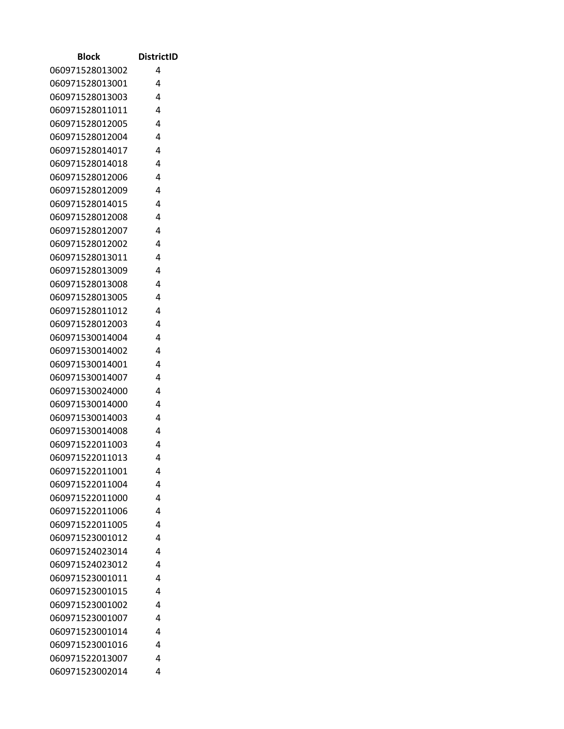| <b>Block</b>    | <b>DistrictID</b> |
|-----------------|-------------------|
| 060971528013002 | 4                 |
| 060971528013001 | 4                 |
| 060971528013003 | 4                 |
| 060971528011011 | 4                 |
| 060971528012005 | 4                 |
| 060971528012004 | 4                 |
| 060971528014017 | 4                 |
| 060971528014018 | 4                 |
| 060971528012006 | 4                 |
| 060971528012009 | 4                 |
| 060971528014015 | 4                 |
| 060971528012008 | 4                 |
| 060971528012007 | 4                 |
| 060971528012002 | 4                 |
| 060971528013011 | 4                 |
| 060971528013009 | 4                 |
| 060971528013008 | 4                 |
| 060971528013005 | 4                 |
| 060971528011012 | 4                 |
| 060971528012003 | 4                 |
| 060971530014004 | 4                 |
| 060971530014002 | 4                 |
| 060971530014001 | 4                 |
| 060971530014007 | 4                 |
| 060971530024000 | 4                 |
| 060971530014000 | 4                 |
| 060971530014003 | 4                 |
| 060971530014008 | 4                 |
| 060971522011003 | 4                 |
| 060971522011013 | 4                 |
| 060971522011001 | 4                 |
| 060971522011004 | 4                 |
| 060971522011000 | 4                 |
| 060971522011006 | 4                 |
| 060971522011005 | 4                 |
| 060971523001012 | 4                 |
| 060971524023014 | 4                 |
| 060971524023012 | 4                 |
| 060971523001011 | 4                 |
| 060971523001015 | 4                 |
| 060971523001002 | 4                 |
| 060971523001007 | 4                 |
| 060971523001014 | 4                 |
| 060971523001016 | 4                 |
| 060971522013007 | 4                 |
| 060971523002014 | 4                 |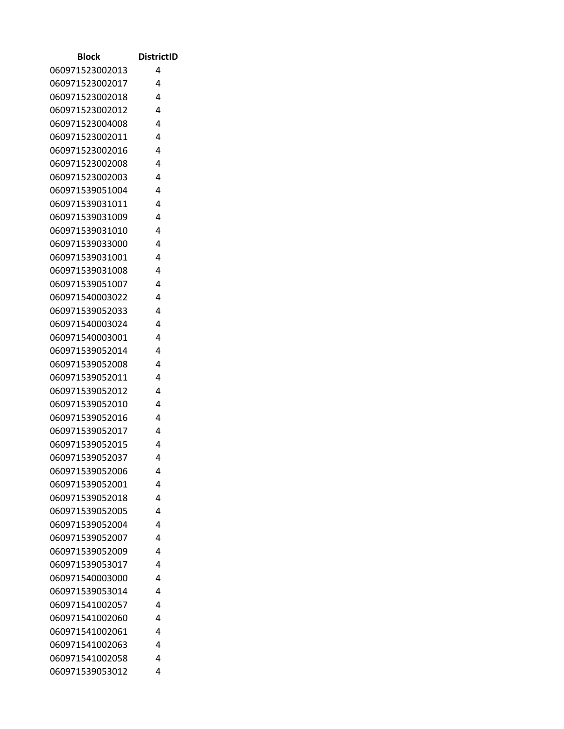| Block           | <b>DistrictID</b> |
|-----------------|-------------------|
| 060971523002013 | 4                 |
| 060971523002017 | 4                 |
| 060971523002018 | 4                 |
| 060971523002012 | 4                 |
| 060971523004008 | 4                 |
| 060971523002011 | 4                 |
| 060971523002016 | 4                 |
| 060971523002008 | 4                 |
| 060971523002003 | 4                 |
| 060971539051004 | 4                 |
| 060971539031011 | 4                 |
| 060971539031009 | 4                 |
| 060971539031010 | 4                 |
| 060971539033000 | 4                 |
| 060971539031001 | 4                 |
| 060971539031008 | 4                 |
| 060971539051007 | 4                 |
| 060971540003022 | 4                 |
| 060971539052033 | 4                 |
| 060971540003024 | 4                 |
| 060971540003001 | 4                 |
| 060971539052014 | 4                 |
| 060971539052008 | 4                 |
| 060971539052011 | 4                 |
| 060971539052012 | 4                 |
| 060971539052010 | 4                 |
| 060971539052016 | 4                 |
| 060971539052017 | 4                 |
| 060971539052015 | 4                 |
| 060971539052037 | 4                 |
| 060971539052006 | 4                 |
| 060971539052001 | 4                 |
| 060971539052018 | 4                 |
| 060971539052005 | 4                 |
| 060971539052004 | 4                 |
| 060971539052007 | 4                 |
| 060971539052009 | 4                 |
| 060971539053017 | 4                 |
| 060971540003000 | 4                 |
| 060971539053014 | 4                 |
| 060971541002057 | 4                 |
| 060971541002060 | 4                 |
| 060971541002061 | 4                 |
| 060971541002063 | 4                 |
| 060971541002058 | 4                 |
| 060971539053012 | 4                 |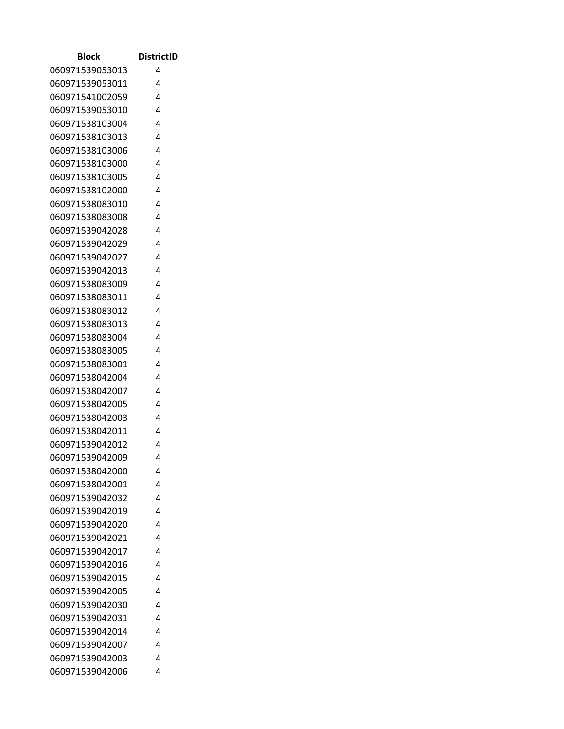| Block           | <b>DistrictID</b> |
|-----------------|-------------------|
| 060971539053013 | 4                 |
| 060971539053011 | 4                 |
| 060971541002059 | 4                 |
| 060971539053010 | 4                 |
| 060971538103004 | 4                 |
| 060971538103013 | 4                 |
| 060971538103006 | 4                 |
| 060971538103000 | 4                 |
| 060971538103005 | 4                 |
| 060971538102000 | 4                 |
| 060971538083010 | 4                 |
| 060971538083008 | 4                 |
| 060971539042028 | 4                 |
| 060971539042029 | 4                 |
| 060971539042027 | 4                 |
| 060971539042013 | 4                 |
| 060971538083009 | 4                 |
| 060971538083011 | 4                 |
| 060971538083012 | 4                 |
| 060971538083013 | 4                 |
| 060971538083004 | 4                 |
| 060971538083005 | 4                 |
| 060971538083001 | 4                 |
| 060971538042004 | 4                 |
| 060971538042007 | 4                 |
| 060971538042005 | 4                 |
| 060971538042003 | 4                 |
| 060971538042011 | 4                 |
| 060971539042012 | 4                 |
| 060971539042009 | 4                 |
| 060971538042000 | 4                 |
| 060971538042001 | 4                 |
| 060971539042032 | 4                 |
| 060971539042019 | 4                 |
| 060971539042020 | 4                 |
| 060971539042021 | 4                 |
| 060971539042017 | 4                 |
| 060971539042016 | 4                 |
| 060971539042015 | 4                 |
| 060971539042005 | 4                 |
| 060971539042030 | 4                 |
| 060971539042031 | 4                 |
| 060971539042014 | 4                 |
| 060971539042007 | 4                 |
| 060971539042003 | 4                 |
| 060971539042006 | 4                 |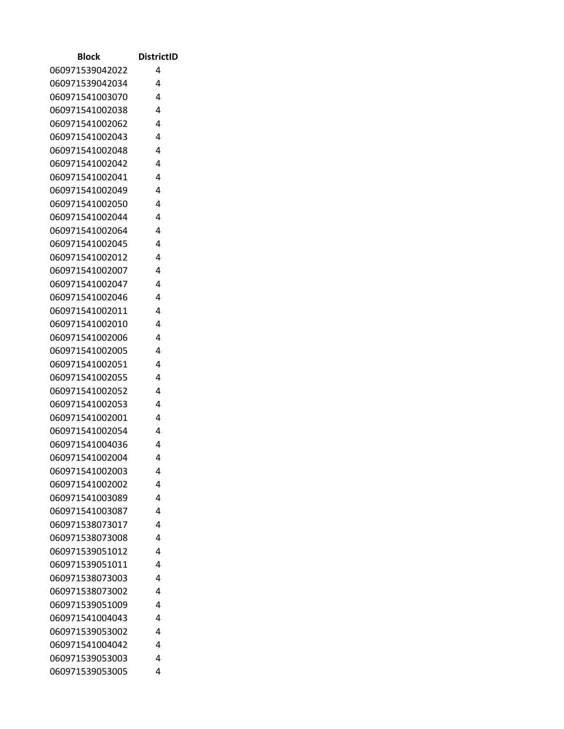| Block                              | <b>DistrictID</b> |
|------------------------------------|-------------------|
| 060971539042022                    | 4                 |
| 060971539042034                    | 4                 |
| 060971541003070                    | 4                 |
| 060971541002038                    | 4                 |
| 060971541002062                    | 4                 |
| 060971541002043                    | 4                 |
| 060971541002048                    | 4                 |
| 060971541002042                    | 4                 |
| 060971541002041                    | 4                 |
| 060971541002049                    | 4                 |
| 060971541002050                    | 4                 |
| 060971541002044                    | 4                 |
| 060971541002064                    | 4                 |
| 060971541002045                    | 4                 |
| 060971541002012                    | 4                 |
| 060971541002007                    | 4                 |
| 060971541002047                    | 4                 |
| 060971541002046                    | 4                 |
| 060971541002011                    | 4                 |
| 060971541002010                    | 4                 |
| 060971541002006                    | 4                 |
| 060971541002005                    | 4                 |
| 060971541002051                    | 4                 |
| 060971541002055                    | 4<br>4            |
| 060971541002052<br>060971541002053 | 4                 |
| 060971541002001                    | 4                 |
| 060971541002054                    | 4                 |
| 060971541004036                    | 4                 |
| 060971541002004                    | 4                 |
| 060971541002003                    | 4                 |
| 060971541002002                    | 4                 |
| 060971541003089                    | 4                 |
| 060971541003087                    | 4                 |
| 060971538073017                    | 4                 |
| 060971538073008                    | 4                 |
| 060971539051012                    | 4                 |
| 060971539051011                    | 4                 |
| 060971538073003                    | 4                 |
| 060971538073002                    | 4                 |
| 060971539051009                    | 4                 |
| 060971541004043                    | 4                 |
| 060971539053002                    | 4                 |
| 060971541004042                    | 4                 |
| 060971539053003                    | 4                 |
| 060971539053005                    | 4                 |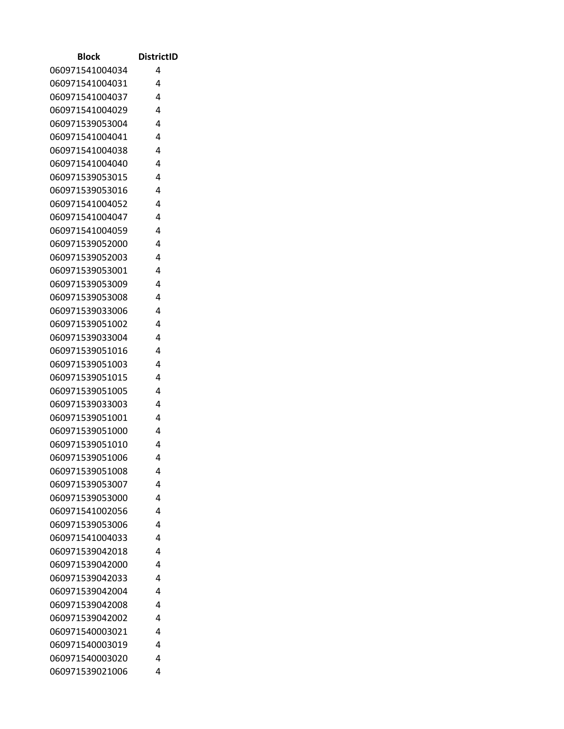| <b>Block</b>    | <b>DistrictID</b> |
|-----------------|-------------------|
| 060971541004034 | 4                 |
| 060971541004031 | 4                 |
| 060971541004037 | 4                 |
| 060971541004029 | 4                 |
| 060971539053004 | 4                 |
| 060971541004041 | 4                 |
| 060971541004038 | 4                 |
| 060971541004040 | 4                 |
| 060971539053015 | 4                 |
| 060971539053016 | 4                 |
| 060971541004052 | 4                 |
| 060971541004047 | 4                 |
| 060971541004059 | 4                 |
| 060971539052000 | 4                 |
| 060971539052003 | 4                 |
| 060971539053001 | 4                 |
| 060971539053009 | 4                 |
| 060971539053008 | 4                 |
| 060971539033006 | 4                 |
| 060971539051002 | 4                 |
| 060971539033004 | 4                 |
| 060971539051016 | 4                 |
| 060971539051003 | 4                 |
| 060971539051015 | 4                 |
| 060971539051005 | 4                 |
| 060971539033003 | 4                 |
| 060971539051001 | 4                 |
| 060971539051000 | 4                 |
| 060971539051010 | 4                 |
| 060971539051006 | 4                 |
| 060971539051008 | 4                 |
| 060971539053007 | 4                 |
| 060971539053000 | 4                 |
| 060971541002056 | 4                 |
| 060971539053006 | 4                 |
| 060971541004033 | 4                 |
| 060971539042018 | 4                 |
| 060971539042000 | 4                 |
| 060971539042033 | 4                 |
| 060971539042004 | 4                 |
| 060971539042008 | 4                 |
| 060971539042002 | 4                 |
| 060971540003021 | 4                 |
| 060971540003019 | 4                 |
| 060971540003020 | 4                 |
| 060971539021006 | 4                 |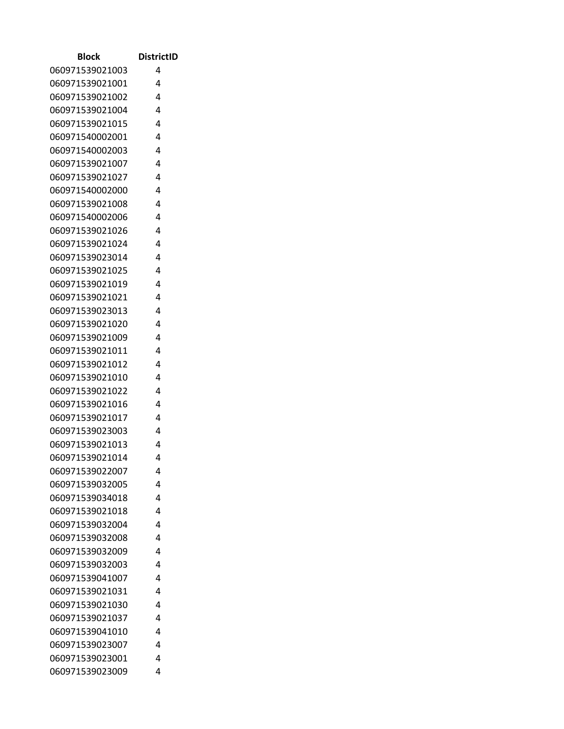| Block           | <b>DistrictID</b> |
|-----------------|-------------------|
| 060971539021003 | 4                 |
| 060971539021001 | 4                 |
| 060971539021002 | 4                 |
| 060971539021004 | 4                 |
| 060971539021015 | 4                 |
| 060971540002001 | 4                 |
| 060971540002003 | 4                 |
| 060971539021007 | 4                 |
| 060971539021027 | 4                 |
| 060971540002000 | 4                 |
| 060971539021008 | 4                 |
| 060971540002006 | 4                 |
| 060971539021026 | 4                 |
| 060971539021024 | 4                 |
| 060971539023014 | 4                 |
| 060971539021025 | 4                 |
| 060971539021019 | 4                 |
| 060971539021021 | 4                 |
| 060971539023013 | 4                 |
| 060971539021020 | 4                 |
| 060971539021009 | 4                 |
| 060971539021011 | 4                 |
| 060971539021012 | 4                 |
| 060971539021010 | 4                 |
| 060971539021022 | 4                 |
| 060971539021016 | 4                 |
| 060971539021017 | 4                 |
| 060971539023003 | 4                 |
| 060971539021013 | 4                 |
| 060971539021014 | 4                 |
| 060971539022007 | 4                 |
| 060971539032005 | 4                 |
| 060971539034018 | 4                 |
| 060971539021018 | 4                 |
| 060971539032004 | 4                 |
| 060971539032008 | 4                 |
| 060971539032009 | 4                 |
| 060971539032003 | 4                 |
| 060971539041007 | 4                 |
| 060971539021031 | 4                 |
| 060971539021030 | 4                 |
| 060971539021037 | 4                 |
| 060971539041010 | 4                 |
| 060971539023007 | 4                 |
| 060971539023001 | 4                 |
| 060971539023009 | 4                 |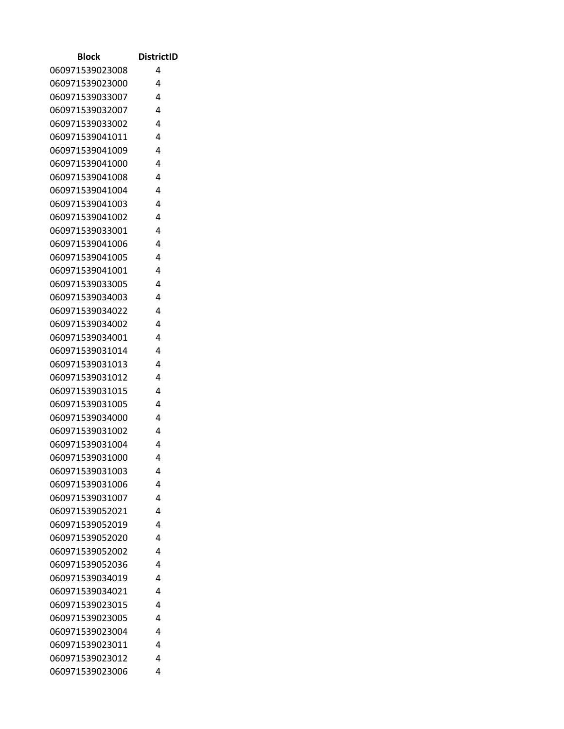| Block           | <b>DistrictID</b> |
|-----------------|-------------------|
| 060971539023008 | 4                 |
| 060971539023000 | 4                 |
| 060971539033007 | 4                 |
| 060971539032007 | 4                 |
| 060971539033002 | 4                 |
| 060971539041011 | 4                 |
| 060971539041009 | 4                 |
| 060971539041000 | 4                 |
| 060971539041008 | 4                 |
| 060971539041004 | 4                 |
| 060971539041003 | 4                 |
| 060971539041002 | 4                 |
| 060971539033001 | 4                 |
| 060971539041006 | 4                 |
| 060971539041005 | 4                 |
| 060971539041001 | 4                 |
| 060971539033005 | 4                 |
| 060971539034003 | 4                 |
| 060971539034022 | 4                 |
| 060971539034002 | 4                 |
| 060971539034001 | 4                 |
| 060971539031014 | 4                 |
| 060971539031013 | 4                 |
| 060971539031012 | 4                 |
| 060971539031015 | 4                 |
| 060971539031005 | 4                 |
| 060971539034000 | 4                 |
| 060971539031002 | 4                 |
| 060971539031004 | 4                 |
| 060971539031000 | 4                 |
| 060971539031003 | 4                 |
| 060971539031006 | 4                 |
| 060971539031007 | 4                 |
| 060971539052021 | 4                 |
| 060971539052019 | 4                 |
| 060971539052020 | 4                 |
| 060971539052002 | 4                 |
| 060971539052036 | 4                 |
| 060971539034019 | 4                 |
| 060971539034021 | 4                 |
| 060971539023015 | 4                 |
| 060971539023005 | 4                 |
| 060971539023004 | 4                 |
| 060971539023011 | 4                 |
| 060971539023012 | 4                 |
| 060971539023006 | 4                 |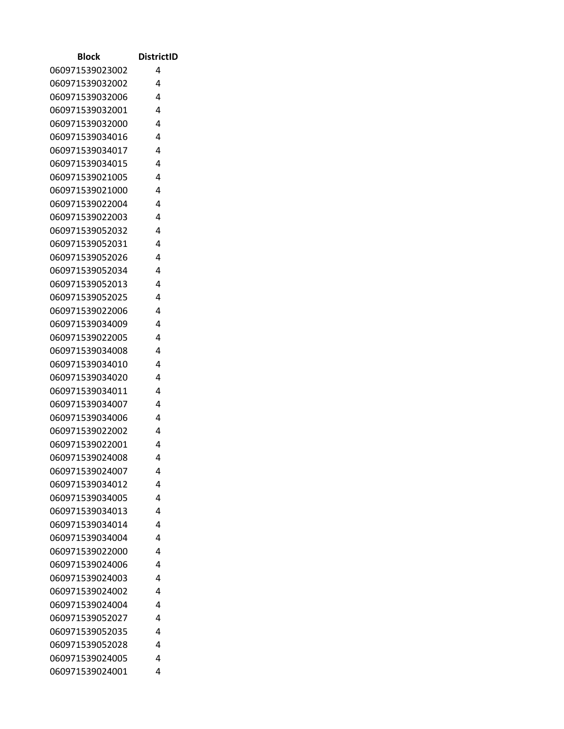| Block                              | <b>DistrictID</b> |
|------------------------------------|-------------------|
| 060971539023002                    | 4                 |
| 060971539032002                    | 4                 |
| 060971539032006                    | 4                 |
| 060971539032001                    | 4                 |
| 060971539032000                    | 4                 |
| 060971539034016                    | 4                 |
| 060971539034017                    | 4                 |
| 060971539034015                    | 4                 |
| 060971539021005                    | 4                 |
| 060971539021000                    | 4                 |
| 060971539022004                    | 4                 |
| 060971539022003                    | 4                 |
| 060971539052032                    | 4                 |
| 060971539052031                    | 4                 |
| 060971539052026                    | 4                 |
| 060971539052034                    | 4                 |
| 060971539052013                    | 4                 |
| 060971539052025                    | 4                 |
| 060971539022006                    | 4                 |
| 060971539034009                    | 4                 |
| 060971539022005                    | 4                 |
| 060971539034008                    | 4                 |
| 060971539034010                    | 4                 |
| 060971539034020                    | 4                 |
| 060971539034011                    | 4                 |
| 060971539034007                    | 4                 |
| 060971539034006                    | 4                 |
| 060971539022002                    | 4                 |
| 060971539022001                    | 4                 |
| 060971539024008                    | 4                 |
| 060971539024007                    | 4                 |
| 060971539034012                    | 4                 |
| 060971539034005                    | 4                 |
| 060971539034013                    | 4                 |
| 060971539034014                    | 4                 |
| 060971539034004                    | 4                 |
| 060971539022000                    | 4                 |
| 060971539024006                    | 4                 |
| 060971539024003                    | 4                 |
| 060971539024002                    | 4                 |
| 060971539024004<br>060971539052027 | 4<br>4            |
| 060971539052035                    | 4                 |
| 060971539052028                    | 4                 |
| 060971539024005                    | 4                 |
| 060971539024001                    | 4                 |
|                                    |                   |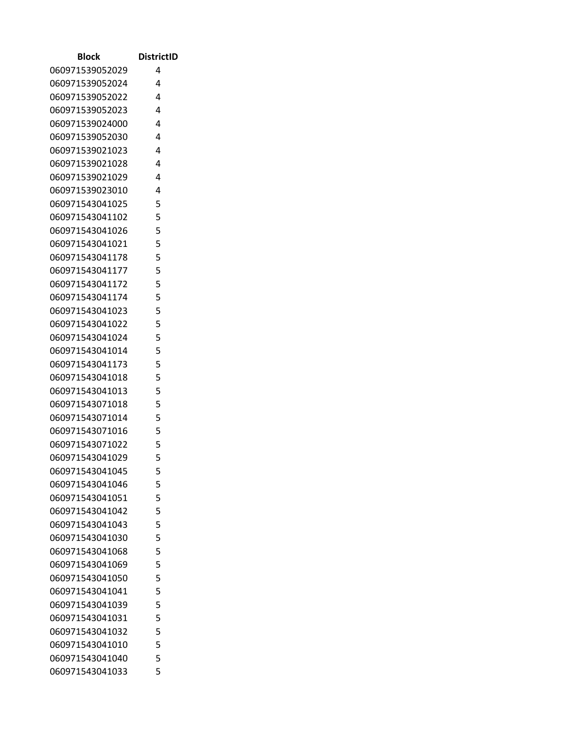| Block           | <b>DistrictID</b> |
|-----------------|-------------------|
| 060971539052029 | 4                 |
| 060971539052024 | 4                 |
| 060971539052022 | 4                 |
| 060971539052023 | 4                 |
| 060971539024000 | $\overline{4}$    |
| 060971539052030 | 4                 |
| 060971539021023 | $\overline{4}$    |
| 060971539021028 | 4                 |
| 060971539021029 | 4                 |
| 060971539023010 | 4                 |
| 060971543041025 | 5                 |
| 060971543041102 | 5                 |
| 060971543041026 | 5                 |
| 060971543041021 | 5                 |
| 060971543041178 | 5                 |
| 060971543041177 | 5                 |
| 060971543041172 | 5                 |
| 060971543041174 | 5                 |
| 060971543041023 | 5                 |
| 060971543041022 | 5                 |
| 060971543041024 | 5                 |
| 060971543041014 | 5                 |
| 060971543041173 | 5                 |
| 060971543041018 | 5                 |
| 060971543041013 | 5                 |
| 060971543071018 | 5                 |
| 060971543071014 | 5                 |
| 060971543071016 | 5                 |
| 060971543071022 | 5                 |
| 060971543041029 | 5                 |
| 060971543041045 | 5                 |
| 060971543041046 | 5                 |
| 060971543041051 | 5                 |
| 060971543041042 | 5                 |
| 060971543041043 | 5                 |
| 060971543041030 | 5                 |
| 060971543041068 | 5                 |
| 060971543041069 | 5                 |
| 060971543041050 | 5                 |
| 060971543041041 | 5                 |
| 060971543041039 | 5                 |
| 060971543041031 | 5                 |
| 060971543041032 | 5                 |
| 060971543041010 | 5                 |
| 060971543041040 | 5                 |
| 060971543041033 | 5                 |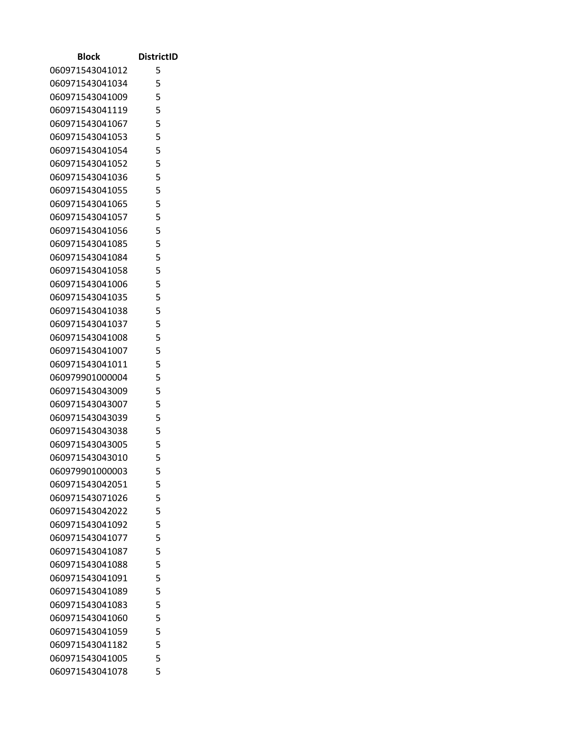| Block                              | <b>DistrictID</b> |
|------------------------------------|-------------------|
| 060971543041012                    | 5                 |
| 060971543041034                    | 5                 |
| 060971543041009                    | 5                 |
| 060971543041119                    | 5                 |
| 060971543041067                    | 5                 |
| 060971543041053                    | 5                 |
| 060971543041054                    | 5                 |
| 060971543041052                    | 5                 |
| 060971543041036                    | 5                 |
| 060971543041055                    | 5                 |
| 060971543041065                    | 5                 |
| 060971543041057                    | 5                 |
| 060971543041056                    | 5                 |
| 060971543041085                    | 5                 |
| 060971543041084                    | 5                 |
| 060971543041058                    | 5                 |
| 060971543041006                    | 5                 |
| 060971543041035                    | 5                 |
| 060971543041038                    | 5                 |
| 060971543041037                    | 5                 |
| 060971543041008                    | 5                 |
| 060971543041007                    | 5                 |
| 060971543041011                    | 5                 |
| 060979901000004                    | 5                 |
| 060971543043009                    | 5                 |
| 060971543043007                    | 5                 |
| 060971543043039                    | 5                 |
| 060971543043038                    | 5                 |
| 060971543043005                    | 5                 |
| 060971543043010                    | 5                 |
| 060979901000003                    | 5                 |
| 060971543042051                    | 5                 |
| 060971543071026                    | 5                 |
| 060971543042022                    | 5                 |
| 060971543041092                    | 5                 |
| 060971543041077                    | 5                 |
| 060971543041087                    | 5<br>5            |
| 060971543041088                    | 5                 |
| 060971543041091                    |                   |
| 060971543041089<br>060971543041083 | 5<br>5            |
|                                    | 5                 |
| 060971543041060<br>060971543041059 | 5                 |
| 060971543041182                    | 5                 |
| 060971543041005                    | 5                 |
| 060971543041078                    | 5                 |
|                                    |                   |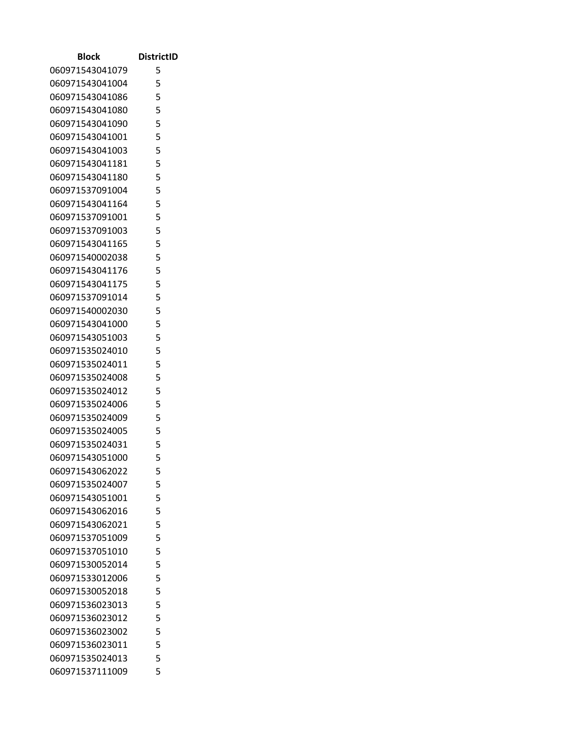| Block           | <b>DistrictID</b> |
|-----------------|-------------------|
| 060971543041079 | 5                 |
| 060971543041004 | 5                 |
| 060971543041086 | 5                 |
| 060971543041080 | 5                 |
| 060971543041090 | 5                 |
| 060971543041001 | 5                 |
| 060971543041003 | 5                 |
| 060971543041181 | 5                 |
| 060971543041180 | 5                 |
| 060971537091004 | 5                 |
| 060971543041164 | 5                 |
| 060971537091001 | 5                 |
| 060971537091003 | 5                 |
| 060971543041165 | 5                 |
| 060971540002038 | 5                 |
| 060971543041176 | 5                 |
| 060971543041175 | 5                 |
| 060971537091014 | 5                 |
| 060971540002030 | 5                 |
| 060971543041000 | 5                 |
| 060971543051003 | 5                 |
| 060971535024010 | 5                 |
| 060971535024011 | 5                 |
| 060971535024008 | 5                 |
| 060971535024012 | 5                 |
| 060971535024006 | 5                 |
| 060971535024009 | 5                 |
| 060971535024005 | 5                 |
| 060971535024031 | 5                 |
| 060971543051000 | 5                 |
| 060971543062022 | 5                 |
| 060971535024007 | 5                 |
| 060971543051001 | 5                 |
| 060971543062016 | 5                 |
| 060971543062021 | 5                 |
| 060971537051009 | 5                 |
| 060971537051010 | 5                 |
| 060971530052014 | 5                 |
| 060971533012006 | 5                 |
| 060971530052018 | 5                 |
| 060971536023013 | 5                 |
| 060971536023012 | 5                 |
| 060971536023002 | 5                 |
| 060971536023011 | 5                 |
| 060971535024013 | 5                 |
| 060971537111009 | 5                 |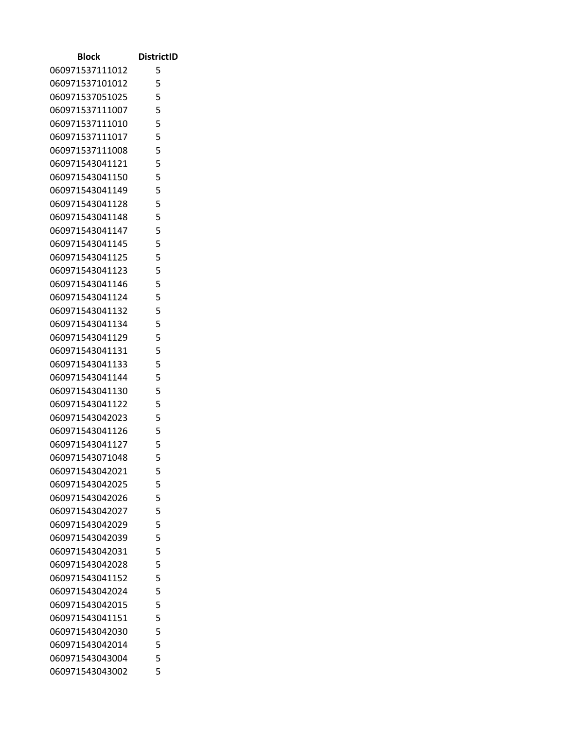| Block                              | <b>DistrictID</b> |
|------------------------------------|-------------------|
| 060971537111012                    | 5                 |
| 060971537101012                    | 5                 |
| 060971537051025                    | 5                 |
| 060971537111007                    | 5                 |
| 060971537111010                    | 5                 |
| 060971537111017                    | 5                 |
| 060971537111008                    | 5                 |
| 060971543041121                    | 5                 |
| 060971543041150                    | 5                 |
| 060971543041149                    | 5                 |
| 060971543041128                    | 5                 |
| 060971543041148                    | 5                 |
| 060971543041147                    | 5                 |
| 060971543041145                    | 5                 |
| 060971543041125                    | 5                 |
| 060971543041123                    | 5                 |
| 060971543041146                    | 5                 |
| 060971543041124                    | 5                 |
| 060971543041132                    | 5                 |
| 060971543041134                    | 5                 |
| 060971543041129                    | 5                 |
| 060971543041131                    | 5                 |
| 060971543041133                    | 5                 |
| 060971543041144                    | 5                 |
| 060971543041130                    | 5                 |
| 060971543041122                    | 5                 |
| 060971543042023                    | 5                 |
| 060971543041126                    | 5                 |
| 060971543041127                    | 5                 |
| 060971543071048                    | 5                 |
| 060971543042021                    | 5                 |
| 060971543042025                    | 5                 |
| 060971543042026                    | 5                 |
| 060971543042027                    | 5                 |
| 060971543042029                    | 5                 |
| 060971543042039                    | 5                 |
| 060971543042031                    | 5                 |
| 060971543042028                    | 5                 |
| 060971543041152                    | 5                 |
| 060971543042024<br>060971543042015 | 5<br>5            |
|                                    | 5                 |
| 060971543041151<br>060971543042030 | 5                 |
| 060971543042014                    | 5                 |
| 060971543043004                    | 5                 |
| 060971543043002                    | 5                 |
|                                    |                   |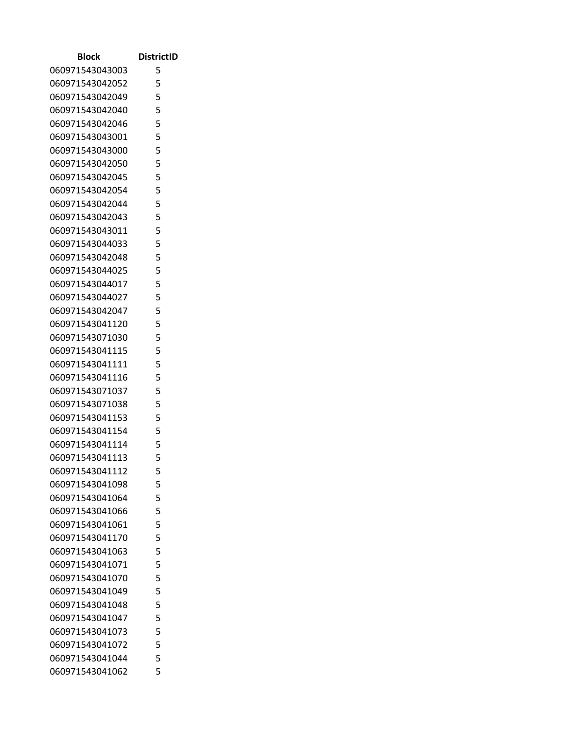| Block                              | <b>DistrictID</b> |
|------------------------------------|-------------------|
| 060971543043003                    | 5                 |
| 060971543042052                    | 5                 |
| 060971543042049                    | 5                 |
| 060971543042040                    | 5                 |
| 060971543042046                    | 5                 |
| 060971543043001                    | 5                 |
| 060971543043000                    | 5                 |
| 060971543042050                    | 5                 |
| 060971543042045                    | 5                 |
| 060971543042054                    | 5                 |
| 060971543042044                    | 5                 |
| 060971543042043                    | 5                 |
| 060971543043011                    | 5                 |
| 060971543044033                    | 5                 |
| 060971543042048                    | 5                 |
| 060971543044025                    | 5                 |
| 060971543044017                    | 5                 |
| 060971543044027                    | 5                 |
| 060971543042047                    | 5                 |
| 060971543041120                    | 5                 |
| 060971543071030                    | 5                 |
| 060971543041115                    | 5                 |
| 060971543041111                    | 5                 |
| 060971543041116                    | 5                 |
| 060971543071037                    | 5                 |
| 060971543071038                    | 5                 |
| 060971543041153                    | 5                 |
| 060971543041154                    | 5                 |
| 060971543041114                    | 5                 |
| 060971543041113                    | 5                 |
| 060971543041112                    | 5                 |
| 060971543041098                    | 5                 |
| 060971543041064                    | 5                 |
| 060971543041066                    | 5                 |
| 060971543041061                    | 5<br>5            |
| 060971543041170<br>060971543041063 | 5                 |
| 060971543041071                    | 5                 |
| 060971543041070                    | 5                 |
| 060971543041049                    | 5                 |
| 060971543041048                    | 5                 |
| 060971543041047                    | 5                 |
| 060971543041073                    | 5                 |
| 060971543041072                    | 5                 |
| 060971543041044                    | 5                 |
| 060971543041062                    | 5                 |
|                                    |                   |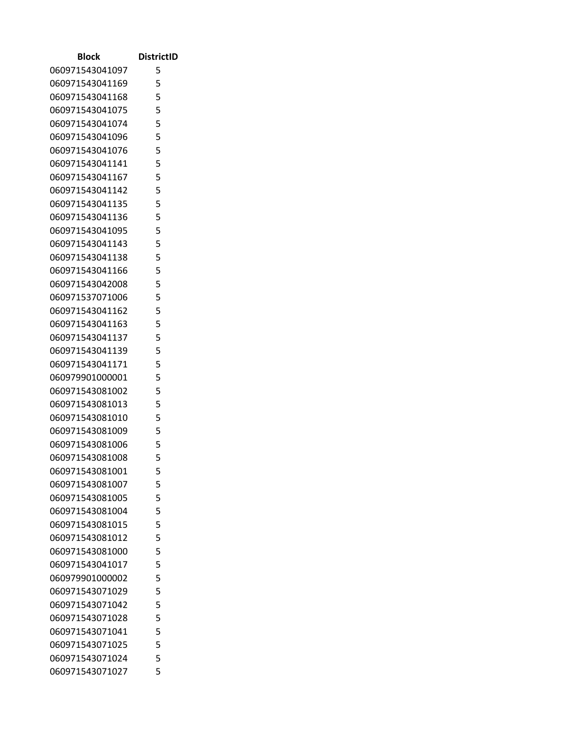| Block                              | <b>DistrictID</b> |
|------------------------------------|-------------------|
| 060971543041097                    | 5                 |
| 060971543041169                    | 5                 |
| 060971543041168                    | 5                 |
| 060971543041075                    | 5                 |
| 060971543041074                    | 5                 |
| 060971543041096                    | 5                 |
| 060971543041076                    | 5                 |
| 060971543041141                    | 5                 |
| 060971543041167                    | 5                 |
| 060971543041142                    | 5                 |
| 060971543041135                    | 5                 |
| 060971543041136                    | 5                 |
| 060971543041095                    | 5                 |
| 060971543041143                    | 5                 |
| 060971543041138                    | 5                 |
| 060971543041166                    | 5                 |
| 060971543042008                    | 5                 |
| 060971537071006                    | 5                 |
| 060971543041162                    | 5                 |
| 060971543041163                    | 5                 |
| 060971543041137                    | 5                 |
| 060971543041139                    | 5                 |
| 060971543041171                    | 5                 |
| 060979901000001                    | 5                 |
| 060971543081002                    | 5                 |
| 060971543081013                    | 5                 |
| 060971543081010                    | 5                 |
| 060971543081009                    | 5                 |
| 060971543081006                    | 5                 |
| 060971543081008                    | 5                 |
| 060971543081001                    | 5                 |
| 060971543081007                    | 5                 |
| 060971543081005                    | 5                 |
| 060971543081004                    | 5                 |
| 060971543081015                    | 5                 |
| 060971543081012                    | 5                 |
| 060971543081000                    | 5                 |
| 060971543041017<br>060979901000002 | 5<br>5            |
|                                    | 5                 |
| 060971543071029<br>060971543071042 | 5                 |
| 060971543071028                    | 5                 |
| 060971543071041                    | 5                 |
| 060971543071025                    | 5                 |
| 060971543071024                    | 5                 |
| 060971543071027                    | 5                 |
|                                    |                   |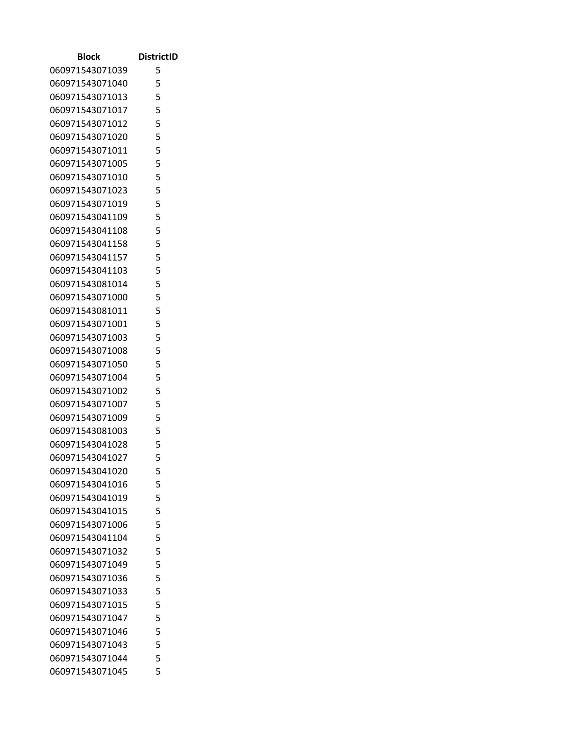| Block                              | <b>DistrictID</b> |
|------------------------------------|-------------------|
| 060971543071039                    | 5                 |
| 060971543071040                    | 5                 |
| 060971543071013                    | 5                 |
| 060971543071017                    | 5                 |
| 060971543071012                    | 5                 |
| 060971543071020                    | 5                 |
| 060971543071011                    | 5                 |
| 060971543071005                    | 5                 |
| 060971543071010                    | 5                 |
| 060971543071023                    | 5                 |
| 060971543071019                    | 5                 |
| 060971543041109                    | 5                 |
| 060971543041108                    | 5                 |
| 060971543041158                    | 5                 |
| 060971543041157                    | 5                 |
| 060971543041103                    | 5                 |
| 060971543081014                    | 5                 |
| 060971543071000                    | 5                 |
| 060971543081011                    | 5                 |
| 060971543071001                    | 5                 |
| 060971543071003                    | 5                 |
| 060971543071008                    | 5                 |
| 060971543071050                    | 5                 |
| 060971543071004                    | 5                 |
| 060971543071002                    | 5                 |
| 060971543071007                    | 5                 |
| 060971543071009                    | 5                 |
| 060971543081003                    | 5                 |
| 060971543041028                    | 5                 |
| 060971543041027                    | 5                 |
| 060971543041020                    | 5                 |
| 060971543041016                    | 5                 |
| 060971543041019                    | 5                 |
| 060971543041015                    | 5                 |
| 060971543071006                    | 5                 |
| 060971543041104                    | 5                 |
| 060971543071032                    | 5                 |
| 060971543071049                    | 5<br>5            |
| 060971543071036                    |                   |
| 060971543071033<br>060971543071015 | 5<br>5            |
| 060971543071047                    | 5                 |
| 060971543071046                    | 5                 |
| 060971543071043                    | 5                 |
| 060971543071044                    | 5                 |
| 060971543071045                    | 5                 |
|                                    |                   |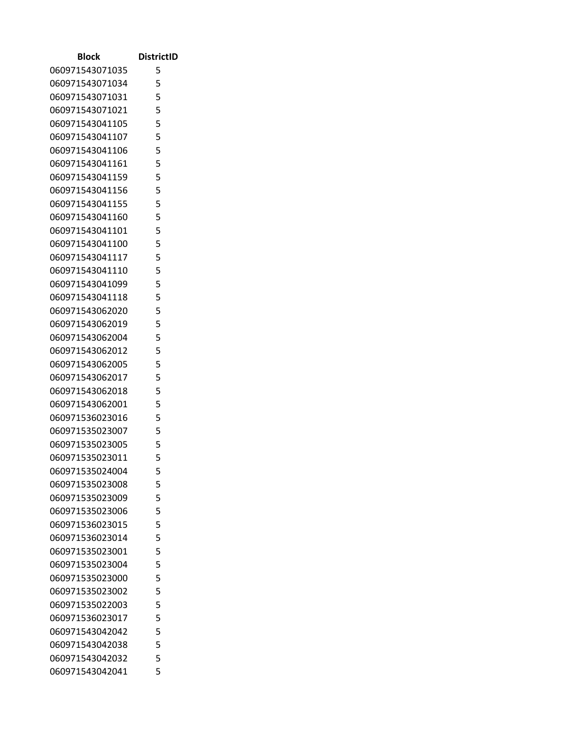| Block           | <b>DistrictID</b> |
|-----------------|-------------------|
| 060971543071035 | 5                 |
| 060971543071034 | 5                 |
| 060971543071031 | 5                 |
| 060971543071021 | 5                 |
| 060971543041105 | 5                 |
| 060971543041107 | 5                 |
| 060971543041106 | 5                 |
| 060971543041161 | 5                 |
| 060971543041159 | 5                 |
| 060971543041156 | 5                 |
| 060971543041155 | 5                 |
| 060971543041160 | 5                 |
| 060971543041101 | 5                 |
| 060971543041100 | 5                 |
| 060971543041117 | 5                 |
| 060971543041110 | 5                 |
| 060971543041099 | 5                 |
| 060971543041118 | 5                 |
| 060971543062020 | 5                 |
| 060971543062019 | 5                 |
| 060971543062004 | 5                 |
| 060971543062012 | 5                 |
| 060971543062005 | 5                 |
| 060971543062017 | 5                 |
| 060971543062018 | 5                 |
| 060971543062001 | 5                 |
| 060971536023016 | 5                 |
| 060971535023007 | 5                 |
| 060971535023005 | 5                 |
| 060971535023011 | 5                 |
| 060971535024004 | 5                 |
| 060971535023008 | 5                 |
| 060971535023009 | 5                 |
| 060971535023006 | 5                 |
| 060971536023015 | 5                 |
| 060971536023014 | 5                 |
| 060971535023001 | 5                 |
| 060971535023004 | 5                 |
| 060971535023000 | 5                 |
| 060971535023002 | 5                 |
| 060971535022003 | 5                 |
| 060971536023017 | 5                 |
| 060971543042042 | 5                 |
| 060971543042038 | 5                 |
| 060971543042032 | 5                 |
| 060971543042041 | 5                 |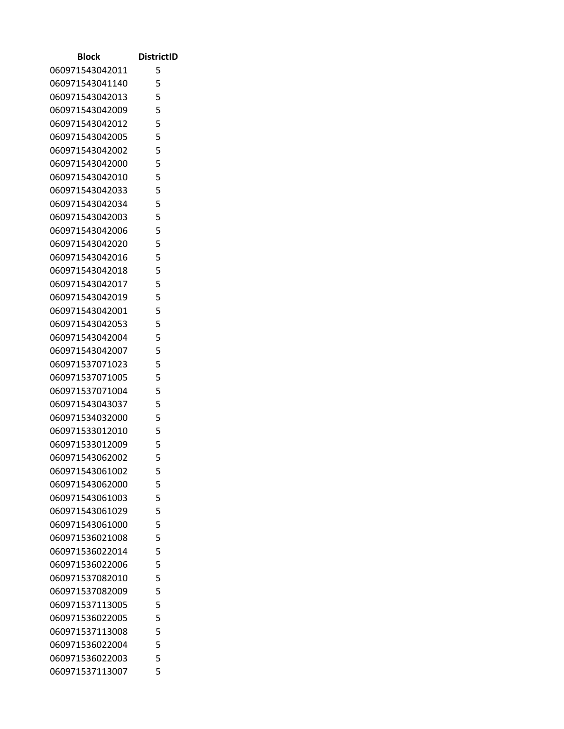| Block           | <b>DistrictID</b> |
|-----------------|-------------------|
| 060971543042011 | 5                 |
| 060971543041140 | 5                 |
| 060971543042013 | 5                 |
| 060971543042009 | 5                 |
| 060971543042012 | 5                 |
| 060971543042005 | 5                 |
| 060971543042002 | 5                 |
| 060971543042000 | 5                 |
| 060971543042010 | 5                 |
| 060971543042033 | 5                 |
| 060971543042034 | 5                 |
| 060971543042003 | 5                 |
| 060971543042006 | 5                 |
| 060971543042020 | 5                 |
| 060971543042016 | 5                 |
| 060971543042018 | 5                 |
| 060971543042017 | 5                 |
| 060971543042019 | 5                 |
| 060971543042001 | 5                 |
| 060971543042053 | 5                 |
| 060971543042004 | 5                 |
| 060971543042007 | 5                 |
| 060971537071023 | 5                 |
| 060971537071005 | 5                 |
| 060971537071004 | 5                 |
| 060971543043037 | 5                 |
| 060971534032000 | 5                 |
| 060971533012010 | 5                 |
| 060971533012009 | 5                 |
| 060971543062002 | 5                 |
| 060971543061002 | 5                 |
| 060971543062000 | 5                 |
| 060971543061003 | 5                 |
| 060971543061029 | 5                 |
| 060971543061000 | 5                 |
| 060971536021008 | 5                 |
| 060971536022014 | 5                 |
| 060971536022006 | 5                 |
| 060971537082010 | 5                 |
| 060971537082009 | 5                 |
| 060971537113005 | 5                 |
| 060971536022005 | 5<br>5            |
| 060971537113008 | 5                 |
| 060971536022004 | 5                 |
| 060971536022003 | 5                 |
| 060971537113007 |                   |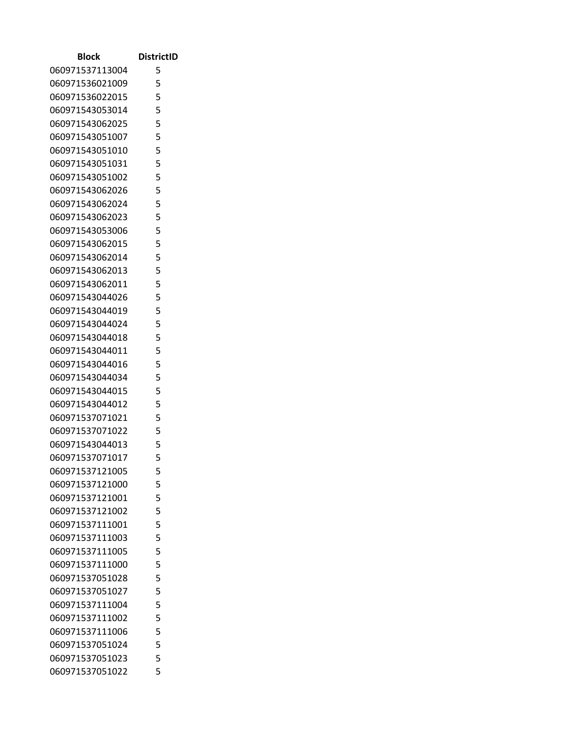| Block           | <b>DistrictID</b> |
|-----------------|-------------------|
| 060971537113004 | 5                 |
| 060971536021009 | 5                 |
| 060971536022015 | 5                 |
| 060971543053014 | 5                 |
| 060971543062025 | 5                 |
| 060971543051007 | 5                 |
| 060971543051010 | 5                 |
| 060971543051031 | 5                 |
| 060971543051002 | 5                 |
| 060971543062026 | 5                 |
| 060971543062024 | 5                 |
| 060971543062023 | 5                 |
| 060971543053006 | 5                 |
| 060971543062015 | 5                 |
| 060971543062014 | 5                 |
| 060971543062013 | 5                 |
| 060971543062011 | 5                 |
| 060971543044026 | 5                 |
| 060971543044019 | 5                 |
| 060971543044024 | 5                 |
| 060971543044018 | 5                 |
| 060971543044011 | 5                 |
| 060971543044016 | 5                 |
| 060971543044034 | 5                 |
| 060971543044015 | 5                 |
| 060971543044012 | 5                 |
| 060971537071021 | 5                 |
| 060971537071022 | 5                 |
| 060971543044013 | 5                 |
| 060971537071017 | 5                 |
| 060971537121005 | 5                 |
| 060971537121000 | 5                 |
| 060971537121001 | 5                 |
| 060971537121002 | 5                 |
| 060971537111001 | 5                 |
| 060971537111003 | 5                 |
| 060971537111005 | 5                 |
| 060971537111000 | 5                 |
| 060971537051028 | 5                 |
| 060971537051027 | 5                 |
| 060971537111004 | 5                 |
| 060971537111002 | 5                 |
| 060971537111006 | 5                 |
| 060971537051024 | 5                 |
| 060971537051023 | 5                 |
| 060971537051022 | 5                 |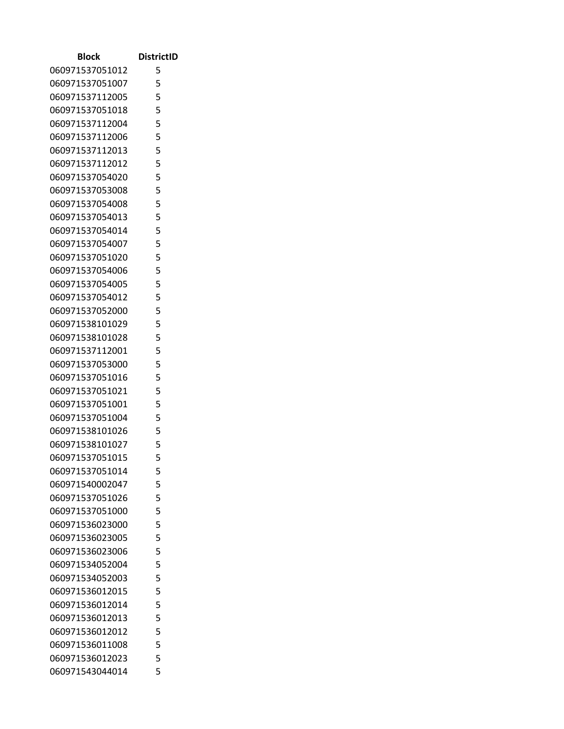| Block                              | <b>DistrictID</b> |
|------------------------------------|-------------------|
| 060971537051012                    | 5                 |
| 060971537051007                    | 5                 |
| 060971537112005                    | 5                 |
| 060971537051018                    | 5                 |
| 060971537112004                    | 5                 |
| 060971537112006                    | 5                 |
| 060971537112013                    | 5                 |
| 060971537112012                    | 5                 |
| 060971537054020                    | 5                 |
| 060971537053008                    | 5                 |
| 060971537054008                    | 5                 |
| 060971537054013                    | 5                 |
| 060971537054014                    | 5                 |
| 060971537054007                    | 5                 |
| 060971537051020                    | 5                 |
| 060971537054006                    | 5                 |
| 060971537054005                    | 5                 |
| 060971537054012                    | 5                 |
| 060971537052000                    | 5                 |
| 060971538101029                    | 5                 |
| 060971538101028                    | 5                 |
| 060971537112001                    | 5                 |
| 060971537053000                    | 5                 |
| 060971537051016                    | 5<br>5            |
| 060971537051021<br>060971537051001 | 5                 |
| 060971537051004                    | 5                 |
| 060971538101026                    | 5                 |
| 060971538101027                    | 5                 |
| 060971537051015                    | 5                 |
| 060971537051014                    | 5                 |
| 060971540002047                    | 5                 |
| 060971537051026                    | 5                 |
| 060971537051000                    | 5                 |
| 060971536023000                    | 5                 |
| 060971536023005                    | 5                 |
| 060971536023006                    | 5                 |
| 060971534052004                    | 5                 |
| 060971534052003                    | 5                 |
| 060971536012015                    | 5                 |
| 060971536012014                    | 5                 |
| 060971536012013                    | 5                 |
| 060971536012012                    | 5                 |
| 060971536011008                    | 5                 |
| 060971536012023                    | 5                 |
| 060971543044014                    | 5                 |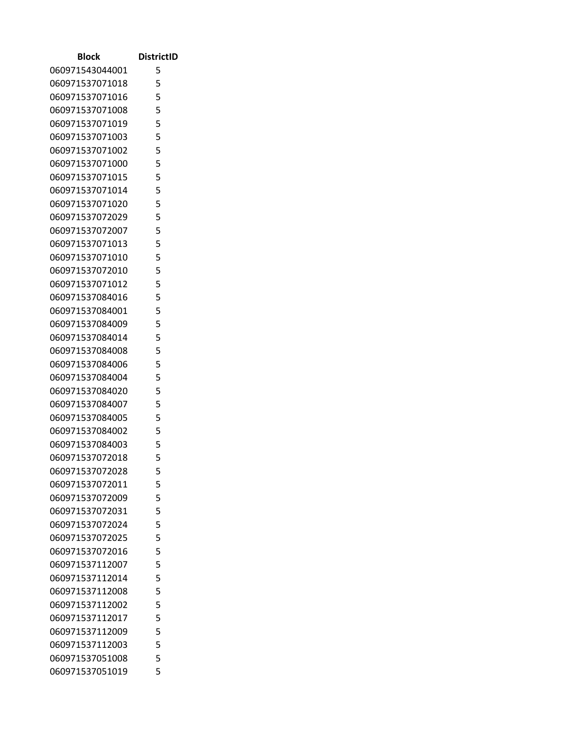| Block           | <b>DistrictID</b> |
|-----------------|-------------------|
| 060971543044001 | 5                 |
| 060971537071018 | 5                 |
| 060971537071016 | 5                 |
| 060971537071008 | 5                 |
| 060971537071019 | 5                 |
| 060971537071003 | 5                 |
| 060971537071002 | 5                 |
| 060971537071000 | 5                 |
| 060971537071015 | 5                 |
| 060971537071014 | 5                 |
| 060971537071020 | 5                 |
| 060971537072029 | 5                 |
| 060971537072007 | 5                 |
| 060971537071013 | 5                 |
| 060971537071010 | 5                 |
| 060971537072010 | 5                 |
| 060971537071012 | 5                 |
| 060971537084016 | 5                 |
| 060971537084001 | 5                 |
| 060971537084009 | 5                 |
| 060971537084014 | 5                 |
| 060971537084008 | 5                 |
| 060971537084006 | 5                 |
| 060971537084004 | 5                 |
| 060971537084020 | 5                 |
| 060971537084007 | 5                 |
| 060971537084005 | 5                 |
| 060971537084002 | 5                 |
| 060971537084003 | 5                 |
| 060971537072018 | 5                 |
| 060971537072028 | 5                 |
| 060971537072011 | 5                 |
| 060971537072009 | 5                 |
| 060971537072031 | 5                 |
| 060971537072024 | 5                 |
| 060971537072025 | 5                 |
| 060971537072016 | 5                 |
| 060971537112007 | 5                 |
| 060971537112014 | 5                 |
| 060971537112008 | 5                 |
| 060971537112002 | 5                 |
| 060971537112017 | 5<br>5            |
| 060971537112009 | 5                 |
| 060971537112003 | 5                 |
| 060971537051008 | 5                 |
| 060971537051019 |                   |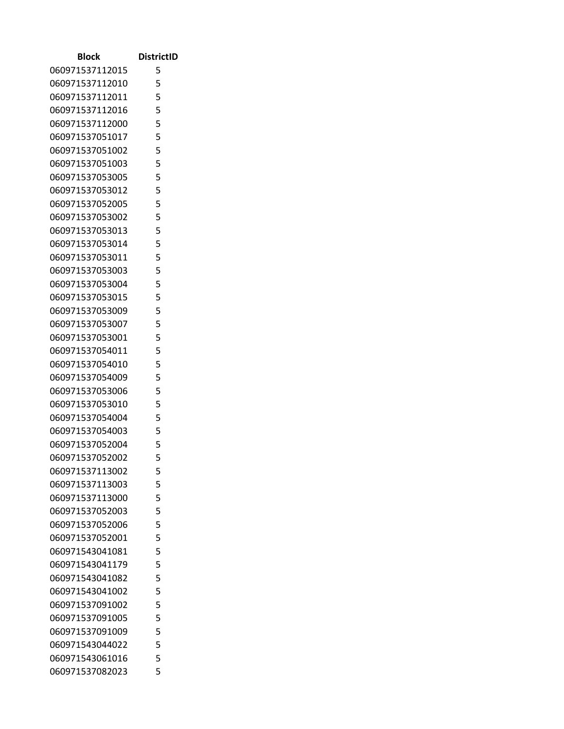| Block                              | <b>DistrictID</b> |
|------------------------------------|-------------------|
| 060971537112015                    | 5                 |
| 060971537112010                    | 5                 |
| 060971537112011                    | 5                 |
| 060971537112016                    | 5                 |
| 060971537112000                    | 5                 |
| 060971537051017                    | 5                 |
| 060971537051002                    | 5                 |
| 060971537051003                    | 5                 |
| 060971537053005                    | 5                 |
| 060971537053012                    | 5                 |
| 060971537052005                    | 5                 |
| 060971537053002                    | 5                 |
| 060971537053013                    | 5                 |
| 060971537053014                    | 5                 |
| 060971537053011                    | 5                 |
| 060971537053003                    | 5                 |
| 060971537053004                    | 5                 |
| 060971537053015                    | 5                 |
| 060971537053009                    | 5                 |
| 060971537053007                    | 5                 |
| 060971537053001                    | 5                 |
| 060971537054011                    | 5                 |
| 060971537054010                    | 5                 |
| 060971537054009                    | 5<br>5            |
| 060971537053006<br>060971537053010 | 5                 |
| 060971537054004                    | 5                 |
| 060971537054003                    | 5                 |
| 060971537052004                    | 5                 |
| 060971537052002                    | 5                 |
| 060971537113002                    | 5                 |
| 060971537113003                    | 5                 |
| 060971537113000                    | 5                 |
| 060971537052003                    | 5                 |
| 060971537052006                    | 5                 |
| 060971537052001                    | 5                 |
| 060971543041081                    | 5                 |
| 060971543041179                    | 5                 |
| 060971543041082                    | 5                 |
| 060971543041002                    | 5                 |
| 060971537091002                    | 5                 |
| 060971537091005                    | 5                 |
| 060971537091009                    | 5                 |
| 060971543044022                    | 5                 |
| 060971543061016                    | 5                 |
| 060971537082023                    | 5                 |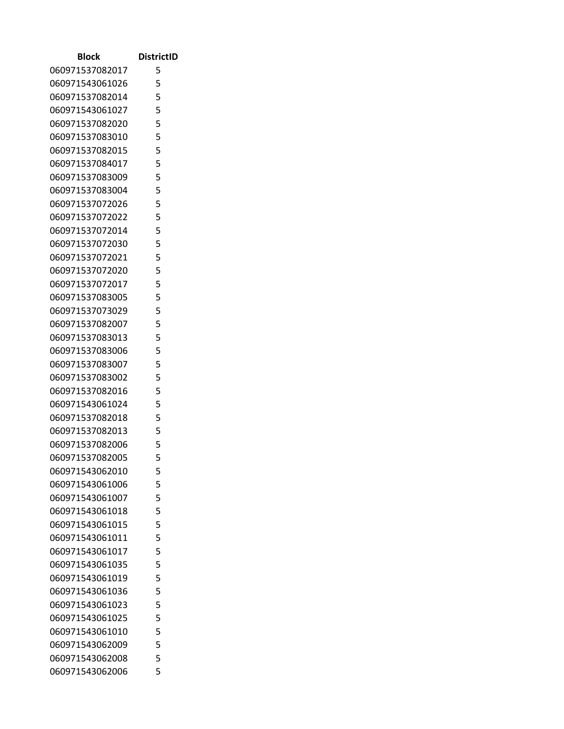| Block                              | <b>DistrictID</b> |
|------------------------------------|-------------------|
| 060971537082017                    | 5                 |
| 060971543061026                    | 5                 |
| 060971537082014                    | 5                 |
| 060971543061027                    | 5                 |
| 060971537082020                    | 5                 |
| 060971537083010                    | 5                 |
| 060971537082015                    | 5                 |
| 060971537084017                    | 5                 |
| 060971537083009                    | 5                 |
| 060971537083004                    | 5                 |
| 060971537072026                    | 5                 |
| 060971537072022                    | 5                 |
| 060971537072014                    | 5                 |
| 060971537072030                    | 5                 |
| 060971537072021                    | 5                 |
| 060971537072020                    | 5                 |
| 060971537072017                    | 5<br>5            |
| 060971537083005                    | 5                 |
| 060971537073029<br>060971537082007 | 5                 |
| 060971537083013                    | 5                 |
| 060971537083006                    | 5                 |
| 060971537083007                    | 5                 |
| 060971537083002                    | 5                 |
| 060971537082016                    | 5                 |
| 060971543061024                    | 5                 |
| 060971537082018                    | 5                 |
| 060971537082013                    | 5                 |
| 060971537082006                    | 5                 |
| 060971537082005                    | 5                 |
| 060971543062010                    | 5                 |
| 060971543061006                    | 5                 |
| 060971543061007                    | 5                 |
| 060971543061018                    | 5                 |
| 060971543061015                    | 5                 |
| 060971543061011                    | 5                 |
| 060971543061017                    | 5                 |
| 060971543061035                    | 5                 |
| 060971543061019                    | 5                 |
| 060971543061036                    | 5                 |
| 060971543061023                    | 5                 |
| 060971543061025                    | 5                 |
| 060971543061010                    | 5                 |
| 060971543062009                    | 5                 |
| 060971543062008                    | 5                 |
| 060971543062006                    | 5                 |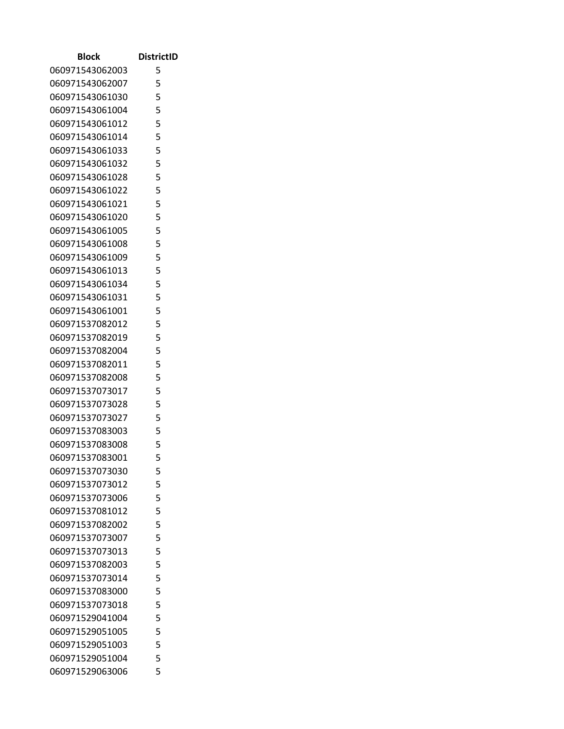| Block           | <b>DistrictID</b> |
|-----------------|-------------------|
| 060971543062003 | 5                 |
| 060971543062007 | 5                 |
| 060971543061030 | 5                 |
| 060971543061004 | 5                 |
| 060971543061012 | 5                 |
| 060971543061014 | 5                 |
| 060971543061033 | 5                 |
| 060971543061032 | 5                 |
| 060971543061028 | 5                 |
| 060971543061022 | 5                 |
| 060971543061021 | 5                 |
| 060971543061020 | 5                 |
| 060971543061005 | 5                 |
| 060971543061008 | 5                 |
| 060971543061009 | 5                 |
| 060971543061013 | 5                 |
| 060971543061034 | 5                 |
| 060971543061031 | 5                 |
| 060971543061001 | 5                 |
| 060971537082012 | 5                 |
| 060971537082019 | 5                 |
| 060971537082004 | 5                 |
| 060971537082011 | 5                 |
| 060971537082008 | 5                 |
| 060971537073017 | 5                 |
| 060971537073028 | 5                 |
| 060971537073027 | 5                 |
| 060971537083003 | 5                 |
| 060971537083008 | 5                 |
| 060971537083001 | 5                 |
| 060971537073030 | 5                 |
| 060971537073012 | 5                 |
| 060971537073006 | 5                 |
| 060971537081012 | 5                 |
| 060971537082002 | 5                 |
| 060971537073007 | 5                 |
| 060971537073013 | 5                 |
| 060971537082003 | 5                 |
| 060971537073014 | 5                 |
| 060971537083000 | 5                 |
| 060971537073018 | 5                 |
| 060971529041004 | 5<br>5            |
| 060971529051005 | 5                 |
| 060971529051003 | 5                 |
| 060971529051004 | 5                 |
| 060971529063006 |                   |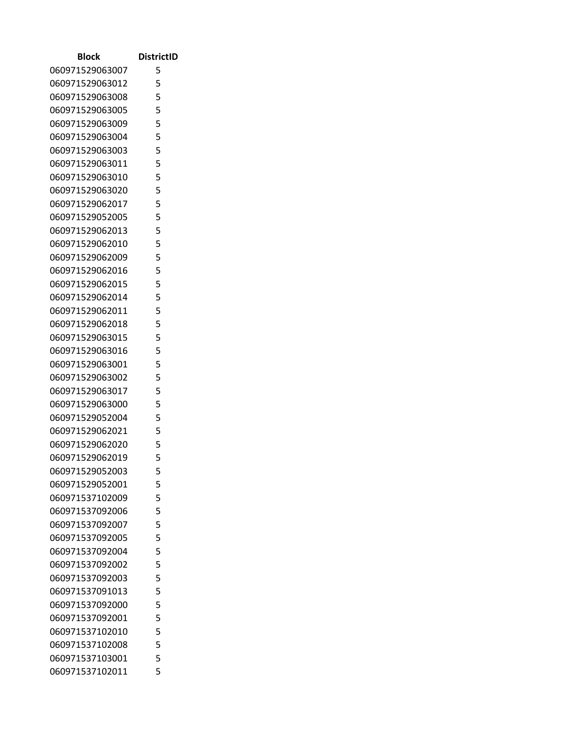| <b>Block</b>    | <b>DistrictID</b> |
|-----------------|-------------------|
| 060971529063007 | 5                 |
| 060971529063012 | 5                 |
| 060971529063008 | 5                 |
| 060971529063005 | 5                 |
| 060971529063009 | 5                 |
| 060971529063004 | 5                 |
| 060971529063003 | 5                 |
| 060971529063011 | 5                 |
| 060971529063010 | 5                 |
| 060971529063020 | 5                 |
| 060971529062017 | 5                 |
| 060971529052005 | 5                 |
| 060971529062013 | 5                 |
| 060971529062010 | 5                 |
| 060971529062009 | 5                 |
| 060971529062016 | 5                 |
| 060971529062015 | 5                 |
| 060971529062014 | 5                 |
| 060971529062011 | 5                 |
| 060971529062018 | 5                 |
| 060971529063015 | 5                 |
| 060971529063016 | 5                 |
| 060971529063001 | 5                 |
| 060971529063002 | 5                 |
| 060971529063017 | 5                 |
| 060971529063000 | 5                 |
| 060971529052004 | 5                 |
| 060971529062021 | 5                 |
| 060971529062020 | 5                 |
| 060971529062019 | 5                 |
| 060971529052003 | 5                 |
| 060971529052001 | 5                 |
| 060971537102009 | 5                 |
| 060971537092006 | 5                 |
| 060971537092007 | 5                 |
| 060971537092005 | 5                 |
| 060971537092004 | 5                 |
| 060971537092002 | 5                 |
| 060971537092003 | 5                 |
| 060971537091013 | 5                 |
| 060971537092000 | 5                 |
| 060971537092001 | 5                 |
| 060971537102010 | 5                 |
| 060971537102008 | 5                 |
| 060971537103001 | 5                 |
| 060971537102011 | 5                 |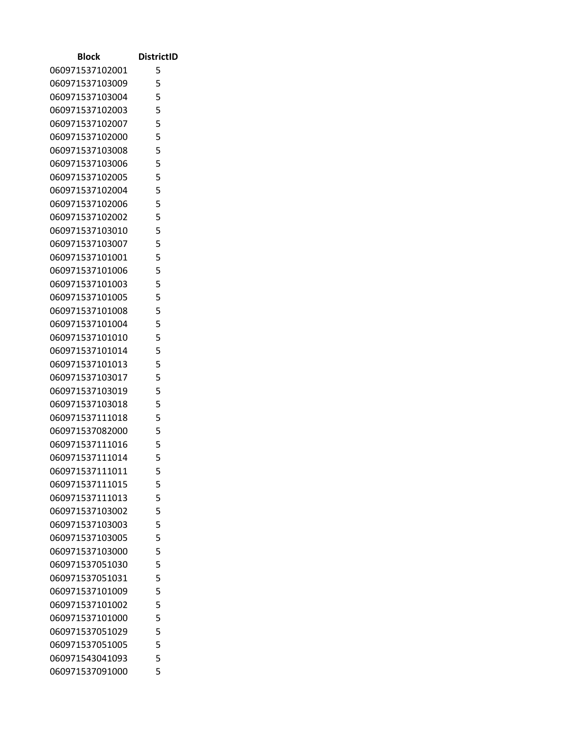| Block           | <b>DistrictID</b> |
|-----------------|-------------------|
| 060971537102001 | 5                 |
| 060971537103009 | 5                 |
| 060971537103004 | 5                 |
| 060971537102003 | 5                 |
| 060971537102007 | 5                 |
| 060971537102000 | 5                 |
| 060971537103008 | 5                 |
| 060971537103006 | 5                 |
| 060971537102005 | 5                 |
| 060971537102004 | 5                 |
| 060971537102006 | 5                 |
| 060971537102002 | 5                 |
| 060971537103010 | 5                 |
| 060971537103007 | 5                 |
| 060971537101001 | 5                 |
| 060971537101006 | 5                 |
| 060971537101003 | 5                 |
| 060971537101005 | 5                 |
| 060971537101008 | 5                 |
| 060971537101004 | 5                 |
| 060971537101010 | 5                 |
| 060971537101014 | 5                 |
| 060971537101013 | 5                 |
| 060971537103017 | 5                 |
| 060971537103019 | 5                 |
| 060971537103018 | 5                 |
| 060971537111018 | 5                 |
| 060971537082000 | 5                 |
| 060971537111016 | 5                 |
| 060971537111014 | 5                 |
| 060971537111011 | 5                 |
| 060971537111015 | 5                 |
| 060971537111013 | 5                 |
| 060971537103002 | 5                 |
| 060971537103003 | 5                 |
| 060971537103005 | 5                 |
| 060971537103000 | 5                 |
| 060971537051030 | 5                 |
| 060971537051031 | 5                 |
| 060971537101009 | 5                 |
| 060971537101002 | 5                 |
| 060971537101000 | 5                 |
| 060971537051029 | 5                 |
| 060971537051005 | 5                 |
| 060971543041093 | 5                 |
| 060971537091000 | 5                 |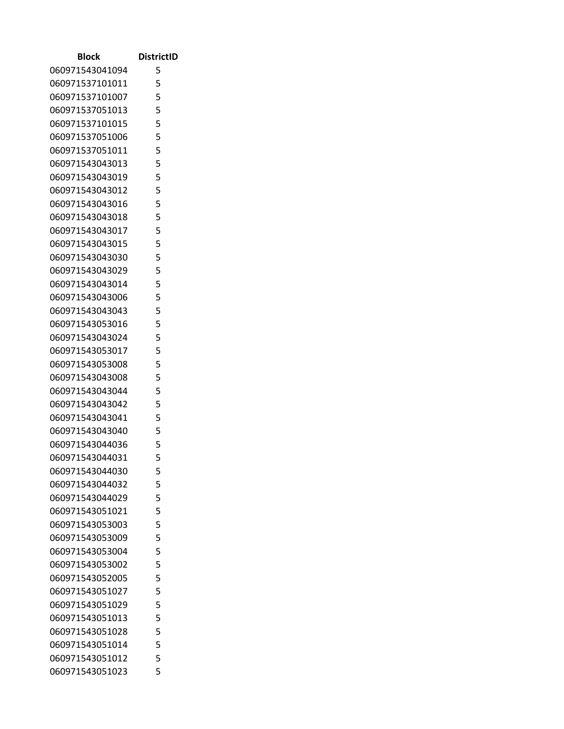| Block                              | <b>DistrictID</b> |
|------------------------------------|-------------------|
| 060971543041094                    | 5                 |
| 060971537101011                    | 5                 |
| 060971537101007                    | 5                 |
| 060971537051013                    | 5                 |
| 060971537101015                    | 5                 |
| 060971537051006                    | 5                 |
| 060971537051011                    | 5                 |
| 060971543043013                    | 5                 |
| 060971543043019                    | 5                 |
| 060971543043012                    | 5                 |
| 060971543043016                    | 5                 |
| 060971543043018                    | 5                 |
| 060971543043017                    | 5                 |
| 060971543043015                    | 5                 |
| 060971543043030                    | 5                 |
| 060971543043029                    | 5                 |
| 060971543043014                    | 5                 |
| 060971543043006                    | 5                 |
| 060971543043043                    | 5                 |
| 060971543053016                    | 5                 |
| 060971543043024                    | 5                 |
| 060971543053017                    | 5                 |
| 060971543053008                    | 5                 |
| 060971543043008                    | 5                 |
| 060971543043044                    | 5                 |
| 060971543043042                    | 5                 |
| 060971543043041                    | 5                 |
| 060971543043040                    | 5                 |
| 060971543044036                    | 5                 |
| 060971543044031                    | 5                 |
| 060971543044030                    | 5                 |
| 060971543044032                    | 5                 |
| 060971543044029                    | 5                 |
| 060971543051021                    | 5                 |
| 060971543053003                    | 5                 |
| 060971543053009                    | 5                 |
| 060971543053004                    | 5                 |
| 060971543053002                    | 5<br>5            |
| 060971543052005                    |                   |
| 060971543051027                    | 5<br>5            |
| 060971543051029<br>060971543051013 | 5                 |
| 060971543051028                    | 5                 |
| 060971543051014                    | 5                 |
| 060971543051012                    | 5                 |
| 060971543051023                    | 5                 |
|                                    |                   |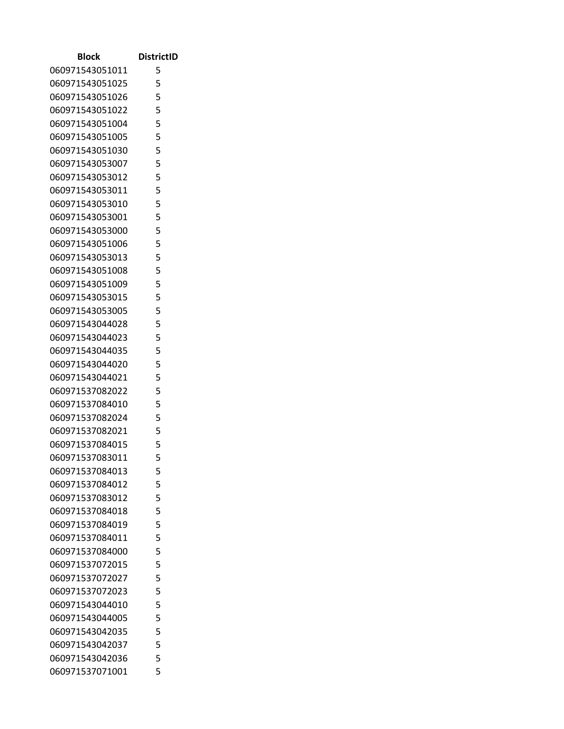| Block           | <b>DistrictID</b> |
|-----------------|-------------------|
| 060971543051011 | 5                 |
| 060971543051025 | 5                 |
| 060971543051026 | 5                 |
| 060971543051022 | 5                 |
| 060971543051004 | 5                 |
| 060971543051005 | 5                 |
| 060971543051030 | 5                 |
| 060971543053007 | 5                 |
| 060971543053012 | 5                 |
| 060971543053011 | 5                 |
| 060971543053010 | 5                 |
| 060971543053001 | 5                 |
| 060971543053000 | 5                 |
| 060971543051006 | 5                 |
| 060971543053013 | 5                 |
| 060971543051008 | 5                 |
| 060971543051009 | 5                 |
| 060971543053015 | 5                 |
| 060971543053005 | 5                 |
| 060971543044028 | 5                 |
| 060971543044023 | 5                 |
| 060971543044035 | 5                 |
| 060971543044020 | 5                 |
| 060971543044021 | 5                 |
| 060971537082022 | 5                 |
| 060971537084010 | 5                 |
| 060971537082024 | 5                 |
| 060971537082021 | 5                 |
| 060971537084015 | 5                 |
| 060971537083011 | 5                 |
| 060971537084013 | 5                 |
| 060971537084012 | 5                 |
| 060971537083012 | 5                 |
| 060971537084018 | 5                 |
| 060971537084019 | 5                 |
| 060971537084011 | 5                 |
| 060971537084000 | 5                 |
| 060971537072015 | 5                 |
| 060971537072027 | 5                 |
| 060971537072023 | 5                 |
| 060971543044010 | 5                 |
| 060971543044005 | 5                 |
| 060971543042035 | 5                 |
| 060971543042037 | 5                 |
| 060971543042036 | 5                 |
| 060971537071001 | 5                 |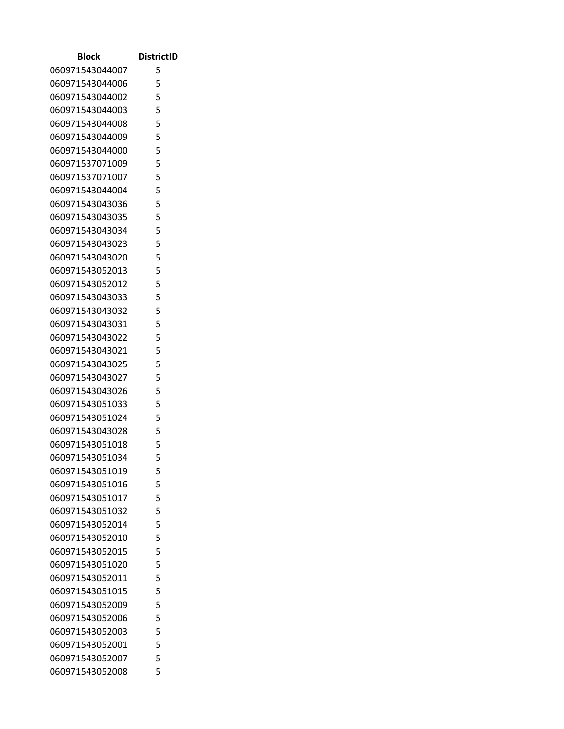| Block                              | <b>DistrictID</b> |
|------------------------------------|-------------------|
| 060971543044007                    | 5                 |
| 060971543044006                    | 5                 |
| 060971543044002                    | 5                 |
| 060971543044003                    | 5                 |
| 060971543044008                    | 5                 |
| 060971543044009                    | 5                 |
| 060971543044000                    | 5                 |
| 060971537071009                    | 5                 |
| 060971537071007                    | 5                 |
| 060971543044004                    | 5                 |
| 060971543043036                    | 5                 |
| 060971543043035                    | 5                 |
| 060971543043034                    | 5                 |
| 060971543043023                    | 5                 |
| 060971543043020                    | 5                 |
| 060971543052013                    | 5                 |
| 060971543052012                    | 5                 |
| 060971543043033                    | 5                 |
| 060971543043032                    | 5                 |
| 060971543043031                    | 5                 |
| 060971543043022                    | 5                 |
| 060971543043021                    | 5                 |
| 060971543043025                    | 5                 |
| 060971543043027                    | 5<br>5            |
| 060971543043026<br>060971543051033 | 5                 |
| 060971543051024                    | 5                 |
| 060971543043028                    | 5                 |
| 060971543051018                    | 5                 |
| 060971543051034                    | 5                 |
| 060971543051019                    | 5                 |
| 060971543051016                    | 5                 |
| 060971543051017                    | 5                 |
| 060971543051032                    | 5                 |
| 060971543052014                    | 5                 |
| 060971543052010                    | 5                 |
| 060971543052015                    | 5                 |
| 060971543051020                    | 5                 |
| 060971543052011                    | 5                 |
| 060971543051015                    | 5                 |
| 060971543052009                    | 5                 |
| 060971543052006                    | 5                 |
| 060971543052003                    | 5                 |
| 060971543052001                    | 5                 |
| 060971543052007                    | 5                 |
| 060971543052008                    | 5                 |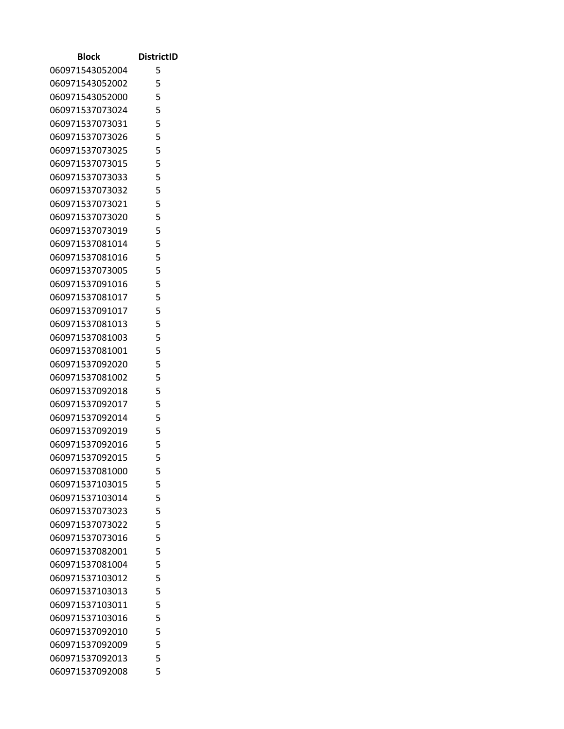| Block                              | <b>DistrictID</b> |
|------------------------------------|-------------------|
| 060971543052004                    | 5                 |
| 060971543052002                    | 5                 |
| 060971543052000                    | 5                 |
| 060971537073024                    | 5                 |
| 060971537073031                    | 5                 |
| 060971537073026                    | 5                 |
| 060971537073025                    | 5                 |
| 060971537073015                    | 5                 |
| 060971537073033                    | 5                 |
| 060971537073032                    | 5                 |
| 060971537073021                    | 5                 |
| 060971537073020                    | 5                 |
| 060971537073019                    | 5                 |
| 060971537081014                    | 5                 |
| 060971537081016                    | 5                 |
| 060971537073005                    | 5                 |
| 060971537091016                    | 5                 |
| 060971537081017                    | 5                 |
| 060971537091017                    | 5                 |
| 060971537081013                    | 5                 |
| 060971537081003                    | 5                 |
| 060971537081001                    | 5                 |
| 060971537092020                    | 5                 |
| 060971537081002                    | 5                 |
| 060971537092018                    | 5                 |
| 060971537092017                    | 5<br>5            |
| 060971537092014<br>060971537092019 | 5                 |
| 060971537092016                    | 5                 |
| 060971537092015                    | 5                 |
| 060971537081000                    | 5                 |
| 060971537103015                    | 5                 |
| 060971537103014                    | 5                 |
| 060971537073023                    | 5                 |
| 060971537073022                    | 5                 |
| 060971537073016                    | 5                 |
| 060971537082001                    | 5                 |
| 060971537081004                    | 5                 |
| 060971537103012                    | 5                 |
| 060971537103013                    | 5                 |
| 060971537103011                    | 5                 |
| 060971537103016                    | 5                 |
| 060971537092010                    | 5                 |
| 060971537092009                    | 5                 |
| 060971537092013                    | 5                 |
| 060971537092008                    | 5                 |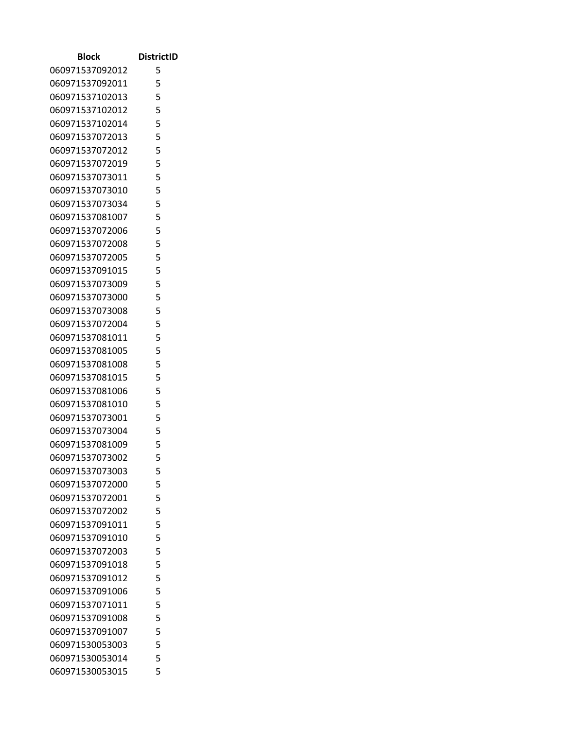| Block           | <b>DistrictID</b> |
|-----------------|-------------------|
| 060971537092012 | 5                 |
| 060971537092011 | 5                 |
| 060971537102013 | 5                 |
| 060971537102012 | 5                 |
| 060971537102014 | 5                 |
| 060971537072013 | 5                 |
| 060971537072012 | 5                 |
| 060971537072019 | 5                 |
| 060971537073011 | 5                 |
| 060971537073010 | 5                 |
| 060971537073034 | 5                 |
| 060971537081007 | 5                 |
| 060971537072006 | 5                 |
| 060971537072008 | 5                 |
| 060971537072005 | 5                 |
| 060971537091015 | 5                 |
| 060971537073009 | 5                 |
| 060971537073000 | 5                 |
| 060971537073008 | 5                 |
| 060971537072004 | 5                 |
| 060971537081011 | 5                 |
| 060971537081005 | 5                 |
| 060971537081008 | 5                 |
| 060971537081015 | 5                 |
| 060971537081006 | 5                 |
| 060971537081010 | 5                 |
| 060971537073001 | 5                 |
| 060971537073004 | 5                 |
| 060971537081009 | 5                 |
| 060971537073002 | 5                 |
| 060971537073003 | 5                 |
| 060971537072000 | 5                 |
| 060971537072001 | 5                 |
| 060971537072002 | 5                 |
| 060971537091011 | 5                 |
| 060971537091010 | 5                 |
| 060971537072003 | 5                 |
| 060971537091018 | 5                 |
| 060971537091012 | 5                 |
| 060971537091006 | 5                 |
| 060971537071011 | 5                 |
| 060971537091008 | 5                 |
| 060971537091007 | 5                 |
| 060971530053003 | 5                 |
| 060971530053014 | 5                 |
| 060971530053015 | 5                 |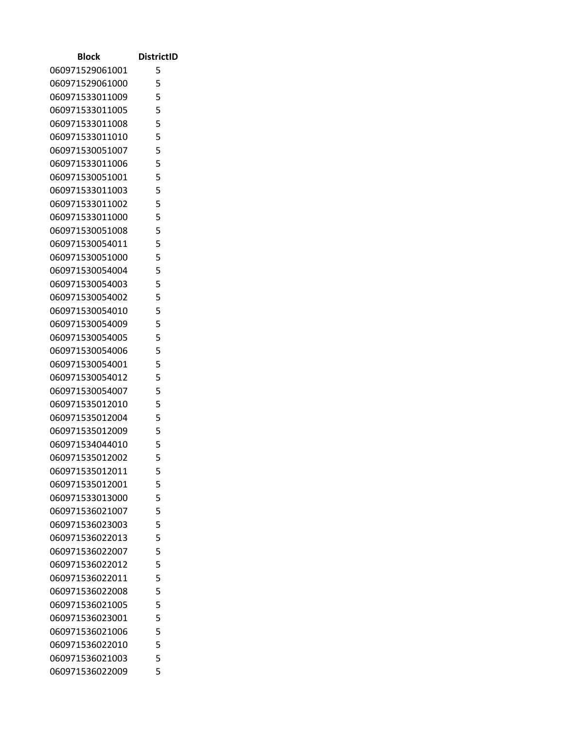| <b>Block</b>    | <b>DistrictID</b> |
|-----------------|-------------------|
| 060971529061001 | 5                 |
| 060971529061000 | 5                 |
| 060971533011009 | 5                 |
| 060971533011005 | 5                 |
| 060971533011008 | 5                 |
| 060971533011010 | 5                 |
| 060971530051007 | 5                 |
| 060971533011006 | 5                 |
| 060971530051001 | 5                 |
| 060971533011003 | 5                 |
| 060971533011002 | 5                 |
| 060971533011000 | 5                 |
| 060971530051008 | 5                 |
| 060971530054011 | 5                 |
| 060971530051000 | 5                 |
| 060971530054004 | 5                 |
| 060971530054003 | 5                 |
| 060971530054002 | 5                 |
| 060971530054010 | 5                 |
| 060971530054009 | 5                 |
| 060971530054005 | 5                 |
| 060971530054006 | 5                 |
| 060971530054001 | 5                 |
| 060971530054012 | 5                 |
| 060971530054007 | 5                 |
| 060971535012010 | 5                 |
| 060971535012004 | 5                 |
| 060971535012009 | 5                 |
| 060971534044010 | 5                 |
| 060971535012002 | 5                 |
| 060971535012011 | 5                 |
| 060971535012001 | 5                 |
| 060971533013000 | 5                 |
| 060971536021007 | 5                 |
| 060971536023003 | 5                 |
| 060971536022013 | 5                 |
| 060971536022007 | 5                 |
| 060971536022012 | 5                 |
| 060971536022011 | 5                 |
| 060971536022008 | 5                 |
| 060971536021005 | 5                 |
| 060971536023001 | 5                 |
| 060971536021006 | 5                 |
| 060971536022010 | 5                 |
| 060971536021003 | 5                 |
| 060971536022009 | 5                 |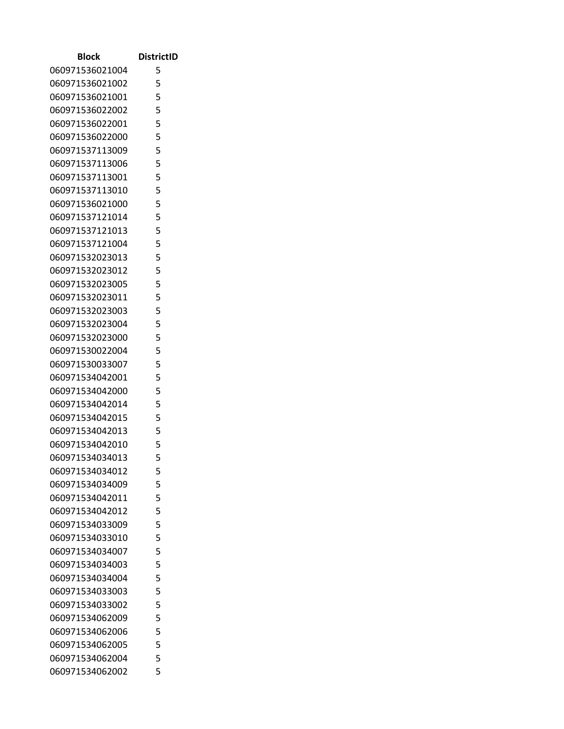| <b>Block</b>    | <b>DistrictID</b> |
|-----------------|-------------------|
| 060971536021004 | 5                 |
| 060971536021002 | 5                 |
| 060971536021001 | 5                 |
| 060971536022002 | 5                 |
| 060971536022001 | 5                 |
| 060971536022000 | 5                 |
| 060971537113009 | 5                 |
| 060971537113006 | 5                 |
| 060971537113001 | 5                 |
| 060971537113010 | 5                 |
| 060971536021000 | 5                 |
| 060971537121014 | 5                 |
| 060971537121013 | 5                 |
| 060971537121004 | 5                 |
| 060971532023013 | 5                 |
| 060971532023012 | 5                 |
| 060971532023005 | 5                 |
| 060971532023011 | 5                 |
| 060971532023003 | 5                 |
| 060971532023004 | 5                 |
| 060971532023000 | 5                 |
| 060971530022004 | 5                 |
| 060971530033007 | 5                 |
| 060971534042001 | 5                 |
| 060971534042000 | 5                 |
| 060971534042014 | 5                 |
| 060971534042015 | 5                 |
| 060971534042013 | 5                 |
| 060971534042010 | 5                 |
| 060971534034013 | 5                 |
| 060971534034012 | 5                 |
| 060971534034009 | 5                 |
| 060971534042011 | 5                 |
| 060971534042012 | 5                 |
| 060971534033009 | 5                 |
| 060971534033010 | 5                 |
| 060971534034007 | 5                 |
| 060971534034003 | 5                 |
| 060971534034004 | 5                 |
| 060971534033003 | 5                 |
| 060971534033002 | 5                 |
| 060971534062009 | 5                 |
| 060971534062006 | 5                 |
| 060971534062005 | 5                 |
| 060971534062004 | 5                 |
| 060971534062002 | 5                 |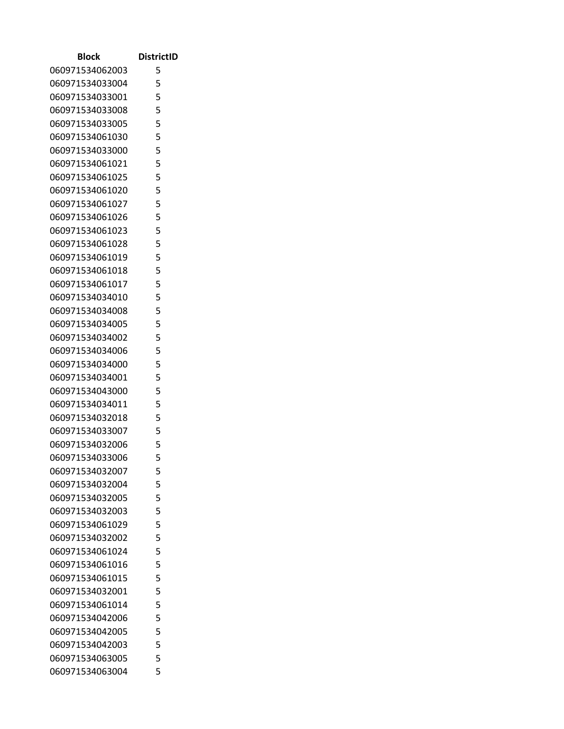| Block           | <b>DistrictID</b> |
|-----------------|-------------------|
| 060971534062003 | 5                 |
| 060971534033004 | 5                 |
| 060971534033001 | 5                 |
| 060971534033008 | 5                 |
| 060971534033005 | 5                 |
| 060971534061030 | 5                 |
| 060971534033000 | 5                 |
| 060971534061021 | 5                 |
| 060971534061025 | 5                 |
| 060971534061020 | 5                 |
| 060971534061027 | 5                 |
| 060971534061026 | 5                 |
| 060971534061023 | 5                 |
| 060971534061028 | 5                 |
| 060971534061019 | 5                 |
| 060971534061018 | 5                 |
| 060971534061017 | 5                 |
| 060971534034010 | 5                 |
| 060971534034008 | 5                 |
| 060971534034005 | 5                 |
| 060971534034002 | 5                 |
| 060971534034006 | 5                 |
| 060971534034000 | 5                 |
| 060971534034001 | 5                 |
| 060971534043000 | 5                 |
| 060971534034011 | 5                 |
| 060971534032018 | 5                 |
| 060971534033007 | 5                 |
| 060971534032006 | 5                 |
| 060971534033006 | 5                 |
| 060971534032007 | 5                 |
| 060971534032004 | 5                 |
| 060971534032005 | 5                 |
| 060971534032003 | 5                 |
| 060971534061029 | 5                 |
| 060971534032002 | 5                 |
| 060971534061024 | 5                 |
| 060971534061016 | 5                 |
| 060971534061015 | 5                 |
| 060971534032001 | 5                 |
| 060971534061014 | 5                 |
| 060971534042006 | 5                 |
| 060971534042005 | 5                 |
| 060971534042003 | 5                 |
| 060971534063005 | 5                 |
| 060971534063004 | 5                 |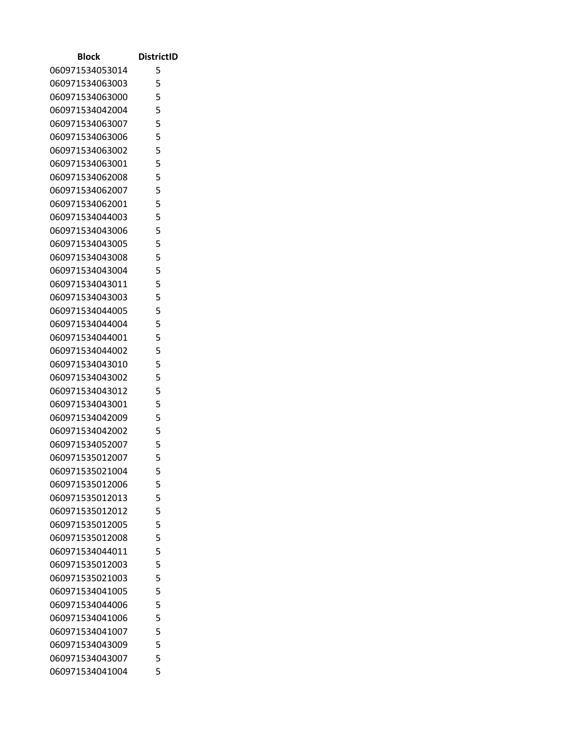| Block           | <b>DistrictID</b> |
|-----------------|-------------------|
| 060971534053014 | 5                 |
| 060971534063003 | 5                 |
| 060971534063000 | 5                 |
| 060971534042004 | 5                 |
| 060971534063007 | 5                 |
| 060971534063006 | 5                 |
| 060971534063002 | 5                 |
| 060971534063001 | 5                 |
| 060971534062008 | 5                 |
| 060971534062007 | 5                 |
| 060971534062001 | 5                 |
| 060971534044003 | 5                 |
| 060971534043006 | 5                 |
| 060971534043005 | 5                 |
| 060971534043008 | 5                 |
| 060971534043004 | 5                 |
| 060971534043011 | 5                 |
| 060971534043003 | 5                 |
| 060971534044005 | 5                 |
| 060971534044004 | 5                 |
| 060971534044001 | 5                 |
| 060971534044002 | 5                 |
| 060971534043010 | 5                 |
| 060971534043002 | 5                 |
| 060971534043012 | 5                 |
| 060971534043001 | 5                 |
| 060971534042009 | 5                 |
| 060971534042002 | 5                 |
| 060971534052007 | 5                 |
| 060971535012007 | 5                 |
| 060971535021004 | 5                 |
| 060971535012006 | 5                 |
| 060971535012013 | 5                 |
| 060971535012012 | 5                 |
| 060971535012005 | 5                 |
| 060971535012008 | 5                 |
| 060971534044011 | 5                 |
| 060971535012003 | 5                 |
| 060971535021003 | 5                 |
| 060971534041005 | 5                 |
| 060971534044006 | 5                 |
| 060971534041006 | 5                 |
| 060971534041007 | 5                 |
| 060971534043009 | 5                 |
| 060971534043007 | 5                 |
| 060971534041004 | 5                 |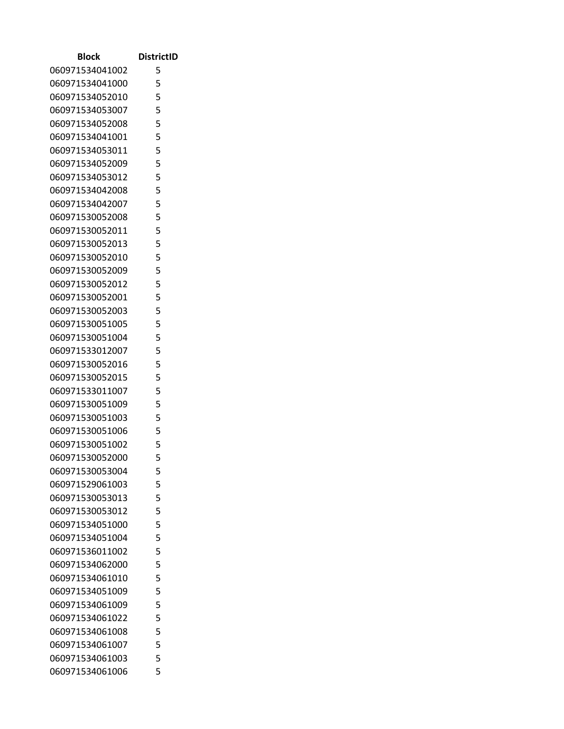| Block                              | <b>DistrictID</b> |
|------------------------------------|-------------------|
| 060971534041002                    | 5                 |
| 060971534041000                    | 5                 |
| 060971534052010                    | 5                 |
| 060971534053007                    | 5                 |
| 060971534052008                    | 5                 |
| 060971534041001                    | 5                 |
| 060971534053011                    | 5                 |
| 060971534052009                    | 5                 |
| 060971534053012                    | 5                 |
| 060971534042008                    | 5                 |
| 060971534042007                    | 5                 |
| 060971530052008                    | 5                 |
| 060971530052011                    | 5                 |
| 060971530052013                    | 5                 |
| 060971530052010                    | 5                 |
| 060971530052009                    | 5                 |
| 060971530052012                    | 5                 |
| 060971530052001                    | 5                 |
| 060971530052003                    | 5                 |
| 060971530051005                    | 5                 |
| 060971530051004                    | 5                 |
| 060971533012007                    | 5                 |
| 060971530052016                    | 5                 |
| 060971530052015                    | 5                 |
| 060971533011007                    | 5                 |
| 060971530051009                    | 5                 |
| 060971530051003                    | 5                 |
| 060971530051006                    | 5                 |
| 060971530051002                    | 5                 |
| 060971530052000                    | 5                 |
| 060971530053004                    | 5                 |
| 060971529061003                    | 5                 |
| 060971530053013                    | 5                 |
| 060971530053012                    | 5                 |
| 060971534051000                    | 5                 |
| 060971534051004                    | 5                 |
| 060971536011002                    | 5                 |
| 060971534062000                    | 5<br>5            |
| 060971534061010                    | 5                 |
| 060971534051009<br>060971534061009 | 5                 |
| 060971534061022                    | 5                 |
| 060971534061008                    | 5                 |
| 060971534061007                    | 5                 |
| 060971534061003                    | 5                 |
| 060971534061006                    | 5                 |
|                                    |                   |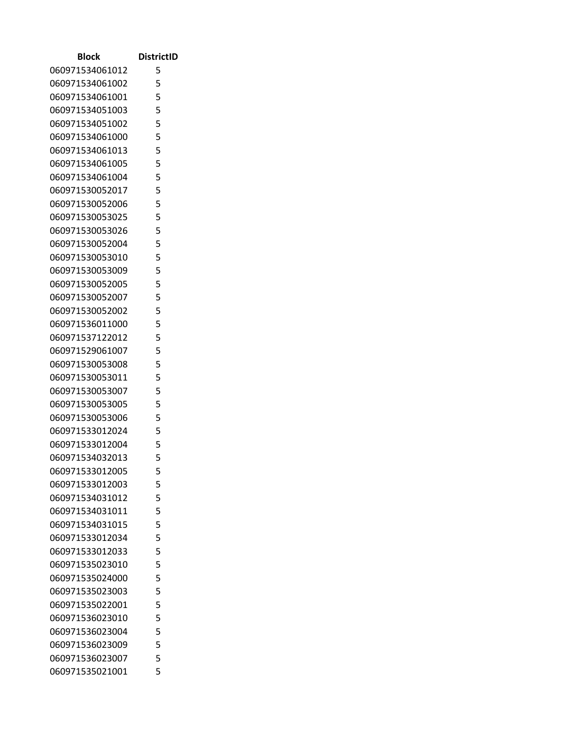| Block           | <b>DistrictID</b> |
|-----------------|-------------------|
| 060971534061012 | 5                 |
| 060971534061002 | 5                 |
| 060971534061001 | 5                 |
| 060971534051003 | 5                 |
| 060971534051002 | 5                 |
| 060971534061000 | 5                 |
| 060971534061013 | 5                 |
| 060971534061005 | 5                 |
| 060971534061004 | 5                 |
| 060971530052017 | 5                 |
| 060971530052006 | 5                 |
| 060971530053025 | 5                 |
| 060971530053026 | 5                 |
| 060971530052004 | 5                 |
| 060971530053010 | 5                 |
| 060971530053009 | 5                 |
| 060971530052005 | 5                 |
| 060971530052007 | 5                 |
| 060971530052002 | 5                 |
| 060971536011000 | 5                 |
| 060971537122012 | 5                 |
| 060971529061007 | 5                 |
| 060971530053008 | 5                 |
| 060971530053011 | 5                 |
| 060971530053007 | 5                 |
| 060971530053005 | 5                 |
| 060971530053006 | 5                 |
| 060971533012024 | 5                 |
| 060971533012004 | 5                 |
| 060971534032013 | 5                 |
| 060971533012005 | 5                 |
| 060971533012003 | 5                 |
| 060971534031012 | 5                 |
| 060971534031011 | 5                 |
| 060971534031015 | 5                 |
| 060971533012034 | 5                 |
| 060971533012033 | 5                 |
| 060971535023010 | 5                 |
| 060971535024000 | 5                 |
| 060971535023003 | 5                 |
| 060971535022001 | 5                 |
| 060971536023010 | 5                 |
| 060971536023004 | 5                 |
| 060971536023009 | 5                 |
| 060971536023007 | 5                 |
| 060971535021001 | 5                 |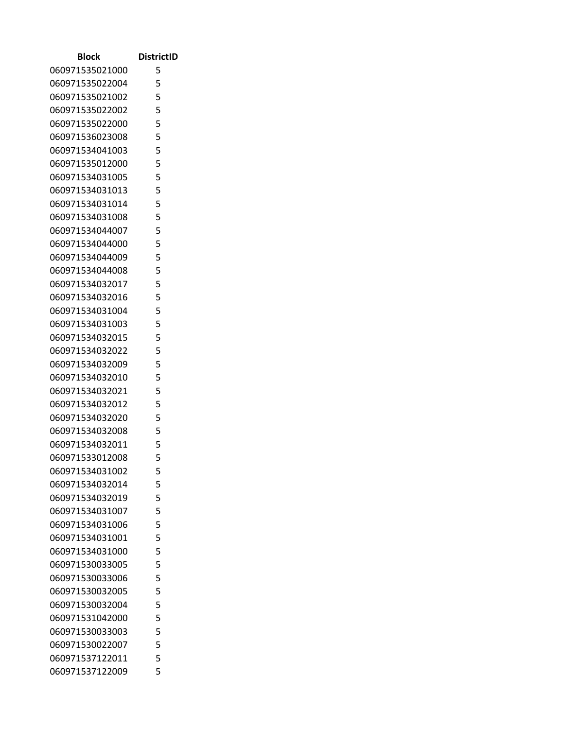| Block                              | <b>DistrictID</b> |
|------------------------------------|-------------------|
| 060971535021000                    | 5                 |
| 060971535022004                    | 5                 |
| 060971535021002                    | 5                 |
| 060971535022002                    | 5                 |
| 060971535022000                    | 5                 |
| 060971536023008                    | 5                 |
| 060971534041003                    | 5                 |
| 060971535012000                    | 5                 |
| 060971534031005                    | 5                 |
| 060971534031013                    | 5                 |
| 060971534031014                    | 5                 |
| 060971534031008                    | 5                 |
| 060971534044007                    | 5                 |
| 060971534044000                    | 5                 |
| 060971534044009                    | 5                 |
| 060971534044008                    | 5                 |
| 060971534032017                    | 5                 |
| 060971534032016                    | 5                 |
| 060971534031004                    | 5                 |
| 060971534031003                    | 5                 |
| 060971534032015                    | 5                 |
| 060971534032022                    | 5                 |
| 060971534032009                    | 5                 |
| 060971534032010                    | 5                 |
| 060971534032021                    | 5                 |
| 060971534032012                    | 5                 |
| 060971534032020                    | 5                 |
| 060971534032008                    | 5                 |
| 060971534032011                    | 5                 |
| 060971533012008                    | 5                 |
| 060971534031002                    | 5                 |
| 060971534032014                    | 5                 |
| 060971534032019                    | 5                 |
| 060971534031007                    | 5                 |
| 060971534031006                    | 5                 |
| 060971534031001                    | 5<br>5            |
| 060971534031000<br>060971530033005 | 5                 |
|                                    | 5                 |
| 060971530033006                    |                   |
| 060971530032005                    | 5<br>5            |
| 060971530032004                    | 5                 |
| 060971531042000<br>060971530033003 | 5                 |
| 060971530022007                    | 5                 |
| 060971537122011                    | 5                 |
| 060971537122009                    | 5                 |
|                                    |                   |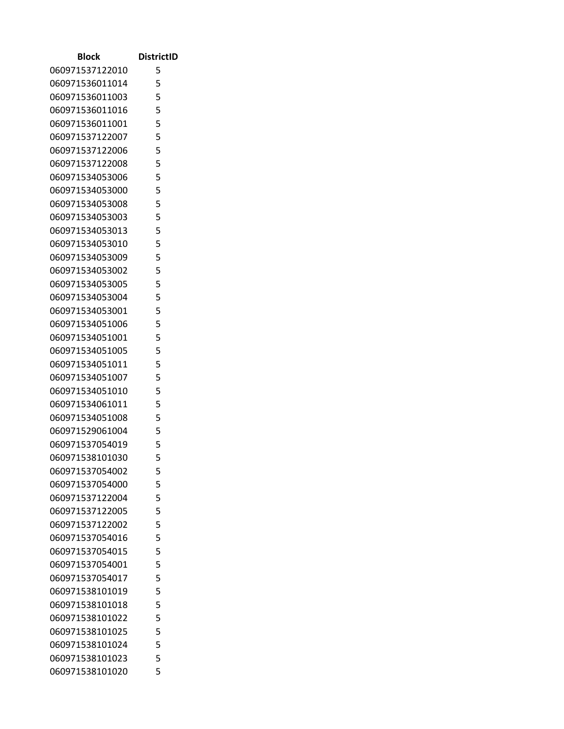| Block           | <b>DistrictID</b> |
|-----------------|-------------------|
| 060971537122010 | 5                 |
| 060971536011014 | 5                 |
| 060971536011003 | 5                 |
| 060971536011016 | 5                 |
| 060971536011001 | 5                 |
| 060971537122007 | 5                 |
| 060971537122006 | 5                 |
| 060971537122008 | 5                 |
| 060971534053006 | 5                 |
| 060971534053000 | 5                 |
| 060971534053008 | 5                 |
| 060971534053003 | 5                 |
| 060971534053013 | 5                 |
| 060971534053010 | 5                 |
| 060971534053009 | 5                 |
| 060971534053002 | 5                 |
| 060971534053005 | 5                 |
| 060971534053004 | 5                 |
| 060971534053001 | 5                 |
| 060971534051006 | 5                 |
| 060971534051001 | 5                 |
| 060971534051005 | 5                 |
| 060971534051011 | 5                 |
| 060971534051007 | 5                 |
| 060971534051010 | 5                 |
| 060971534061011 | 5                 |
| 060971534051008 | 5                 |
| 060971529061004 | 5                 |
| 060971537054019 | 5                 |
| 060971538101030 | 5                 |
| 060971537054002 | 5                 |
| 060971537054000 | 5                 |
| 060971537122004 | 5                 |
| 060971537122005 | 5                 |
| 060971537122002 | 5                 |
| 060971537054016 | 5                 |
| 060971537054015 | 5                 |
| 060971537054001 | 5                 |
| 060971537054017 | 5                 |
| 060971538101019 | 5                 |
| 060971538101018 | 5                 |
| 060971538101022 | 5<br>5            |
| 060971538101025 | 5                 |
| 060971538101024 | 5                 |
| 060971538101023 | 5                 |
| 060971538101020 |                   |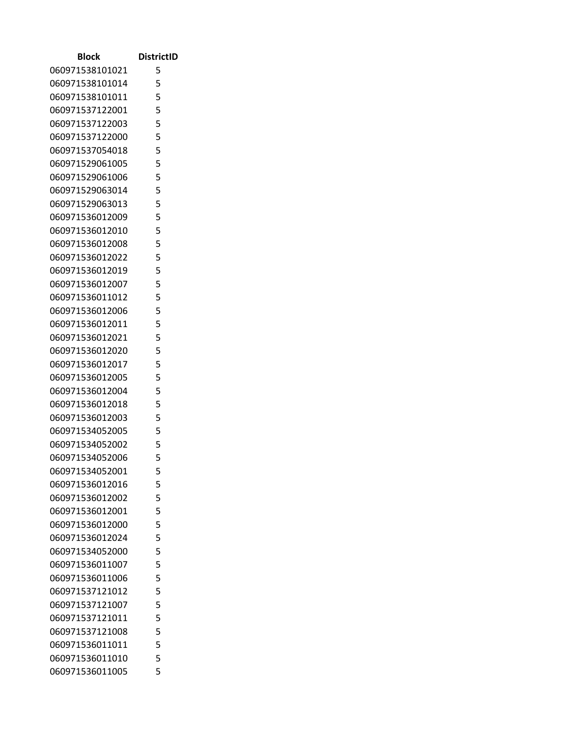| Block           | <b>DistrictID</b> |
|-----------------|-------------------|
| 060971538101021 | 5                 |
| 060971538101014 | 5                 |
| 060971538101011 | 5                 |
| 060971537122001 | 5                 |
| 060971537122003 | 5                 |
| 060971537122000 | 5                 |
| 060971537054018 | 5                 |
| 060971529061005 | 5                 |
| 060971529061006 | 5                 |
| 060971529063014 | 5                 |
| 060971529063013 | 5                 |
| 060971536012009 | 5                 |
| 060971536012010 | 5                 |
| 060971536012008 | 5                 |
| 060971536012022 | 5                 |
| 060971536012019 | 5                 |
| 060971536012007 | 5                 |
| 060971536011012 | 5                 |
| 060971536012006 | 5                 |
| 060971536012011 | 5                 |
| 060971536012021 | 5                 |
| 060971536012020 | 5                 |
| 060971536012017 | 5                 |
| 060971536012005 | 5                 |
| 060971536012004 | 5                 |
| 060971536012018 | 5                 |
| 060971536012003 | 5                 |
| 060971534052005 | 5                 |
| 060971534052002 | 5                 |
| 060971534052006 | 5                 |
| 060971534052001 | 5                 |
| 060971536012016 | 5                 |
| 060971536012002 | 5                 |
| 060971536012001 | 5                 |
| 060971536012000 | 5                 |
| 060971536012024 | 5                 |
| 060971534052000 | 5                 |
| 060971536011007 | 5<br>5            |
| 060971536011006 |                   |
| 060971537121012 | 5                 |
| 060971537121007 | 5                 |
| 060971537121011 | 5<br>5            |
| 060971537121008 | 5                 |
| 060971536011011 | 5                 |
| 060971536011010 | 5                 |
| 060971536011005 |                   |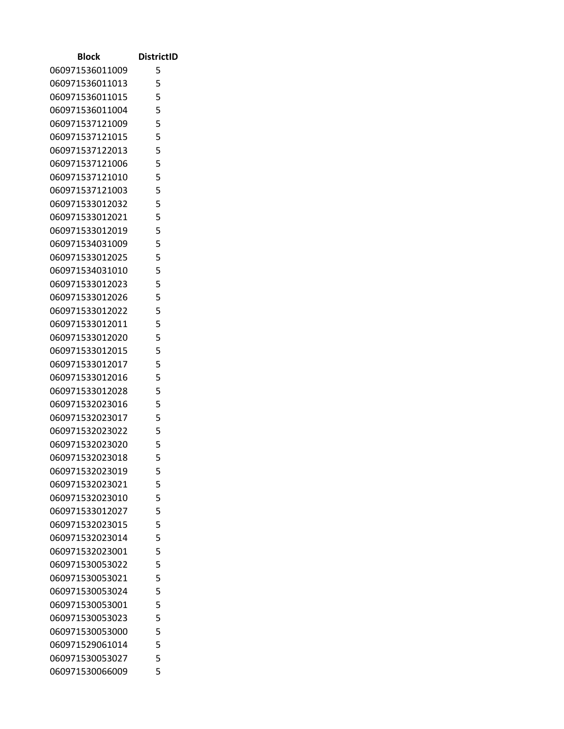| Block           | <b>DistrictID</b> |
|-----------------|-------------------|
| 060971536011009 | 5                 |
| 060971536011013 | 5                 |
| 060971536011015 | 5                 |
| 060971536011004 | 5                 |
| 060971537121009 | 5                 |
| 060971537121015 | 5                 |
| 060971537122013 | 5                 |
| 060971537121006 | 5                 |
| 060971537121010 | 5                 |
| 060971537121003 | 5                 |
| 060971533012032 | 5                 |
| 060971533012021 | 5                 |
| 060971533012019 | 5                 |
| 060971534031009 | 5                 |
| 060971533012025 | 5                 |
| 060971534031010 | 5                 |
| 060971533012023 | 5                 |
| 060971533012026 | 5                 |
| 060971533012022 | 5                 |
| 060971533012011 | 5                 |
| 060971533012020 | 5                 |
| 060971533012015 | 5                 |
| 060971533012017 | 5                 |
| 060971533012016 | 5                 |
| 060971533012028 | 5                 |
| 060971532023016 | 5                 |
| 060971532023017 | 5                 |
| 060971532023022 | 5                 |
| 060971532023020 | 5                 |
| 060971532023018 | 5                 |
| 060971532023019 | 5                 |
| 060971532023021 | 5                 |
| 060971532023010 | 5                 |
| 060971533012027 | 5                 |
| 060971532023015 | 5                 |
| 060971532023014 | 5                 |
| 060971532023001 | 5                 |
| 060971530053022 | 5                 |
| 060971530053021 | 5                 |
| 060971530053024 | 5                 |
| 060971530053001 | 5                 |
| 060971530053023 | 5                 |
| 060971530053000 | 5                 |
| 060971529061014 | 5                 |
| 060971530053027 | 5                 |
| 060971530066009 | 5                 |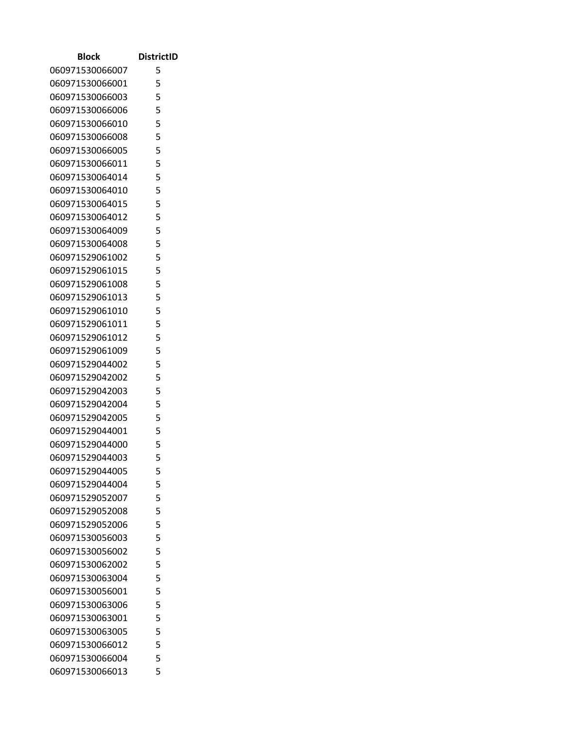| <b>Block</b>    | <b>DistrictID</b> |
|-----------------|-------------------|
| 060971530066007 | 5                 |
| 060971530066001 | 5                 |
| 060971530066003 | 5                 |
| 060971530066006 | 5                 |
| 060971530066010 | 5                 |
| 060971530066008 | 5                 |
| 060971530066005 | 5                 |
| 060971530066011 | 5                 |
| 060971530064014 | 5                 |
| 060971530064010 | 5                 |
| 060971530064015 | 5                 |
| 060971530064012 | 5                 |
| 060971530064009 | 5                 |
| 060971530064008 | 5                 |
| 060971529061002 | 5                 |
| 060971529061015 | 5                 |
| 060971529061008 | 5                 |
| 060971529061013 | 5                 |
| 060971529061010 | 5                 |
| 060971529061011 | 5                 |
| 060971529061012 | 5                 |
| 060971529061009 | 5                 |
| 060971529044002 | 5                 |
| 060971529042002 | 5                 |
| 060971529042003 | 5                 |
| 060971529042004 | 5                 |
| 060971529042005 | 5                 |
| 060971529044001 | 5                 |
| 060971529044000 | 5                 |
| 060971529044003 | 5                 |
| 060971529044005 | 5                 |
| 060971529044004 | 5                 |
| 060971529052007 | 5                 |
| 060971529052008 | 5                 |
| 060971529052006 | 5                 |
| 060971530056003 | 5                 |
| 060971530056002 | 5                 |
| 060971530062002 | 5                 |
| 060971530063004 | 5                 |
| 060971530056001 | 5                 |
| 060971530063006 | 5                 |
| 060971530063001 | 5                 |
| 060971530063005 | 5                 |
| 060971530066012 | 5                 |
| 060971530066004 | 5                 |
| 060971530066013 | 5                 |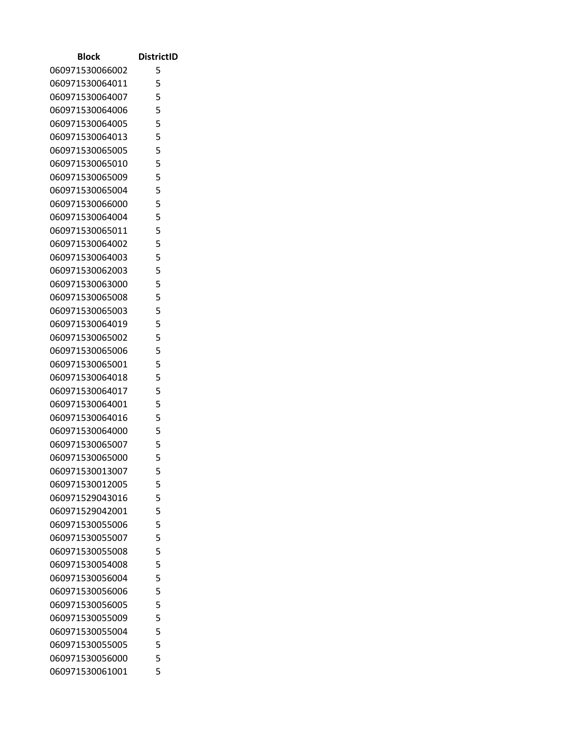| Block           | <b>DistrictID</b> |
|-----------------|-------------------|
| 060971530066002 | 5                 |
| 060971530064011 | 5                 |
| 060971530064007 | 5                 |
| 060971530064006 | 5                 |
| 060971530064005 | 5                 |
| 060971530064013 | 5                 |
| 060971530065005 | 5                 |
| 060971530065010 | 5                 |
| 060971530065009 | 5                 |
| 060971530065004 | 5                 |
| 060971530066000 | 5                 |
| 060971530064004 | 5                 |
| 060971530065011 | 5                 |
| 060971530064002 | 5                 |
| 060971530064003 | 5                 |
| 060971530062003 | 5                 |
| 060971530063000 | 5                 |
| 060971530065008 | 5                 |
| 060971530065003 | 5                 |
| 060971530064019 | 5                 |
| 060971530065002 | 5                 |
| 060971530065006 | 5                 |
| 060971530065001 | 5                 |
| 060971530064018 | 5                 |
| 060971530064017 | 5                 |
| 060971530064001 | 5                 |
| 060971530064016 | 5                 |
| 060971530064000 | 5                 |
| 060971530065007 | 5                 |
| 060971530065000 | 5                 |
| 060971530013007 | 5                 |
| 060971530012005 | 5                 |
| 060971529043016 | 5                 |
| 060971529042001 | 5                 |
| 060971530055006 | 5                 |
| 060971530055007 | 5                 |
| 060971530055008 | 5                 |
| 060971530054008 | 5<br>5            |
| 060971530056004 |                   |
| 060971530056006 | 5                 |
| 060971530056005 | 5                 |
| 060971530055009 | 5<br>5            |
| 060971530055004 | 5                 |
| 060971530055005 | 5                 |
| 060971530056000 | 5                 |
| 060971530061001 |                   |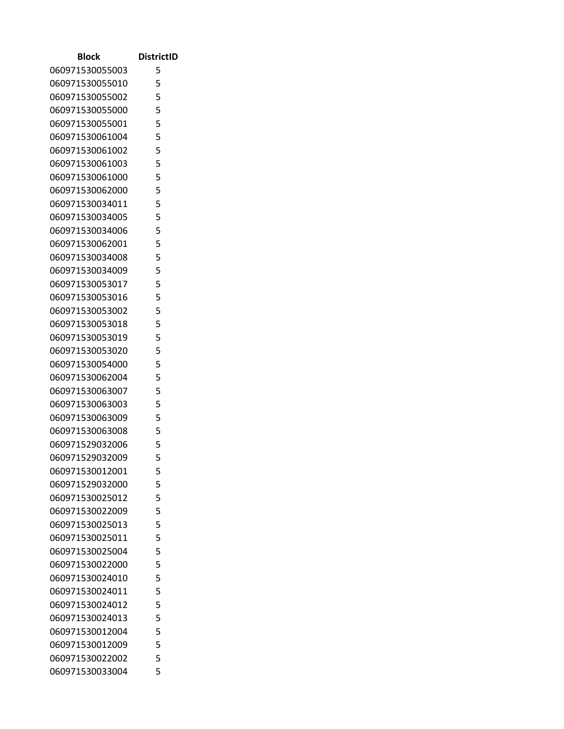| Block                              | <b>DistrictID</b> |
|------------------------------------|-------------------|
| 060971530055003                    | 5                 |
| 060971530055010                    | 5                 |
| 060971530055002                    | 5                 |
| 060971530055000                    | 5                 |
| 060971530055001                    | 5                 |
| 060971530061004                    | 5                 |
| 060971530061002                    | 5                 |
| 060971530061003                    | 5                 |
| 060971530061000                    | 5                 |
| 060971530062000                    | 5                 |
| 060971530034011                    | 5                 |
| 060971530034005                    | 5                 |
| 060971530034006                    | 5                 |
| 060971530062001                    | 5                 |
| 060971530034008                    | 5                 |
| 060971530034009                    | 5                 |
| 060971530053017                    | 5                 |
| 060971530053016                    | 5                 |
| 060971530053002                    | 5                 |
| 060971530053018                    | 5                 |
| 060971530053019                    | 5                 |
| 060971530053020                    | 5                 |
| 060971530054000                    | 5                 |
| 060971530062004                    | 5<br>5            |
| 060971530063007<br>060971530063003 | 5                 |
| 060971530063009                    | 5                 |
| 060971530063008                    | 5                 |
| 060971529032006                    | 5                 |
| 060971529032009                    | 5                 |
| 060971530012001                    | 5                 |
| 060971529032000                    | 5                 |
| 060971530025012                    | 5                 |
| 060971530022009                    | 5                 |
| 060971530025013                    | 5                 |
| 060971530025011                    | 5                 |
| 060971530025004                    | 5                 |
| 060971530022000                    | 5                 |
| 060971530024010                    | 5                 |
| 060971530024011                    | 5                 |
| 060971530024012                    | 5                 |
| 060971530024013                    | 5                 |
| 060971530012004                    | 5                 |
| 060971530012009                    | 5                 |
| 060971530022002                    | 5                 |
| 060971530033004                    | 5                 |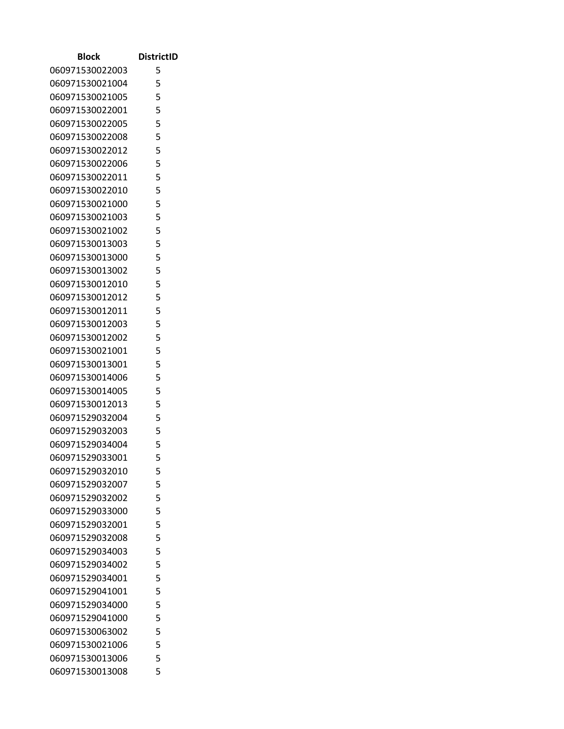| Block                              | <b>DistrictID</b> |
|------------------------------------|-------------------|
| 060971530022003                    | 5                 |
| 060971530021004                    | 5                 |
| 060971530021005                    | 5                 |
| 060971530022001                    | 5                 |
| 060971530022005                    | 5                 |
| 060971530022008                    | 5                 |
| 060971530022012                    | 5                 |
| 060971530022006                    | 5                 |
| 060971530022011                    | 5                 |
| 060971530022010                    | 5                 |
| 060971530021000                    | 5                 |
| 060971530021003                    | 5                 |
| 060971530021002                    | 5                 |
| 060971530013003                    | 5                 |
| 060971530013000                    | 5                 |
| 060971530013002                    | 5                 |
| 060971530012010                    | 5                 |
| 060971530012012                    | 5                 |
| 060971530012011                    | 5                 |
| 060971530012003                    | 5                 |
| 060971530012002                    | 5                 |
| 060971530021001                    | 5                 |
| 060971530013001                    | 5                 |
| 060971530014006                    | 5                 |
| 060971530014005                    | 5                 |
| 060971530012013                    | 5                 |
| 060971529032004                    | 5                 |
| 060971529032003<br>060971529034004 | 5<br>5            |
| 060971529033001                    | 5                 |
| 060971529032010                    | 5                 |
| 060971529032007                    | 5                 |
| 060971529032002                    | 5                 |
| 060971529033000                    | 5                 |
| 060971529032001                    | 5                 |
| 060971529032008                    | 5                 |
| 060971529034003                    | 5                 |
| 060971529034002                    | 5                 |
| 060971529034001                    | 5                 |
| 060971529041001                    | 5                 |
| 060971529034000                    | 5                 |
| 060971529041000                    | 5                 |
| 060971530063002                    | 5                 |
| 060971530021006                    | 5                 |
| 060971530013006                    | 5                 |
| 060971530013008                    | 5                 |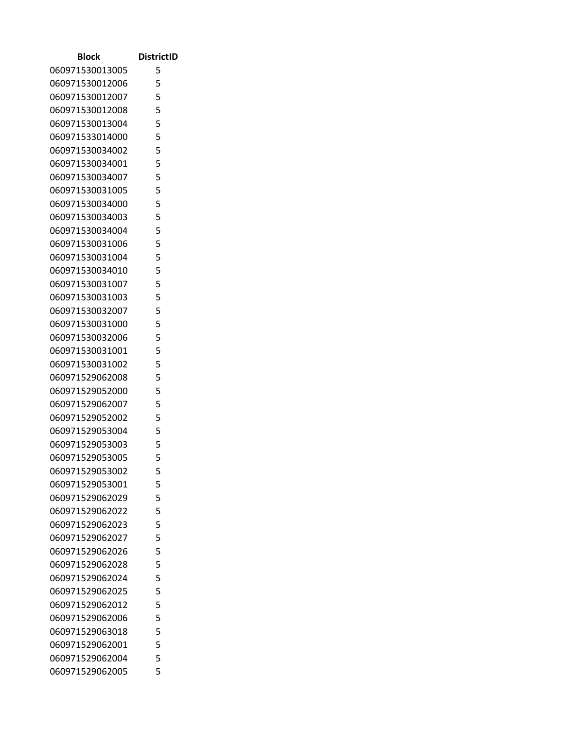| Block                              | <b>DistrictID</b> |
|------------------------------------|-------------------|
| 060971530013005                    | 5                 |
| 060971530012006                    | 5                 |
| 060971530012007                    | 5                 |
| 060971530012008                    | 5                 |
| 060971530013004                    | 5                 |
| 060971533014000                    | 5                 |
| 060971530034002                    | 5                 |
| 060971530034001                    | 5                 |
| 060971530034007                    | 5                 |
| 060971530031005                    | 5                 |
| 060971530034000                    | 5                 |
| 060971530034003                    | 5                 |
| 060971530034004                    | 5                 |
| 060971530031006                    | 5                 |
| 060971530031004                    | 5                 |
| 060971530034010                    | 5                 |
| 060971530031007                    | 5                 |
| 060971530031003                    | 5                 |
| 060971530032007                    | 5                 |
| 060971530031000                    | 5                 |
| 060971530032006                    | 5                 |
| 060971530031001                    | 5                 |
| 060971530031002                    | 5                 |
| 060971529062008                    | 5                 |
| 060971529052000                    | 5                 |
| 060971529062007<br>060971529052002 | 5                 |
|                                    | 5<br>5            |
| 060971529053004<br>060971529053003 | 5                 |
| 060971529053005                    | 5                 |
| 060971529053002                    | 5                 |
| 060971529053001                    | 5                 |
| 060971529062029                    | 5                 |
| 060971529062022                    | 5                 |
| 060971529062023                    | 5                 |
| 060971529062027                    | 5                 |
| 060971529062026                    | 5                 |
| 060971529062028                    | 5                 |
| 060971529062024                    | 5                 |
| 060971529062025                    | 5                 |
| 060971529062012                    | 5                 |
| 060971529062006                    | 5                 |
| 060971529063018                    | 5                 |
| 060971529062001                    | 5                 |
| 060971529062004                    | 5                 |
| 060971529062005                    | 5                 |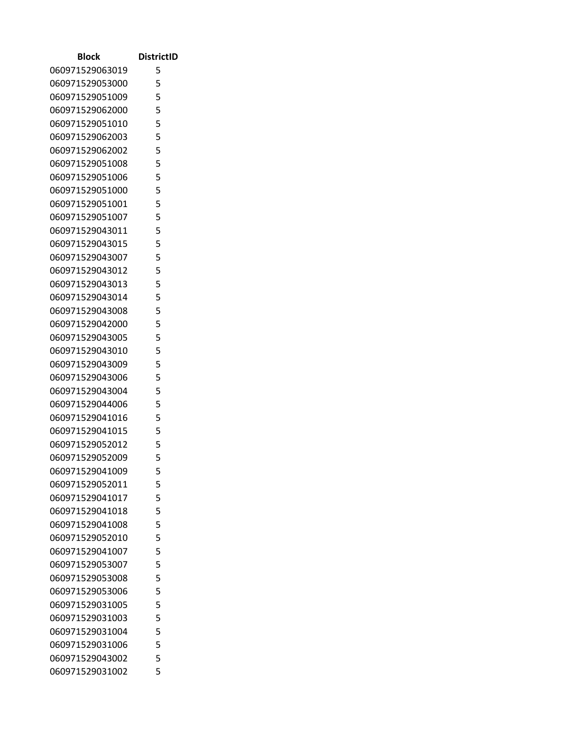| Block           | <b>DistrictID</b> |
|-----------------|-------------------|
| 060971529063019 | 5                 |
| 060971529053000 | 5                 |
| 060971529051009 | 5                 |
| 060971529062000 | 5                 |
| 060971529051010 | 5                 |
| 060971529062003 | 5                 |
| 060971529062002 | 5                 |
| 060971529051008 | 5                 |
| 060971529051006 | 5                 |
| 060971529051000 | 5                 |
| 060971529051001 | 5                 |
| 060971529051007 | 5                 |
| 060971529043011 | 5                 |
| 060971529043015 | 5                 |
| 060971529043007 | 5                 |
| 060971529043012 | 5                 |
| 060971529043013 | 5                 |
| 060971529043014 | 5                 |
| 060971529043008 | 5                 |
| 060971529042000 | 5                 |
| 060971529043005 | 5                 |
| 060971529043010 | 5                 |
| 060971529043009 | 5                 |
| 060971529043006 | 5                 |
| 060971529043004 | 5                 |
| 060971529044006 | 5                 |
| 060971529041016 | 5                 |
| 060971529041015 | 5                 |
| 060971529052012 | 5                 |
| 060971529052009 | 5                 |
| 060971529041009 | 5                 |
| 060971529052011 | 5                 |
| 060971529041017 | 5                 |
| 060971529041018 | 5                 |
| 060971529041008 | 5                 |
| 060971529052010 | 5                 |
| 060971529041007 | 5                 |
| 060971529053007 | 5                 |
| 060971529053008 | 5                 |
| 060971529053006 | 5                 |
| 060971529031005 | 5                 |
| 060971529031003 | 5                 |
| 060971529031004 | 5                 |
| 060971529031006 | 5                 |
| 060971529043002 | 5                 |
| 060971529031002 | 5                 |